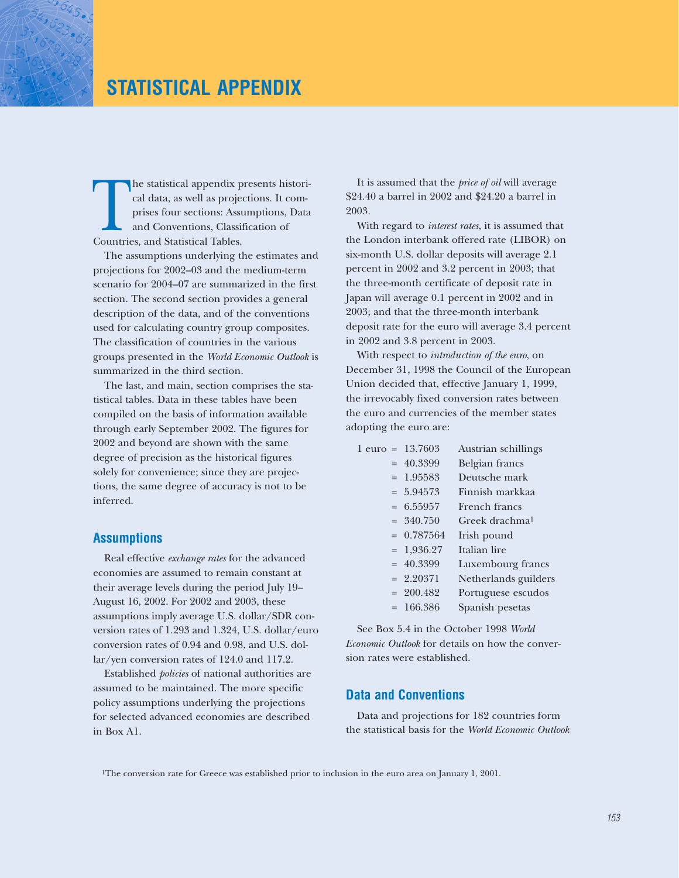# **STATISTICAL APPENDIX**

The statistical appendix presents historical data, as well as projections. It comprises four sections: Assumptions, Data and Conventions, Classification of Countries, and Statistical Tables. cal data, as well as projections. It comprises four sections: Assumptions, Data and Conventions, Classification of Countries, and Statistical Tables.

The assumptions underlying the estimates and projections for 2002–03 and the medium-term scenario for 2004–07 are summarized in the first section. The second section provides a general description of the data, and of the conventions used for calculating country group composites. The classification of countries in the various groups presented in the *World Economic Outlook* is summarized in the third section.

The last, and main, section comprises the statistical tables. Data in these tables have been compiled on the basis of information available through early September 2002. The figures for 2002 and beyond are shown with the same degree of precision as the historical figures solely for convenience; since they are projections, the same degree of accuracy is not to be inferred.

#### **Assumptions**

Real effective *exchange rates* for the advanced economies are assumed to remain constant at their average levels during the period July 19– August 16, 2002. For 2002 and 2003, these assumptions imply average U.S. dollar/SDR conversion rates of 1.293 and 1.324, U.S. dollar/euro conversion rates of 0.94 and 0.98, and U.S. dollar/yen conversion rates of 124.0 and 117.2.

Established *policies* of national authorities are assumed to be maintained. The more specific policy assumptions underlying the projections for selected advanced economies are described in Box A1.

It is assumed that the *price of oil* will average \$24.40 a barrel in 2002 and \$24.20 a barrel in 2003.

With regard to *interest rates*, it is assumed that the London interbank offered rate (LIBOR) on six-month U.S. dollar deposits will average 2.1 percent in 2002 and 3.2 percent in 2003; that the three-month certificate of deposit rate in Japan will average 0.1 percent in 2002 and in 2003; and that the three-month interbank deposit rate for the euro will average 3.4 percent in 2002 and 3.8 percent in 2003.

With respect to *introduction of the euro*, on December 31, 1998 the Council of the European Union decided that, effective January 1, 1999, the irrevocably fixed conversion rates between the euro and currencies of the member states adopting the euro are:

| 1 euro = 13.7603 | Austrian schillings        |
|------------------|----------------------------|
| $= 40.3399$      | Belgian francs             |
| $= 1.95583$      | Deutsche mark              |
| $= 5.94573$      | Finnish markkaa            |
| $= 6.55957$      | French francs              |
| $= 340.750$      | Greek drachma <sup>1</sup> |
| $= 0.787564$     | Irish pound                |
| $= 1,936.27$     | Italian lire               |
| $= 40.3399$      | Luxembourg francs          |
| $= 2.20371$      | Netherlands guilders       |
| $= 200.482$      | Portuguese escudos         |
| $= 166.386$      | Spanish pesetas            |

See Box 5.4 in the October 1998 *World Economic Outlook* for details on how the conversion rates were established.

### **Data and Conventions**

Data and projections for 182 countries form the statistical basis for the *World Economic Outlook*

1The conversion rate for Greece was established prior to inclusion in the euro area on January 1, 2001.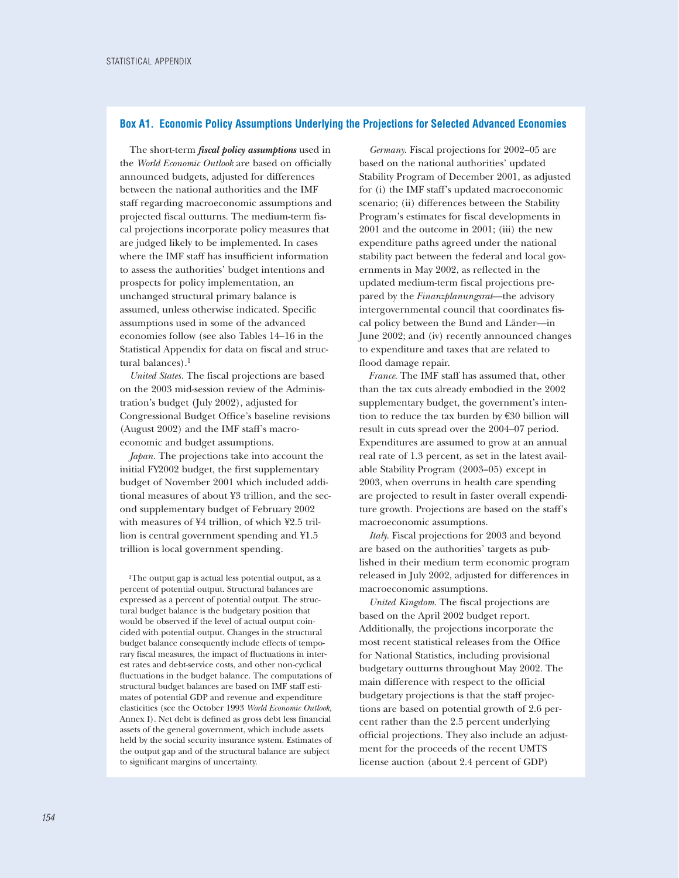#### **Box A1. Economic Policy Assumptions Underlying the Projections for Selected Advanced Economies**

The short-term *fiscal policy assumptions* used in the *World Economic Outlook* are based on officially announced budgets, adjusted for differences between the national authorities and the IMF staff regarding macroeconomic assumptions and projected fiscal outturns. The medium-term fiscal projections incorporate policy measures that are judged likely to be implemented. In cases where the IMF staff has insufficient information to assess the authorities' budget intentions and prospects for policy implementation, an unchanged structural primary balance is assumed, unless otherwise indicated. Specific assumptions used in some of the advanced economies follow (see also Tables 14–16 in the Statistical Appendix for data on fiscal and structural balances).1

*United States.* The fiscal projections are based on the 2003 mid-session review of the Administration's budget (July 2002), adjusted for Congressional Budget Office's baseline revisions (August 2002) and the IMF staff's macroeconomic and budget assumptions.

*Japan.* The projections take into account the initial FY2002 budget, the first supplementary budget of November 2001 which included additional measures of about ¥3 trillion, and the second supplementary budget of February 2002 with measures of ¥4 trillion, of which ¥2.5 trillion is central government spending and ¥1.5 trillion is local government spending.

1The output gap is actual less potential output, as a percent of potential output. Structural balances are expressed as a percent of potential output. The structural budget balance is the budgetary position that would be observed if the level of actual output coincided with potential output. Changes in the structural budget balance consequently include effects of temporary fiscal measures, the impact of fluctuations in interest rates and debt-service costs, and other non-cyclical fluctuations in the budget balance. The computations of structural budget balances are based on IMF staff estimates of potential GDP and revenue and expenditure elasticities (see the October 1993 *World Economic Outlook*, Annex I). Net debt is defined as gross debt less financial assets of the general government, which include assets held by the social security insurance system. Estimates of the output gap and of the structural balance are subject to significant margins of uncertainty.

*Germany*. Fiscal projections for 2002–05 are based on the national authorities' updated Stability Program of December 2001, as adjusted for (i) the IMF staff's updated macroeconomic scenario; (ii) differences between the Stability Program's estimates for fiscal developments in 2001 and the outcome in 2001; (iii) the new expenditure paths agreed under the national stability pact between the federal and local governments in May 2002, as reflected in the updated medium-term fiscal projections prepared by the *Finanzplanungsrat*—the advisory intergovernmental council that coordinates fiscal policy between the Bund and Länder––in June 2002; and (iv) recently announced changes to expenditure and taxes that are related to flood damage repair.

*France*. The IMF staff has assumed that, other than the tax cuts already embodied in the 2002 supplementary budget, the government's intention to reduce the tax burden by €30 billion will result in cuts spread over the 2004–07 period. Expenditures are assumed to grow at an annual real rate of 1.3 percent, as set in the latest available Stability Program (2003–05) except in 2003, when overruns in health care spending are projected to result in faster overall expenditure growth. Projections are based on the staff's macroeconomic assumptions.

*Italy*. Fiscal projections for 2003 and beyond are based on the authorities' targets as published in their medium term economic program released in July 2002, adjusted for differences in macroeconomic assumptions.

*United Kingdom*. The fiscal projections are based on the April 2002 budget report. Additionally, the projections incorporate the most recent statistical releases from the Office for National Statistics, including provisional budgetary outturns throughout May 2002. The main difference with respect to the official budgetary projections is that the staff projections are based on potential growth of 2.6 percent rather than the 2.5 percent underlying official projections. They also include an adjustment for the proceeds of the recent UMTS license auction (about 2.4 percent of GDP)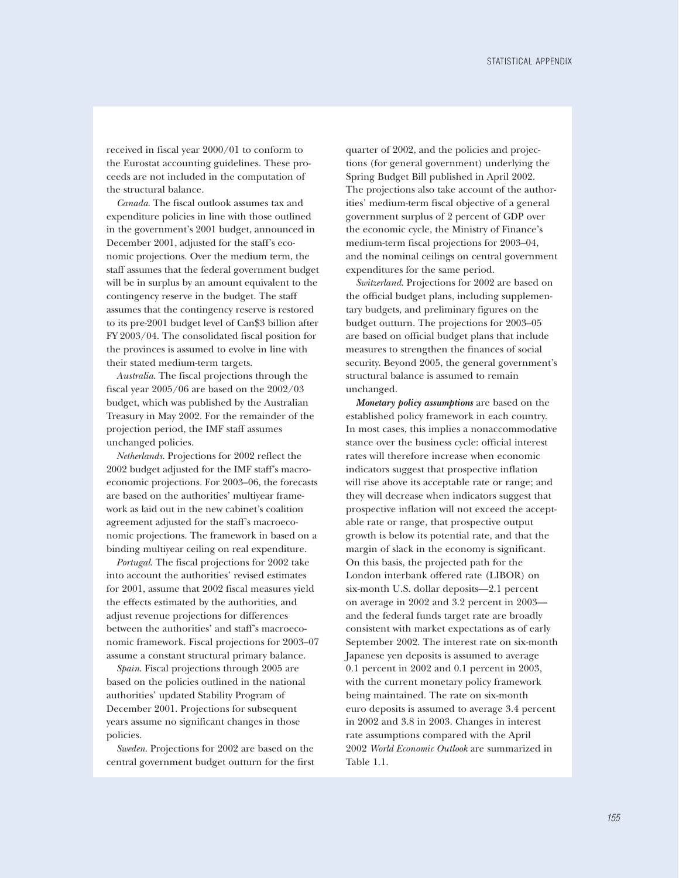received in fiscal year 2000/01 to conform to the Eurostat accounting guidelines. These proceeds are not included in the computation of the structural balance.

*Canada*. The fiscal outlook assumes tax and expenditure policies in line with those outlined in the government's 2001 budget, announced in December 2001, adjusted for the staff's economic projections. Over the medium term, the staff assumes that the federal government budget will be in surplus by an amount equivalent to the contingency reserve in the budget. The staff assumes that the contingency reserve is restored to its pre-2001 budget level of Can\$3 billion after FY 2003/04. The consolidated fiscal position for the provinces is assumed to evolve in line with their stated medium-term targets.

*Australia*. The fiscal projections through the fiscal year 2005/06 are based on the 2002/03 budget, which was published by the Australian Treasury in May 2002. For the remainder of the projection period, the IMF staff assumes unchanged policies.

*Netherlands*. Projections for 2002 reflect the 2002 budget adjusted for the IMF staff's macroeconomic projections. For 2003–06, the forecasts are based on the authorities' multiyear framework as laid out in the new cabinet's coalition agreement adjusted for the staff's macroeconomic projections. The framework in based on a binding multiyear ceiling on real expenditure.

*Portugal*. The fiscal projections for 2002 take into account the authorities' revised estimates for 2001, assume that 2002 fiscal measures yield the effects estimated by the authorities, and adjust revenue projections for differences between the authorities' and staff's macroeconomic framework. Fiscal projections for 2003–07 assume a constant structural primary balance.

*Spain*. Fiscal projections through 2005 are based on the policies outlined in the national authorities' updated Stability Program of December 2001. Projections for subsequent years assume no significant changes in those policies.

*Sweden*. Projections for 2002 are based on the central government budget outturn for the first

quarter of 2002, and the policies and projections (for general government) underlying the Spring Budget Bill published in April 2002. The projections also take account of the authorities' medium-term fiscal objective of a general government surplus of 2 percent of GDP over the economic cycle, the Ministry of Finance's medium-term fiscal projections for 2003–04, and the nominal ceilings on central government expenditures for the same period.

*Switzerland*. Projections for 2002 are based on the official budget plans, including supplementary budgets, and preliminary figures on the budget outturn. The projections for 2003–05 are based on official budget plans that include measures to strengthen the finances of social security. Beyond 2005, the general government's structural balance is assumed to remain unchanged.

*Monetary policy assumptions* are based on the established policy framework in each country. In most cases, this implies a nonaccommodative stance over the business cycle: official interest rates will therefore increase when economic indicators suggest that prospective inflation will rise above its acceptable rate or range; and they will decrease when indicators suggest that prospective inflation will not exceed the acceptable rate or range, that prospective output growth is below its potential rate, and that the margin of slack in the economy is significant. On this basis, the projected path for the London interbank offered rate (LIBOR) on six-month U.S. dollar deposits—2.1 percent on average in 2002 and 3.2 percent in 2003 and the federal funds target rate are broadly consistent with market expectations as of early September 2002. The interest rate on six-month Japanese yen deposits is assumed to average 0.1 percent in 2002 and 0.1 percent in 2003, with the current monetary policy framework being maintained. The rate on six-month euro deposits is assumed to average 3.4 percent in 2002 and 3.8 in 2003. Changes in interest rate assumptions compared with the April 2002 *World Economic Outlook* are summarized in Table 1.1.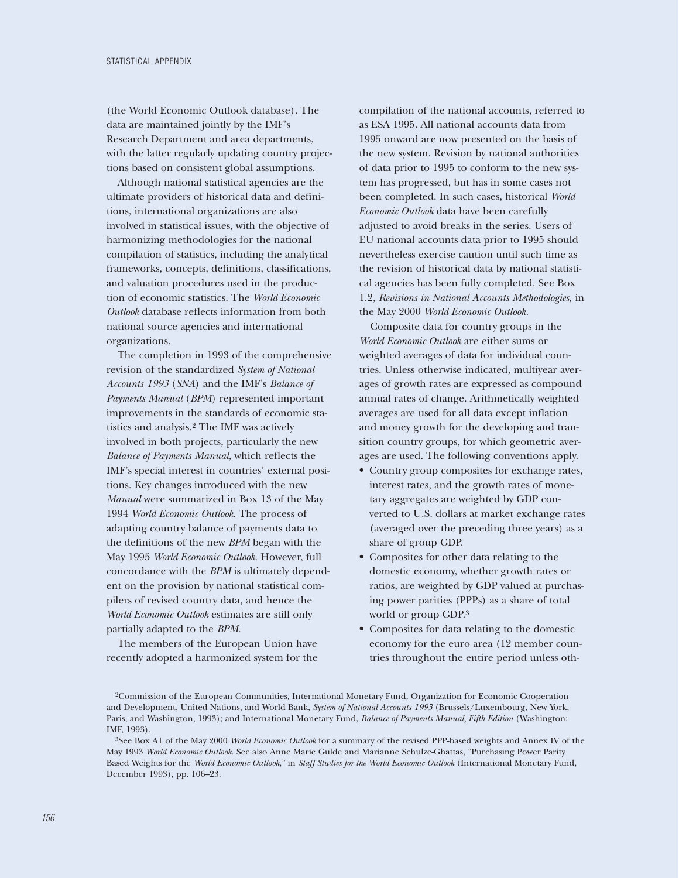(the World Economic Outlook database). The data are maintained jointly by the IMF's Research Department and area departments, with the latter regularly updating country projections based on consistent global assumptions.

Although national statistical agencies are the ultimate providers of historical data and definitions, international organizations are also involved in statistical issues, with the objective of harmonizing methodologies for the national compilation of statistics, including the analytical frameworks, concepts, definitions, classifications, and valuation procedures used in the production of economic statistics. The *World Economic Outlook* database reflects information from both national source agencies and international organizations.

The completion in 1993 of the comprehensive revision of the standardized *System of National Accounts 1993* (*SNA*) and the IMF's *Balance of Payments Manual* (*BPM*) represented important improvements in the standards of economic statistics and analysis.2 The IMF was actively involved in both projects, particularly the new *Balance of Payments Manual*, which reflects the IMF's special interest in countries' external positions. Key changes introduced with the new *Manual* were summarized in Box 13 of the May 1994 *World Economic Outlook*. The process of adapting country balance of payments data to the definitions of the new *BPM* began with the May 1995 *World Economic Outlook*. However, full concordance with the *BPM* is ultimately dependent on the provision by national statistical compilers of revised country data, and hence the *World Economic Outlook* estimates are still only partially adapted to the *BPM*.

The members of the European Union have recently adopted a harmonized system for the compilation of the national accounts, referred to as ESA 1995. All national accounts data from 1995 onward are now presented on the basis of the new system. Revision by national authorities of data prior to 1995 to conform to the new system has progressed, but has in some cases not been completed. In such cases, historical *World Economic Outlook* data have been carefully adjusted to avoid breaks in the series. Users of EU national accounts data prior to 1995 should nevertheless exercise caution until such time as the revision of historical data by national statistical agencies has been fully completed. See Box 1.2, *Revisions in National Accounts Methodologies,* in the May 2000 *World Economic Outlook.*

Composite data for country groups in the *World Economic Outlook* are either sums or weighted averages of data for individual countries. Unless otherwise indicated, multiyear averages of growth rates are expressed as compound annual rates of change. Arithmetically weighted averages are used for all data except inflation and money growth for the developing and transition country groups, for which geometric averages are used. The following conventions apply.

- Country group composites for exchange rates, interest rates, and the growth rates of monetary aggregates are weighted by GDP converted to U.S. dollars at market exchange rates (averaged over the preceding three years) as a share of group GDP.
- Composites for other data relating to the domestic economy, whether growth rates or ratios, are weighted by GDP valued at purchasing power parities (PPPs) as a share of total world or group GDP.3
- Composites for data relating to the domestic economy for the euro area (12 member countries throughout the entire period unless oth-

<sup>2</sup>Commission of the European Communities, International Monetary Fund, Organization for Economic Cooperation and Development, United Nations, and World Bank, *System of National Accounts 1993* (Brussels/Luxembourg, New York, Paris, and Washington, 1993); and International Monetary Fund, *Balance of Payments Manual, Fifth Edition* (Washington: IMF, 1993).

<sup>3</sup>See Box A1 of the May 2000 *World Economic Outlook* for a summary of the revised PPP-based weights and Annex IV of the May 1993 *World Economic Outlook*. See also Anne Marie Gulde and Marianne Schulze-Ghattas, "Purchasing Power Parity Based Weights for the *World Economic Outlook*," in *Staff Studies for the World Economic Outlook* (International Monetary Fund, December 1993), pp. 106–23.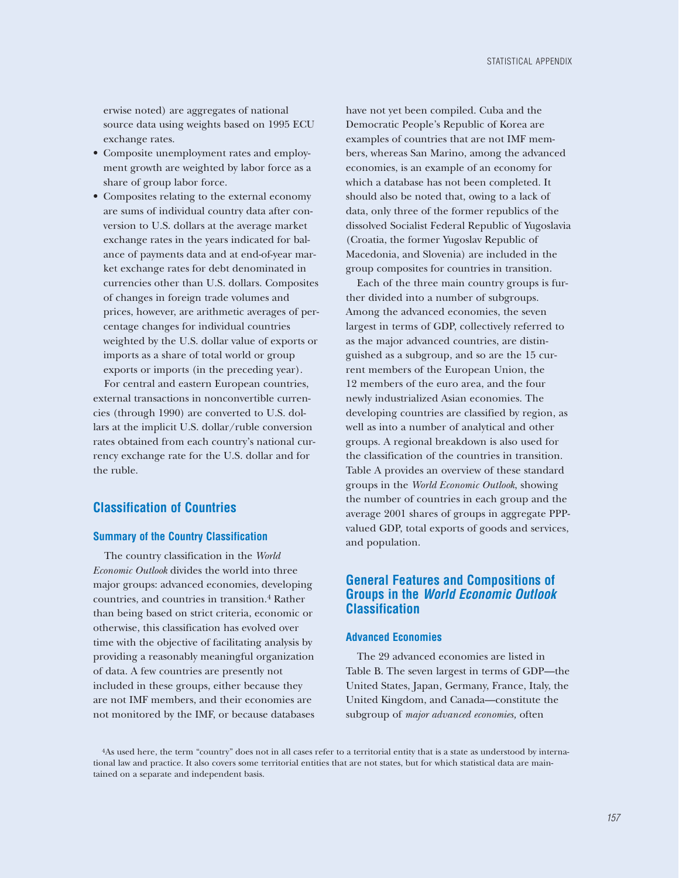erwise noted) are aggregates of national source data using weights based on 1995 ECU exchange rates.

- Composite unemployment rates and employment growth are weighted by labor force as a share of group labor force.
- Composites relating to the external economy are sums of individual country data after conversion to U.S. dollars at the average market exchange rates in the years indicated for balance of payments data and at end-of-year market exchange rates for debt denominated in currencies other than U.S. dollars. Composites of changes in foreign trade volumes and prices, however, are arithmetic averages of percentage changes for individual countries weighted by the U.S. dollar value of exports or imports as a share of total world or group exports or imports (in the preceding year).

For central and eastern European countries, external transactions in nonconvertible currencies (through 1990) are converted to U.S. dollars at the implicit U.S. dollar/ruble conversion rates obtained from each country's national currency exchange rate for the U.S. dollar and for the ruble.

### **Classification of Countries**

### **Summary of the Country Classification**

The country classification in the *World Economic Outlook* divides the world into three major groups: advanced economies, developing countries, and countries in transition.4 Rather than being based on strict criteria, economic or otherwise, this classification has evolved over time with the objective of facilitating analysis by providing a reasonably meaningful organization of data. A few countries are presently not included in these groups, either because they are not IMF members, and their economies are not monitored by the IMF, or because databases have not yet been compiled. Cuba and the Democratic People's Republic of Korea are examples of countries that are not IMF members, whereas San Marino, among the advanced economies, is an example of an economy for which a database has not been completed. It should also be noted that, owing to a lack of data, only three of the former republics of the dissolved Socialist Federal Republic of Yugoslavia (Croatia, the former Yugoslav Republic of Macedonia, and Slovenia) are included in the group composites for countries in transition.

Each of the three main country groups is further divided into a number of subgroups. Among the advanced economies, the seven largest in terms of GDP, collectively referred to as the major advanced countries, are distinguished as a subgroup, and so are the 15 current members of the European Union, the 12 members of the euro area, and the four newly industrialized Asian economies. The developing countries are classified by region, as well as into a number of analytical and other groups. A regional breakdown is also used for the classification of the countries in transition. Table A provides an overview of these standard groups in the *World Economic Outlook*, showing the number of countries in each group and the average 2001 shares of groups in aggregate PPPvalued GDP, total exports of goods and services, and population.

### **General Features and Compositions of Groups in the** *World Economic Outlook* **Classification**

#### **Advanced Economies**

The 29 advanced economies are listed in Table B. The seven largest in terms of GDP—the United States, Japan, Germany, France, Italy, the United Kingdom, and Canada—constitute the subgroup of *major advanced economies,* often

<sup>4</sup>As used here, the term "country" does not in all cases refer to a territorial entity that is a state as understood by international law and practice. It also covers some territorial entities that are not states, but for which statistical data are maintained on a separate and independent basis.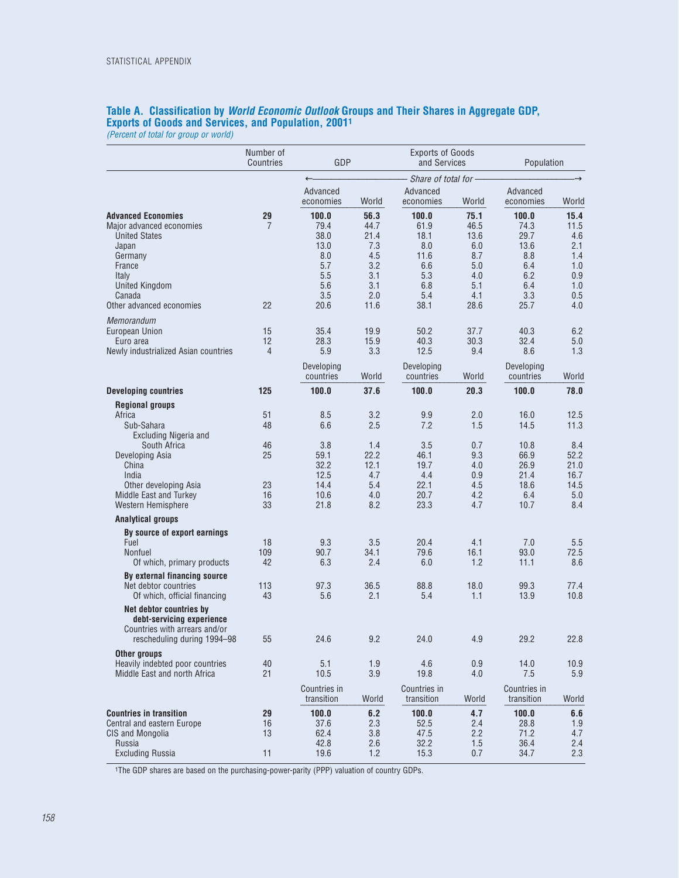### **Table A. Classification by** *World Economic Outlook* **Groups and Their Shares in Aggregate GDP, Exports of Goods and Services, and Population, 20011**

*(Percent of total for group or world)*

|                                                                                                                                                                                                                                                                                                                                                    | Number of<br>Countries                                    | GDP                                                                                     |                                                                                     | <b>Exports of Goods</b><br>and Services                                                 |                                                                                   | Population                                                                                 |                                                                                         |  |
|----------------------------------------------------------------------------------------------------------------------------------------------------------------------------------------------------------------------------------------------------------------------------------------------------------------------------------------------------|-----------------------------------------------------------|-----------------------------------------------------------------------------------------|-------------------------------------------------------------------------------------|-----------------------------------------------------------------------------------------|-----------------------------------------------------------------------------------|--------------------------------------------------------------------------------------------|-----------------------------------------------------------------------------------------|--|
|                                                                                                                                                                                                                                                                                                                                                    |                                                           | $\leftarrow$                                                                            |                                                                                     | Share of total for-                                                                     |                                                                                   |                                                                                            |                                                                                         |  |
|                                                                                                                                                                                                                                                                                                                                                    |                                                           | Advanced<br>economies                                                                   | World                                                                               | Advanced<br>economies                                                                   | World                                                                             | Advanced<br>economies                                                                      | World                                                                                   |  |
| <b>Advanced Economies</b><br>Major advanced economies<br><b>United States</b><br>Japan<br>Germany<br>France<br>Italy<br>United Kingdom<br>Canada                                                                                                                                                                                                   | 29<br>7                                                   | 100.0<br>79.4<br>38.0<br>13.0<br>8.0<br>5.7<br>5.5<br>5.6<br>3.5                        | 56.3<br>44.7<br>21.4<br>7.3<br>4.5<br>3.2<br>3.1<br>3.1<br>2.0                      | 100.0<br>61.9<br>18.1<br>8.0<br>11.6<br>6.6<br>5.3<br>6.8<br>5.4                        | 75.1<br>46.5<br>13.6<br>6.0<br>8.7<br>5.0<br>4.0<br>5.1<br>4.1                    | 100.0<br>74.3<br>29.7<br>13.6<br>8.8<br>6.4<br>6.2<br>6.4<br>3.3                           | 15.4<br>11.5<br>4.6<br>2.1<br>1.4<br>1.0<br>0.9<br>1.0<br>0.5                           |  |
| Other advanced economies                                                                                                                                                                                                                                                                                                                           | 22                                                        | 20.6                                                                                    | 11.6                                                                                | 38.1                                                                                    | 28.6                                                                              | 25.7                                                                                       | 4.0                                                                                     |  |
| Memorandum<br>European Union<br>Euro area<br>Newly industrialized Asian countries                                                                                                                                                                                                                                                                  | 15<br>12<br>$\overline{4}$                                | 35.4<br>28.3<br>5.9<br>Developing<br>countries                                          | 19.9<br>15.9<br>3.3<br>World                                                        | 50.2<br>40.3<br>12.5<br>Developing<br>countries                                         | 37.7<br>30.3<br>9.4<br>World                                                      | 40.3<br>32.4<br>8.6<br>Developing<br>countries                                             | 6.2<br>5.0<br>1.3<br>World                                                              |  |
| <b>Developing countries</b>                                                                                                                                                                                                                                                                                                                        | 125                                                       | 100.0                                                                                   | 37.6                                                                                | 100.0                                                                                   | 20.3                                                                              | 100.0                                                                                      | 78.0                                                                                    |  |
| <b>Regional groups</b><br>Africa<br>Sub-Sahara<br>Excluding Nigeria and<br>South Africa<br>Developing Asia<br>China<br>India<br>Other developing Asia<br>Middle East and Turkey<br>Western Hemisphere<br><b>Analytical groups</b><br>By source of export earnings<br>Fuel<br>Nonfuel<br>Of which, primary products<br>By external financing source | 51<br>48<br>46<br>25<br>23<br>16<br>33<br>18<br>109<br>42 | 8.5<br>6.6<br>3.8<br>59.1<br>32.2<br>12.5<br>14.4<br>10.6<br>21.8<br>9.3<br>90.7<br>6.3 | 3.2<br>2.5<br>1.4<br>22.2<br>12.1<br>4.7<br>5.4<br>4.0<br>8.2<br>3.5<br>34.1<br>2.4 | 9.9<br>7.2<br>3.5<br>46.1<br>19.7<br>4.4<br>22.1<br>20.7<br>23.3<br>20.4<br>79.6<br>6.0 | 2.0<br>1.5<br>0.7<br>9.3<br>4.0<br>0.9<br>4.5<br>4.2<br>4.7<br>4.1<br>16.1<br>1.2 | 16.0<br>14.5<br>10.8<br>66.9<br>26.9<br>21.4<br>18.6<br>6.4<br>10.7<br>7.0<br>93.0<br>11.1 | 12.5<br>11.3<br>8.4<br>52.2<br>21.0<br>16.7<br>14.5<br>5.0<br>8.4<br>5.5<br>72.5<br>8.6 |  |
| Net debtor countries<br>Of which, official financing<br>Net debtor countries by<br>debt-servicing experience<br>Countries with arrears and/or<br>rescheduling during 1994-98                                                                                                                                                                       | 113<br>43<br>55                                           | 97.3<br>5.6<br>24.6                                                                     | 36.5<br>2.1<br>9.2                                                                  | 88.8<br>5.4<br>24.0                                                                     | 18.0<br>1.1<br>4.9                                                                | 99.3<br>13.9<br>29.2                                                                       | 77.4<br>10.8<br>22.8                                                                    |  |
| Other groups<br>Heavily indebted poor countries<br>Middle East and north Africa                                                                                                                                                                                                                                                                    | 40<br>21                                                  | 5.1<br>10.5<br>Countries in<br>transition                                               | 1.9<br>3.9<br>World                                                                 | 4.6<br>19.8<br>Countries in<br>transition                                               | 0.9<br>4.0<br>World                                                               | 14.0<br>7.5<br>Countries in<br>transition                                                  | 10.9<br>5.9<br>World                                                                    |  |
| <b>Countries in transition</b><br>Central and eastern Europe<br>CIS and Mongolia<br>Russia<br><b>Excluding Russia</b>                                                                                                                                                                                                                              | 29<br>16<br>13<br>11                                      | 100.0<br>37.6<br>62.4<br>42.8<br>19.6                                                   | 6.2<br>2.3<br>3.8<br>2.6<br>1.2                                                     | 100.0<br>52.5<br>47.5<br>32.2<br>15.3                                                   | 4.7<br>2.4<br>2.2<br>$1.5\,$<br>$0.7\,$                                           | 100.0<br>28.8<br>71.2<br>36.4<br>34.7                                                      | 6.6<br>1.9<br>4.7<br>2.4<br>2.3                                                         |  |

1The GDP shares are based on the purchasing-power-parity (PPP) valuation of country GDPs.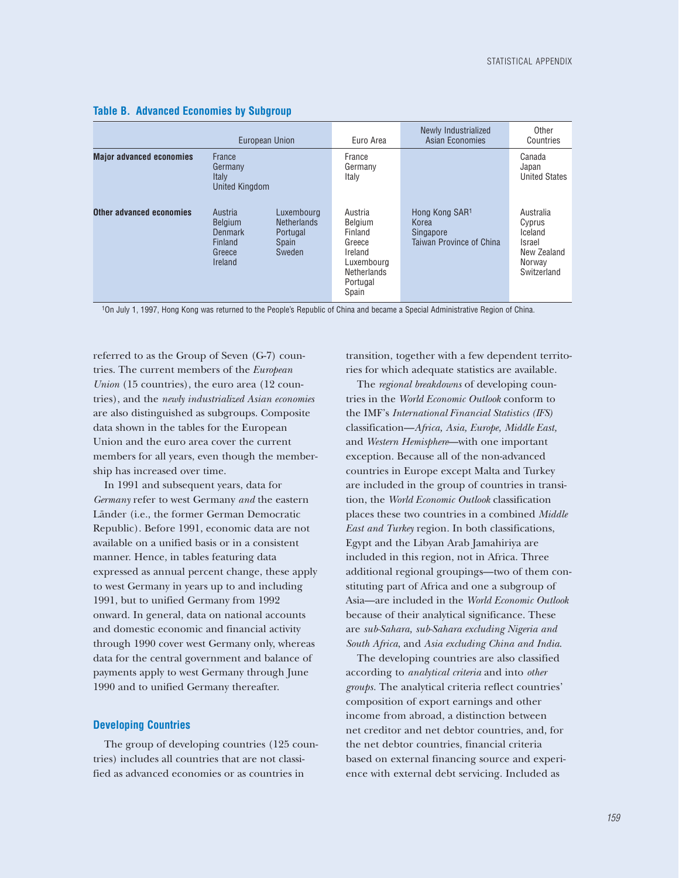|                                 | European Union                                                              |                                                                        | Euro Area                                                                                                   | Newly Industrialized<br>Asian Economies                          | Other<br>Countries                                                                      |
|---------------------------------|-----------------------------------------------------------------------------|------------------------------------------------------------------------|-------------------------------------------------------------------------------------------------------------|------------------------------------------------------------------|-----------------------------------------------------------------------------------------|
| <b>Major advanced economies</b> | France<br>Germany<br>Italy<br><b>United Kingdom</b>                         |                                                                        | France<br>Germany<br>Italy                                                                                  |                                                                  | Canada<br>Japan<br><b>United States</b>                                                 |
| Other advanced economies        | Austria<br><b>Belgium</b><br><b>Denmark</b><br>Finland<br>Greece<br>Ireland | Luxembourg<br><b>Netherlands</b><br>Portugal<br><b>Spain</b><br>Sweden | Austria<br>Belaium<br>Finland<br>Greece<br>Ireland<br>Luxembourg<br><b>Netherlands</b><br>Portugal<br>Spain | Hong Kong SAR1<br>Korea<br>Singapore<br>Taiwan Province of China | Australia<br>Cyprus<br>Iceland<br><b>Israel</b><br>New Zealand<br>Norway<br>Switzerland |

#### **Table B. Advanced Economies by Subgroup**

1On July 1, 1997, Hong Kong was returned to the People's Republic of China and became a Special Administrative Region of China.

referred to as the Group of Seven (G-7) countries. The current members of the *European Union* (15 countries), the euro area (12 countries), and the *newly industrialized Asian economies* are also distinguished as subgroups. Composite data shown in the tables for the European Union and the euro area cover the current members for all years, even though the membership has increased over time.

In 1991 and subsequent years, data for *Germany* refer to west Germany *and* the eastern Länder (i.e., the former German Democratic Republic). Before 1991, economic data are not available on a unified basis or in a consistent manner. Hence, in tables featuring data expressed as annual percent change, these apply to west Germany in years up to and including 1991, but to unified Germany from 1992 onward. In general, data on national accounts and domestic economic and financial activity through 1990 cover west Germany only, whereas data for the central government and balance of payments apply to west Germany through June 1990 and to unified Germany thereafter.

#### **Developing Countries**

The group of developing countries (125 countries) includes all countries that are not classified as advanced economies or as countries in

transition, together with a few dependent territories for which adequate statistics are available.

The *regional breakdowns* of developing countries in the *World Economic Outlook* conform to the IMF's *International Financial Statistics (IFS)* classification—*Africa, Asia, Europe, Middle East,* and *Western Hemisphere*—with one important exception. Because all of the non-advanced countries in Europe except Malta and Turkey are included in the group of countries in transition, the *World Economic Outlook* classification places these two countries in a combined *Middle East and Turkey* region. In both classifications, Egypt and the Libyan Arab Jamahiriya are included in this region, not in Africa. Three additional regional groupings—two of them constituting part of Africa and one a subgroup of Asia—are included in the *World Economic Outlook* because of their analytical significance. These are *sub-Sahara, sub-Sahara excluding Nigeria and South Africa*, and *Asia excluding China and India*.

The developing countries are also classified according to *analytical criteria* and into *other groups.* The analytical criteria reflect countries' composition of export earnings and other income from abroad, a distinction between net creditor and net debtor countries, and, for the net debtor countries, financial criteria based on external financing source and experience with external debt servicing. Included as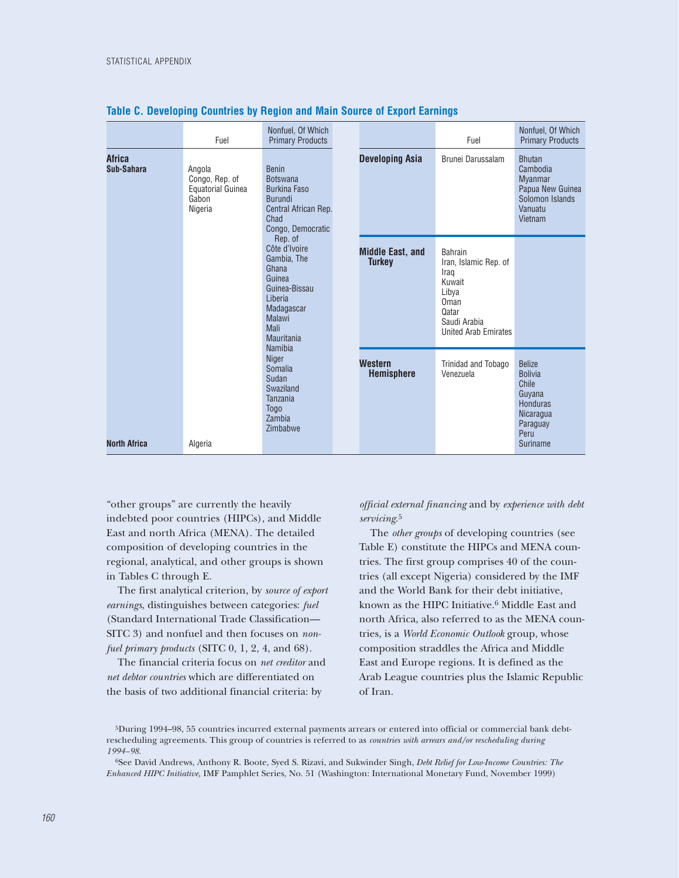|                             | Fuel                                                                     | Nonfuel, Of Which<br><b>Primary Products</b>                                                                                         |                                          | Fuel                                                                                                                               | Nonfuel, Of Which<br><b>Primary Products</b>                                                                              |
|-----------------------------|--------------------------------------------------------------------------|--------------------------------------------------------------------------------------------------------------------------------------|------------------------------------------|------------------------------------------------------------------------------------------------------------------------------------|---------------------------------------------------------------------------------------------------------------------------|
| <b>Africa</b><br>Sub-Sahara | Angola<br>Congo, Rep. of<br><b>Equatorial Guinea</b><br>Gabon<br>Nigeria | <b>Benin</b><br><b>Botswana</b><br><b>Burkina Faso</b><br><b>Burundi</b><br>Central African Rep.<br>Chad<br>Congo, Democratic        | <b>Developing Asia</b>                   | Brunei Darussalam                                                                                                                  | <b>Bhutan</b><br>Cambodia<br><b>Myanmar</b><br>Papua New Guinea<br>Solomon Islands<br>Vanuatu<br>Vietnam                  |
|                             |                                                                          | Rep. of<br>Côte d'Ivoire<br>Gambia, The<br>Ghana<br>Guinea<br>Guinea-Bissau<br>Liberia<br>Madagascar<br>Malawi<br>Mali<br>Mauritania | <b>Middle East, and</b><br><b>Turkey</b> | <b>Bahrain</b><br>Iran, Islamic Rep. of<br>Iraq<br>Kuwait<br>Libya<br>Oman<br>Qatar<br>Saudi Arabia<br><b>United Arab Emirates</b> |                                                                                                                           |
| <b>North Africa</b>         | Algeria                                                                  | <b>Namibia</b><br><b>Niger</b><br>Somalia<br>Sudan<br>Swaziland<br>Tanzania<br><b>Togo</b><br>Zambia<br>Zimbabwe                     | <b>Western</b><br><b>Hemisphere</b>      | Trinidad and Tobago<br>Venezuela                                                                                                   | <b>Belize</b><br><b>Bolivia</b><br>Chile<br>Guyana<br><b>Honduras</b><br><b>Nicaragua</b><br>Paraguay<br>Peru<br>Suriname |

#### **Table C. Developing Countries by Region and Main Source of Export Earnings**

"other groups" are currently the heavily indebted poor countries (HIPCs), and Middle East and north Africa (MENA). The detailed composition of developing countries in the regional, analytical, and other groups is shown in Tables C through E.

The first analytical criterion, by *source of export earnings*, distinguishes between categories: *fuel* (Standard International Trade Classification— SITC 3) and nonfuel and then focuses on *nonfuel primary products* (SITC 0, 1, 2, 4, and 68).

The financial criteria focus on *net creditor* and *net debtor countries* which are differentiated on the basis of two additional financial criteria: by

#### *official external financing* and by *experience with debt servicing*.5

The *other groups* of developing countries (see Table E) constitute the HIPCs and MENA countries. The first group comprises 40 of the countries (all except Nigeria) considered by the IMF and the World Bank for their debt initiative, known as the HIPC Initiative.6 Middle East and north Africa, also referred to as the MENA countries, is a *World Economic Outlook* group, whose composition straddles the Africa and Middle East and Europe regions. It is defined as the Arab League countries plus the Islamic Republic of Iran.

6See David Andrews, Anthony R. Boote, Syed S. Rizavi, and Sukwinder Singh, *Debt Relief for Low-Income Countries: The Enhanced HIPC Initiative,* IMF Pamphlet Series, No. 51 (Washington: International Monetary Fund, November 1999)

<sup>5</sup>During 1994–98, 55 countries incurred external payments arrears or entered into official or commercial bank debtrescheduling agreements. This group of countries is referred to as *countries with arrears and/or rescheduling during 1994–98.*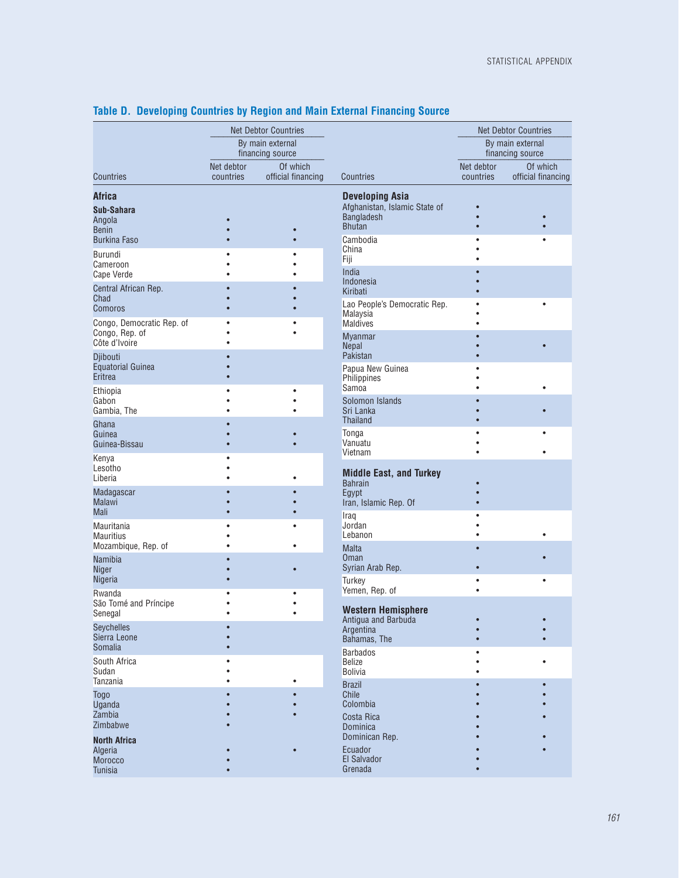|                                                       |            | <b>Net Debtor Countries</b>          |                                                                                               | <b>Net Debtor Countries</b> |                                      |  |  |
|-------------------------------------------------------|------------|--------------------------------------|-----------------------------------------------------------------------------------------------|-----------------------------|--------------------------------------|--|--|
|                                                       |            | By main external<br>financing source |                                                                                               |                             | By main external<br>financing source |  |  |
|                                                       | Net debtor | Of which                             |                                                                                               | Net debtor                  | Of which                             |  |  |
| <b>Countries</b>                                      | countries  | official financing                   | Countries                                                                                     | countries                   | official financing                   |  |  |
| <b>Africa</b><br>Sub-Sahara<br>Angola<br><b>Benin</b> |            |                                      | <b>Developing Asia</b><br>Afghanistan, Islamic State of<br><b>Bangladesh</b><br><b>Bhutan</b> |                             |                                      |  |  |
| <b>Burkina Faso</b>                                   |            |                                      | Cambodia                                                                                      |                             |                                      |  |  |
| <b>Burundi</b><br>Cameroon                            |            |                                      | China<br>Fiji<br>India                                                                        |                             |                                      |  |  |
| <b>Cape Verde</b>                                     |            |                                      | Indonesia                                                                                     |                             |                                      |  |  |
| Central African Rep.<br>Chad                          |            |                                      | Kiribati                                                                                      |                             |                                      |  |  |
| Comoros<br>Congo, Democratic Rep. of                  |            |                                      | Lao People's Democratic Rep.<br>Malaysia<br><b>Maldives</b>                                   |                             |                                      |  |  |
| Congo, Rep. of<br>Côte d'Ivoire<br>Djibouti           |            |                                      | <b>Myanmar</b><br>Nepal<br>Pakistan                                                           |                             |                                      |  |  |
| <b>Equatorial Guinea</b><br>Eritrea                   |            |                                      | Papua New Guinea<br>Philippines                                                               |                             |                                      |  |  |
| Ethiopia<br>Gabon<br>Gambia, The                      |            |                                      | Samoa<br>Solomon Islands<br>Sri Lanka                                                         |                             |                                      |  |  |
| Ghana<br>Guinea<br>Guinea-Bissau                      |            |                                      | <b>Thailand</b><br>Tonga<br>Vanuatu                                                           |                             |                                      |  |  |
| Kenya<br>Lesotho<br>Liberia<br>Madagascar             |            |                                      | Vietnam<br><b>Middle East, and Turkey</b><br><b>Bahrain</b><br>Egypt                          |                             |                                      |  |  |
| <b>Malawi</b><br><b>Mali</b>                          |            |                                      | Iran, Islamic Rep. Of<br>Iraq                                                                 |                             |                                      |  |  |
| Mauritania<br><b>Mauritius</b>                        |            |                                      | Jordan<br>Lebanon                                                                             |                             |                                      |  |  |
| Mozambique, Rep. of<br><b>Namibia</b><br><b>Niger</b> |            |                                      | <b>Malta</b><br>Oman<br>Syrian Arab Rep.                                                      |                             |                                      |  |  |
| Nigeria                                               |            |                                      | <b>Turkey</b>                                                                                 |                             |                                      |  |  |
| Rwanda<br>São Tomé and Príncipe<br>Senegal            |            |                                      | Yemen, Rep. of<br><b>Western Hemisphere</b><br>Antigua and Barbuda                            |                             |                                      |  |  |
| <b>Seychelles</b><br>Sierra Leone<br><b>Somalia</b>   |            |                                      | Argentina<br>Bahamas, The                                                                     |                             |                                      |  |  |
| South Africa<br>Sudan<br>Tanzania                     |            |                                      | <b>Barbados</b><br><b>Belize</b><br><b>Bolivia</b>                                            |                             |                                      |  |  |
| <b>Togo</b><br><b>Uganda</b>                          |            |                                      | <b>Brazil</b><br>Chile<br>Colombia                                                            |                             |                                      |  |  |
| Zambia<br>Zimbabwe<br><b>North Africa</b>             |            |                                      | Costa Rica<br>Dominica<br>Dominican Rep.                                                      |                             |                                      |  |  |
| Algeria<br><b>Morocco</b><br><b>Tunisia</b>           |            |                                      | Ecuador<br>El Salvador<br>Grenada                                                             |                             |                                      |  |  |

### **Table D. Developing Countries by Region and Main External Financing Source**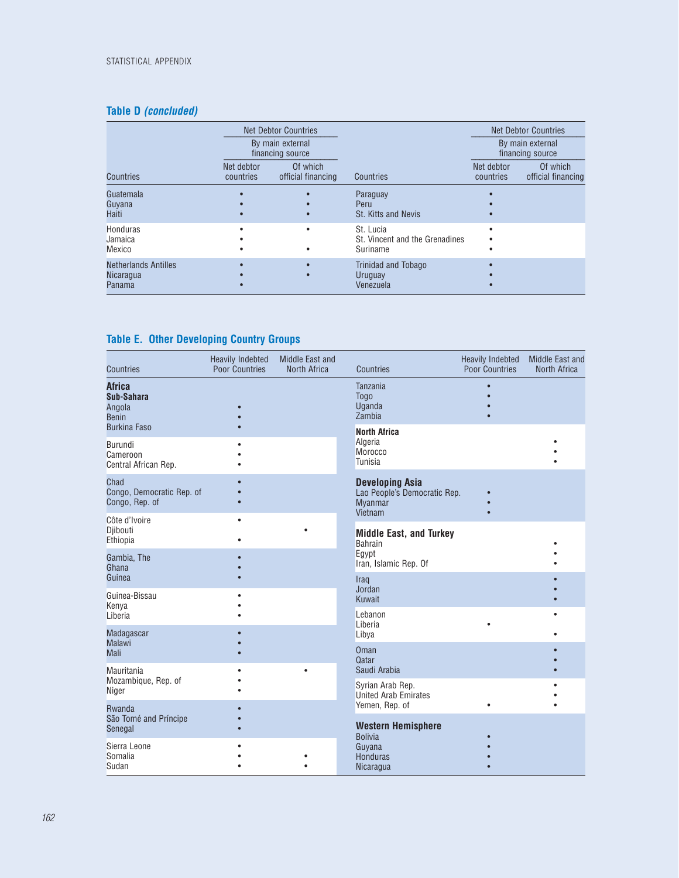## **Table D** *(concluded)*

|                                                           |                         | <b>Net Debtor Countries</b>          |                                                         | <b>Net Debtor Countries</b><br>By main external<br>financing source |                                |  |  |
|-----------------------------------------------------------|-------------------------|--------------------------------------|---------------------------------------------------------|---------------------------------------------------------------------|--------------------------------|--|--|
|                                                           |                         | By main external<br>financing source |                                                         |                                                                     |                                |  |  |
| <b>Countries</b>                                          | Net debtor<br>countries | Of which<br>official financing       | Countries                                               | Net debtor<br>countries                                             | Of which<br>official financing |  |  |
| Guatemala<br>Guyana<br>Haiti                              |                         |                                      | Paraguay<br>Peru<br><b>St. Kitts and Nevis</b>          |                                                                     |                                |  |  |
| <b>Honduras</b><br>Jamaica<br><b>Mexico</b>               |                         |                                      | St. Lucia<br>St. Vincent and the Grenadines<br>Suriname |                                                                     |                                |  |  |
| <b>Netherlands Antilles</b><br><b>Nicaragua</b><br>Panama |                         |                                      | Trinidad and Tobago<br>Uruguay<br>Venezuela             |                                                                     |                                |  |  |

## **Table E. Other Developing Country Groups**

| <b>Countries</b>                                                             | <b>Heavily Indebted</b><br><b>Poor Countries</b> | Middle East and<br>North Africa | <b>Countries</b>                                                                    | <b>Heavily Indebted</b><br><b>Poor Countries</b> | Middle East and<br>North Africa |
|------------------------------------------------------------------------------|--------------------------------------------------|---------------------------------|-------------------------------------------------------------------------------------|--------------------------------------------------|---------------------------------|
| <b>Africa</b><br>Sub-Sahara<br>Angola<br><b>Benin</b><br><b>Burkina Faso</b> |                                                  |                                 | Tanzania<br><b>Togo</b><br>Uganda<br>Zambia                                         |                                                  |                                 |
| Burundi<br>Cameroon<br>Central African Rep.                                  |                                                  |                                 | <b>North Africa</b><br>Algeria<br>Morocco<br>Tunisia                                |                                                  |                                 |
| Chad<br>Congo, Democratic Rep. of<br>Congo, Rep. of                          |                                                  |                                 | <b>Developing Asia</b><br>Lao People's Democratic Rep.<br><b>Myanmar</b><br>Vietnam |                                                  |                                 |
| Côte d'Ivoire<br>Djibouti<br>Ethiopia                                        | $\bullet$                                        |                                 | <b>Middle East, and Turkey</b><br><b>Bahrain</b>                                    |                                                  |                                 |
| Gambia, The<br>Ghana<br>Guinea                                               |                                                  |                                 | Egypt<br>Iran, Islamic Rep. Of<br>Iraq                                              |                                                  |                                 |
| Guinea-Bissau<br>Kenya<br>Liberia                                            |                                                  |                                 | Jordan<br>Kuwait<br>Lebanon                                                         |                                                  |                                 |
| Madagascar<br><b>Malawi</b>                                                  |                                                  |                                 | Liberia<br>Libya<br>Oman                                                            |                                                  |                                 |
| <b>Mali</b><br>Mauritania<br>Mozambique, Rep. of                             |                                                  |                                 | Qatar<br>Saudi Arabia                                                               |                                                  |                                 |
| <b>Niger</b><br>Rwanda                                                       |                                                  |                                 | Syrian Arab Rep.<br>United Arab Emirates<br>Yemen, Rep. of                          |                                                  |                                 |
| São Tomé and Príncipe<br>Senegal                                             |                                                  |                                 | <b>Western Hemisphere</b><br><b>Bolivia</b>                                         |                                                  |                                 |
| Sierra Leone<br>Somalia<br>Sudan                                             |                                                  |                                 | Guyana<br>Honduras<br>Nicaragua                                                     |                                                  |                                 |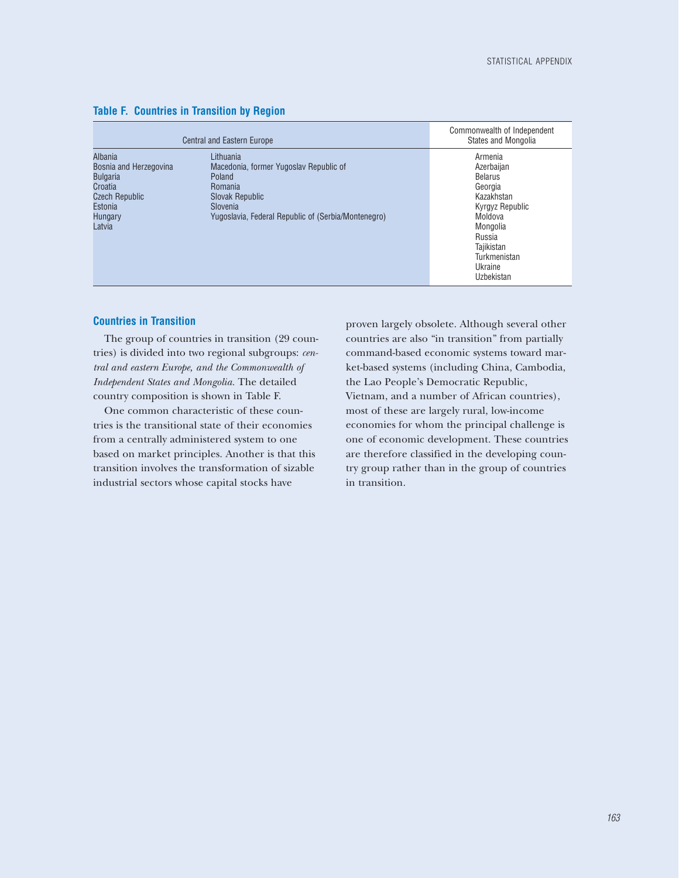|                                                                                                                          | <b>Central and Eastern Europe</b>                                                                                                                                     | Commonwealth of Independent<br>States and Mongolia                                                                                                                          |
|--------------------------------------------------------------------------------------------------------------------------|-----------------------------------------------------------------------------------------------------------------------------------------------------------------------|-----------------------------------------------------------------------------------------------------------------------------------------------------------------------------|
| Albania<br>Bosnia and Herzegovina<br><b>Bulgaria</b><br>Croatia<br><b>Czech Republic</b><br>Estonia<br>Hungary<br>Latvia | Lithuania<br>Macedonia, former Yugoslav Republic of<br>Poland<br><b>Romania</b><br>Slovak Republic<br>Slovenia<br>Yugoslavia, Federal Republic of (Serbia/Montenegro) | Armenia<br>Azerbaijan<br><b>Belarus</b><br>Georgia<br>Kazakhstan<br>Kyrgyz Republic<br>Moldova<br>Mongolia<br>Russia<br>Tajikistan<br>Turkmenistan<br>Ukraine<br>Uzbekistan |

#### **Table F. Countries in Transition by Region**

#### **Countries in Transition**

The group of countries in transition (29 countries) is divided into two regional subgroups: *central and eastern Europe, and the Commonwealth of Independent States and Mongolia.* The detailed country composition is shown in Table F.

One common characteristic of these countries is the transitional state of their economies from a centrally administered system to one based on market principles. Another is that this transition involves the transformation of sizable industrial sectors whose capital stocks have

proven largely obsolete. Although several other countries are also "in transition" from partially command-based economic systems toward market-based systems (including China, Cambodia, the Lao People's Democratic Republic, Vietnam, and a number of African countries), most of these are largely rural, low-income economies for whom the principal challenge is one of economic development. These countries are therefore classified in the developing country group rather than in the group of countries in transition.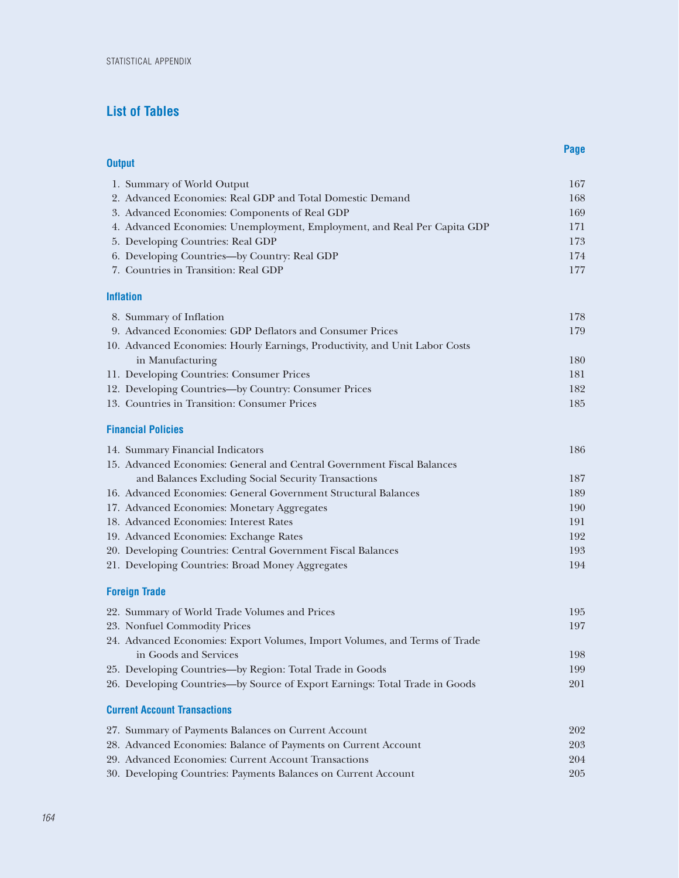## **List of Tables**

|               |                                                                                                     | Page |
|---------------|-----------------------------------------------------------------------------------------------------|------|
| <b>Output</b> |                                                                                                     |      |
|               | 1. Summary of World Output                                                                          | 167  |
|               | 2. Advanced Economies: Real GDP and Total Domestic Demand                                           | 168  |
|               | 3. Advanced Economies: Components of Real GDP                                                       | 169  |
|               | 4. Advanced Economies: Unemployment, Employment, and Real Per Capita GDP                            | 171  |
|               | 5. Developing Countries: Real GDP                                                                   | 173  |
|               | 6. Developing Countries-by Country: Real GDP                                                        | 174  |
|               | 7. Countries in Transition: Real GDP                                                                | 177  |
|               | <b>Inflation</b>                                                                                    |      |
|               | 8. Summary of Inflation                                                                             | 178  |
|               | 9. Advanced Economies: GDP Deflators and Consumer Prices                                            | 179  |
|               | 10. Advanced Economies: Hourly Earnings, Productivity, and Unit Labor Costs                         |      |
|               | in Manufacturing                                                                                    | 180  |
|               | 11. Developing Countries: Consumer Prices                                                           | 181  |
|               | 12. Developing Countries-by Country: Consumer Prices                                                | 182  |
|               | 13. Countries in Transition: Consumer Prices                                                        | 185  |
|               | <b>Financial Policies</b>                                                                           |      |
|               | 14. Summary Financial Indicators                                                                    | 186  |
|               | 15. Advanced Economies: General and Central Government Fiscal Balances                              |      |
|               | and Balances Excluding Social Security Transactions                                                 | 187  |
|               | 16. Advanced Economies: General Government Structural Balances                                      | 189  |
|               | 17. Advanced Economies: Monetary Aggregates                                                         | 190  |
|               | 18. Advanced Economies: Interest Rates                                                              | 191  |
|               | 19. Advanced Economies: Exchange Rates                                                              | 192  |
|               | 20. Developing Countries: Central Government Fiscal Balances                                        | 193  |
|               | 21. Developing Countries: Broad Money Aggregates                                                    | 194  |
|               | <b>Foreign Trade</b>                                                                                |      |
|               | 22. Summary of World Trade Volumes and Prices                                                       | 195  |
|               | 23. Nonfuel Commodity Prices                                                                        | 197  |
|               | 24. Advanced Economies: Export Volumes, Import Volumes, and Terms of Trade<br>in Goods and Services | 198  |
|               | 25. Developing Countries—by Region: Total Trade in Goods                                            | 199  |
|               | 26. Developing Countries-by Source of Export Earnings: Total Trade in Goods                         | 201  |
|               | <b>Current Account Transactions</b>                                                                 |      |
|               | 27. Summary of Payments Balances on Current Account                                                 | 202  |
|               | 28. Advanced Economies: Balance of Payments on Current Account                                      | 203  |
|               | 29. Advanced Economies: Current Account Transactions                                                | 204  |
|               | 30. Developing Countries: Payments Balances on Current Account                                      | 205  |
|               |                                                                                                     |      |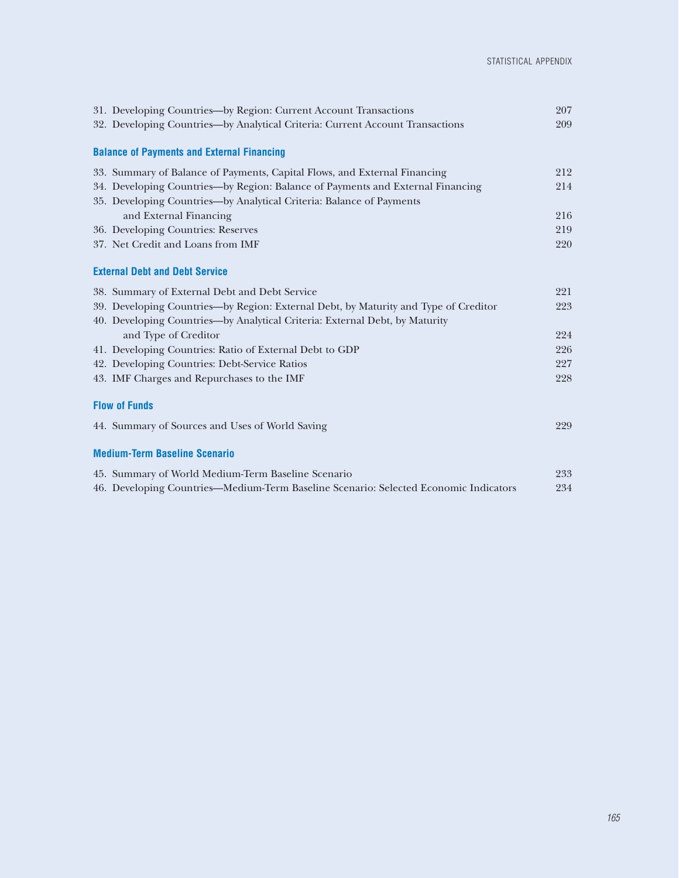| 31. Developing Countries-by Region: Current Account Transactions                     | 207 |
|--------------------------------------------------------------------------------------|-----|
| 32. Developing Countries-by Analytical Criteria: Current Account Transactions        | 209 |
| <b>Balance of Payments and External Financing</b>                                    |     |
| 33. Summary of Balance of Payments, Capital Flows, and External Financing            | 212 |
| 34. Developing Countries—by Region: Balance of Payments and External Financing       | 214 |
| 35. Developing Countries-by Analytical Criteria: Balance of Payments                 |     |
| and External Financing                                                               | 216 |
| 36. Developing Countries: Reserves                                                   | 219 |
| 37. Net Credit and Loans from IMF                                                    | 220 |
| <b>External Debt and Debt Service</b>                                                |     |
| 38. Summary of External Debt and Debt Service                                        | 221 |
| 39. Developing Countries—by Region: External Debt, by Maturity and Type of Creditor  | 223 |
| 40. Developing Countries-by Analytical Criteria: External Debt, by Maturity          |     |
| and Type of Creditor                                                                 | 224 |
| 41. Developing Countries: Ratio of External Debt to GDP                              | 226 |
| 42. Developing Countries: Debt-Service Ratios                                        | 227 |
| 43. IMF Charges and Repurchases to the IMF                                           | 228 |
| <b>Flow of Funds</b>                                                                 |     |
| 44. Summary of Sources and Uses of World Saving                                      | 229 |
| <b>Medium-Term Baseline Scenario</b>                                                 |     |
| 45. Summary of World Medium-Term Baseline Scenario                                   | 233 |
| 46. Developing Countries—Medium-Term Baseline Scenario: Selected Economic Indicators | 234 |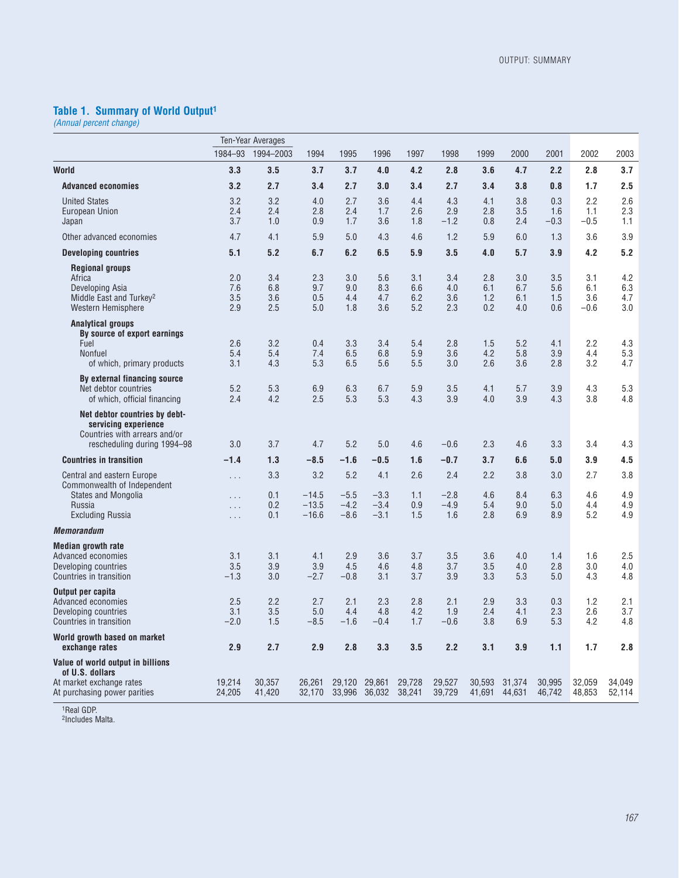#### **Table 1. Summary of World Output1**

*(Annual percent change)*

|                                                                                                                                            |                                | Ten-Year Averages        |                                      |                                   |                                   |                          |                                |                          |                          |                          |                             |                          |
|--------------------------------------------------------------------------------------------------------------------------------------------|--------------------------------|--------------------------|--------------------------------------|-----------------------------------|-----------------------------------|--------------------------|--------------------------------|--------------------------|--------------------------|--------------------------|-----------------------------|--------------------------|
|                                                                                                                                            | 1984-93                        | 1994-2003                | 1994                                 | 1995                              | 1996                              | 1997                     | 1998                           | 1999                     | 2000                     | 2001                     | 2002                        | 2003                     |
| World                                                                                                                                      | 3.3                            | 3.5                      | 3.7                                  | 3.7                               | 4.0                               | 4.2                      | 2.8                            | 3.6                      | 4.7                      | 2.2                      | 2.8                         | 3.7                      |
| <b>Advanced economies</b>                                                                                                                  | 3.2                            | 2.7                      | 3.4                                  | 2.7                               | 3.0                               | 3.4                      | 2.7                            | 3.4                      | 3.8                      | 0.8                      | 1.7                         | 2.5                      |
| <b>United States</b><br><b>European Union</b><br>Japan                                                                                     | 3.2<br>2.4<br>3.7              | 3.2<br>2.4<br>1.0        | 4.0<br>2.8<br>0.9                    | 2.7<br>2.4<br>1.7                 | 3.6<br>1.7<br>3.6                 | 4.4<br>2.6<br>1.8        | 4.3<br>2.9<br>$-1.2$           | 4.1<br>2.8<br>0.8        | 3.8<br>3.5<br>2.4        | 0.3<br>1.6<br>$-0.3$     | 2.2<br>1.1<br>$-0.5$        | 2.6<br>2.3<br>1.1        |
| Other advanced economies                                                                                                                   | 4.7                            | 4.1                      | 5.9                                  | 5.0                               | 4.3                               | 4.6                      | 1.2                            | 5.9                      | 6.0                      | 1.3                      | 3.6                         | 3.9                      |
| <b>Developing countries</b>                                                                                                                | 5.1                            | 5.2                      | 6.7                                  | 6.2                               | 6.5                               | 5.9                      | 3.5                            | 4.0                      | 5.7                      | 3.9                      | 4.2                         | 5.2                      |
| <b>Regional groups</b><br>Africa<br>Developing Asia<br>Middle East and Turkey <sup>2</sup><br>Western Hemisphere                           | 2.0<br>7.6<br>3.5<br>2.9       | 3.4<br>6.8<br>3.6<br>2.5 | 2.3<br>9.7<br>0.5<br>5.0             | 3.0<br>9.0<br>4.4<br>1.8          | 5.6<br>8.3<br>4.7<br>3.6          | 3.1<br>6.6<br>6.2<br>5.2 | 3.4<br>4.0<br>3.6<br>2.3       | 2.8<br>6.1<br>1.2<br>0.2 | 3.0<br>6.7<br>6.1<br>4.0 | 3.5<br>5.6<br>1.5<br>0.6 | 3.1<br>6.1<br>3.6<br>$-0.6$ | 4.2<br>6.3<br>4.7<br>3.0 |
| Analytical groups<br>By source of export earnings<br>Fuel<br>Nonfuel<br>of which, primary products                                         | 2.6<br>5.4<br>3.1              | 3.2<br>5.4<br>4.3        | 0.4<br>7.4<br>5.3                    | 3.3<br>6.5<br>6.5                 | 3.4<br>6.8<br>5.6                 | 5.4<br>5.9<br>5.5        | 2.8<br>3.6<br>3.0              | 1.5<br>4.2<br>2.6        | 5.2<br>5.8<br>3.6        | 4.1<br>3.9<br>2.8        | 2.2<br>4.4<br>3.2           | 4.3<br>5.3<br>4.7        |
| By external financing source<br>Net debtor countries<br>of which, official financing                                                       | 5.2<br>2.4                     | 5.3<br>4.2               | 6.9<br>2.5                           | 6.3<br>5.3                        | 6.7<br>5.3                        | 5.9<br>4.3               | 3.5<br>3.9                     | 4.1<br>4.0               | 5.7<br>3.9               | 3.9<br>4.3               | 4.3<br>3.8                  | 5.3<br>4.8               |
| Net debtor countries by debt-<br>servicing experience<br>Countries with arrears and/or<br>rescheduling during 1994-98                      | 3.0                            | 3.7                      | 4.7                                  | 5.2                               | 5.0                               | 4.6                      | $-0.6$                         | 2.3                      | 4.6                      | 3.3                      | 3.4                         | 4.3                      |
| <b>Countries in transition</b>                                                                                                             | $-1.4$                         | 1.3                      | $-8.5$                               | $-1.6$                            | $-0.5$                            | 1.6                      | $-0.7$                         | 3.7                      | 6.6                      | 5.0                      | 3.9                         | 4.5                      |
| <b>Central and eastern Europe</b><br>Commonwealth of Independent<br><b>States and Mongolia</b><br><b>Russia</b><br><b>Excluding Russia</b> | $\cdots$<br>.<br>.<br>$\cdots$ | 3.3<br>0.1<br>0.2<br>0.1 | 3.2<br>$-14.5$<br>$-13.5$<br>$-16.6$ | 5.2<br>$-5.5$<br>$-4.2$<br>$-8.6$ | 4.1<br>$-3.3$<br>$-3.4$<br>$-3.1$ | 2.6<br>1.1<br>0.9<br>1.5 | 2.4<br>$-2.8$<br>$-4.9$<br>1.6 | 2.2<br>4.6<br>5.4<br>2.8 | 3.8<br>8.4<br>9.0<br>6.9 | 3.0<br>6.3<br>5.0<br>8.9 | 2.7<br>4.6<br>4.4<br>5.2    | 3.8<br>4.9<br>4.9<br>4.9 |
| <i><b>Memorandum</b></i>                                                                                                                   |                                |                          |                                      |                                   |                                   |                          |                                |                          |                          |                          |                             |                          |
| <b>Median growth rate</b><br>Advanced economies<br>Developing countries<br>Countries in transition                                         | 3.1<br>3.5<br>$-1.3$           | 3.1<br>3.9<br>3.0        | 4.1<br>3.9<br>$-2.7$                 | 2.9<br>4.5<br>$-0.8$              | 3.6<br>4.6<br>3.1                 | 3.7<br>4.8<br>3.7        | 3.5<br>3.7<br>3.9              | 3.6<br>3.5<br>3.3        | 4.0<br>4.0<br>5.3        | 1.4<br>2.8<br>5.0        | 1.6<br>3.0<br>4.3           | 2.5<br>4.0<br>4.8        |
| Output per capita<br><b>Advanced economies</b><br>Developing countries<br>Countries in transition                                          | 2.5<br>3.1<br>$-2.0$           | 2.2<br>3.5<br>1.5        | 2.7<br>5.0<br>$-8.5$                 | 2.1<br>4.4<br>$-1.6$              | 2.3<br>4.8<br>$-0.4$              | 2.8<br>4.2<br>1.7        | 2.1<br>1.9<br>$-0.6$           | 2.9<br>2.4<br>3.8        | 3.3<br>4.1<br>6.9        | 0.3<br>2.3<br>5.3        | 1.2<br>2.6<br>4.2           | 2.1<br>3.7<br>4.8        |
| World growth based on market<br>exchange rates                                                                                             | 2.9                            | 2.7                      | 2.9                                  | 2.8                               | 3.3                               | 3.5                      | 2.2                            | 3.1                      | 3.9                      | 1.1                      | 1.7                         | 2.8                      |
| Value of world output in billions<br>of U.S. dollars<br>At market exchange rates<br>At purchasing power parities                           | 19,214<br>24,205               | 30,357<br>41,420         | 26,261<br>32,170                     | 29,120                            | 29,861<br>33,996 36,032           | 29,728<br>38,241         | 29,527<br>39,729               | 30,593<br>41,691         | 31,374<br>44,631         | 30,995<br>46,742         | 32,059<br>48,853            | 34,049<br>52,114         |

1Real GDP. 2Includes Malta.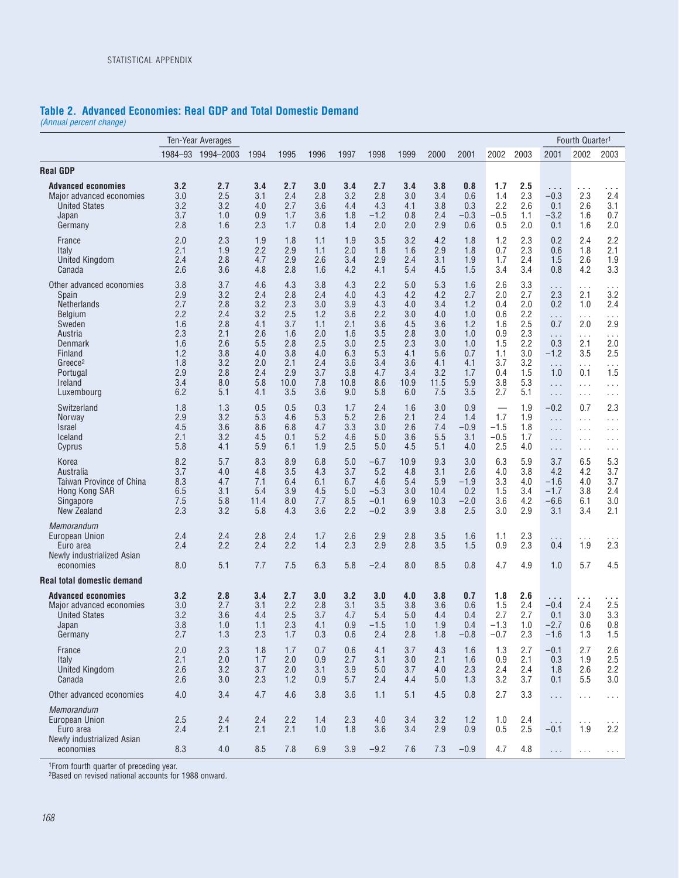### **Table 2. Advanced Economies: Real GDP and Total Domestic Demand**

*(Annual percent change)*

|                                                                                                                                                                           |                                                                                  | <b>Ten-Year Averages</b>                                                         |                                                                                  |                                                                                   |                                                                                  |                                                                                   |                                                                                  |                                                                                   |                                                                                   |                                                                                  |                                                                                  |                                                                                  |                                                                                              | Fourth Quarter <sup>1</sup>                                                                                  |                                                                             |
|---------------------------------------------------------------------------------------------------------------------------------------------------------------------------|----------------------------------------------------------------------------------|----------------------------------------------------------------------------------|----------------------------------------------------------------------------------|-----------------------------------------------------------------------------------|----------------------------------------------------------------------------------|-----------------------------------------------------------------------------------|----------------------------------------------------------------------------------|-----------------------------------------------------------------------------------|-----------------------------------------------------------------------------------|----------------------------------------------------------------------------------|----------------------------------------------------------------------------------|----------------------------------------------------------------------------------|----------------------------------------------------------------------------------------------|--------------------------------------------------------------------------------------------------------------|-----------------------------------------------------------------------------|
|                                                                                                                                                                           |                                                                                  | 1984-93 1994-2003                                                                | 1994                                                                             | 1995                                                                              | 1996                                                                             | 1997                                                                              | 1998                                                                             | 1999                                                                              | 2000                                                                              | 2001                                                                             | 2002                                                                             | 2003                                                                             | 2001                                                                                         | 2002                                                                                                         | 2003                                                                        |
| <b>Real GDP</b>                                                                                                                                                           |                                                                                  |                                                                                  |                                                                                  |                                                                                   |                                                                                  |                                                                                   |                                                                                  |                                                                                   |                                                                                   |                                                                                  |                                                                                  |                                                                                  |                                                                                              |                                                                                                              |                                                                             |
| <b>Advanced economies</b><br>Major advanced economies<br><b>United States</b><br>Japan<br>Germany                                                                         | 3.2<br>3.0<br>3.2<br>3.7<br>2.8                                                  | 2.7<br>2.5<br>3.2<br>1.0<br>1.6                                                  | 3.4<br>3.1<br>4.0<br>0.9<br>2.3                                                  | 2.7<br>2.4<br>2.7<br>1.7<br>1.7                                                   | 3.0<br>2.8<br>3.6<br>3.6<br>0.8                                                  | 3.4<br>3.2<br>4.4<br>1.8<br>1.4                                                   | 2.7<br>2.8<br>4.3<br>$-1.2$<br>2.0                                               | 3.4<br>3.0<br>4.1<br>0.8<br>2.0                                                   | 3.8<br>3.4<br>3.8<br>2.4<br>2.9                                                   | 0.8<br>0.6<br>0.3<br>$-0.3$<br>0.6                                               | 1.7<br>1.4<br>2.2<br>$-0.5$<br>0.5                                               | 2.5<br>2.3<br>2.6<br>1.1<br>2.0                                                  | $\sim$ $\sim$ $\sim$<br>$-0.3$<br>0.1<br>$-3.2$<br>0.1                                       | .<br>2.3<br>2.6<br>1.6<br>1.6                                                                                | .<br>2.4<br>3.1<br>0.7<br>2.0                                               |
| France<br>Italy<br>United Kingdom<br>Canada                                                                                                                               | 2.0<br>2.1<br>2.4<br>2.6                                                         | 2.3<br>1.9<br>2.8<br>3.6                                                         | 1.9<br>2.2<br>4.7<br>4.8                                                         | 1.8<br>2.9<br>2.9<br>2.8                                                          | 1.1<br>1.1<br>2.6<br>1.6                                                         | 1.9<br>2.0<br>3.4<br>4.2                                                          | 3.5<br>1.8<br>2.9<br>4.1                                                         | 3.2<br>1.6<br>2.4<br>5.4                                                          | 4.2<br>2.9<br>3.1<br>4.5                                                          | 1.8<br>1.8<br>1.9<br>1.5                                                         | 1.2<br>0.7<br>1.7<br>3.4                                                         | 2.3<br>2.3<br>2.4<br>3.4                                                         | 0.2<br>0.6<br>1.5<br>0.8                                                                     | 2.4<br>1.8<br>2.6<br>4.2                                                                                     | 2.2<br>2.1<br>1.9<br>3.3                                                    |
| Other advanced economies<br>Spain<br><b>Netherlands</b><br>Belgium<br>Sweden<br>Austria<br>Denmark<br>Finland<br>Greece <sup>2</sup><br>Portugal<br>Ireland<br>Luxembourg | 3.8<br>2.9<br>2.7<br>2.2<br>1.6<br>2.3<br>1.6<br>1.2<br>1.8<br>2.9<br>3.4<br>6.2 | 3.7<br>3.2<br>2.8<br>2.4<br>2.8<br>2.1<br>2.6<br>3.8<br>3.2<br>2.8<br>8.0<br>5.1 | 4.6<br>2.4<br>3.2<br>3.2<br>4.1<br>2.6<br>5.5<br>4.0<br>2.0<br>2.4<br>5.8<br>4.1 | 4.3<br>2.8<br>2.3<br>2.5<br>3.7<br>1.6<br>2.8<br>3.8<br>2.1<br>2.9<br>10.0<br>3.5 | 3.8<br>2.4<br>3.0<br>1.2<br>1.1<br>2.0<br>2.5<br>4.0<br>2.4<br>3.7<br>7.8<br>3.6 | 4.3<br>4.0<br>3.9<br>3.6<br>2.1<br>1.6<br>3.0<br>6.3<br>3.6<br>3.8<br>10.8<br>9.0 | 2.2<br>4.3<br>4.3<br>2.2<br>3.6<br>3.5<br>2.5<br>5.3<br>3.4<br>4.7<br>8.6<br>5.8 | 5.0<br>4.2<br>4.0<br>3.0<br>4.5<br>2.8<br>2.3<br>4.1<br>3.6<br>3.4<br>10.9<br>6.0 | 5.3<br>4.2<br>3.4<br>4.0<br>3.6<br>3.0<br>3.0<br>5.6<br>4.1<br>3.2<br>11.5<br>7.5 | 1.6<br>2.7<br>1.2<br>1.0<br>1.2<br>1.0<br>1.0<br>0.7<br>4.1<br>1.7<br>5.9<br>3.5 | 2.6<br>2.0<br>0.4<br>0.6<br>1.6<br>0.9<br>1.5<br>1.1<br>3.7<br>0.4<br>3.8<br>2.7 | 3.3<br>2.7<br>2.0<br>2.2<br>2.5<br>2.3<br>2.2<br>3.0<br>3.2<br>1.5<br>5.3<br>5.1 | .<br>2.3<br>0.2<br>.<br>0.7<br>$\cdots$<br>0.3<br>$-1.2$<br>$\ldots$<br>1.0<br>$\cdots$<br>. | $\ldots$<br>2.1<br>1.0<br>.<br>2.0<br>$\ldots$<br>2.1<br>3.5<br>$\cdots$<br>0.1<br>.<br>$\sim$ $\sim$ $\sim$ | .<br>3.2<br>2.4<br>.<br>2.9<br>.<br>2.0<br>2.5<br>$\cdots$<br>1.5<br>.<br>. |
| Switzerland<br><b>Norway</b><br><b>Israel</b><br>Iceland<br>Cyprus                                                                                                        | 1.8<br>2.9<br>4.5<br>2.1<br>5.8                                                  | 1.3<br>3.2<br>3.6<br>3.2<br>4.1                                                  | 0.5<br>5.3<br>8.6<br>4.5<br>5.9                                                  | 0.5<br>4.6<br>6.8<br>0.1<br>6.1                                                   | 0.3<br>5.3<br>4.7<br>5.2<br>1.9                                                  | 1.7<br>5.2<br>3.3<br>4.6<br>2.5                                                   | 2.4<br>2.6<br>3.0<br>5.0<br>5.0                                                  | 1.6<br>2.1<br>2.6<br>3.6<br>4.5                                                   | 3.0<br>2.4<br>7.4<br>5.5<br>5.1                                                   | 0.9<br>1.4<br>$-0.9$<br>3.1<br>4.0                                               | $\overbrace{\phantom{12333}}$<br>1.7<br>$-1.5$<br>$-0.5$<br>2.5                  | 1.9<br>1.9<br>1.8<br>1.7<br>4.0                                                  | $-0.2$<br>$\ldots$<br>$\sim$ $\sim$ $\sim$<br>$\cdots$<br>.                                  | 0.7<br>$\cdots$<br>$\cdots$<br>$\cdots$<br>$\ldots$ .                                                        | 2.3<br>$\cdots$<br>$\cdots$<br>.<br>$\cdots$                                |
| Korea<br>Australia<br><b>Taiwan Province of China</b><br>Hong Kong SAR<br>Singapore<br>New Zealand                                                                        | 8.2<br>3.7<br>8.3<br>6.5<br>7.5<br>2.3                                           | 5.7<br>4.0<br>4.7<br>3.1<br>5.8<br>3.2                                           | 8.3<br>4.8<br>7.1<br>5.4<br>11.4<br>5.8                                          | 8.9<br>3.5<br>6.4<br>3.9<br>8.0<br>4.3                                            | 6.8<br>4.3<br>6.1<br>4.5<br>7.7<br>3.6                                           | 5.0<br>3.7<br>6.7<br>5.0<br>8.5<br>2.2                                            | -6.7<br>5.2<br>4.6<br>$-5.3$<br>$-0.1$<br>$-0.2$                                 | 10.9<br>4.8<br>5.4<br>3.0<br>6.9<br>3.9                                           | 9.3<br>3.1<br>5.9<br>10.4<br>10.3<br>3.8                                          | 3.0<br>2.6<br>$-1.9$<br>0.2<br>$-2.0$<br>2.5                                     | 6.3<br>4.0<br>3.3<br>1.5<br>3.6<br>3.0                                           | 5.9<br>3.8<br>4.0<br>3.4<br>4.2<br>2.9                                           | 3.7<br>4.2<br>$-1.6$<br>$-1.7$<br>$-6.6$<br>3.1                                              | 6.5<br>4.2<br>4.0<br>3.8<br>6.1<br>3.4                                                                       | 5.3<br>3.7<br>3.7<br>2.4<br>3.0<br>2.1                                      |
| Memorandum<br>European Union<br>Euro area<br>Newly industrialized Asian<br>economies                                                                                      | 2.4<br>2.4<br>8.0                                                                | 2.4<br>2.2<br>5.1                                                                | 2.8<br>2.4<br>7.7                                                                | 2.4<br>2.2<br>7.5                                                                 | 1.7<br>1.4<br>6.3                                                                | 2.6<br>2.3<br>5.8                                                                 | 2.9<br>2.9<br>$-2.4$                                                             | 2.8<br>2.8<br>8.0                                                                 | 3.5<br>3.5<br>8.5                                                                 | 1.6<br>1.5<br>0.8                                                                | 1.1<br>0.9<br>4.7                                                                | 2.3<br>2.3<br>4.9                                                                | $\cdots$<br>0.4<br>1.0                                                                       | .<br>1.9<br>5.7                                                                                              | 2.3<br>4.5                                                                  |
| <b>Real total domestic demand</b>                                                                                                                                         |                                                                                  |                                                                                  |                                                                                  |                                                                                   |                                                                                  |                                                                                   |                                                                                  |                                                                                   |                                                                                   |                                                                                  |                                                                                  |                                                                                  |                                                                                              |                                                                                                              |                                                                             |
| <b>Advanced economies</b><br>Major advanced economies<br><b>United States</b><br>Japan<br>Germany                                                                         | 3.2<br>3.0<br>3.2<br>3.8<br>2.7                                                  | 2.8<br>2.7<br>3.6<br>1.0<br>1.3                                                  | 3.4<br>3.1<br>4.4<br>1.1<br>2.3                                                  | 2.7<br>2.2<br>2.5<br>2.3<br>1.7                                                   | 3.0<br>2.8<br>3.7<br>4.1<br>0.3                                                  | 3.2<br>3.1<br>4.7<br>0.9<br>0.6                                                   | 3.0<br>3.5<br>5.4<br>$-1.5$<br>2.4                                               | 4.0<br>3.8<br>5.0<br>1.0<br>2.8                                                   | 3.8<br>3.6<br>4.4<br>1.9<br>1.8                                                   | 0.7<br>0.6<br>0.4<br>0.4<br>$-0.8$                                               | 1.8<br>1.5<br>2.7<br>$-1.3$<br>$-0.7$                                            | 2.6<br>2.4<br>2.7<br>1.0<br>2.3                                                  | .<br>$-0.4$<br>0.1<br>$-2.7$<br>$-1.6$                                                       | 2.4<br>3.0<br>0.6<br>1.3                                                                                     | 2.5<br>3.3<br>0.8<br>1.5                                                    |
| France<br>Italy<br><b>United Kingdom</b><br>Canada                                                                                                                        | 2.0<br>2.1<br>2.6<br>2.6                                                         | 2.3<br>2.0<br>3.2<br>3.0                                                         | 1.8<br>1.7<br>3.7<br>2.3                                                         | 1.7<br>2.0<br>2.0<br>1.2                                                          | 0.7<br>0.9<br>3.1<br>0.9                                                         | 0.6<br>2.7<br>3.9<br>5.7                                                          | 4.1<br>3.1<br>5.0<br>2.4                                                         | 3.7<br>3.0<br>3.7<br>4.4                                                          | 4.3<br>2.1<br>4.0<br>5.0                                                          | 1.6<br>1.6<br>2.3<br>1.3                                                         | 1.3<br>0.9<br>2.4<br>3.2                                                         | 2.7<br>2.1<br>2.4<br>3.7                                                         | $-0.1$<br>0.3<br>1.8<br>0.1                                                                  | 2.7<br>1.9<br>2.6<br>5.5                                                                                     | 2.6<br>2.5<br>2.2<br>3.0                                                    |
| Other advanced economies                                                                                                                                                  | 4.0                                                                              | 3.4                                                                              | 4.7                                                                              | 4.6                                                                               | 3.8                                                                              | 3.6                                                                               | 1.1                                                                              | 5.1                                                                               | 4.5                                                                               | 0.8                                                                              | 2.7                                                                              | 3.3                                                                              | $\ldots$                                                                                     | $\ldots$ .                                                                                                   | $\cdots$                                                                    |
| <b>Memorandum</b><br>European Union<br>Euro area<br>Newly industrialized Asian<br>economies                                                                               | 2.5<br>2.4<br>8.3                                                                | 2.4<br>2.1<br>4.0                                                                | 2.4<br>2.1<br>8.5                                                                | 2.2<br>2.1<br>7.8                                                                 | 1.4<br>1.0<br>6.9                                                                | 2.3<br>1.8<br>3.9                                                                 | 4.0<br>3.6<br>$-9.2$                                                             | 3.4<br>3.4<br>7.6                                                                 | 3.2<br>2.9<br>7.3                                                                 | 1.2<br>0.9<br>$-0.9$                                                             | 1.0<br>0.5<br>4.7                                                                | 2.4<br>2.5<br>4.8                                                                | $\ldots$ .<br>$-0.1$                                                                         | $\sim$ $\sim$ $\sim$<br>1.9                                                                                  | $\cdots$<br>2.2                                                             |
|                                                                                                                                                                           |                                                                                  |                                                                                  |                                                                                  |                                                                                   |                                                                                  |                                                                                   |                                                                                  |                                                                                   |                                                                                   |                                                                                  |                                                                                  |                                                                                  | $\sim 10$                                                                                    |                                                                                                              |                                                                             |

1From fourth quarter of preceding year.

2Based on revised national accounts for 1988 onward.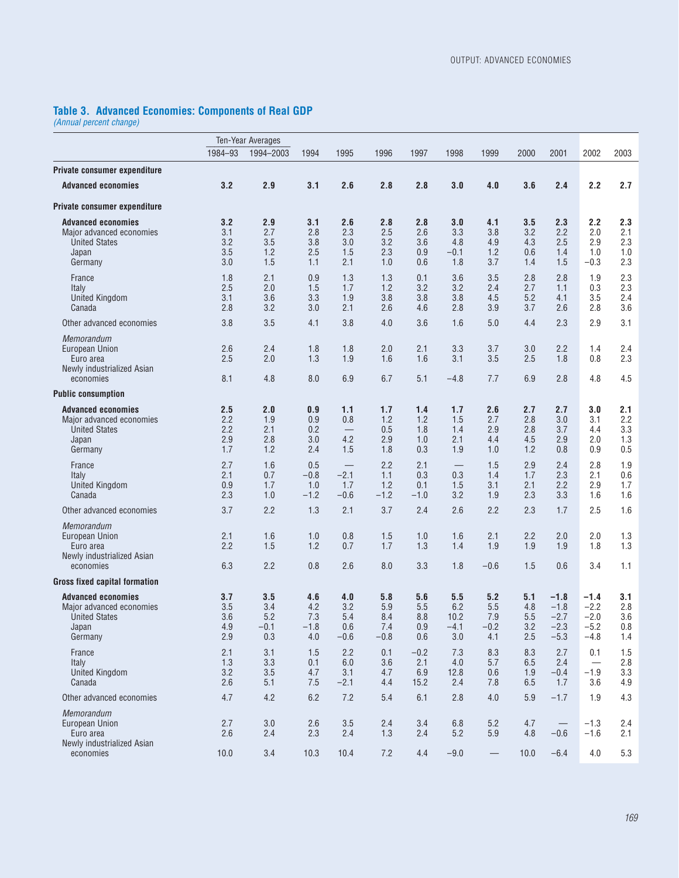#### **Table 3. Advanced Economies: Components of Real GDP**

*(Annual percent change)*

|                                                                                                    |                                 | Ten-Year Averages                  |                                    |                                    |                                    |                                 |                                     |                                    |                                 |                                                |                                                |                                 |
|----------------------------------------------------------------------------------------------------|---------------------------------|------------------------------------|------------------------------------|------------------------------------|------------------------------------|---------------------------------|-------------------------------------|------------------------------------|---------------------------------|------------------------------------------------|------------------------------------------------|---------------------------------|
|                                                                                                    | 1984-93                         | 1994-2003                          | 1994                               | 1995                               | 1996                               | 1997                            | 1998                                | 1999                               | 2000                            | 2001                                           | 2002                                           | 2003                            |
| Private consumer expenditure                                                                       |                                 |                                    |                                    |                                    |                                    |                                 |                                     |                                    |                                 |                                                |                                                |                                 |
| <b>Advanced economies</b>                                                                          | 3.2                             | 2.9                                | 3.1                                | 2.6                                | 2.8                                | 2.8                             | 3.0                                 | 4.0                                | 3.6                             | 2.4                                            | 2.2                                            | 2.7                             |
| Private consumer expenditure                                                                       |                                 |                                    |                                    |                                    |                                    |                                 |                                     |                                    |                                 |                                                |                                                |                                 |
| <b>Advanced economies</b><br>Major advanced economies<br><b>United States</b><br>Japan<br>Germany  | 3.2<br>3.1<br>3.2<br>3.5<br>3.0 | 2.9<br>2.7<br>3.5<br>1.2<br>1.5    | 3.1<br>2.8<br>3.8<br>2.5<br>1.1    | 2.6<br>2.3<br>3.0<br>1.5<br>2.1    | 2.8<br>2.5<br>3.2<br>2.3<br>1.0    | 2.8<br>2.6<br>3.6<br>0.9<br>0.6 | 3.0<br>3.3<br>4.8<br>$-0.1$<br>1.8  | 4.1<br>3.8<br>4.9<br>1.2<br>3.7    | 3.5<br>3.2<br>4.3<br>0.6<br>1.4 | 2.3<br>2.2<br>2.5<br>1.4<br>1.5                | 2.2<br>2.0<br>2.9<br>1.0<br>$-0.3$             | 2.3<br>2.1<br>2.3<br>1.0<br>2.3 |
| France<br>Italy<br><b>United Kingdom</b><br>Canada                                                 | 1.8<br>2.5<br>3.1<br>2.8        | 2.1<br>2.0<br>3.6<br>3.2           | 0.9<br>1.5<br>3.3<br>3.0           | 1.3<br>1.7<br>1.9<br>2.1           | 1.3<br>1.2<br>3.8<br>2.6           | 0.1<br>3.2<br>3.8<br>4.6        | 3.6<br>3.2<br>3.8<br>2.8            | 3.5<br>2.4<br>4.5<br>3.9           | 2.8<br>2.7<br>5.2<br>3.7        | 2.8<br>1.1<br>4.1<br>2.6                       | 1.9<br>0.3<br>3.5<br>2.8                       | 2.3<br>2.3<br>2.4<br>3.6        |
| Other advanced economies                                                                           | 3.8                             | 3.5                                | 4.1                                | 3.8                                | 4.0                                | 3.6                             | 1.6                                 | 5.0                                | 4.4                             | 2.3                                            | 2.9                                            | 3.1                             |
| <b>Memorandum</b><br><b>European Union</b><br>Euro area<br>Newly industrialized Asian<br>economies | 2.6<br>2.5<br>8.1               | 2.4<br>2.0<br>4.8                  | 1.8<br>1.3<br>8.0                  | 1.8<br>1.9<br>6.9                  | 2.0<br>1.6<br>6.7                  | 2.1<br>1.6<br>5.1               | 3.3<br>3.1<br>$-4.8$                | 3.7<br>3.5<br>7.7                  | 3.0<br>2.5<br>6.9               | 2.2<br>1.8<br>2.8                              | 1.4<br>0.8<br>4.8                              | 2.4<br>2.3<br>4.5               |
| <b>Public consumption</b>                                                                          |                                 |                                    |                                    |                                    |                                    |                                 |                                     |                                    |                                 |                                                |                                                |                                 |
| <b>Advanced economies</b><br>Major advanced economies<br><b>United States</b><br>Japan<br>Germany  | 2.5<br>2.2<br>2.2<br>2.9<br>1.7 | 2.0<br>1.9<br>2.1<br>2.8<br>1.2    | 0.9<br>0.9<br>0.2<br>3.0<br>2.4    | 1.1<br>0.8<br>4.2<br>1.5           | 1.7<br>1.2<br>0.5<br>2.9<br>1.8    | 1.4<br>1.2<br>1.8<br>1.0<br>0.3 | 1.7<br>1.5<br>1.4<br>2.1<br>1.9     | 2.6<br>2.7<br>2.9<br>4.4<br>1.0    | 2.7<br>2.8<br>2.8<br>4.5<br>1.2 | 2.7<br>3.0<br>3.7<br>2.9<br>0.8                | 3.0<br>3.1<br>4.4<br>2.0<br>0.9                | 2.1<br>2.2<br>3.3<br>1.3<br>0.5 |
| France<br>Italy<br><b>United Kingdom</b><br>Canada                                                 | 2.7<br>2.1<br>0.9<br>2.3        | 1.6<br>0.7<br>1.7<br>1.0           | 0.5<br>$-0.8$<br>1.0<br>$-1.2$     | $-2.1$<br>1.7<br>$-0.6$            | 2.2<br>1.1<br>1.2<br>$-1.2$        | 2.1<br>0.3<br>0.1<br>$-1.0$     | 0.3<br>1.5<br>3.2                   | 1.5<br>1.4<br>3.1<br>1.9           | 2.9<br>1.7<br>2.1<br>2.3        | 2.4<br>2.3<br>2.2<br>3.3                       | 2.8<br>2.1<br>2.9<br>1.6                       | 1.9<br>0.6<br>1.7<br>1.6        |
| Other advanced economies                                                                           | 3.7                             | 2.2                                | 1.3                                | 2.1                                | 3.7                                | 2.4                             | 2.6                                 | 2.2                                | 2.3                             | 1.7                                            | 2.5                                            | 1.6                             |
| Memorandum<br>European Union<br>Euro area<br>Newly industrialized Asian<br>economies               | 2.1<br>2.2<br>6.3               | 1.6<br>1.5<br>2.2                  | 1.0<br>1.2<br>0.8                  | 0.8<br>0.7<br>2.6                  | 1.5<br>1.7<br>8.0                  | 1.0<br>1.3<br>3.3               | 1.6<br>1.4<br>1.8                   | 2.1<br>1.9<br>$-0.6$               | 2.2<br>1.9<br>1.5               | 2.0<br>1.9<br>0.6                              | 2.0<br>1.8<br>3.4                              | 1.3<br>1.3<br>1.1               |
| <b>Gross fixed capital formation</b>                                                               |                                 |                                    |                                    |                                    |                                    |                                 |                                     |                                    |                                 |                                                |                                                |                                 |
| <b>Advanced economies</b><br>Major advanced economies<br><b>United States</b><br>Japan<br>Germany  | 3.7<br>3.5<br>3.6<br>4.9<br>2.9 | 3.5<br>3.4<br>5.2<br>$-0.1$<br>0.3 | 4.6<br>4.2<br>7.3<br>$-1.8$<br>4.0 | 4.0<br>3.2<br>5.4<br>0.6<br>$-0.6$ | 5.8<br>5.9<br>8.4<br>7.4<br>$-0.8$ | 5.6<br>5.5<br>8.8<br>0.9<br>0.6 | 5.5<br>6.2<br>10.2<br>$-4.1$<br>3.0 | 5.2<br>5.5<br>7.9<br>$-0.2$<br>4.1 | 5.1<br>4.8<br>5.5<br>3.2<br>2.5 | $-1.8$<br>$-1.8$<br>$-2.7$<br>$-2.3$<br>$-5.3$ | $-1.4$<br>$-2.2$<br>$-2.0$<br>$-5.2$<br>$-4.8$ | 3.1<br>2.8<br>3.6<br>0.8<br>1.4 |
| France<br>Italy<br><b>United Kingdom</b><br>Canada                                                 | 2.1<br>1.3<br>3.2<br>2.6        | 3.1<br>3.3<br>3.5<br>5.1           | 1.5<br>0.1<br>4.7<br>7.5           | 2.2<br>6.0<br>3.1<br>$-2.1$        | 0.1<br>3.6<br>4.7<br>4.4           | $-0.2$<br>2.1<br>6.9<br>15.2    | 7.3<br>4.0<br>12.8<br>2.4           | 8.3<br>5.7<br>0.6<br>7.8           | 8.3<br>6.5<br>1.9<br>6.5        | 2.7<br>2.4<br>$-0.4$<br>1.7                    | 0.1<br>$-1.9$<br>3.6                           | 1.5<br>2.8<br>3.3<br>4.9        |
| Other advanced economies                                                                           | 4.7                             | 4.2                                | 6.2                                | 7.2                                | 5.4                                | 6.1                             | 2.8                                 | 4.0                                | 5.9                             | $-1.7$                                         | 1.9                                            | 4.3                             |
| <b>Memorandum</b><br><b>European Union</b><br>Euro area<br>Newly industrialized Asian              | 2.7<br>2.6                      | 3.0<br>2.4                         | 2.6<br>2.3                         | 3.5<br>2.4                         | 2.4<br>1.3                         | 3.4<br>2.4                      | 6.8<br>5.2                          | 5.2<br>5.9                         | 4.7<br>4.8                      | $-0.6$                                         | $-1.3$<br>$-1.6$                               | 2.4<br>2.1                      |
| economies                                                                                          | 10.0                            | 3.4                                | 10.3                               | 10.4                               | 7.2                                | 4.4                             | $-9.0$                              |                                    | 10.0                            | $-6.4$                                         | 4.0                                            | 5.3                             |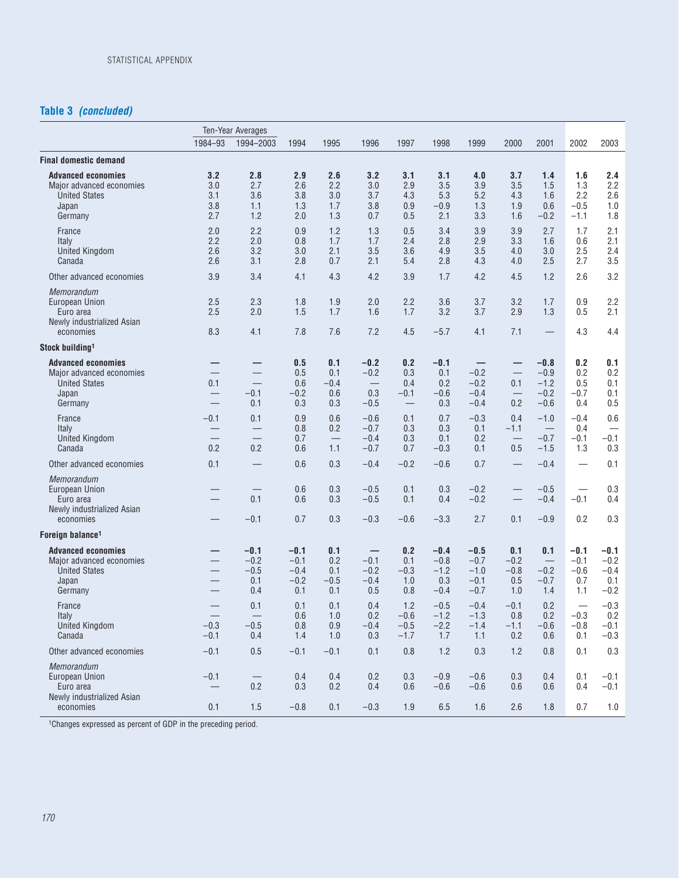### **Table 3** *(concluded)*

|                                                                                                   |                                 | Ten-Year Averages                                                  |                                             |                                    |                                                        |                                                                  |                                             |                                                |                                                  |                                                |                                                   |                                             |
|---------------------------------------------------------------------------------------------------|---------------------------------|--------------------------------------------------------------------|---------------------------------------------|------------------------------------|--------------------------------------------------------|------------------------------------------------------------------|---------------------------------------------|------------------------------------------------|--------------------------------------------------|------------------------------------------------|---------------------------------------------------|---------------------------------------------|
|                                                                                                   | 1984-93                         | 1994-2003                                                          | 1994                                        | 1995                               | 1996                                                   | 1997                                                             | 1998                                        | 1999                                           | 2000                                             | 2001                                           | 2002                                              | 2003                                        |
| <b>Final domestic demand</b>                                                                      |                                 |                                                                    |                                             |                                    |                                                        |                                                                  |                                             |                                                |                                                  |                                                |                                                   |                                             |
| <b>Advanced economies</b><br>Major advanced economies<br><b>United States</b><br>Japan<br>Germany | 3.2<br>3.0<br>3.1<br>3.8<br>2.7 | 2.8<br>2.7<br>3.6<br>1.1<br>1.2                                    | 2.9<br>2.6<br>3.8<br>1.3<br>2.0             | 2.6<br>2.2<br>3.0<br>1.7<br>1.3    | 3.2<br>3.0<br>3.7<br>3.8<br>0.7                        | 3.1<br>2.9<br>4.3<br>0.9<br>0.5                                  | 3.1<br>3.5<br>5.3<br>$-0.9$<br>2.1          | 4.0<br>3.9<br>5.2<br>1.3<br>3.3                | 3.7<br>3.5<br>4.3<br>1.9<br>1.6                  | 1.4<br>1.5<br>1.6<br>0.6<br>$-0.2$             | 1.6<br>1.3<br>2.2<br>$-0.5$<br>$-1.1$             | 2.4<br>2.2<br>2.6<br>1.0<br>1.8             |
| France<br>Italy<br><b>United Kingdom</b><br>Canada                                                | 2.0<br>2.2<br>2.6<br>2.6        | 2.2<br>2.0<br>3.2<br>3.1                                           | 0.9<br>0.8<br>3.0<br>2.8                    | 1.2<br>1.7<br>2.1<br>0.7           | 1.3<br>1.7<br>3.5<br>2.1                               | 0.5<br>2.4<br>3.6<br>5.4                                         | 3.4<br>2.8<br>4.9<br>2.8                    | 3.9<br>2.9<br>3.5<br>4.3                       | 3.9<br>3.3<br>4.0<br>4.0                         | 2.7<br>1.6<br>3.0<br>2.5                       | 1.7<br>0.6<br>2.5<br>2.7                          | 2.1<br>2.1<br>2.4<br>3.5                    |
| Other advanced economies                                                                          | 3.9                             | 3.4                                                                | 4.1                                         | 4.3                                | 4.2                                                    | 3.9                                                              | 1.7                                         | 4.2                                            | 4.5                                              | 1.2                                            | 2.6                                               | 3.2                                         |
| Memorandum<br>European Union<br>Euro area<br>Newly industrialized Asian<br>economies              | 2.5<br>2.5<br>8.3               | 2.3<br>2.0<br>4.1                                                  | 1.8<br>1.5<br>7.8                           | 1.9<br>1.7<br>7.6                  | 2.0<br>1.6<br>7.2                                      | 2.2<br>1.7<br>4.5                                                | 3.6<br>3.2<br>$-5.7$                        | 3.7<br>3.7<br>4.1                              | 3.2<br>2.9<br>7.1                                | 1.7<br>1.3                                     | 0.9<br>0.5<br>4.3                                 | 2.2<br>2.1<br>4.4                           |
| Stock building <sup>1</sup>                                                                       |                                 |                                                                    |                                             |                                    |                                                        |                                                                  |                                             |                                                |                                                  |                                                |                                                   |                                             |
| <b>Advanced economies</b><br>Major advanced economies<br><b>United States</b><br>Japan<br>Germany | 0.1<br>$\overline{\phantom{m}}$ | $\overline{\phantom{0}}$<br>$-0.1$<br>0.1                          | 0.5<br>0.5<br>0.6<br>$-0.2$<br>0.3          | 0.1<br>0.1<br>$-0.4$<br>0.6<br>0.3 | $-0.2$<br>$-0.2$<br>0.3<br>$-0.5$                      | 0.2<br>0.3<br>0.4<br>$-0.1$<br>$\overbrace{\phantom{123221111}}$ | $-0.1$<br>0.1<br>0.2<br>$-0.6$<br>0.3       | $-0.2$<br>$-0.2$<br>$-0.4$<br>$-0.4$           | 0.1<br>$\overline{\phantom{m}}$<br>0.2           | $-0.8$<br>$-0.9$<br>$-1.2$<br>$-0.2$<br>$-0.6$ | 0.2<br>0.2<br>0.5<br>$-0.7$<br>0.4                | 0.1<br>0.2<br>0.1<br>0.1<br>0.5             |
| France<br>Italy<br><b>United Kingdom</b><br>Canada                                                | $-0.1$<br>0.2                   | 0.1<br>$\overline{\phantom{0}}$<br>$\overline{\phantom{0}}$<br>0.2 | 0.9<br>0.8<br>0.7<br>0.6                    | 0.6<br>0.2<br>1.1                  | $-0.6$<br>$-0.7$<br>$-0.4$<br>$-0.7$                   | 0.1<br>0.3<br>0.3<br>0.7                                         | 0.7<br>0.3<br>0.1<br>$-0.3$                 | $-0.3$<br>0.1<br>0.2<br>0.1                    | 0.4<br>$-1.1$<br>$\overline{\phantom{0}}$<br>0.5 | $-1.0$<br>$-0.7$<br>$-1.5$                     | $-0.4$<br>0.4<br>$-0.1$<br>1.3                    | 0.6<br>$-0.1$<br>0.3                        |
| Other advanced economies                                                                          | 0.1                             |                                                                    | 0.6                                         | 0.3                                | $-0.4$                                                 | $-0.2$                                                           | $-0.6$                                      | 0.7                                            |                                                  | $-0.4$                                         |                                                   | 0.1                                         |
| <b>Memorandum</b><br>European Union<br>Euro area<br>Newly industrialized Asian<br>economies       |                                 | 0.1<br>$-0.1$                                                      | 0.6<br>0.6<br>0.7                           | 0.3<br>0.3<br>0.3                  | $-0.5$<br>$-0.5$<br>$-0.3$                             | 0.1<br>0.1<br>$-0.6$                                             | 0.3<br>0.4<br>$-3.3$                        | $-0.2$<br>$-0.2$<br>2.7                        | $\overline{\phantom{0}}$<br>0.1                  | $-0.5$<br>$-0.4$<br>$-0.9$                     | $\overbrace{\phantom{12322111}}$<br>$-0.1$<br>0.2 | 0.3<br>0.4<br>0.3                           |
| Foreign balance <sup>1</sup>                                                                      |                                 |                                                                    |                                             |                                    |                                                        |                                                                  |                                             |                                                |                                                  |                                                |                                                   |                                             |
| <b>Advanced economies</b><br>Major advanced economies<br><b>United States</b><br>Japan<br>Germany |                                 | $-0.1$<br>$-0.2$<br>$-0.5$<br>0.1<br>0.4                           | $-0.1$<br>$-0.1$<br>$-0.4$<br>$-0.2$<br>0.1 | 0.1<br>0.2<br>0.1<br>$-0.5$<br>0.1 | $\qquad \qquad -$<br>$-0.1$<br>$-0.2$<br>$-0.4$<br>0.5 | 0.2<br>0.1<br>$-0.3$<br>1.0<br>0.8                               | $-0.4$<br>$-0.8$<br>$-1.2$<br>0.3<br>$-0.4$ | $-0.5$<br>$-0.7$<br>$-1.0$<br>$-0.1$<br>$-0.7$ | 0.1<br>$-0.2$<br>$-0.8$<br>0.5<br>1.0            | 0.1<br>$-0.2$<br>$-0.7$<br>1.4                 | $-0.1$<br>$-0.1$<br>$-0.6$<br>0.7<br>1.1          | $-0.1$<br>$-0.2$<br>$-0.4$<br>0.1<br>$-0.2$ |
| France<br>Italy<br><b>United Kingdom</b><br>Canada                                                | $-0.3$<br>$-0.1$                | 0.1<br>$-0.5$<br>0.4                                               | 0.1<br>0.6<br>0.8<br>1.4                    | 0.1<br>1.0<br>0.9<br>1.0           | 0.4<br>0.2<br>$-0.4$<br>0.3                            | 1.2<br>$-0.6$<br>$-0.5$<br>$-1.7$                                | $-0.5$<br>$-1.2$<br>$-2.2$<br>1.7           | $-0.4$<br>$-1.3$<br>$-1.4$<br>1.1              | $-0.1$<br>0.8<br>$-1.1$<br>0.2                   | 0.2<br>0.2<br>$-0.6$<br>0.6                    | $-0.3$<br>$-0.8$<br>0.1                           | $-0.3$<br>0.2<br>$-0.1$<br>$-0.3$           |
| Other advanced economies                                                                          | $-0.1$                          | 0.5                                                                | $-0.1$                                      | $-0.1$                             | 0.1                                                    | 0.8                                                              | 1.2                                         | 0.3                                            | 1.2                                              | 0.8                                            | 0.1                                               | 0.3                                         |
| Memorandum<br><b>European Union</b><br>Euro area<br>Newly industrialized Asian                    | $-0.1$                          | $\overline{\phantom{m}}$<br>0.2                                    | 0.4<br>0.3                                  | 0.4<br>0.2                         | 0.2<br>0.4                                             | 0.3<br>0.6                                                       | $-0.9$<br>$-0.6$                            | $-0.6$<br>$-0.6$                               | 0.3<br>0.6                                       | 0.4<br>0.6                                     | 0.1<br>0.4                                        | $-0.1$<br>$-0.1$                            |
| economies                                                                                         | 0.1                             | 1.5                                                                | $-0.8$                                      | 0.1                                | $-0.3$                                                 | 1.9                                                              | 6.5                                         | 1.6                                            | 2.6                                              | 1.8                                            | 0.7                                               | 1.0                                         |

1Changes expressed as percent of GDP in the preceding period.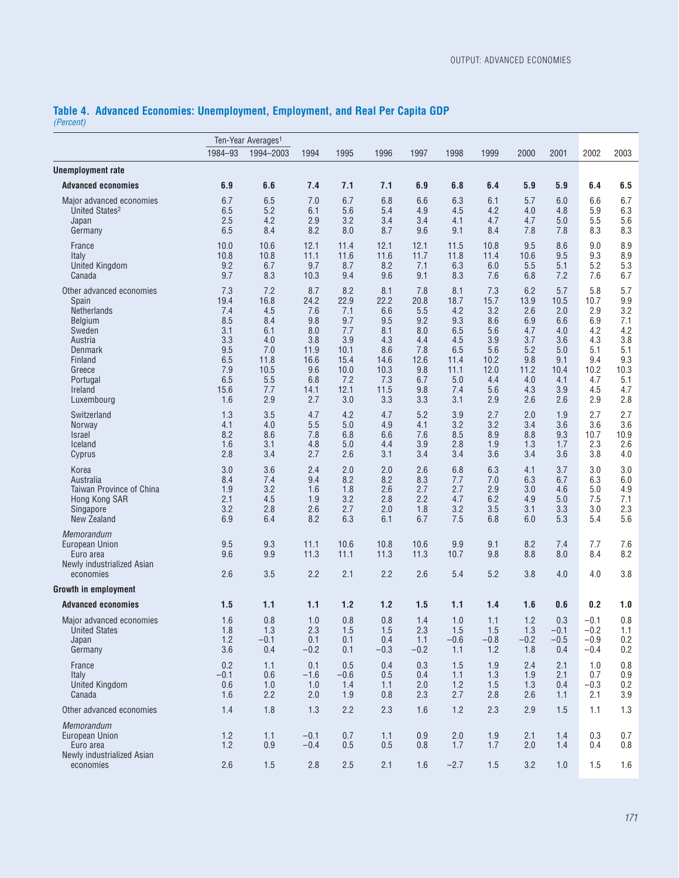#### **Table 4. Advanced Economies: Unemployment, Employment, and Real Per Capita GDP** *(Percent)*

| Ten-Year Averages <sup>1</sup>                                                                                                                        |                                                                                    |                                                                                     |                                                                                      |                                                                                       |                                                                                      |                                                                                    |                                                                                     |                                                                                     |                                                                                    |                                                                                    |                                                                                    |                                                                                   |
|-------------------------------------------------------------------------------------------------------------------------------------------------------|------------------------------------------------------------------------------------|-------------------------------------------------------------------------------------|--------------------------------------------------------------------------------------|---------------------------------------------------------------------------------------|--------------------------------------------------------------------------------------|------------------------------------------------------------------------------------|-------------------------------------------------------------------------------------|-------------------------------------------------------------------------------------|------------------------------------------------------------------------------------|------------------------------------------------------------------------------------|------------------------------------------------------------------------------------|-----------------------------------------------------------------------------------|
|                                                                                                                                                       | 1984-93                                                                            | 1994-2003                                                                           | 1994                                                                                 | 1995                                                                                  | 1996                                                                                 | 1997                                                                               | 1998                                                                                | 1999                                                                                | 2000                                                                               | 2001                                                                               | 2002                                                                               | 2003                                                                              |
| <b>Unemployment rate</b>                                                                                                                              |                                                                                    |                                                                                     |                                                                                      |                                                                                       |                                                                                      |                                                                                    |                                                                                     |                                                                                     |                                                                                    |                                                                                    |                                                                                    |                                                                                   |
| <b>Advanced economies</b>                                                                                                                             | 6.9                                                                                | 6.6                                                                                 | 7.4                                                                                  | 7.1                                                                                   | 7.1                                                                                  | 6.9                                                                                | 6.8                                                                                 | 6.4                                                                                 | 5.9                                                                                | 5.9                                                                                | 6.4                                                                                | 6.5                                                                               |
| Major advanced economies<br>United States <sup>2</sup><br>Japan<br>Germany                                                                            | 6.7<br>6.5<br>2.5<br>6.5                                                           | 6.5<br>5.2<br>4.2<br>8.4                                                            | 7.0<br>6.1<br>2.9<br>8.2                                                             | 6.7<br>5.6<br>3.2<br>8.0                                                              | 6.8<br>5.4<br>3.4<br>8.7                                                             | 6.6<br>4.9<br>3.4<br>9.6                                                           | 6.3<br>4.5<br>4.1<br>9.1                                                            | 6.1<br>4.2<br>4.7<br>8.4                                                            | 5.7<br>4.0<br>4.7<br>7.8                                                           | 6.0<br>4.8<br>5.0<br>7.8                                                           | 6.6<br>5.9<br>5.5<br>8.3                                                           | 6.7<br>6.3<br>5.6<br>8.3                                                          |
| France<br>Italy<br>United Kingdom<br>Canada                                                                                                           | 10.0<br>10.8<br>9.2<br>9.7                                                         | 10.6<br>10.8<br>6.7<br>8.3                                                          | 12.1<br>11.1<br>9.7<br>10.3                                                          | 11.4<br>11.6<br>8.7<br>9.4                                                            | 12.1<br>11.6<br>8.2<br>9.6                                                           | 12.1<br>11.7<br>7.1<br>9.1                                                         | 11.5<br>11.8<br>6.3<br>8.3                                                          | 10.8<br>11.4<br>6.0<br>7.6                                                          | 9.5<br>10.6<br>5.5<br>6.8                                                          | 8.6<br>9.5<br>5.1<br>7.2                                                           | 9.0<br>9.3<br>5.2<br>7.6                                                           | 8.9<br>8.9<br>5.3<br>6.7                                                          |
| Other advanced economies<br>Spain<br>Netherlands<br>Belgium<br>Sweden<br>Austria<br>Denmark<br>Finland<br>Greece<br>Portugal<br>Ireland<br>Luxembourg | 7.3<br>19.4<br>7.4<br>8.5<br>3.1<br>3.3<br>9.5<br>6.5<br>7.9<br>6.5<br>15.6<br>1.6 | 7.2<br>16.8<br>4.5<br>8.4<br>6.1<br>4.0<br>7.0<br>11.8<br>10.5<br>5.5<br>7.7<br>2.9 | 8.7<br>24.2<br>7.6<br>9.8<br>8.0<br>3.8<br>11.9<br>16.6<br>9.6<br>6.8<br>14.1<br>2.7 | 8.2<br>22.9<br>7.1<br>9.7<br>7.7<br>3.9<br>10.1<br>15.4<br>10.0<br>7.2<br>12.1<br>3.0 | 8.1<br>22.2<br>6.6<br>9.5<br>8.1<br>4.3<br>8.6<br>14.6<br>10.3<br>7.3<br>11.5<br>3.3 | 7.8<br>20.8<br>5.5<br>9.2<br>8.0<br>4.4<br>7.8<br>12.6<br>9.8<br>6.7<br>9.8<br>3.3 | 8.1<br>18.7<br>4.2<br>9.3<br>6.5<br>4.5<br>6.5<br>11.4<br>11.1<br>5.0<br>7.4<br>3.1 | 7.3<br>15.7<br>3.2<br>8.6<br>5.6<br>3.9<br>5.6<br>10.2<br>12.0<br>4.4<br>5.6<br>2.9 | 6.2<br>13.9<br>2.6<br>6.9<br>4.7<br>3.7<br>5.2<br>9.8<br>11.2<br>4.0<br>4.3<br>2.6 | 5.7<br>10.5<br>2.0<br>6.6<br>4.0<br>3.6<br>5.0<br>9.1<br>10.4<br>4.1<br>3.9<br>2.6 | 5.8<br>10.7<br>2.9<br>6.9<br>4.2<br>4.3<br>5.1<br>9.4<br>10.2<br>4.7<br>4.5<br>2.9 | 5.7<br>9.9<br>3.2<br>7.1<br>4.2<br>3.8<br>5.1<br>9.3<br>10.3<br>5.1<br>4.7<br>2.8 |
| Switzerland<br><b>Norway</b><br><i>Israel</i><br>Iceland<br>Cyprus                                                                                    | 1.3<br>4.1<br>8.2<br>1.6<br>2.8                                                    | 3.5<br>4.0<br>8.6<br>3.1<br>3.4                                                     | 4.7<br>5.5<br>7.8<br>4.8<br>2.7                                                      | 4.2<br>5.0<br>6.8<br>5.0<br>2.6                                                       | 4.7<br>4.9<br>6.6<br>4.4<br>3.1                                                      | 5.2<br>4.1<br>7.6<br>3.9<br>3.4                                                    | 3.9<br>3.2<br>8.5<br>2.8<br>3.4                                                     | 2.7<br>3.2<br>8.9<br>1.9<br>3.6                                                     | 2.0<br>3.4<br>8.8<br>1.3<br>3.4                                                    | 1.9<br>3.6<br>9.3<br>1.7<br>3.6                                                    | 2.7<br>3.6<br>10.7<br>2.3<br>3.8                                                   | 2.7<br>3.6<br>10.9<br>2.6<br>4.0                                                  |
| Korea<br>Australia<br><b>Taiwan Province of China</b><br>Hong Kong SAR<br>Singapore<br>New Zealand                                                    | 3.0<br>8.4<br>1.9<br>2.1<br>3.2<br>6.9                                             | 3.6<br>7.4<br>3.2<br>4.5<br>2.8<br>6.4                                              | 2.4<br>9.4<br>1.6<br>1.9<br>2.6<br>8.2                                               | 2.0<br>8.2<br>1.8<br>3.2<br>2.7<br>6.3                                                | 2.0<br>8.2<br>2.6<br>2.8<br>2.0<br>6.1                                               | 2.6<br>8.3<br>2.7<br>2.2<br>1.8<br>6.7                                             | 6.8<br>7.7<br>2.7<br>4.7<br>3.2<br>7.5                                              | 6.3<br>7.0<br>2.9<br>6.2<br>3.5<br>6.8                                              | 4.1<br>6.3<br>3.0<br>4.9<br>3.1<br>6.0                                             | 3.7<br>6.7<br>4.6<br>5.0<br>3.3<br>5.3                                             | 3.0<br>6.3<br>5.0<br>7.5<br>3.0<br>5.4                                             | 3.0<br>6.0<br>4.9<br>7.1<br>2.3<br>5.6                                            |
| Memorandum<br>European Union<br>Euro area<br>Newly industrialized Asian<br>economies                                                                  | 9.5<br>9.6<br>2.6                                                                  | 9.3<br>9.9<br>3.5                                                                   | 11.1<br>11.3<br>2.2                                                                  | 10.6<br>11.1<br>2.1                                                                   | 10.8<br>11.3<br>2.2                                                                  | 10.6<br>11.3<br>2.6                                                                | 9.9<br>10.7<br>5.4                                                                  | 9.1<br>9.8<br>5.2                                                                   | 8.2<br>8.8<br>3.8                                                                  | 7.4<br>8.0<br>4.0                                                                  | 7.7<br>8.4<br>4.0                                                                  | 7.6<br>8.2<br>3.8                                                                 |
| <b>Growth in employment</b>                                                                                                                           |                                                                                    |                                                                                     |                                                                                      |                                                                                       |                                                                                      |                                                                                    |                                                                                     |                                                                                     |                                                                                    |                                                                                    |                                                                                    |                                                                                   |
| <b>Advanced economies</b>                                                                                                                             | 1.5                                                                                | 1.1                                                                                 | 1.1                                                                                  | 1.2                                                                                   | 1.2                                                                                  | 1.5                                                                                | 1.1                                                                                 | 1.4                                                                                 | 1.6                                                                                | 0.6                                                                                | 0.2                                                                                | 1.0                                                                               |
| Major advanced economies<br>United States<br>Japan<br>Germany                                                                                         | 1.6<br>1.8<br>1.2<br>3.6                                                           | 0.8<br>1.3<br>$-0.1$<br>0.4                                                         | 1.0<br>2.3<br>0.1<br>$-0.2$                                                          | 0.8<br>1.5<br>0.1<br>0.1                                                              | 0.8<br>1.5<br>0.4<br>$-0.3$                                                          | 1.4<br>2.3<br>1.1<br>$-0.2$                                                        | 1.0<br>1.5<br>$-0.6$<br>1.1                                                         | 1.1<br>1.5<br>$-0.8$<br>1.2                                                         | 1.2<br>1.3<br>$-0.2$<br>1.8                                                        | 0.3<br>$-0.1$<br>$-0.5$<br>0.4                                                     | $-0.1$<br>$-0.2$<br>$-0.9$<br>$-0.4$                                               | 0.8<br>1.1<br>0.2<br>0.2                                                          |
| France<br>Italy<br><b>United Kingdom</b><br>Canada                                                                                                    | 0.2<br>$-0.1$<br>0.6<br>1.6                                                        | 1.1<br>0.6<br>1.0<br>2.2                                                            | 0.1<br>$-1.6$<br>1.0<br>2.0                                                          | 0.5<br>$-0.6$<br>1.4<br>1.9                                                           | 0.4<br>0.5<br>1.1<br>0.8                                                             | 0.3<br>0.4<br>2.0<br>2.3                                                           | 1.5<br>1.1<br>1.2<br>2.7                                                            | 1.9<br>1.3<br>1.5<br>2.8                                                            | 2.4<br>1.9<br>1.3<br>2.6                                                           | 2.1<br>2.1<br>0.4<br>1.1                                                           | 1.0<br>0.7<br>$-0.3$<br>2.1                                                        | 0.8<br>0.9<br>0.2<br>3.9                                                          |
| Other advanced economies                                                                                                                              | 1.4                                                                                | 1.8                                                                                 | 1.3                                                                                  | 2.2                                                                                   | 2.3                                                                                  | 1.6                                                                                | 1.2                                                                                 | 2.3                                                                                 | 2.9                                                                                | 1.5                                                                                | 1.1                                                                                | 1.3                                                                               |
| Memorandum<br><b>European Union</b><br>Euro area<br>Newly industrialized Asian                                                                        | 1.2<br>1.2                                                                         | 1.1<br>0.9                                                                          | $-0.1$<br>$-0.4$                                                                     | 0.7<br>0.5                                                                            | 1.1<br>0.5                                                                           | 0.9<br>0.8                                                                         | 2.0<br>1.7                                                                          | 1.9<br>1.7                                                                          | 2.1<br>2.0                                                                         | 1.4<br>1.4                                                                         | 0.3<br>0.4                                                                         | 0.7<br>0.8                                                                        |
| economies                                                                                                                                             | 2.6                                                                                | 1.5                                                                                 | 2.8                                                                                  | 2.5                                                                                   | 2.1                                                                                  | 1.6                                                                                | $-2.7$                                                                              | 1.5                                                                                 | 3.2                                                                                | 1.0                                                                                | 1.5                                                                                | 1.6                                                                               |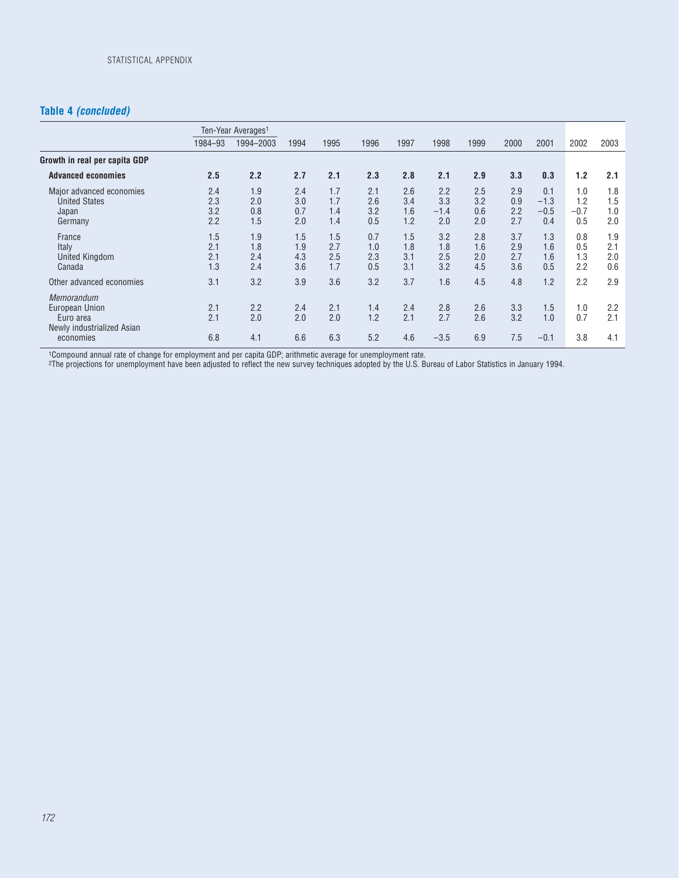### **Table 4** *(concluded)*

|                                                                                |                          | Ten-Year Averages <sup>1</sup> |                          |                          |                          |                          |                             |                          |                          |                                |                             |                          |
|--------------------------------------------------------------------------------|--------------------------|--------------------------------|--------------------------|--------------------------|--------------------------|--------------------------|-----------------------------|--------------------------|--------------------------|--------------------------------|-----------------------------|--------------------------|
|                                                                                | 1984-93                  | 1994-2003                      | 1994                     | 1995                     | 1996                     | 1997                     | 1998                        | 1999                     | 2000                     | 2001                           | 2002                        | 2003                     |
| Growth in real per capita GDP                                                  |                          |                                |                          |                          |                          |                          |                             |                          |                          |                                |                             |                          |
| <b>Advanced economies</b>                                                      | 2.5                      | 2.2                            | 2.7                      | 2.1                      | 2.3                      | 2.8                      | 2.1                         | 2.9                      | 3.3                      | 0.3                            | 1.2                         | 2.1                      |
| Major advanced economies<br><b>United States</b><br>Japan<br>Germany           | 2.4<br>2.3<br>3.2<br>2.2 | 1.9<br>2.0<br>0.8<br>1.5       | 2.4<br>3.0<br>0.7<br>2.0 | 1.7<br>1.7<br>1.4<br>1.4 | 2.1<br>2.6<br>3.2<br>0.5 | 2.6<br>3.4<br>1.6<br>1.2 | 2.2<br>3.3<br>$-1.4$<br>2.0 | 2.5<br>3.2<br>0.6<br>2.0 | 2.9<br>0.9<br>2.2<br>2.7 | 0.1<br>$-1.3$<br>$-0.5$<br>0.4 | 1.0<br>1.2<br>$-0.7$<br>0.5 | 1.8<br>1.5<br>1.0<br>2.0 |
| France<br>Italy<br><b>United Kingdom</b><br>Canada                             | 1.5<br>2.1<br>2.1<br>1.3 | 1.9<br>1.8<br>2.4<br>2.4       | 1.5<br>1.9<br>4.3<br>3.6 | 1.5<br>2.7<br>2.5<br>1.7 | 0.7<br>1.0<br>2.3<br>0.5 | 1.5<br>1.8<br>3.1<br>3.1 | 3.2<br>1.8<br>2.5<br>3.2    | 2.8<br>1.6<br>2.0<br>4.5 | 3.7<br>2.9<br>2.7<br>3.6 | 1.3<br>1.6<br>1.6<br>0.5       | 0.8<br>0.5<br>1.3<br>2.2    | 1.9<br>2.1<br>2.0<br>0.6 |
| Other advanced economies                                                       | 3.1                      | 3.2                            | 3.9                      | 3.6                      | 3.2                      | 3.7                      | 1.6                         | 4.5                      | 4.8                      | 1.2                            | 2.2                         | 2.9                      |
| <b>Memorandum</b><br>European Union<br>Euro area<br>Newly industrialized Asian | 2.1<br>2.1               | 2.2<br>2.0                     | 2.4<br>2.0               | 2.1<br>2.0               | 1.4<br>1.2               | 2.4<br>2.1               | 2.8<br>2.7                  | 2.6<br>2.6               | 3.3<br>3.2               | 1.5<br>1.0                     | 1.0<br>0.7                  | 2.2<br>2.1               |
| economies                                                                      | 6.8                      | 4.1                            | 6.6                      | 6.3                      | 5.2                      | 4.6                      | $-3.5$                      | 6.9                      | 7.5                      | $-0.1$                         | 3.8                         | 4.1                      |

1Compound annual rate of change for employment and per capita GDP; arithmetic average for unemployment rate.

2The projections for unemployment have been adjusted to reflect the new survey techniques adopted by the U.S. Bureau of Labor Statistics in January 1994.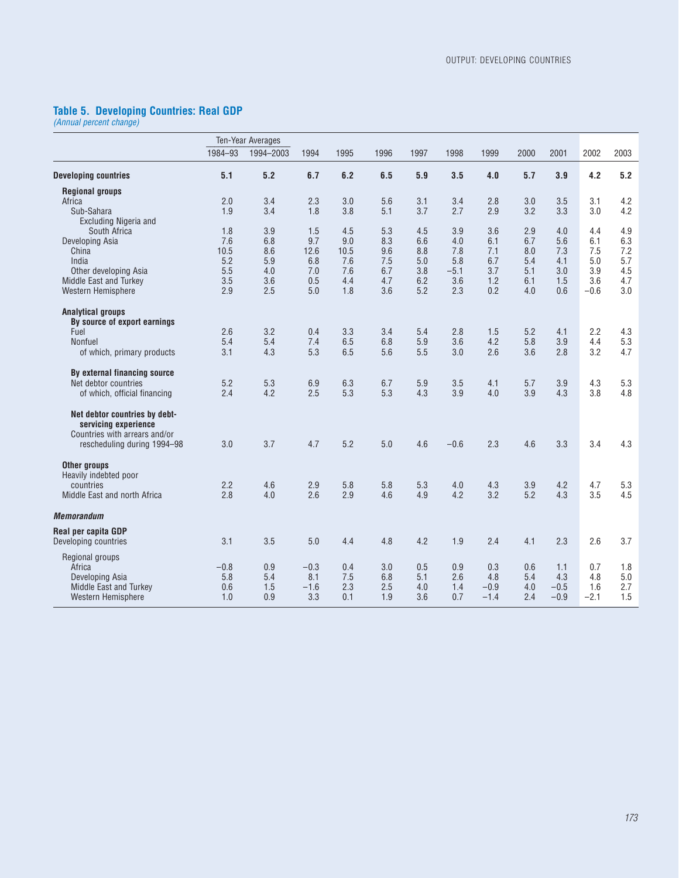#### **Table 5. Developing Countries: Real GDP**

*(Annual percent change)*

|                                                                                                                       |         | Ten-Year Averages |        |      |      |      |        |        |      |        |        |      |
|-----------------------------------------------------------------------------------------------------------------------|---------|-------------------|--------|------|------|------|--------|--------|------|--------|--------|------|
|                                                                                                                       | 1984-93 | 1994-2003         | 1994   | 1995 | 1996 | 1997 | 1998   | 1999   | 2000 | 2001   | 2002   | 2003 |
| <b>Developing countries</b>                                                                                           | 5.1     | 5.2               | 6.7    | 6.2  | 6.5  | 5.9  | 3.5    | 4.0    | 5.7  | 3.9    | 4.2    | 5.2  |
| <b>Regional groups</b>                                                                                                |         |                   |        |      |      |      |        |        |      |        |        |      |
| Africa                                                                                                                | 2.0     | 3.4               | 2.3    | 3.0  | 5.6  | 3.1  | 3.4    | 2.8    | 3.0  | 3.5    | 3.1    | 4.2  |
| Sub-Sahara                                                                                                            | 1.9     | 3.4               | 1.8    | 3.8  | 5.1  | 3.7  | 2.7    | 2.9    | 3.2  | 3.3    | 3.0    | 4.2  |
| <b>Excluding Nigeria and</b>                                                                                          |         |                   |        |      |      |      |        |        |      |        |        |      |
| South Africa                                                                                                          | 1.8     | 3.9               | 1.5    | 4.5  | 5.3  | 4.5  | 3.9    | 3.6    | 2.9  | 4.0    | 4.4    | 4.9  |
| Developing Asia                                                                                                       | 7.6     | 6.8               | 9.7    | 9.0  | 8.3  | 6.6  | 4.0    | 6.1    | 6.7  | 5.6    | 6.1    | 6.3  |
| China                                                                                                                 | 10.5    | 8.6               | 12.6   | 10.5 | 9.6  | 8.8  | 7.8    | 7.1    | 8.0  | 7.3    | 7.5    | 7.2  |
| India                                                                                                                 |         |                   |        |      |      |      |        |        |      |        |        |      |
|                                                                                                                       | 5.2     | 5.9               | 6.8    | 7.6  | 7.5  | 5.0  | 5.8    | 6.7    | 5.4  | 4.1    | 5.0    | 5.7  |
| Other developing Asia                                                                                                 | 5.5     | 4.0               | 7.0    | 7.6  | 6.7  | 3.8  | $-5.1$ | 3.7    | 5.1  | 3.0    | 3.9    | 4.5  |
| Middle East and Turkey                                                                                                | 3.5     | 3.6               | 0.5    | 4.4  | 4.7  | 6.2  | 3.6    | 1.2    | 6.1  | 1.5    | 3.6    | 4.7  |
| Western Hemisphere                                                                                                    | 2.9     | 2.5               | 5.0    | 1.8  | 3.6  | 5.2  | 2.3    | 0.2    | 4.0  | 0.6    | $-0.6$ | 3.0  |
| <b>Analytical groups</b>                                                                                              |         |                   |        |      |      |      |        |        |      |        |        |      |
| By source of export earnings                                                                                          |         |                   |        |      |      |      |        |        |      |        |        |      |
| Fuel                                                                                                                  | 2.6     | 3.2               | 0.4    | 3.3  | 3.4  | 5.4  | 2.8    | 1.5    | 5.2  | 4.1    | 2.2    | 4.3  |
| Nonfuel                                                                                                               | 5.4     | 5.4               | 7.4    | 6.5  | 6.8  | 5.9  | 3.6    | 4.2    | 5.8  | 3.9    | 4.4    | 5.3  |
| of which, primary products                                                                                            | 3.1     | 4.3               | 5.3    | 6.5  | 5.6  | 5.5  | 3.0    | 2.6    | 3.6  | 2.8    | 3.2    | 4.7  |
| By external financing source                                                                                          |         |                   |        |      |      |      |        |        |      |        |        |      |
| Net debtor countries                                                                                                  | 5.2     | 5.3               | 6.9    | 6.3  | 6.7  | 5.9  | 3.5    | 4.1    | 5.7  | 3.9    | 4.3    | 5.3  |
| of which, official financing                                                                                          | 2.4     | 4.2               | 2.5    | 5.3  | 5.3  | 4.3  | 3.9    | 4.0    | 3.9  | 4.3    | 3.8    | 4.8  |
| Net debtor countries by debt-<br>servicing experience<br>Countries with arrears and/or<br>rescheduling during 1994-98 | 3.0     | 3.7               | 4.7    | 5.2  | 5.0  | 4.6  | $-0.6$ | 2.3    | 4.6  | 3.3    | 3.4    | 4.3  |
| Other groups                                                                                                          |         |                   |        |      |      |      |        |        |      |        |        |      |
| Heavily indebted poor                                                                                                 |         |                   |        |      |      |      |        |        |      |        |        |      |
| countries                                                                                                             | 2.2     | 4.6               | 2.9    | 5.8  | 5.8  | 5.3  | 4.0    | 4.3    | 3.9  | 4.2    | 4.7    | 5.3  |
| Middle East and north Africa                                                                                          | 2.8     | 4.0               | 2.6    | 2.9  | 4.6  | 4.9  | 4.2    | 3.2    | 5.2  | 4.3    | 3.5    | 4.5  |
| <b>Memorandum</b>                                                                                                     |         |                   |        |      |      |      |        |        |      |        |        |      |
| Real per capita GDP                                                                                                   |         |                   |        |      |      |      |        |        |      |        |        |      |
| Developing countries                                                                                                  | 3.1     | 3.5               | 5.0    | 4.4  | 4.8  | 4.2  | 1.9    | 2.4    | 4.1  | 2.3    | 2.6    | 3.7  |
| Regional groups                                                                                                       |         |                   |        |      |      |      |        |        |      |        |        |      |
| Africa                                                                                                                | $-0.8$  | 0.9               | $-0.3$ | 0.4  | 3.0  | 0.5  | 0.9    | 0.3    | 0.6  | 1.1    | 0.7    | 1.8  |
| Developing Asia                                                                                                       | 5.8     | 5.4               | 8.1    | 7.5  | 6.8  | 5.1  | 2.6    | 4.8    | 5.4  | 4.3    | 4.8    | 5.0  |
| Middle East and Turkey                                                                                                | 0.6     | 1.5               | $-1.6$ | 2.3  | 2.5  | 4.0  | 1.4    | $-0.9$ | 4.0  | $-0.5$ | 1.6    | 2.7  |
| Western Hemisphere                                                                                                    | 1.0     | 0.9               | 3.3    | 0.1  | 1.9  | 3.6  | 0.7    | $-1.4$ | 2.4  | $-0.9$ | $-2.1$ | 1.5  |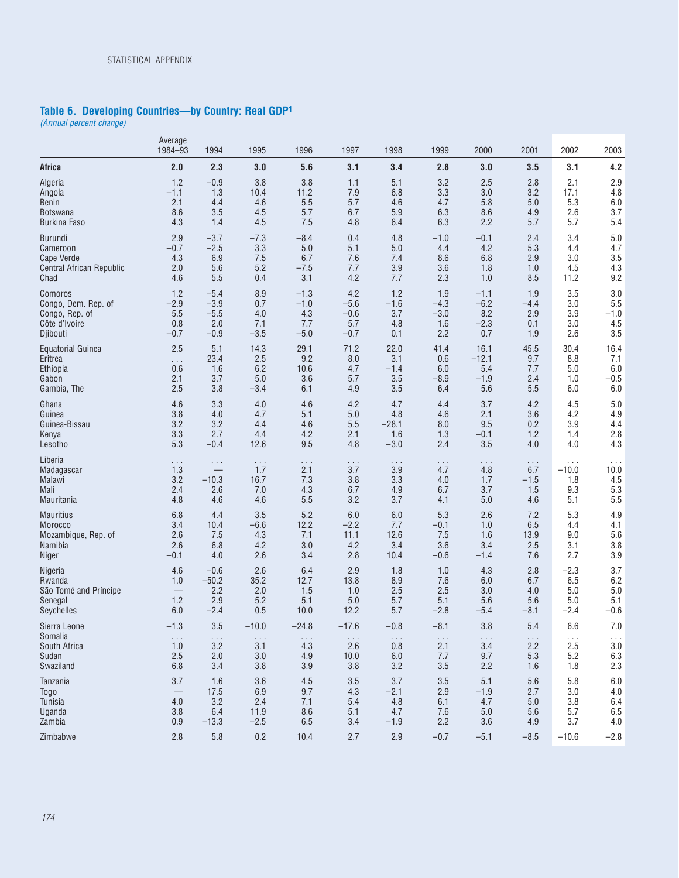#### **Table 6. Developing Countries—by Country: Real GDP1**

*(Annual percent change)*

|                          | Average<br>1984-93       | 1994                     | 1995                 | 1996                 | 1997                 | 1998                 | 1999                 | 2000                 | 2001       | 2002                 | 2003                 |
|--------------------------|--------------------------|--------------------------|----------------------|----------------------|----------------------|----------------------|----------------------|----------------------|------------|----------------------|----------------------|
| <b>Africa</b>            | 2.0                      | 2.3                      | 3.0                  | 5.6                  | 3.1                  | 3.4                  | 2.8                  | 3.0                  | 3.5        | 3.1                  | 4.2                  |
| Algeria                  | 1.2                      | $-0.9$                   | 3.8                  | 3.8                  | 1.1                  | 5.1                  | 3.2                  | 2.5                  | 2.8        | 2.1                  | 2.9                  |
| Angola                   | $-1.1$                   | 1.3                      | 10.4                 | 11.2                 | 7.9                  | 6.8                  | 3.3                  | 3.0                  | 3.2        | 17.1                 | 4.8                  |
| Benin                    | 2.1                      | 4.4                      | 4.6                  | 5.5                  | 5.7                  | 4.6                  | 4.7                  | 5.8                  | 5.0        | 5.3                  | 6.0                  |
| <b>Botswana</b>          | 8.6                      | 3.5                      | 4.5                  | 5.7                  | 6.7                  | 5.9                  | 6.3                  | 8.6                  | 4.9        | 2.6                  | 3.7                  |
| <b>Burkina Faso</b>      | 4.3                      | 1.4                      | 4.5                  | 7.5                  | 4.8                  | 6.4                  | 6.3                  | 2.2                  | 5.7        | 5.7                  | 5.4                  |
| Burundi                  | 2.9                      | $-3.7$                   | $-7.3$               | $-8.4$               | 0.4                  | 4.8                  | $-1.0$               | $-0.1$               | 2.4        | 3.4                  | 5.0                  |
| Cameroon                 | $-0.7$                   | $-2.5$                   | 3.3                  | 5.0                  | 5.1                  | 5.0                  | 4.4                  | 4.2                  | 5.3        | 4.4                  | 4.7                  |
| <b>Cape Verde</b>        | 4.3                      | 6.9                      | 7.5                  | 6.7                  | 7.6                  | 7.4                  | 8.6                  | 6.8                  | 2.9        | 3.0                  | 3.5                  |
| Central African Republic | 2.0                      | 5.6                      | 5.2                  | $-7.5$               | 7.7                  | 3.9                  | 3.6                  | 1.8                  | 1.0        | 4.5                  | 4.3                  |
| Chad                     | 4.6                      | 5.5                      | 0.4                  | 3.1                  | 4.2                  | 7.7                  | 2.3                  | 1.0                  | 8.5        | 11.2                 | 9.2                  |
| Comoros                  | 1.2                      | $-5.4$                   | 8.9                  | $-1.3$               | 4.2                  | 1.2                  | 1.9                  | $-1.1$               | 1.9        | 3.5                  | 3.0                  |
| Congo, Dem. Rep. of      | $-2.9$                   | $-3.9$                   | 0.7                  | $-1.0$               | $-5.6$               | $-1.6$               | $-4.3$               | $-6.2$               | -4.4       | 3.0                  | 5.5                  |
| Congo, Rep. of           | 5.5                      | $-5.5$                   | 4.0                  | 4.3                  | $-0.6$               | 3.7                  | $-3.0$               | 8.2                  | 2.9        | 3.9                  | $-1.0$               |
| Côte d'Ivoire            | 0.8                      | 2.0                      | 7.1                  | 7.7                  | 5.7                  | 4.8                  | 1.6                  | $-2.3$               | 0.1        | 3.0                  | 4.5                  |
| Djibouti                 | $-0.7$                   | $-0.9$                   | $-3.5$               | $-5.0$               | $-0.7$               | 0.1                  | 2.2                  | 0.7                  | 1.9        | 2.6                  | 3.5                  |
| <b>Equatorial Guinea</b> | 2.5                      | 5.1                      | 14.3                 | 29.1                 | 71.2                 | 22.0                 | 41.4                 | 16.1                 | 45.5       | 30.4                 | 16.4                 |
| Eritrea                  | .                        | 23.4                     | 2.5                  | 9.2                  | 8.0                  | 3.1                  | 0.6                  | $-12.1$              | 9.7        | 8.8                  | 7.1                  |
| Ethiopia                 | 0.6                      | 1.6                      | 6.2                  | 10.6                 | 4.7                  | $-1.4$               | 6.0                  | 5.4                  | 7.7        | 5.0                  | 6.0                  |
| Gabon                    | 2.1                      | 3.7                      | 5.0                  | 3.6                  | 5.7                  | 3.5                  | $-8.9$               | $-1.9$               | 2.4        | 1.0                  | $-0.5$               |
| Gambia, The              | 2.5                      | 3.8                      | $-3.4$               | 6.1                  | 4.9                  | 3.5                  | 6.4                  | 5.6                  | 5.5        | 6.0                  | 6.0                  |
| Ghana                    | 4.6                      | 3.3                      | 4.0                  | 4.6                  | 4.2                  | 4.7                  | 4.4                  | 3.7                  | 4.2        | 4.5                  | 5.0                  |
| Guinea                   | 3.8                      | 4.0                      | 4.7                  | 5.1                  | 5.0                  | 4.8                  | 4.6                  | 2.1                  | 3.6        | 4.2                  | 4.9                  |
| Guinea-Bissau            | 3.2                      | 3.2                      | 4.4                  | 4.6                  | 5.5                  | $-28.1$              | 8.0                  | 9.5                  | 0.2        | 3.9                  | 4.4                  |
| Kenya                    | 3.3                      | 2.7                      | 4.4                  | 4.2                  | 2.1                  | 1.6                  | 1.3                  | $-0.1$               | 1.2        | 1.4                  | 2.8                  |
| Lesotho                  | 5.3                      | $-0.4$                   | 12.6                 | 9.5                  | 4.8                  | $-3.0$               | 2.4                  | 3.5                  | 4.0        | 4.0                  | 4.3                  |
| Liberia                  | $\cdots$                 | $\cdots$                 | $\cdots$             | .                    | $\sim$ $\sim$ $\sim$ | $\cdots$             | $\cdots$             | $\cdots$             | $\cdots$   | $\cdots$             | $\cdots$             |
| Madagascar               | 1.3                      | $\overline{\phantom{0}}$ | 1.7                  | 2.1                  | 3.7                  | 3.9                  | 4.7                  | 4.8                  | 6.7        | $-10.0$              | 10.0                 |
| <b>Malawi</b>            | 3.2                      | $-10.3$                  | 16.7                 | 7.3                  | 3.8                  | 3.3                  | 4.0                  | 1.7                  | $-1.5$     | 1.8                  | 4.5                  |
| Mali                     | 2.4                      | 2.6                      | 7.0                  | 4.3                  | 6.7                  | 4.9                  | 6.7                  | 3.7                  | 1.5        | 9.3                  | 5.3                  |
| Mauritania               | 4.8                      | 4.6                      | 4.6                  | 5.5                  | 3.2                  | 3.7                  | 4.1                  | 5.0                  | 4.6        | 5.1                  | 5.5                  |
| <b>Mauritius</b>         | 6.8                      | 4.4                      | 3.5                  | 5.2                  | 6.0                  | 6.0                  | 5.3                  | 2.6                  | 7.2        | 5.3                  | 4.9                  |
| Morocco                  | 3.4                      | 10.4                     | $-6.6$               | 12.2                 | $-2.2$               | 7.7                  | $-0.1$               | 1.0                  | 6.5        | 4.4                  | 4.1                  |
| Mozambique, Rep. of      | 2.6                      | 7.5                      | 4.3                  | 7.1                  | 11.1                 | 12.6                 | 7.5                  | 1.6                  | 13.9       | 9.0                  | 5.6                  |
| Namibia                  | 2.6                      | 6.8                      | 4.2                  | 3.0                  | 4.2                  | 3.4                  | 3.6                  | 3.4                  | 2.5        | 3.1                  | 3.8                  |
| Niger                    | $-0.1$                   | 4.0                      | 2.6                  | 3.4                  | 2.8                  | 10.4                 | $-0.6$               | $-1.4$               | 7.6        | 2.7                  | 3.9                  |
| Nigeria                  | 4.6                      | $-0.6$                   | 2.6                  | 6.4                  | 2.9                  | 1.8                  | 1.0                  | 4.3                  | 2.8        | $-2.3$               | 3.7                  |
| Rwanda                   | 1.0                      | $-50.2$                  | 35.2                 | 12.7                 | 13.8                 | 8.9                  | 7.6                  | 6.0                  | 6.7        | 6.5                  | 6.2                  |
| São Tomé and Príncipe    |                          | 2.2                      | 2.0                  | 1.5                  | 1.0                  | 2.5                  | 2.5                  | 3.0                  | 4.0        | 5.0                  | 5.0                  |
| Senegal                  | 1.2                      | 2.9                      | 5.2                  | 5.1                  | 5.0                  | 5.7                  | 5.1                  | 5.6                  | 5.6        | 5.0                  | 5.1                  |
| Seychelles               | 6.0                      | $-2.4$                   | 0.5                  | 10.0                 | 12.2                 | 5.7                  | $-2.8$               | -5.4                 | -8.1       | $-2.4$               | $-0.6$               |
| Sierra Leone             | $-1.3$                   | 3.5                      | $-10.0$              | $-24.8$              | $-17.6$              | $-0.8$               | $-8.1$               | 3.8                  | 5.4        | 6.6                  | 7.0                  |
| Somalia                  | $\ldots$                 | $\ldots$                 | $\sim$ $\sim$ $\sim$ | $\sim$ $\sim$ $\sim$ | $\sim$ $\sim$ $\sim$ | $\sim$ $\sim$ $\sim$ | $\sim$ $\sim$ $\sim$ | $\sim$ $\sim$ $\sim$ | $\ldots$ . | $\sim$ $\sim$ $\sim$ | $\sim$ $\sim$ $\sim$ |
| South Africa             | 1.0                      | 3.2                      | 3.1                  | 4.3                  | 2.6                  | 0.8                  | 2.1                  | 3.4                  | 2.2        | 2.5                  | 3.0                  |
| Sudan                    | 2.5                      | 2.0                      | 3.0                  | 4.9                  | 10.0                 | 6.0                  | 7.7                  | 9.7                  | 5.3        | 5.2                  | 6.3                  |
| Swaziland                | 6.8                      | 3.4                      | 3.8                  | 3.9                  | 3.8                  | 3.2                  | 3.5                  | 2.2                  | 1.6        | 1.8                  | 2.3                  |
| Tanzania                 | 3.7                      | 1.6                      | 3.6                  | 4.5                  | 3.5                  | 3.7                  | 3.5                  | 5.1                  | 5.6        | 5.8                  | $6.0\,$              |
| Togo                     | $\overline{\phantom{0}}$ | 17.5                     | 6.9                  | 9.7                  | 4.3                  | $-2.1$               | 2.9                  | $-1.9$               | 2.7        | 3.0                  | 4.0                  |
| Tunisia                  | 4.0                      | 3.2                      | 2.4                  | 7.1                  | 5.4                  | 4.8                  | 6.1                  | 4.7                  | 5.0        | 3.8                  | 6.4                  |
| Uganda                   | 3.8                      | 6.4                      | 11.9                 | 8.6                  | 5.1                  | 4.7                  | 7.6                  | 5.0                  | 5.6        | 5.7                  | 6.5                  |
| Zambia                   | 0.9                      | $-13.3$                  | $-2.5$               | 6.5                  | 3.4                  | $-1.9$               | 2.2                  | 3.6                  | 4.9        | 3.7                  | 4.0                  |
| Zimbabwe                 | 2.8                      | 5.8                      | $0.2\,$              | 10.4                 | 2.7                  | 2.9                  | $-0.7$               | $-5.1$               | $-8.5$     | $-10.6$              | $-2.8$               |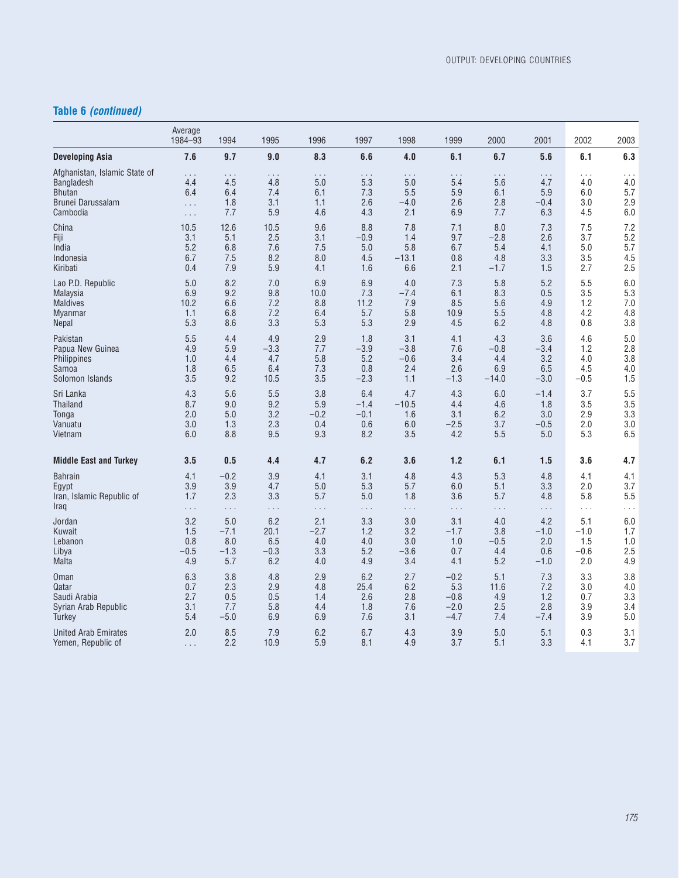## **Table 6** *(continued)*

|                                                                                        | Average<br>1984-93                      | 1994                          | 1995                          | 1996                                 | 1997                     | 1998                             | 1999                          | 2000                          | 2001                             | 2002                     | 2003                     |
|----------------------------------------------------------------------------------------|-----------------------------------------|-------------------------------|-------------------------------|--------------------------------------|--------------------------|----------------------------------|-------------------------------|-------------------------------|----------------------------------|--------------------------|--------------------------|
| Developing Asia                                                                        | 7.6                                     | 9.7                           | 9.0                           | 8.3                                  | 6.6                      | 4.0                              | 6.1                           | 6.7                           | 5.6                              | 6.1                      | 6.3                      |
| Afghanistan, Islamic State of<br>Bangladesh<br>Bhutan<br>Brunei Darussalam<br>Cambodia | .<br>4.4<br>6.4<br>$\cdots$<br>$\ldots$ | .<br>4.5<br>6.4<br>1.8<br>7.7 | .<br>4.8<br>7.4<br>3.1<br>5.9 | $\cdots$<br>5.0<br>6.1<br>1.1<br>4.6 | 5.3<br>7.3<br>2.6<br>4.3 | .<br>5.0<br>5.5<br>$-4.0$<br>2.1 | .<br>5.4<br>5.9<br>2.6<br>6.9 | .<br>5.6<br>6.1<br>2.8<br>7.7 | .<br>4.7<br>5.9<br>$-0.4$<br>6.3 | 4.0<br>6.0<br>3.0<br>4.5 | 4.0<br>5.7<br>2.9<br>6.0 |
| China                                                                                  | 10.5                                    | 12.6                          | 10.5                          | 9.6                                  | 8.8                      | 7.8                              | 7.1                           | 8.0                           | 7.3                              | 7.5                      | 7.2                      |
| Fiji                                                                                   | 3.1                                     | 5.1                           | 2.5                           | 3.1                                  | $-0.9$                   | 1.4                              | 9.7                           | $-2.8$                        | 2.6                              | 3.7                      | 5.2                      |
| India                                                                                  | 5.2                                     | 6.8                           | 7.6                           | 7.5                                  | 5.0                      | 5.8                              | 6.7                           | 5.4                           | 4.1                              | 5.0                      | 5.7                      |
| Indonesia                                                                              | 6.7                                     | 7.5                           | 8.2                           | 8.0                                  | 4.5                      | $-13.1$                          | 0.8                           | 4.8                           | 3.3                              | 3.5                      | 4.5                      |
| Kiribati                                                                               | 0.4                                     | 7.9                           | 5.9                           | 4.1                                  | 1.6                      | 6.6                              | 2.1                           | $-1.7$                        | 1.5                              | 2.7                      | 2.5                      |
| Lao P.D. Republic                                                                      | 5.0                                     | 8.2                           | 7.0                           | 6.9                                  | 6.9                      | 4.0                              | 7.3                           | 5.8                           | 5.2                              | 5.5                      | 6.0                      |
| Malaysia                                                                               | 6.9                                     | 9.2                           | 9.8                           | 10.0                                 | 7.3                      | $-7.4$                           | 6.1                           | 8.3                           | 0.5                              | 3.5                      | 5.3                      |
| <b>Maldives</b>                                                                        | 10.2                                    | 6.6                           | 7.2                           | 8.8                                  | 11.2                     | 7.9                              | 8.5                           | 5.6                           | 4.9                              | 1.2                      | 7.0                      |
| <b>Myanmar</b>                                                                         | 1.1                                     | 6.8                           | 7.2                           | 6.4                                  | 5.7                      | 5.8                              | 10.9                          | 5.5                           | 4.8                              | 4.2                      | 4.8                      |
| <b>Nepal</b>                                                                           | 5.3                                     | 8.6                           | 3.3                           | 5.3                                  | 5.3                      | 2.9                              | 4.5                           | 6.2                           | 4.8                              | 0.8                      | 3.8                      |
| Pakistan                                                                               | 5.5                                     | 4.4                           | 4.9                           | 2.9                                  | 1.8                      | 3.1                              | 4.1                           | 4.3                           | 3.6                              | 4.6                      | 5.0                      |
| Papua New Guinea                                                                       | 4.9                                     | 5.9                           | $-3.3$                        | 7.7                                  | $-3.9$                   | $-3.8$                           | 7.6                           | $-0.8$                        | $-3.4$                           | 1.2                      | 2.8                      |
| Philippines                                                                            | 1.0                                     | 4.4                           | 4.7                           | 5.8                                  | 5.2                      | $-0.6$                           | 3.4                           | 4.4                           | 3.2                              | 4.0                      | 3.8                      |
| Samoa                                                                                  | 1.8                                     | 6.5                           | 6.4                           | 7.3                                  | 0.8                      | 2.4                              | 2.6                           | 6.9                           | 6.5                              | 4.5                      | 4.0                      |
| Solomon Islands                                                                        | 3.5                                     | 9.2                           | 10.5                          | 3.5                                  | $-2.3$                   | 1.1                              | $-1.3$                        | $-14.0$                       | $-3.0$                           | $-0.5$                   | 1.5                      |
| Sri Lanka                                                                              | 4.3                                     | 5.6                           | 5.5                           | 3.8                                  | 6.4                      | 4.7                              | 4.3                           | 6.0                           | $-1.4$                           | 3.7                      | 5.5                      |
| <b>Thailand</b>                                                                        | 8.7                                     | 9.0                           | 9.2                           | 5.9                                  | $-1.4$                   | $-10.5$                          | 4.4                           | 4.6                           | 1.8                              | 3.5                      | 3.5                      |
| Tonga                                                                                  | 2.0                                     | 5.0                           | 3.2                           | $-0.2$                               | $-0.1$                   | 1.6                              | 3.1                           | 6.2                           | 3.0                              | 2.9                      | 3.3                      |
| Vanuatu                                                                                | 3.0                                     | 1.3                           | 2.3                           | 0.4                                  | 0.6                      | 6.0                              | $-2.5$                        | 3.7                           | $-0.5$                           | 2.0                      | 3.0                      |
| Vietnam                                                                                | 6.0                                     | 8.8                           | 9.5                           | 9.3                                  | 8.2                      | 3.5                              | 4.2                           | 5.5                           | 5.0                              | 5.3                      | 6.5                      |
| <b>Middle East and Turkey</b>                                                          | 3.5                                     | 0.5                           | 4.4                           | 4.7                                  | 6.2                      | 3.6                              | $1.2$                         | 6.1                           | 1.5                              | 3.6                      | 4.7                      |
| <b>Bahrain</b>                                                                         | 4.1                                     | $-0.2$                        | 3.9                           | 4.1                                  | 3.1                      | 4.8                              | 4.3                           | 5.3                           | 4.8                              | 4.1                      | 4.1                      |
| Egypt                                                                                  | 3.9                                     | 3.9                           | 4.7                           | 5.0                                  | 5.3                      | 5.7                              | 6.0                           | 5.1                           | 3.3                              | 2.0                      | 3.7                      |
| Iran, Islamic Republic of                                                              | 1.7                                     | 2.3                           | 3.3                           | 5.7                                  | 5.0                      | 1.8                              | 3.6                           | 5.7                           | 4.8                              | 5.8                      | 5.5                      |
| Iraq                                                                                   | $\sim$ $\sim$ $\sim$                    | $\sim$ $\sim$ $\sim$          | $\ldots$ .                    | $\ldots$                             | $\sim$ $\sim$ $\sim$     | $\ldots$                         | $\sim$ $\sim$ $\sim$          | $\ldots$ .                    | $\ldots$                         | $\ldots$                 | $\cdots$                 |
| Jordan                                                                                 | 3.2                                     | 5.0                           | 6.2                           | 2.1                                  | 3.3                      | 3.0                              | 3.1                           | 4.0                           | 4.2                              | 5.1                      | 6.0                      |
| Kuwait                                                                                 | 1.5                                     | $-7.1$                        | 20.1                          | $-2.7$                               | 1.2                      | 3.2                              | $-1.7$                        | 3.8                           | $-1.0$                           | $-1.0$                   | 1.7                      |
| Lebanon                                                                                | 0.8                                     | 8.0                           | 6.5                           | 4.0                                  | 4.0                      | 3.0                              | 1.0                           | $-0.5$                        | 2.0                              | 1.5                      | 1.0                      |
| Libya                                                                                  | $-0.5$                                  | $-1.3$                        | $-0.3$                        | 3.3                                  | 5.2                      | $-3.6$                           | 0.7                           | 4.4                           | 0.6                              | $-0.6$                   | 2.5                      |
| <b>Malta</b>                                                                           | 4.9                                     | 5.7                           | 6.2                           | 4.0                                  | 4.9                      | 3.4                              | 4.1                           | 5.2                           | $-1.0$                           | 2.0                      | 4.9                      |
| <b>Oman</b>                                                                            | 6.3                                     | 3.8                           | 4.8                           | 2.9                                  | 6.2                      | 2.7                              | $-0.2$                        | 5.1                           | 7.3                              | 3.3                      | 3.8                      |
| Qatar                                                                                  | 0.7                                     | 2.3                           | 2.9                           | 4.8                                  | 25.4                     | 6.2                              | 5.3                           | 11.6                          | 7.2                              | 3.0                      | 4.0                      |
| Saudi Arabia                                                                           | 2.7                                     | 0.5                           | 0.5                           | 1.4                                  | 2.6                      | 2.8                              | $-0.8$                        | 4.9                           | 1.2                              | 0.7                      | 3.3                      |
| Syrian Arab Republic                                                                   | 3.1                                     | 7.7                           | 5.8                           | 4.4                                  | 1.8                      | 7.6                              | $-2.0$                        | 2.5                           | 2.8                              | 3.9                      | 3.4                      |
| Turkey                                                                                 | 5.4                                     | $-5.0$                        | 6.9                           | 6.9                                  | 7.6                      | 3.1                              | $-4.7$                        | 7.4                           | $-7.4$                           | 3.9                      | 5.0                      |
| <b>United Arab Emirates</b>                                                            | 2.0                                     | 8.5                           | 7.9                           | 6.2                                  | 6.7                      | 4.3                              | 3.9                           | 5.0                           | 5.1                              | 0.3                      | 3.1                      |
| Yemen, Republic of                                                                     | $\sim$ $\sim$ $\sim$                    | 2.2                           | 10.9                          | 5.9                                  | 8.1                      | 4.9                              | 3.7                           | 5.1                           | 3.3                              | 4.1                      | 3.7                      |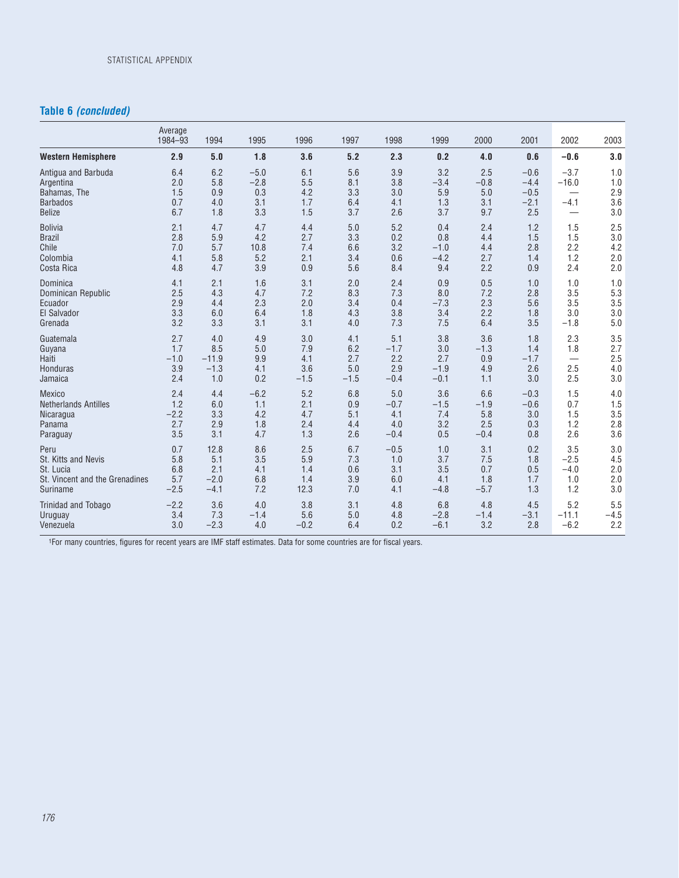### **Table 6** *(concluded)*

|                                | Average<br>1984-93 | 1994    | 1995   | 1996   | 1997   | 1998   | 1999   | 2000   | 2001   | 2002                     | 2003   |
|--------------------------------|--------------------|---------|--------|--------|--------|--------|--------|--------|--------|--------------------------|--------|
| <b>Western Hemisphere</b>      | 2.9                | 5.0     | 1.8    | 3.6    | 5.2    | 2.3    | 0.2    | 4.0    | 0.6    | $-0.6$                   | 3.0    |
| Antiqua and Barbuda            | 6.4                | 6.2     | $-5.0$ | 6.1    | 5.6    | 3.9    | 3.2    | 2.5    | $-0.6$ | $-3.7$                   | 1.0    |
| Argentina                      | 2.0                | 5.8     | $-2.8$ | 5.5    | 8.1    | 3.8    | $-3.4$ | $-0.8$ | $-4.4$ | $-16.0$                  | 1.0    |
| Bahamas, The                   | 1.5                | 0.9     | 0.3    | 4.2    | 3.3    | 3.0    | 5.9    | 5.0    | $-0.5$ |                          | 2.9    |
| <b>Barbados</b>                | 0.7                | 4.0     | 3.1    | 1.7    | 6.4    | 4.1    | 1.3    | 3.1    | $-2.1$ | $-4.1$                   | 3.6    |
| <b>Belize</b>                  | 6.7                | 1.8     | 3.3    | 1.5    | 3.7    | 2.6    | 3.7    | 9.7    | 2.5    | $\overline{\phantom{0}}$ | 3.0    |
| <b>Bolivia</b>                 | 2.1                | 4.7     | 4.7    | 4.4    | 5.0    | 5.2    | 0.4    | 2.4    | 1.2    | 1.5                      | 2.5    |
| <b>Brazil</b>                  | 2.8                | 5.9     | 4.2    | 2.7    | 3.3    | 0.2    | 0.8    | 4.4    | 1.5    | 1.5                      | 3.0    |
| Chile                          | 7.0                | 5.7     | 10.8   | 7.4    | 6.6    | 3.2    | $-1.0$ | 4.4    | 2.8    | 2.2                      | 4.2    |
| Colombia                       | 4.1                | 5.8     | 5.2    | 2.1    | 3.4    | 0.6    | $-4.2$ | 2.7    | 1.4    | 1.2                      | 2.0    |
| Costa Rica                     | 4.8                | 4.7     | 3.9    | 0.9    | 5.6    | 8.4    | 9.4    | 2.2    | 0.9    | 2.4                      | 2.0    |
| Dominica                       | 4.1                | 2.1     | 1.6    | 3.1    | 2.0    | 2.4    | 0.9    | 0.5    | 1.0    | 1.0                      | 1.0    |
| Dominican Republic             | 2.5                | 4.3     | 4.7    | 7.2    | 8.3    | 7.3    | 8.0    | 7.2    | 2.8    | 3.5                      | 5.3    |
| Ecuador                        | 2.9                | 4.4     | 2.3    | 2.0    | 3.4    | 0.4    | $-7.3$ | 2.3    | 5.6    | 3.5                      | 3.5    |
| El Salvador                    | 3.3                | 6.0     | 6.4    | 1.8    | 4.3    | 3.8    | 3.4    | 2.2    | 1.8    | 3.0                      | 3.0    |
| Grenada                        | 3.2                | 3.3     | 3.1    | 3.1    | 4.0    | 7.3    | 7.5    | 6.4    | 3.5    | $-1.8$                   | 5.0    |
| Guatemala                      | 2.7                | 4.0     | 4.9    | 3.0    | 4.1    | 5.1    | 3.8    | 3.6    | 1.8    | 2.3                      | 3.5    |
| Guyana                         | 1.7                | 8.5     | 5.0    | 7.9    | 6.2    | $-1.7$ | 3.0    | $-1.3$ | 1.4    | 1.8                      | 2.7    |
| Haiti                          | $-1.0$             | $-11.9$ | 9.9    | 4.1    | 2.7    | 2.2    | 2.7    | 0.9    | $-1.7$ |                          | 2.5    |
| Honduras                       | 3.9                | $-1.3$  | 4.1    | 3.6    | 5.0    | 2.9    | $-1.9$ | 4.9    | 2.6    | 2.5                      | 4.0    |
| Jamaica                        | 2.4                | 1.0     | 0.2    | $-1.5$ | $-1.5$ | $-0.4$ | $-0.1$ | 1.1    | 3.0    | 2.5                      | 3.0    |
| Mexico                         | 2.4                | 4.4     | $-6.2$ | 5.2    | 6.8    | 5.0    | 3.6    | 6.6    | $-0.3$ | 1.5                      | 4.0    |
| <b>Netherlands Antilles</b>    | 1.2                | 6.0     | 1.1    | 2.1    | 0.9    | $-0.7$ | $-1.5$ | $-1.9$ | $-0.6$ | 0.7                      | 1.5    |
| Nicaragua                      | $-2.2$             | 3.3     | 4.2    | 4.7    | 5.1    | 4.1    | 7.4    | 5.8    | 3.0    | 1.5                      | 3.5    |
| Panama                         | 2.7                | 2.9     | 1.8    | 2.4    | 4.4    | 4.0    | 3.2    | 2.5    | 0.3    | 1.2                      | 2.8    |
| Paraguay                       | 3.5                | 3.1     | 4.7    | 1.3    | 2.6    | $-0.4$ | 0.5    | $-0.4$ | 0.8    | 2.6                      | 3.6    |
| Peru                           | 0.7                | 12.8    | 8.6    | 2.5    | 6.7    | $-0.5$ | 1.0    | 3.1    | 0.2    | 3.5                      | 3.0    |
| St. Kitts and Nevis            | 5.8                | 5.1     | 3.5    | 5.9    | 7.3    | 1.0    | 3.7    | 7.5    | 1.8    | $-2.5$                   | 4.5    |
| St. Lucia                      | 6.8                | 2.1     | 4.1    | 1.4    | 0.6    | 3.1    | 3.5    | 0.7    | 0.5    | $-4.0$                   | 2.0    |
| St. Vincent and the Grenadines | 5.7                | $-2.0$  | 6.8    | 1.4    | 3.9    | 6.0    | 4.1    | 1.8    | 1.7    | 1.0                      | 2.0    |
| Suriname                       | $-2.5$             | $-4.1$  | 7.2    | 12.3   | 7.0    | 4.1    | $-4.8$ | $-5.7$ | 1.3    | 1.2                      | 3.0    |
| <b>Trinidad and Tobago</b>     | $-2.2$             | 3.6     | 4.0    | 3.8    | 3.1    | 4.8    | 6.8    | 4.8    | 4.5    | 5.2                      | 5.5    |
| Uruguay                        | 3.4                | 7.3     | $-1.4$ | 5.6    | 5.0    | 4.8    | $-2.8$ | $-1.4$ | $-3.1$ | $-11.1$                  | $-4.5$ |
| Venezuela                      | 3.0                | $-2.3$  | 4.0    | $-0.2$ | 6.4    | 0.2    | $-6.1$ | 3.2    | 2.8    | $-6.2$                   | 2.2    |

1For many countries, figures for recent years are IMF staff estimates. Data for some countries are for fiscal years.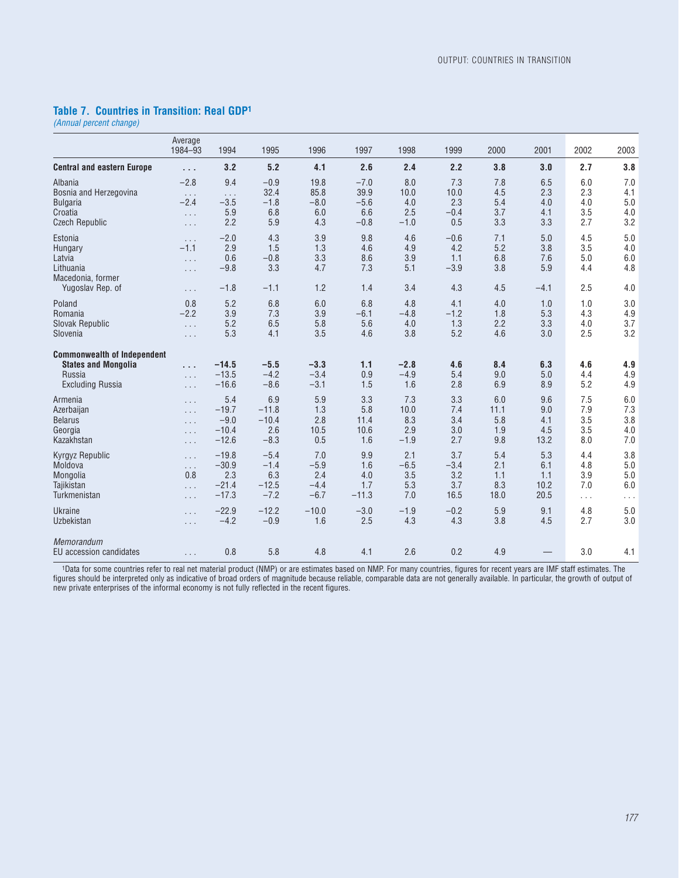### **Table 7. Countries in Transition: Real GDP1**

*(Annual percent change)*

|                                                                                                       | Average<br>1984-93                                     | 1994                                     | 1995                                  | 1996                            | 1997                            | 1998                            | 1999                                  | 2000                            | 2001                               | 2002                            | 2003                            |
|-------------------------------------------------------------------------------------------------------|--------------------------------------------------------|------------------------------------------|---------------------------------------|---------------------------------|---------------------------------|---------------------------------|---------------------------------------|---------------------------------|------------------------------------|---------------------------------|---------------------------------|
| <b>Central and eastern Europe</b>                                                                     | $\sim 10$                                              | 3.2                                      | 5.2                                   | 4.1                             | 2.6                             | 2.4                             | 2.2                                   | 3.8                             | 3.0                                | 2.7                             | 3.8                             |
| Albania                                                                                               | $-2.8$                                                 | 9.4                                      | $-0.9$                                | 19.8                            | $-7.0$                          | 8.0                             | 7.3                                   | 7.8                             | 6.5                                | 6.0                             | 7.0                             |
| Bosnia and Herzegovina                                                                                | $\sim$ $\sim$ $\sim$                                   | $\ldots$                                 | 32.4                                  | 85.8                            | 39.9                            | 10.0                            | 10.0                                  | 4.5                             | 2.3                                | 2.3                             | 4.1                             |
| <b>Bulgaria</b>                                                                                       | $-2.4$                                                 | $-3.5$                                   | $-1.8$                                | $-8.0$                          | $-5.6$                          | 4.0                             | 2.3                                   | 5.4                             | 4.0                                | 4.0                             | 5.0                             |
| Croatia                                                                                               | $\ldots$                                               | 5.9                                      | 6.8                                   | 6.0                             | 6.6                             | 2.5                             | $-0.4$                                | 3.7                             | 4.1                                | 3.5                             | 4.0                             |
| <b>Czech Republic</b>                                                                                 | $\ldots$                                               | 2.2                                      | 5.9                                   | 4.3                             | $-0.8$                          | $-1.0$                          | 0.5                                   | 3.3                             | 3.3                                | 2.7                             | 3.2                             |
| Estonia<br>Hungary<br>Latvia<br>Lithuania<br>Macedonia, former<br>Yugoslav Rep. of                    | $\ldots$<br>$-1.1$<br>$\ldots$<br>$\cdots$<br>$\ldots$ | $-2.0$<br>2.9<br>0.6<br>$-9.8$<br>$-1.8$ | 4.3<br>1.5<br>$-0.8$<br>3.3<br>$-1.1$ | 3.9<br>1.3<br>3.3<br>4.7<br>1.2 | 9.8<br>4.6<br>8.6<br>7.3<br>1.4 | 4.6<br>4.9<br>3.9<br>5.1<br>3.4 | $-0.6$<br>4.2<br>1.1<br>$-3.9$<br>4.3 | 7.1<br>5.2<br>6.8<br>3.8<br>4.5 | 5.0<br>3.8<br>7.6<br>5.9<br>$-4.1$ | 4.5<br>3.5<br>5.0<br>4.4<br>2.5 | 5.0<br>4.0<br>6.0<br>4.8<br>4.0 |
| Poland                                                                                                | 0.8                                                    | 5.2                                      | 6.8                                   | 6.0                             | 6.8                             | 4.8                             | 4.1                                   | 4.0                             | 1.0                                | 1.0                             | 3.0                             |
| Romania                                                                                               | $-2.2$                                                 | 3.9                                      | 7.3                                   | 3.9                             | $-6.1$                          | $-4.8$                          | $-1.2$                                | 1.8                             | 5.3                                | 4.3                             | 4.9                             |
| <b>Slovak Republic</b>                                                                                | $\ldots$                                               | 5.2                                      | 6.5                                   | 5.8                             | 5.6                             | 4.0                             | 1.3                                   | 2.2                             | 3.3                                | 4.0                             | 3.7                             |
| Slovenia                                                                                              | $\cdots$                                               | 5.3                                      | 4.1                                   | 3.5                             | 4.6                             | 3.8                             | 5.2                                   | 4.6                             | 3.0                                | 2.5                             | 3.2                             |
| <b>Commonwealth of Independent</b><br><b>States and Mongolia</b><br>Russia<br><b>Excluding Russia</b> | $\cdots$<br>$\ldots$<br>$\cdots$                       | $-14.5$<br>$-13.5$<br>$-16.6$            | $-5.5$<br>$-4.2$<br>$-8.6$            | $-3.3$<br>$-3.4$<br>$-3.1$      | 1.1<br>0.9<br>1.5               | $-2.8$<br>$-4.9$<br>1.6         | 4.6<br>5.4<br>2.8                     | 8.4<br>9.0<br>6.9               | 6.3<br>5.0<br>8.9                  | 4.6<br>4.4<br>5.2               | 4.9<br>4.9<br>4.9               |
| Armenia                                                                                               | $\ldots$                                               | 5.4                                      | 6.9                                   | 5.9                             | 3.3                             | 7.3                             | 3.3                                   | 6.0                             | 9.6                                | 7.5                             | 6.0                             |
| Azerbaijan                                                                                            | $\ldots$                                               | $-19.7$                                  | $-11.8$                               | 1.3                             | 5.8                             | 10.0                            | 7.4                                   | 11.1                            | 9.0                                | 7.9                             | 7.3                             |
| <b>Belarus</b>                                                                                        | $\cdots$                                               | $-9.0$                                   | $-10.4$                               | 2.8                             | 11.4                            | 8.3                             | 3.4                                   | 5.8                             | 4.1                                | 3.5                             | 3.8                             |
| Georgia                                                                                               | $\ldots$                                               | $-10.4$                                  | 2.6                                   | 10.5                            | 10.6                            | 2.9                             | 3.0                                   | 1.9                             | 4.5                                | 3.5                             | 4.0                             |
| Kazakhstan                                                                                            | $\ldots$                                               | $-12.6$                                  | $-8.3$                                | 0.5                             | 1.6                             | $-1.9$                          | 2.7                                   | 9.8                             | 13.2                               | 8.0                             | 7.0                             |
| <b>Kyrgyz Republic</b>                                                                                | $\sim$ $\sim$ $\sim$                                   | $-19.8$                                  | $-5.4$                                | 7.0                             | 9.9                             | 2.1                             | 3.7                                   | 5.4                             | 5.3                                | 4.4                             | 3.8                             |
| Moldova                                                                                               | $\ldots$                                               | $-30.9$                                  | $-1.4$                                | $-5.9$                          | 1.6                             | $-6.5$                          | $-3.4$                                | 2.1                             | 6.1                                | 4.8                             | 5.0                             |
| Mongolia                                                                                              | 0.8                                                    | 2.3                                      | 6.3                                   | 2.4                             | 4.0                             | 3.5                             | 3.2                                   | 1.1                             | 1.1                                | 3.9                             | 5.0                             |
| Taiikistan                                                                                            | $\ldots$                                               | $-21.4$                                  | $-12.5$                               | $-4.4$                          | 1.7                             | 5.3                             | 3.7                                   | 8.3                             | 10.2                               | 7.0                             | 6.0                             |
| Turkmenistan                                                                                          | $\ldots$                                               | $-17.3$                                  | $-7.2$                                | $-6.7$                          | $-11.3$                         | 7.0                             | 16.5                                  | 18.0                            | 20.5                               | $\sim$ $\sim$ $\sim$            | $\ldots$                        |
| <b>Ukraine</b>                                                                                        | $\ldots$                                               | $-22.9$                                  | $-12.2$                               | $-10.0$                         | $-3.0$                          | $-1.9$                          | $-0.2$                                | 5.9                             | 9.1                                | 4.8                             | 5.0                             |
| Uzbekistan                                                                                            | $\ldots$                                               | $-4.2$                                   | $-0.9$                                | 1.6                             | 2.5                             | 4.3                             | 4.3                                   | 3.8                             | 4.5                                | 2.7                             | 3.0                             |
| Memorandum<br>EU accession candidates                                                                 | $\ldots$                                               | 0.8                                      | 5.8                                   | 4.8                             | 4.1                             | 2.6                             | 0.2                                   | 4.9                             |                                    | 3.0                             | 4.1                             |

1Data for some countries refer to real net material product (NMP) or are estimates based on NMP. For many countries, figures for recent years are IMF staff estimates. The figures should be interpreted only as indicative of broad orders of magnitude because reliable, comparable data are not generally available. In particular, the growth of output of new private enterprises of the informal economy is not fully reflected in the recent figures.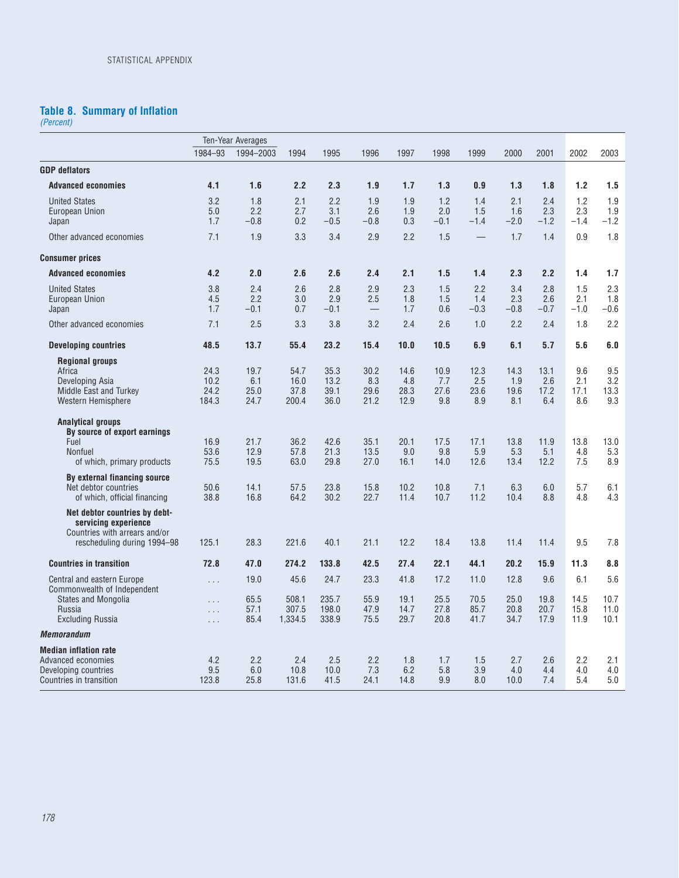#### **Table 8. Summary of Inflation**

*(Percent)*

|                                                                                                       |                               | Ten-Year Averages           |                               |                              |                                               |                             |                            |                             |                             |                             |                             |                             |
|-------------------------------------------------------------------------------------------------------|-------------------------------|-----------------------------|-------------------------------|------------------------------|-----------------------------------------------|-----------------------------|----------------------------|-----------------------------|-----------------------------|-----------------------------|-----------------------------|-----------------------------|
|                                                                                                       | 1984-93                       | 1994-2003                   | 1994                          | 1995                         | 1996                                          | 1997                        | 1998                       | 1999                        | 2000                        | 2001                        | 2002                        | 2003                        |
| <b>GDP</b> deflators                                                                                  |                               |                             |                               |                              |                                               |                             |                            |                             |                             |                             |                             |                             |
| <b>Advanced economies</b>                                                                             | 4.1                           | 1.6                         | 2.2                           | 2.3                          | 1.9                                           | 1.7                         | 1.3                        | 0.9                         | 1.3                         | 1.8                         | 1.2                         | 1.5                         |
| <b>United States</b><br>European Union<br>Japan                                                       | 3.2<br>5.0<br>1.7             | 1.8<br>2.2<br>$-0.8$        | 2.1<br>2.7<br>0.2             | 2.2<br>3.1<br>$-0.5$         | 1.9<br>2.6<br>$-0.8$                          | 1.9<br>1.9<br>0.3           | 1.2<br>2.0<br>$-0.1$       | 1.4<br>1.5<br>$-1.4$        | 2.1<br>1.6<br>$-2.0$        | 2.4<br>2.3<br>$-1.2$        | 1.2<br>2.3<br>$-1.4$        | 1.9<br>1.9<br>$-1.2$        |
| Other advanced economies                                                                              | 7.1                           | 1.9                         | 3.3                           | 3.4                          | 2.9                                           | 2.2                         | 1.5                        |                             | 1.7                         | 1.4                         | 0.9                         | 1.8                         |
| <b>Consumer prices</b>                                                                                |                               |                             |                               |                              |                                               |                             |                            |                             |                             |                             |                             |                             |
| <b>Advanced economies</b>                                                                             | 4.2                           | 2.0                         | 2.6                           | 2.6                          | 2.4                                           | 2.1                         | 1.5                        | 1.4                         | 2.3                         | 2.2                         | 1.4                         | 1.7                         |
| <b>United States</b><br>European Union<br>Japan<br>Other advanced economies                           | 3.8<br>4.5<br>1.7<br>7.1      | 2.4<br>2.2<br>$-0.1$<br>2.5 | 2.6<br>3.0<br>0.7<br>3.3      | 2.8<br>2.9<br>$-0.1$<br>3.8  | 2.9<br>2.5<br>$\overline{\phantom{m}}$<br>3.2 | 2.3<br>1.8<br>1.7<br>2.4    | 1.5<br>1.5<br>0.6<br>2.6   | 2.2<br>1.4<br>$-0.3$<br>1.0 | 3.4<br>2.3<br>$-0.8$<br>2.2 | 2.8<br>2.6<br>$-0.7$<br>2.4 | 1.5<br>2.1<br>$-1.0$<br>1.8 | 2.3<br>1.8<br>$-0.6$<br>2.2 |
| <b>Developing countries</b>                                                                           | 48.5                          | 13.7                        | 55.4                          | 23.2                         | 15.4                                          | 10.0                        | 10.5                       | 6.9                         | 6.1                         | 5.7                         | 5.6                         | 6.0                         |
| <b>Regional groups</b>                                                                                |                               |                             |                               |                              |                                               |                             |                            |                             |                             |                             |                             |                             |
| Africa<br>Developing Asia<br>Middle East and Turkey<br>Western Hemisphere                             | 24.3<br>10.2<br>24.2<br>184.3 | 19.7<br>6.1<br>25.0<br>24.7 | 54.7<br>16.0<br>37.8<br>200.4 | 35.3<br>13.2<br>39.1<br>36.0 | 30.2<br>8.3<br>29.6<br>21.2                   | 14.6<br>4.8<br>28.3<br>12.9 | 10.9<br>7.7<br>27.6<br>9.8 | 12.3<br>2.5<br>23.6<br>8.9  | 14.3<br>1.9<br>19.6<br>8.1  | 13.1<br>2.6<br>17.2<br>6.4  | 9.6<br>2.1<br>17.1<br>8.6   | 9.5<br>3.2<br>13.3<br>9.3   |
| <b>Analytical groups</b>                                                                              |                               |                             |                               |                              |                                               |                             |                            |                             |                             |                             |                             |                             |
| By source of export earnings<br>Fuel<br>Nonfuel<br>of which, primary products                         | 16.9<br>53.6<br>75.5          | 21.7<br>12.9<br>19.5        | 36.2<br>57.8<br>63.0          | 42.6<br>21.3<br>29.8         | 35.1<br>13.5<br>27.0                          | 20.1<br>9.0<br>16.1         | 17.5<br>9.8<br>14.0        | 17.1<br>5.9<br>12.6         | 13.8<br>5.3<br>13.4         | 11.9<br>5.1<br>12.2         | 13.8<br>4.8<br>7.5          | 13.0<br>5.3<br>8.9          |
| By external financing source                                                                          |                               |                             |                               |                              |                                               |                             |                            |                             |                             |                             |                             |                             |
| Net debtor countries<br>of which, official financing                                                  | 50.6<br>38.8                  | 14.1<br>16.8                | 57.5<br>64.2                  | 23.8<br>30.2                 | 15.8<br>22.7                                  | 10.2<br>11.4                | 10.8<br>10.7               | 7.1<br>11.2                 | 6.3<br>10.4                 | 6.0<br>8.8                  | 5.7<br>4.8                  | 6.1<br>4.3                  |
| Net debtor countries by debt-<br>servicing experience<br>Countries with arrears and/or                |                               |                             |                               |                              |                                               |                             |                            |                             |                             |                             |                             |                             |
| rescheduling during 1994-98                                                                           | 125.1                         | 28.3                        | 221.6                         | 40.1                         | 21.1                                          | 12.2                        | 18.4                       | 13.8                        | 11.4                        | 11.4                        | 9.5                         | 7.8                         |
| <b>Countries in transition</b>                                                                        | 72.8                          | 47.0                        | 274.2                         | 133.8                        | 42.5                                          | 27.4                        | 22.1                       | 44.1                        | 20.2                        | 15.9                        | 11.3                        | 8.8                         |
| <b>Central and eastern Europe</b><br>Commonwealth of Independent                                      | $\cdots$                      | 19.0                        | 45.6                          | 24.7                         | 23.3                                          | 41.8                        | 17.2                       | 11.0                        | 12.8                        | 9.6                         | 6.1                         | 5.6                         |
| <b>States and Mongolia</b><br>Russia<br><b>Excluding Russia</b>                                       | .<br>.<br>.                   | 65.5<br>57.1<br>85.4        | 508.1<br>307.5<br>1,334.5     | 235.7<br>198.0<br>338.9      | 55.9<br>47.9<br>75.5                          | 19.1<br>14.7<br>29.7        | 25.5<br>27.8<br>20.8       | 70.5<br>85.7<br>41.7        | 25.0<br>20.8<br>34.7        | 19.8<br>20.7<br>17.9        | 14.5<br>15.8<br>11.9        | 10.7<br>11.0<br>10.1        |
| <b>Memorandum</b>                                                                                     |                               |                             |                               |                              |                                               |                             |                            |                             |                             |                             |                             |                             |
| <b>Median inflation rate</b><br>Advanced economies<br>Developing countries<br>Countries in transition | 4.2<br>9.5<br>123.8           | 2.2<br>6.0<br>25.8          | 2.4<br>10.8<br>131.6          | 2.5<br>10.0<br>41.5          | 2.2<br>7.3<br>24.1                            | 1.8<br>6.2<br>14.8          | 1.7<br>5.8<br>9.9          | 1.5<br>3.9<br>8.0           | 2.7<br>4.0<br>10.0          | 2.6<br>4.4<br>7.4           | 2.2<br>4.0<br>5.4           | 2.1<br>4.0<br>5.0           |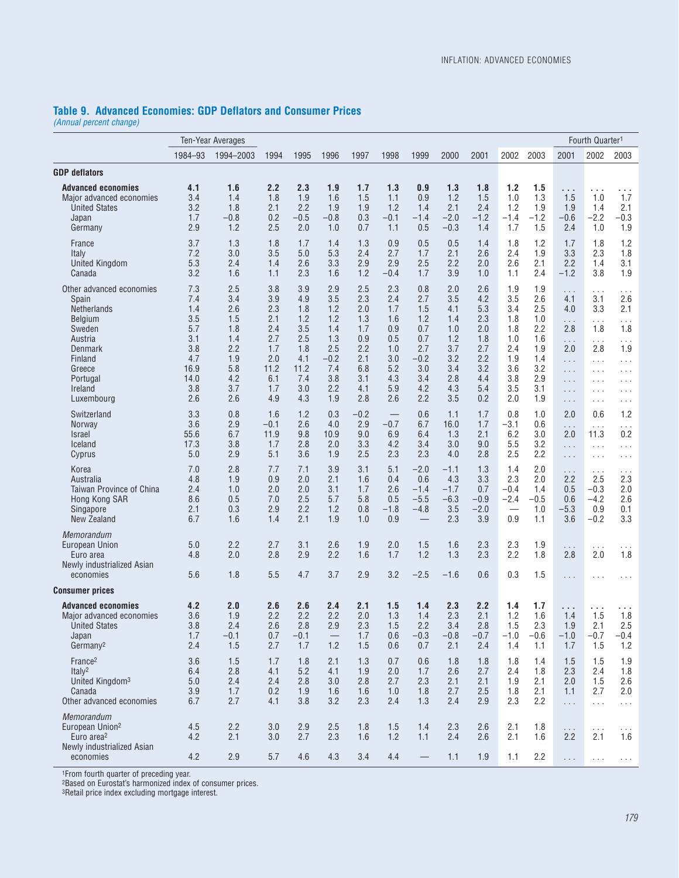### **Table 9. Advanced Economies: GDP Deflators and Consumer Prices**

*(Annual percent change)*

| Ten-Year Averages<br>Fourth Quarter <sup>1</sup>                                                                                                             |                                                                                    |                                                                                  |                                                                                   |                                                                                   |                                                                                     |                                                                                  |                                                                                  |                                                                                     |                                                                                  |                                                                                  |                                                                                  |                                                                                  |                                                                                                                                                         |                                                                                                                                      |                                                                                                                                                                          |
|--------------------------------------------------------------------------------------------------------------------------------------------------------------|------------------------------------------------------------------------------------|----------------------------------------------------------------------------------|-----------------------------------------------------------------------------------|-----------------------------------------------------------------------------------|-------------------------------------------------------------------------------------|----------------------------------------------------------------------------------|----------------------------------------------------------------------------------|-------------------------------------------------------------------------------------|----------------------------------------------------------------------------------|----------------------------------------------------------------------------------|----------------------------------------------------------------------------------|----------------------------------------------------------------------------------|---------------------------------------------------------------------------------------------------------------------------------------------------------|--------------------------------------------------------------------------------------------------------------------------------------|--------------------------------------------------------------------------------------------------------------------------------------------------------------------------|
|                                                                                                                                                              | 1984-93                                                                            | 1994-2003                                                                        | 1994                                                                              | 1995                                                                              | 1996                                                                                | 1997                                                                             | 1998                                                                             | 1999                                                                                | 2000                                                                             | 2001                                                                             | 2002                                                                             | 2003                                                                             | 2001                                                                                                                                                    | 2002                                                                                                                                 | 2003                                                                                                                                                                     |
| <b>GDP</b> deflators                                                                                                                                         |                                                                                    |                                                                                  |                                                                                   |                                                                                   |                                                                                     |                                                                                  |                                                                                  |                                                                                     |                                                                                  |                                                                                  |                                                                                  |                                                                                  |                                                                                                                                                         |                                                                                                                                      |                                                                                                                                                                          |
| <b>Advanced economies</b><br>Major advanced economies<br><b>United States</b><br>Japan<br>Germany                                                            | 4.1<br>3.4<br>3.2<br>1.7<br>2.9                                                    | 1.6<br>1.4<br>1.8<br>$-0.8$<br>1.2                                               | 2.2<br>1.8<br>2.1<br>0.2<br>2.5                                                   | 2.3<br>1.9<br>2.2<br>$-0.5$<br>2.0                                                | 1.9<br>1.6<br>1.9<br>$-0.8$<br>1.0                                                  | 1.7<br>1.5<br>1.9<br>0.3<br>0.7                                                  | 1.3<br>1.1<br>1.2<br>$-0.1$<br>1.1                                               | 0.9<br>0.9<br>1.4<br>$-1.4$<br>0.5                                                  | 1.3<br>1.2<br>2.1<br>$-2.0$<br>$-0.3$                                            | 1.8<br>1.5<br>2.4<br>$-1.2$<br>1.4                                               | 1.2<br>1.0<br>1.2<br>$-1.4$<br>1.7                                               | 1.5<br>1.3<br>1.9<br>$-1.2$<br>1.5                                               | .<br>1.5<br>1.9<br>$-0.6$<br>2.4                                                                                                                        | .<br>1.0<br>1.4<br>$-2.2$<br>1.0                                                                                                     | .<br>1.7<br>2.1<br>$-0.3$<br>1.9                                                                                                                                         |
| France<br>Italy<br><b>United Kingdom</b><br>Canada                                                                                                           | 3.7<br>7.2<br>5.3<br>3.2                                                           | 1.3<br>3.0<br>2.4<br>1.6                                                         | 1.8<br>3.5<br>1.4<br>1.1                                                          | 1.7<br>5.0<br>2.6<br>2.3                                                          | 1.4<br>5.3<br>3.3<br>1.6                                                            | 1.3<br>2.4<br>2.9<br>1.2                                                         | 0.9<br>2.7<br>2.9<br>$-0.4$                                                      | 0.5<br>1.7<br>2.5<br>1.7                                                            | 0.5<br>2.1<br>2.2<br>3.9                                                         | 1.4<br>2.6<br>2.0<br>1.0                                                         | 1.8<br>2.4<br>2.6<br>1.1                                                         | 1.2<br>1.9<br>2.1<br>2.4                                                         | 1.7<br>3.3<br>2.2<br>$-1.2$                                                                                                                             | 1.8<br>2.3<br>1.4<br>3.8                                                                                                             | 1.2<br>1.8<br>3.1<br>1.9                                                                                                                                                 |
| Other advanced economies<br>Spain<br><b>Netherlands</b><br>Belgium<br>Sweden<br>Austria<br>Denmark<br>Finland<br>Greece<br>Portugal<br>Ireland<br>Luxembourg | 7.3<br>7.4<br>1.4<br>3.5<br>5.7<br>3.1<br>3.8<br>4.7<br>16.9<br>14.0<br>3.8<br>2.6 | 2.5<br>3.4<br>2.6<br>1.5<br>1.8<br>1.4<br>2.2<br>1.9<br>5.8<br>4.2<br>3.7<br>2.6 | 3.8<br>3.9<br>2.3<br>2.1<br>2.4<br>2.7<br>1.7<br>2.0<br>11.2<br>6.1<br>1.7<br>4.9 | 3.9<br>4.9<br>1.8<br>1.2<br>3.5<br>2.5<br>1.8<br>4.1<br>11.2<br>7.4<br>3.0<br>4.3 | 2.9<br>3.5<br>1.2<br>1.2<br>1.4<br>1.3<br>2.5<br>$-0.2$<br>7.4<br>3.8<br>2.2<br>1.9 | 2.5<br>2.3<br>2.0<br>1.3<br>1.7<br>0.9<br>2.2<br>2.1<br>6.8<br>3.1<br>4.1<br>2.8 | 2.3<br>2.4<br>1.7<br>1.6<br>0.9<br>0.5<br>1.0<br>3.0<br>5.2<br>4.3<br>5.9<br>2.6 | 0.8<br>2.7<br>1.5<br>1.2<br>0.7<br>0.7<br>2.7<br>$-0.2$<br>3.0<br>3.4<br>4.2<br>2.2 | 2.0<br>3.5<br>4.1<br>1.4<br>1.0<br>1.2<br>3.7<br>3.2<br>3.4<br>2.8<br>4.3<br>3.5 | 2.6<br>4.2<br>5.3<br>2.3<br>2.0<br>1.8<br>2.7<br>2.2<br>3.2<br>4.4<br>5.4<br>0.2 | 1.9<br>3.5<br>3.4<br>1.8<br>1.8<br>1.0<br>2.4<br>1.9<br>3.6<br>3.8<br>3.5<br>2.0 | 1.9<br>2.6<br>2.5<br>1.0<br>2.2<br>1.6<br>1.9<br>1.4<br>3.2<br>2.9<br>3.1<br>1.9 | $\cdots$<br>4.1<br>4.0<br>$\cdots$<br>2.8<br>.<br>2.0<br>$\cdots$<br>$\sim$ $\sim$ $\sim$<br>$\sim 100$<br>$\sim$ $\sim$ $\sim$<br>$\sim$ $\sim$ $\sim$ | $\cdots$<br>3.1<br>3.3<br>$\ldots$<br>1.8<br>$\sim$ $\sim$ $\sim$<br>2.8<br>$\ldots$<br>$\cdots$<br>$\cdots$<br>$\cdots$<br>$\cdots$ | $\cdots$<br>2.6<br>2.1<br>$\sim$ $\sim$ $\sim$<br>1.8<br>$\cdots$<br>1.9<br>$\sim$ $\sim$ $\sim$<br>$\sim$ $\sim$ $\sim$<br>$\sim$ $\sim$ $\sim$<br>$\cdots$<br>$\cdots$ |
| Switzerland<br>Norway<br><b>Israel</b><br>Iceland<br>Cyprus                                                                                                  | 3.3<br>3.6<br>55.6<br>17.3<br>5.0                                                  | 0.8<br>2.9<br>6.7<br>3.8<br>2.9                                                  | 1.6<br>$-0.1$<br>11.9<br>1.7<br>5.1                                               | 1.2<br>2.6<br>9.8<br>2.8<br>3.6                                                   | 0.3<br>4.0<br>10.9<br>2.0<br>1.9                                                    | $-0.2$<br>2.9<br>9.0<br>3.3<br>2.5                                               | $-0.7$<br>6.9<br>4.2<br>2.3                                                      | 0.6<br>6.7<br>6.4<br>3.4<br>2.3                                                     | 1.1<br>16.0<br>1.3<br>3.0<br>4.0                                                 | 1.7<br>1.7<br>2.1<br>9.0<br>2.8                                                  | 0.8<br>$-3.1$<br>6.2<br>5.5<br>2.5                                               | 1.0<br>0.6<br>3.0<br>3.2<br>2.2                                                  | 2.0<br>$\cdots$<br>2.0<br>$\cdots$<br>$\sim$ $\sim$ $\sim$                                                                                              | 0.6<br>$\ldots$<br>11.3<br>$\ldots$<br>$\cdots$                                                                                      | 1.2<br>$\sim$ $\sim$ $\sim$<br>0.2<br>$\sim$ $\sim$ $\sim$<br>$\cdots$                                                                                                   |
| Korea<br>Australia<br><b>Taiwan Province of China</b><br>Hong Kong SAR<br>Singapore<br>New Zealand                                                           | 7.0<br>4.8<br>2.4<br>8.6<br>2.1<br>6.7                                             | 2.8<br>1.9<br>1.0<br>0.5<br>0.3<br>1.6                                           | 7.7<br>0.9<br>2.0<br>7.0<br>2.9<br>1.4                                            | 7.1<br>2.0<br>2.0<br>2.5<br>2.2<br>2.1                                            | 3.9<br>2.1<br>3.1<br>5.7<br>1.2<br>1.9                                              | 3.1<br>1.6<br>1.7<br>5.8<br>0.8<br>1.0                                           | 5.1<br>0.4<br>2.6<br>0.5<br>$-1.8$<br>0.9                                        | $-2.0$<br>0.6<br>$-1.4$<br>$-5.5$<br>$-4.8$                                         | $-1.1$<br>4.3<br>$-1.7$<br>$-6.3$<br>3.5<br>2.3                                  | 1.3<br>3.3<br>0.7<br>$-0.9$<br>$-2.0$<br>3.9                                     | 1.4<br>2.3<br>$-0.4$<br>$-2.4$<br>$\overbrace{\phantom{123221111}}$<br>0.9       | 2.0<br>2.0<br>1.4<br>$-0.5$<br>1.0<br>1.1                                        | .<br>2.2<br>0.5<br>0.6<br>$-5.3$<br>3.6                                                                                                                 | $\cdots$<br>2.5<br>$-0.3$<br>$-4.2$<br>0.9<br>$-0.2$                                                                                 | $\cdots$<br>2.3<br>2.0<br>2.6<br>0.1<br>3.3                                                                                                                              |
| Memorandum<br>European Union<br>Euro area<br>Newly industrialized Asian<br>economies                                                                         | 5.0<br>4.8<br>5.6                                                                  | 2.2<br>2.0<br>1.8                                                                | 2.7<br>2.8<br>5.5                                                                 | 3.1<br>2.9<br>4.7                                                                 | 2.6<br>2.2<br>3.7                                                                   | 1.9<br>1.6<br>2.9                                                                | 2.0<br>1.7<br>3.2                                                                | 1.5<br>1.2<br>$-2.5$                                                                | 1.6<br>1.3<br>$-1.6$                                                             | 2.3<br>2.3<br>0.6                                                                | 2.3<br>2.2<br>0.3                                                                | 1.9<br>1.8<br>1.5                                                                | $\sim$ $\sim$ $\sim$<br>2.8<br>$\sim$ $\sim$ $\sim$                                                                                                     | $\ldots$<br>2.0<br>$\cdots$                                                                                                          | $\cdots$<br>1.8<br>$\cdots$                                                                                                                                              |
| <b>Consumer prices</b>                                                                                                                                       |                                                                                    |                                                                                  |                                                                                   |                                                                                   |                                                                                     |                                                                                  |                                                                                  |                                                                                     |                                                                                  |                                                                                  |                                                                                  |                                                                                  |                                                                                                                                                         |                                                                                                                                      |                                                                                                                                                                          |
| <b>Advanced economies</b><br>Major advanced economies<br><b>United States</b><br>Japan<br>Germany <sup>2</sup>                                               | 4.2<br>3.6<br>3.8<br>1.7<br>2.4                                                    | 2.0<br>1.9<br>2.4<br>$-0.1$<br>1.5                                               | 2.6<br>2.2<br>2.6<br>0.7<br>2.7                                                   | 2.6<br>2.2<br>2.8<br>$-0.1$<br>1.7                                                | 2.4<br>2.2<br>2.9<br>1.2                                                            | 2.1<br>2.0<br>2.3<br>1.7<br>1.5                                                  | 1.5<br>1.3<br>1.5<br>0.6<br>0.6                                                  | 1.4<br>1.4<br>2.2<br>$-0.3$<br>0.7                                                  | 2.3<br>2.3<br>3.4<br>$-0.8$<br>2.1                                               | 2.2<br>2.1<br>2.8<br>$-0.7$<br>2.4                                               | 1.4<br>1.2<br>1.5<br>$-1.0$<br>1.4                                               | 1.7<br>1.6<br>2.3<br>$-0.6$<br>1.1                                               | .<br>1.4<br>1.9<br>$-1.0$<br>1.7                                                                                                                        | 1.5<br>2.1<br>$-0.7$<br>1.5                                                                                                          | 1.8<br>2.5<br>$-0.4$<br>1.2                                                                                                                                              |
| France <sup>2</sup><br>Ital $v^2$<br>United Kingdom <sup>3</sup><br>Canada<br>Other advanced economies                                                       | 3.6<br>6.4<br>5.0<br>3.9<br>6.7                                                    | 1.5<br>2.8<br>2.4<br>1.7<br>2.7                                                  | 1.7<br>4.1<br>2.4<br>0.2<br>4.1                                                   | 1.8<br>5.2<br>2.8<br>1.9<br>3.8                                                   | 2.1<br>4.1<br>3.0<br>1.6<br>3.2                                                     | 1.3<br>1.9<br>2.8<br>1.6<br>2.3                                                  | 0.7<br>2.0<br>2.7<br>1.0<br>2.4                                                  | 0.6<br>1.7<br>2.3<br>1.8<br>1.3                                                     | 1.8<br>2.6<br>2.1<br>2.7<br>2.4                                                  | 1.8<br>2.7<br>2.1<br>2.5<br>2.9                                                  | 1.8<br>2.4<br>1.9<br>1.8<br>2.3                                                  | 1.4<br>1.8<br>2.1<br>2.1<br>2.2                                                  | 1.5<br>2.3<br>2.0<br>1.1<br>$\sim$ $\sim$ $\sim$                                                                                                        | 1.5<br>2.4<br>1.5<br>2.7<br>$\ldots$                                                                                                 | 1.9<br>1.8<br>2.6<br>2.0<br>$\sim$ $\sim$ $\sim$                                                                                                                         |
| Memorandum<br>European Union <sup>2</sup><br>Euro area <sup>2</sup><br>Newly industrialized Asian<br>economies                                               | 4.5<br>4.2<br>4.2                                                                  | 2.2<br>2.1<br>2.9                                                                | 3.0<br>3.0<br>5.7                                                                 | 2.9<br>2.7<br>4.6                                                                 | 2.5<br>2.3<br>4.3                                                                   | 1.8<br>1.6<br>3.4                                                                | 1.5<br>1.2<br>4.4                                                                | 1.4<br>1.1                                                                          | 2.3<br>2.4<br>1.1                                                                | 2.6<br>2.6<br>1.9                                                                | 2.1<br>2.1<br>1.1                                                                | 1.8<br>1.6<br>2.2                                                                | $\sim$ $\sim$ $\sim$<br>2.2<br>$\sim$ $\sim$ $\sim$                                                                                                     | $\sim$ $\sim$ $\sim$<br>2.1<br>$\sim$ $\sim$ $\sim$                                                                                  | $\cdots$<br>1.6<br>$\sim 100$                                                                                                                                            |

1From fourth quarter of preceding year.

2Based on Eurostat's harmonized index of consumer prices.

3Retail price index excluding mortgage interest.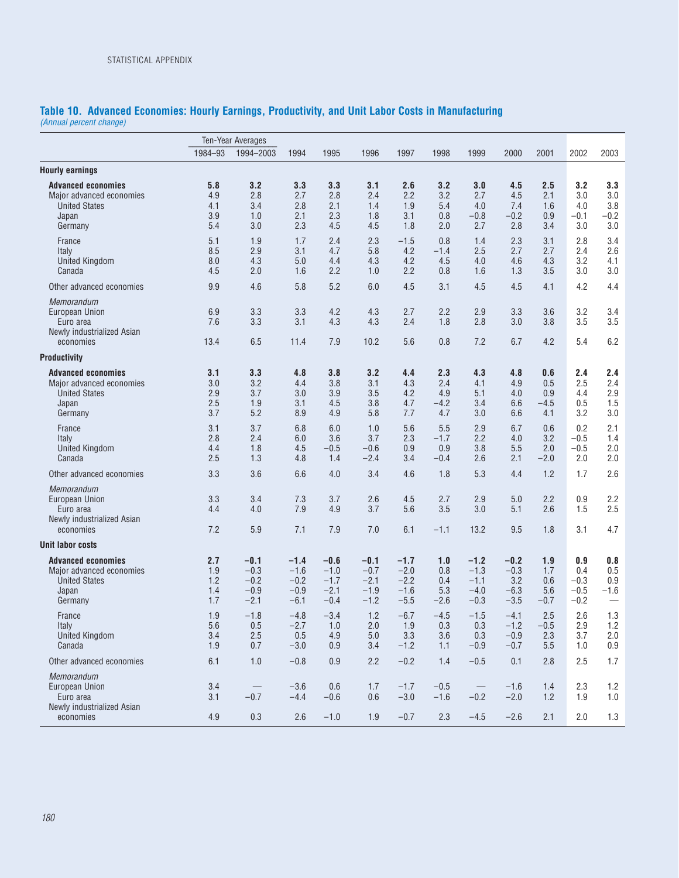#### **Table 10. Advanced Economies: Hourly Earnings, Productivity, and Unit Labor Costs in Manufacturing** *(Annual percent change)*

|                                                                                                   |                                 | <b>Ten-Year Averages</b>                       |                                                |                                                |                                                |                                                |                                    |                                                |                                           |                                    |                                          |                                    |
|---------------------------------------------------------------------------------------------------|---------------------------------|------------------------------------------------|------------------------------------------------|------------------------------------------------|------------------------------------------------|------------------------------------------------|------------------------------------|------------------------------------------------|-------------------------------------------|------------------------------------|------------------------------------------|------------------------------------|
|                                                                                                   | 1984-93                         | 1994-2003                                      | 1994                                           | 1995                                           | 1996                                           | 1997                                           | 1998                               | 1999                                           | 2000                                      | 2001                               | 2002                                     | 2003                               |
| <b>Hourly earnings</b>                                                                            |                                 |                                                |                                                |                                                |                                                |                                                |                                    |                                                |                                           |                                    |                                          |                                    |
| <b>Advanced economies</b><br>Major advanced economies<br><b>United States</b><br>Japan<br>Germany | 5.8<br>4.9<br>4.1<br>3.9<br>5.4 | 3.2<br>2.8<br>3.4<br>1.0<br>3.0                | 3.3<br>2.7<br>2.8<br>2.1<br>2.3                | 3.3<br>2.8<br>2.1<br>2.3<br>4.5                | 3.1<br>2.4<br>1.4<br>1.8<br>4.5                | 2.6<br>2.2<br>1.9<br>3.1<br>1.8                | 3.2<br>3.2<br>5.4<br>0.8<br>2.0    | 3.0<br>2.7<br>4.0<br>$-0.8$<br>2.7             | 4.5<br>4.5<br>7.4<br>$-0.2$<br>2.8        | 2.5<br>2.1<br>1.6<br>0.9<br>3.4    | 3.2<br>3.0<br>4.0<br>$-0.1$<br>3.0       | 3.3<br>3.0<br>3.8<br>$-0.2$<br>3.0 |
| France<br>Italy<br><b>United Kingdom</b><br>Canada                                                | 5.1<br>8.5<br>8.0<br>4.5        | 1.9<br>2.9<br>4.3<br>2.0                       | 1.7<br>3.1<br>5.0<br>1.6                       | 2.4<br>4.7<br>4.4<br>2.2                       | 2.3<br>5.8<br>4.3<br>1.0                       | $-1.5$<br>4.2<br>4.2<br>2.2                    | 0.8<br>$-1.4$<br>4.5<br>0.8        | 1.4<br>2.5<br>4.0<br>1.6                       | 2.3<br>2.7<br>4.6<br>1.3                  | 3.1<br>2.7<br>4.3<br>3.5           | 2.8<br>2.4<br>3.2<br>3.0                 | 3.4<br>2.6<br>4.1<br>3.0           |
| Other advanced economies                                                                          | 9.9                             | 4.6                                            | 5.8                                            | 5.2                                            | 6.0                                            | 4.5                                            | 3.1                                | 4.5                                            | 4.5                                       | 4.1                                | 4.2                                      | 4.4                                |
| Memorandum<br>European Union<br>Euro area<br>Newly industrialized Asian<br>economies              | 6.9<br>7.6<br>13.4              | 3.3<br>3.3<br>6.5                              | 3.3<br>3.1<br>11.4                             | 4.2<br>4.3<br>7.9                              | 4.3<br>4.3<br>10.2                             | 2.7<br>2.4<br>5.6                              | 2.2<br>1.8<br>0.8                  | 2.9<br>2.8<br>7.2                              | 3.3<br>3.0<br>6.7                         | 3.6<br>3.8<br>4.2                  | 3.2<br>3.5<br>5.4                        | 3.4<br>3.5<br>6.2                  |
| <b>Productivity</b>                                                                               |                                 |                                                |                                                |                                                |                                                |                                                |                                    |                                                |                                           |                                    |                                          |                                    |
| <b>Advanced economies</b><br>Major advanced economies<br><b>United States</b><br>Japan<br>Germany | 3.1<br>3.0<br>2.9<br>2.5<br>3.7 | 3.3<br>3.2<br>3.7<br>1.9<br>5.2                | 4.8<br>4.4<br>3.0<br>3.1<br>8.9                | 3.8<br>3.8<br>3.9<br>4.5<br>4.9                | 3.2<br>3.1<br>3.5<br>3.8<br>5.8                | 4.4<br>4.3<br>4.2<br>4.7<br>7.7                | 2.3<br>2.4<br>4.9<br>$-4.2$<br>4.7 | 4.3<br>4.1<br>5.1<br>3.4<br>3.0                | 4.8<br>4.9<br>4.0<br>6.6<br>6.6           | 0.6<br>0.5<br>0.9<br>$-4.5$<br>4.1 | 2.4<br>2.5<br>4.4<br>0.5<br>3.2          | 2.4<br>2.4<br>2.9<br>1.5<br>3.0    |
| France<br>Italy<br><b>United Kingdom</b><br>Canada                                                | 3.1<br>2.8<br>4.4<br>2.5        | 3.7<br>2.4<br>1.8<br>1.3                       | 6.8<br>6.0<br>4.5<br>4.8                       | 6.0<br>3.6<br>$-0.5$<br>1.4                    | 1.0<br>3.7<br>$-0.6$<br>$-2.4$                 | 5.6<br>2.3<br>0.9<br>3.4                       | 5.5<br>$-1.7$<br>0.9<br>$-0.4$     | 2.9<br>2.2<br>3.8<br>2.6                       | 6.7<br>4.0<br>5.5<br>2.1                  | 0.6<br>3.2<br>2.0<br>$-2.0$        | 0.2<br>$-0.5$<br>$-0.5$<br>2.0           | 2.1<br>1.4<br>2.0<br>2.0           |
| Other advanced economies                                                                          | 3.3                             | 3.6                                            | 6.6                                            | 4.0                                            | 3.4                                            | 4.6                                            | 1.8                                | 5.3                                            | 4.4                                       | 1.2                                | 1.7                                      | 2.6                                |
| Memorandum<br>European Union<br>Euro area<br>Newly industrialized Asian<br>economies              | 3.3<br>4.4<br>7.2               | 3.4<br>4.0<br>5.9                              | 7.3<br>7.9<br>7.1                              | 3.7<br>4.9<br>7.9                              | 2.6<br>3.7<br>7.0                              | 4.5<br>5.6<br>6.1                              | 2.7<br>3.5<br>$-1.1$               | 2.9<br>3.0<br>13.2                             | 5.0<br>5.1<br>9.5                         | 2.2<br>2.6<br>1.8                  | 0.9<br>1.5<br>3.1                        | 2.2<br>2.5<br>4.7                  |
| <b>Unit labor costs</b>                                                                           |                                 |                                                |                                                |                                                |                                                |                                                |                                    |                                                |                                           |                                    |                                          |                                    |
| <b>Advanced economies</b><br>Major advanced economies<br><b>United States</b><br>Japan<br>Germany | 2.7<br>1.9<br>1.2<br>1.4<br>1.7 | $-0.1$<br>$-0.3$<br>$-0.2$<br>$-0.9$<br>$-2.1$ | $-1.4$<br>$-1.6$<br>$-0.2$<br>$-0.9$<br>$-6.1$ | $-0.6$<br>$-1.0$<br>$-1.7$<br>$-2.1$<br>$-0.4$ | $-0.1$<br>$-0.7$<br>$-2.1$<br>$-1.9$<br>$-1.2$ | $-1.7$<br>$-2.0$<br>$-2.2$<br>$-1.6$<br>$-5.5$ | 1.0<br>0.8<br>0.4<br>5.3<br>$-2.6$ | $-1.2$<br>$-1.3$<br>$-1.1$<br>$-4.0$<br>$-0.3$ | -0.2<br>$-0.3$<br>3.2<br>$-6.3$<br>$-3.5$ | 1.9<br>1.7<br>0.6<br>5.6<br>$-0.7$ | 0.9<br>0.4<br>$-0.3$<br>$-0.5$<br>$-0.2$ | 0.8<br>0.5<br>0.9<br>$-1.6$        |
| France<br>Italy<br>United Kingdom<br>Canada                                                       | 1.9<br>5.6<br>3.4<br>$1.9$      | $-1.8$<br>0.5<br>2.5<br>0.7                    | $-4.8$<br>$-2.7$<br>0.5<br>$-3.0$              | $-3.4$<br>1.0<br>4.9<br>0.9                    | 1.2<br>2.0<br>$5.0$<br>3.4                     | $-6.7$<br>1.9<br>3.3<br>$-1.2$                 | $-4.5$<br>0.3<br>3.6<br>1.1        | $-1.5$<br>0.3<br>0.3<br>$-0.9$                 | $-4.1$<br>$-1.2$<br>$-0.9$<br>$-0.7$      | 2.5<br>$-0.5$<br>2.3<br>5.5        | 2.6<br>2.9<br>3.7<br>1.0                 | 1.3<br>1.2<br>2.0<br>0.9           |
| Other advanced economies                                                                          | 6.1                             | 1.0                                            | $-0.8$                                         | 0.9                                            | 2.2                                            | $-0.2$                                         | 1.4                                | $-0.5$                                         | 0.1                                       | 2.8                                | 2.5                                      | 1.7                                |
| <b>Memorandum</b><br>European Union<br>Euro area<br>Newly industrialized Asian                    | 3.4<br>3.1                      | $\overline{\phantom{m}}$<br>$-0.7$             | $-3.6$<br>$-4.4$                               | 0.6<br>$-0.6$                                  | 1.7<br>0.6                                     | $-1.7$<br>$-3.0$                               | $-0.5$<br>$-1.6$                   | $\overline{\phantom{m}}$<br>$-0.2$             | $-1.6$<br>$-2.0$                          | 1.4<br>1.2                         | 2.3<br>1.9                               | 1.2<br>1.0                         |
| economies                                                                                         | 4.9                             | 0.3                                            | 2.6                                            | $-1.0$                                         | 1.9                                            | $-0.7$                                         | 2.3                                | $-4.5$                                         | $-2.6$                                    | 2.1                                | 2.0                                      | 1.3                                |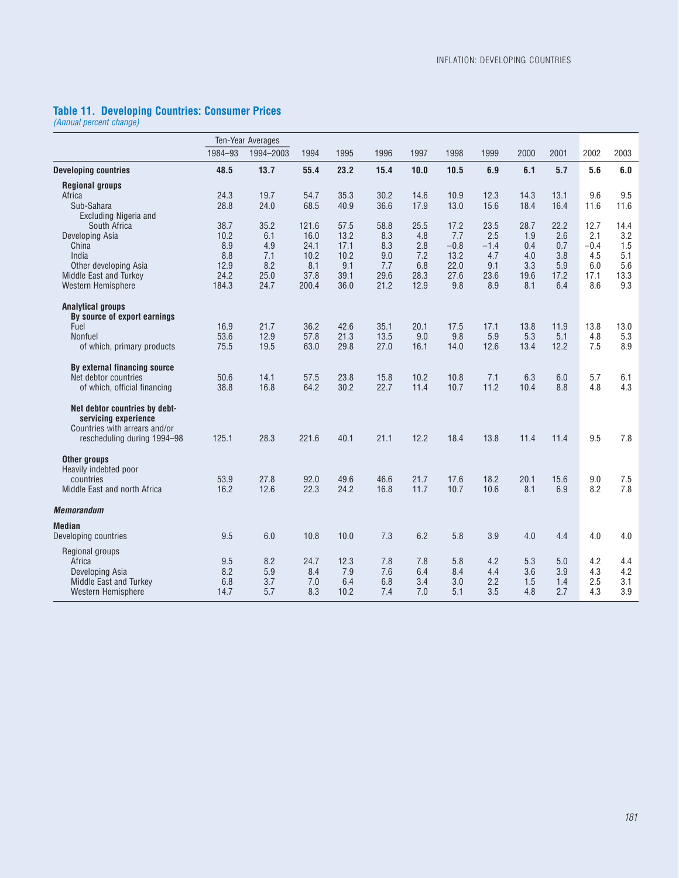#### **Table 11. Developing Countries: Consumer Prices**

*(Annual percent change)*

|                               |         | Ten-Year Averages |       |      |      |      |        |        |      |      |        |      |
|-------------------------------|---------|-------------------|-------|------|------|------|--------|--------|------|------|--------|------|
|                               | 1984-93 | 1994-2003         | 1994  | 1995 | 1996 | 1997 | 1998   | 1999   | 2000 | 2001 | 2002   | 2003 |
| <b>Developing countries</b>   | 48.5    | 13.7              | 55.4  | 23.2 | 15.4 | 10.0 | 10.5   | 6.9    | 6.1  | 5.7  | 5.6    | 6.0  |
| <b>Regional groups</b>        |         |                   |       |      |      |      |        |        |      |      |        |      |
| Africa                        | 24.3    | 19.7              | 54.7  | 35.3 | 30.2 | 14.6 | 10.9   | 12.3   | 14.3 | 13.1 | 9.6    | 9.5  |
| Sub-Sahara                    | 28.8    | 24.0              | 68.5  | 40.9 | 36.6 | 17.9 | 13.0   | 15.6   | 18.4 | 16.4 | 11.6   | 11.6 |
| <b>Excluding Nigeria and</b>  |         |                   |       |      |      |      |        |        |      |      |        |      |
| South Africa                  | 38.7    | 35.2              | 121.6 | 57.5 | 58.8 | 25.5 | 17.2   | 23.5   | 28.7 | 22.2 | 12.7   | 14.4 |
| Developing Asia               | 10.2    | 6.1               | 16.0  | 13.2 | 8.3  | 4.8  | 7.7    | 2.5    | 1.9  | 2.6  | 2.1    | 3.2  |
| China                         | 8.9     | 4.9               | 24.1  | 17.1 | 8.3  | 2.8  | $-0.8$ | $-1.4$ | 0.4  | 0.7  | $-0.4$ | 1.5  |
| India                         | 8.8     | 7.1               | 10.2  | 10.2 | 9.0  | 7.2  | 13.2   | 4.7    | 4.0  | 3.8  | 4.5    | 5.1  |
| Other developing Asia         | 12.9    | 8.2               | 8.1   | 9.1  | 7.7  | 6.8  | 22.0   | 9.1    | 3.3  | 5.9  | 6.0    | 5.6  |
| Middle East and Turkey        | 24.2    | 25.0              | 37.8  | 39.1 | 29.6 | 28.3 | 27.6   | 23.6   | 19.6 | 17.2 | 17.1   | 13.3 |
| Western Hemisphere            | 184.3   | 24.7              | 200.4 | 36.0 | 21.2 | 12.9 | 9.8    | 8.9    | 8.1  | 6.4  | 8.6    | 9.3  |
| <b>Analytical groups</b>      |         |                   |       |      |      |      |        |        |      |      |        |      |
| By source of export earnings  |         |                   |       |      |      |      |        |        |      |      |        |      |
| Fuel                          | 16.9    | 21.7              | 36.2  | 42.6 | 35.1 | 20.1 | 17.5   | 17.1   | 13.8 | 11.9 | 13.8   | 13.0 |
| <b>Nonfuel</b>                | 53.6    | 12.9              | 57.8  | 21.3 | 13.5 | 9.0  | 9.8    | 5.9    | 5.3  | 5.1  | 4.8    | 5.3  |
| of which, primary products    | 75.5    | 19.5              | 63.0  | 29.8 | 27.0 | 16.1 | 14.0   | 12.6   | 13.4 | 12.2 | 7.5    | 8.9  |
| By external financing source  |         |                   |       |      |      |      |        |        |      |      |        |      |
| Net debtor countries          | 50.6    | 14.1              | 57.5  | 23.8 | 15.8 | 10.2 | 10.8   | 7.1    | 6.3  | 6.0  | 5.7    | 6.1  |
| of which, official financing  | 38.8    | 16.8              | 64.2  | 30.2 | 22.7 | 11.4 | 10.7   | 11.2   | 10.4 | 8.8  | 4.8    | 4.3  |
| Net debtor countries by debt- |         |                   |       |      |      |      |        |        |      |      |        |      |
| servicing experience          |         |                   |       |      |      |      |        |        |      |      |        |      |
| Countries with arrears and/or |         |                   |       |      |      |      |        |        |      |      |        |      |
| rescheduling during 1994-98   | 125.1   | 28.3              | 221.6 | 40.1 | 21.1 | 12.2 | 18.4   | 13.8   | 11.4 | 11.4 | 9.5    | 7.8  |
| Other groups                  |         |                   |       |      |      |      |        |        |      |      |        |      |
| Heavily indebted poor         |         |                   |       |      |      |      |        |        |      |      |        |      |
| countries                     | 53.9    | 27.8              | 92.0  | 49.6 | 46.6 | 21.7 | 17.6   | 18.2   | 20.1 | 15.6 | 9.0    | 7.5  |
| Middle East and north Africa  | 16.2    | 12.6              | 22.3  | 24.2 | 16.8 | 11.7 | 10.7   | 10.6   | 8.1  | 6.9  | 8.2    | 7.8  |
| <b>Memorandum</b>             |         |                   |       |      |      |      |        |        |      |      |        |      |
| Median                        |         |                   |       |      |      |      |        |        |      |      |        |      |
| Developing countries          | 9.5     | 6.0               | 10.8  | 10.0 | 7.3  | 6.2  | 5.8    | 3.9    | 4.0  | 4.4  | 4.0    | 4.0  |
| Regional groups               |         |                   |       |      |      |      |        |        |      |      |        |      |
| Africa                        | 9.5     | 8.2               | 24.7  | 12.3 | 7.8  | 7.8  | 5.8    | 4.2    | 5.3  | 5.0  | 4.2    | 4.4  |
| Developing Asia               | 8.2     | 5.9               | 8.4   | 7.9  | 7.6  | 6.4  | 8.4    | 4.4    | 3.6  | 3.9  | 4.3    | 4.2  |
| Middle East and Turkey        | 6.8     | 3.7               | 7.0   | 6.4  | 6.8  | 3.4  | 3.0    | 2.2    | 1.5  | 1.4  | 2.5    | 3.1  |
| Western Hemisphere            | 14.7    | 5.7               | 8.3   | 10.2 | 7.4  | 7.0  | 5.1    | 3.5    | 4.8  | 2.7  | 4.3    | 3.9  |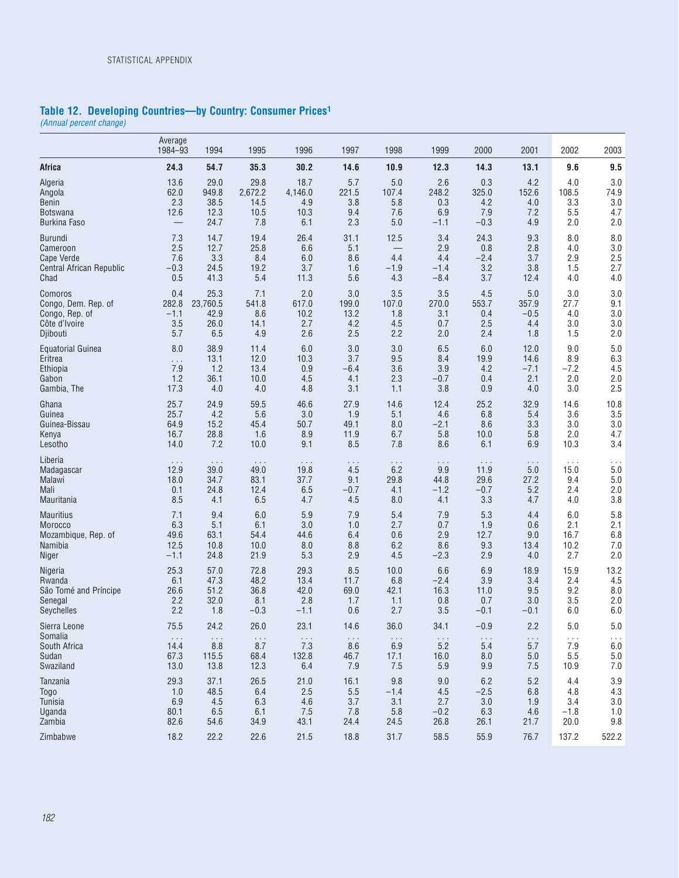#### **Table 12. Developing Countries—by Country: Consumer Prices1**

*(Annual percent change)*

|                          | Average<br>1984-93       | 1994                 | 1995                 | 1996                 | 1997                 | 1998                 | 1999                 | 2000                 | 2001                 | 2002                 | 2003                 |
|--------------------------|--------------------------|----------------------|----------------------|----------------------|----------------------|----------------------|----------------------|----------------------|----------------------|----------------------|----------------------|
| Africa                   | 24.3                     | 54.7                 | 35.3                 | 30.2                 | 14.6                 | 10.9                 | 12.3                 | 14.3                 | 13.1                 | 9.6                  | 9.5                  |
| Algeria                  | 13.6                     | 29.0                 | 29.8                 | 18.7                 | 5.7                  | $5.0$                | 2.6                  | 0.3                  | 4.2                  | 4.0                  | 3.0                  |
| Angola                   | 62.0                     | 949.8                | 2,672.2              | 4,146.0              | 221.5                | 107.4                | 248.2                | 325.0                | 152.6                | 108.5                | 74.9                 |
| Benin                    | 2.3                      | 38.5                 | 14.5                 | 4.9                  | 3.8                  | 5.8                  | 0.3                  | 4.2                  | 4.0                  | 3.3                  | 3.0                  |
| Botswana                 | 12.6                     | 12.3                 | 10.5                 | 10.3                 | 9.4                  | 7.6                  | 6.9                  | 7.9                  | 7.2                  | 5.5                  | 4.7                  |
| <b>Burkina Faso</b>      | $\overline{\phantom{0}}$ | 24.7                 | 7.8                  | 6.1                  | 2.3                  | $5.0$                | $-1.1$               | $-0.3$               | 4.9                  | 2.0                  | 2.0                  |
| <b>Burundi</b>           | 7.3                      | 14.7                 | 19.4                 | 26.4                 | 31.1                 | 12.5                 | 3.4                  | 24.3                 | 9.3                  | 8.0                  | 8.0                  |
| Cameroon                 | 2.5                      | 12.7                 | 25.8                 | 6.6                  | 5.1                  |                      | 2.9                  | 0.8                  | 2.8                  | 4.0                  | 3.0                  |
| <b>Cape Verde</b>        | 7.6                      | 3.3                  | 8.4                  | 6.0                  | 8.6                  | 4.4                  | 4.4                  | $-2.4$               | 3.7                  | 2.9                  | 2.5                  |
| Central African Republic | $-0.3$                   | 24.5                 | 19.2                 | 3.7                  | 1.6                  | $-1.9$               | $-1.4$               | 3.2                  | 3.8                  | 1.5                  | 2.7                  |
| Chad                     | 0.5                      | 41.3                 | 5.4                  | 11.3                 | 5.6                  | 4.3                  | $-8.4$               | 3.7                  | 12.4                 | 4.0                  | 4.0                  |
| Comoros                  | 0.4                      | 25.3                 | 7.1                  | 2.0                  | 3.0                  | 3.5                  | 3.5                  | 4.5                  | 5.0                  | 3.0                  | 3.0                  |
| Congo, Dem. Rep. of      | 282.8                    | 23,760.5             | 541.8                | 617.0                | 199.0                | 107.0                | 270.0                | 553.7                | 357.9                | 27.7                 | 9.1                  |
| Congo, Rep. of           | $-1.1$                   | 42.9                 | 8.6                  | 10.2                 | 13.2                 | 1.8                  | 3.1                  | 0.4                  | $-0.5$               | 4.0                  | 3.0                  |
| Côte d'Ivoire            | 3.5                      | 26.0                 | 14.1                 | 2.7                  | 4.2                  | 4.5                  | 0.7                  | 2.5                  | 4.4                  | 3.0                  | 3.0                  |
| Djibouti                 | 5.7                      | 6.5                  | 4.9                  | 2.6                  | 2.5                  | 2.2                  | 2.0                  | 2.4                  | 1.8                  | 1.5                  | 2.0                  |
| <b>Equatorial Guinea</b> | 8.0                      | 38.9                 | 11.4                 | 6.0                  | 3.0                  | 3.0                  | 6.5                  | 6.0                  | 12.0                 | 9.0                  | 5.0                  |
| Eritrea                  | .                        | 13.1                 | 12.0                 | 10.3                 | 3.7                  | 9.5                  | 8.4                  | 19.9                 | 14.6                 | 8.9                  | 6.3                  |
| Ethiopia                 | 7.9                      | 1.2                  | 13.4                 | 0.9                  | $-6.4$               | 3.6                  | 3.9                  | 4.2                  | $-7.1$               | $-7.2$               | 4.5                  |
| Gabon                    | 1.2                      | 36.1                 | 10.0                 | 4.5                  | 4.1                  | 2.3                  | $-0.7$               | 0.4                  | 2.1                  | 2.0                  | 2.0                  |
| Gambia, The              | 17.3                     | 4.0                  | 4.0                  | 4.8                  | 3.1                  | 1.1                  | 3.8                  | 0.9                  | 4.0                  | 3.0                  | 2.5                  |
| Ghana                    | 25.7                     | 24.9                 | 59.5                 | 46.6                 | 27.9                 | 14.6                 | 12.4                 | 25.2                 | 32.9                 | 14.6                 | 10.8                 |
| Guinea                   | 25.7                     | 4.2                  | 5.6                  | 3.0                  | 1.9                  | 5.1                  | 4.6                  | 6.8                  | 5.4                  | 3.6                  | 3.5                  |
| Guinea-Bissau            | 64.9                     | 15.2                 | 45.4                 | 50.7                 | 49.1                 | 8.0                  | $-2.1$               | 8.6                  | 3.3                  | 3.0                  | 3.0                  |
| Kenya                    | 16.7                     | 28.8                 | 1.6                  | 8.9                  | 11.9                 | 6.7                  | 5.8                  | 10.0                 | 5.8                  | 2.0                  | 4.7                  |
| Lesotho                  | 14.0                     | 7.2                  | 10.0                 | 9.1                  | 8.5                  | 7.8                  | 8.6                  | 6.1                  | 6.9                  | 10.3                 | 3.4                  |
| Liberia                  | $\cdots$                 | $\cdots$             | $\cdots$             | $\ldots$ .           | $\cdots$             | $\sim$ $\sim$ $\sim$ | $\sim$ $\sim$ $\sim$ | $\ldots$             | $\cdots$             | $\cdots$             | .                    |
| Madagascar               | 12.9                     | 39.0                 | 49.0                 | 19.8                 | 4.5                  | 6.2                  | 9.9                  | 11.9                 | 5.0                  | 15.0                 | 5.0                  |
| Malawi                   | 18.0                     | 34.7                 | 83.1                 | 37.7                 | 9.1                  | 29.8                 | 44.8                 | 29.6                 | 27.2                 | 9.4                  | 5.0                  |
| Mali                     | 0.1                      | 24.8                 | 12.4                 | 6.5                  | $-0.7$               | 4.1                  | $-1.2$               | $-0.7$               | 5.2                  | 2.4                  | 2.0                  |
| Mauritania               | 8.5                      | 4.1                  | 6.5                  | 4.7                  | 4.5                  | 8.0                  | 4.1                  | 3.3                  | 4.7                  | 4.0                  | 3.8                  |
| <b>Mauritius</b>         | 7.1                      | 9.4                  | 6.0                  | 5.9                  | 7.9                  | 5.4                  | 7.9                  | 5.3                  | 4.4                  | 6.0                  | 5.8                  |
| Morocco                  | 6.3                      | 5.1                  | 6.1                  | 3.0                  | 1.0                  | 2.7                  | 0.7                  | 1.9                  | 0.6                  | 2.1                  | 2.1                  |
| Mozambique, Rep. of      | 49.6                     | 63.1                 | 54.4                 | 44.6                 | 6.4                  | 0.6                  | 2.9                  | 12.7                 | 9.0                  | 16.7                 | 6.8                  |
| Namibia                  | 12.5                     | 10.8                 | 10.0                 | 8.0                  | 8.8                  | 6.2                  | 8.6                  | 9.3                  | 13.4                 | 10.2                 | 7.0                  |
| Niger                    | $-1.1$                   | 24.8                 | 21.9                 | 5.3                  | 2.9                  | 4.5                  | $-2.3$               | 2.9                  | 4.0                  | 2.7                  | 2.0                  |
| Nigeria                  | 25.3                     | 57.0                 | 72.8                 | 29.3                 | 8.5                  | 10.0                 | 6.6                  | 6.9                  | 18.9                 | 15.9                 | 13.2                 |
| Rwanda                   | 6.1                      | 47.3                 | 48.2                 | 13.4                 | 11.7                 | 6.8                  | $-2.4$               | 3.9                  | 3.4                  | 2.4                  | 4.5                  |
| Sâo Tomé and Príncipe    | 26.6                     | 51.2                 | 36.8                 | 42.0                 | 69.0                 | 42.1                 | 16.3                 | 11.0                 | 9.5                  | 9.2                  | 8.0                  |
| Senegal                  | 2.2                      | 32.0                 | 8.1                  | 2.8                  | 1.7                  | 1.1                  | 0.8                  | 0.7                  | 3.0                  | 3.5                  | 2.0                  |
| Seychelles               | 2.2                      | 1.8                  | $-0.3$               | $-1.1$               | 0.6                  | 2.7                  | 3.5                  | $-0.1$               | $-0.1$               | 6.0                  | 6.0                  |
| Sierra Leone             | 75.5                     | 24.2                 | 26.0                 | 23.1                 | 14.6                 | 36.0                 | 34.1                 | $-0.9$               | 2.2                  | 5.0                  | 5.0                  |
| Somalia                  | $\sim$ $\sim$ $\sim$     | $\sim$ $\sim$ $\sim$ | $\sim$ $\sim$ $\sim$ | $\sim$ $\sim$ $\sim$ | $\sim$ $\sim$ $\sim$ | $\sim$ $\sim$ $\sim$ | $\sim$ $\sim$ $\sim$ | $\sim$ $\sim$ $\sim$ | $\sim$ $\sim$ $\sim$ | $\sim$ $\sim$ $\sim$ | $\sim$ $\sim$ $\sim$ |
| South Africa             | 14.4                     | 8.8                  | 8.7                  | 7.3                  | 8.6                  | 6.9                  | 5.2                  | 5.4                  | 5.7                  | 7.9                  | $6.0\,$              |
| Sudan                    | 67.3                     | 115.5                | 68.4                 | 132.8                | 46.7                 | 17.1                 | 16.0                 | 8.0                  | 5.0                  | 5.5                  | $5.0\,$              |
| Swaziland                | 13.0                     | 13.8                 | 12.3                 | 6.4                  | 7.9                  | 7.5                  | 5.9                  | 9.9                  | 7.5                  | 10.9                 | $7.0\,$              |
| Tanzania                 | 29.3                     | 37.1                 | 26.5                 | 21.0                 | 16.1                 | 9.8                  | 9.0                  | $6.2\,$              | 5.2                  | 4.4                  | 3.9                  |
| Togo                     | 1.0                      | 48.5                 | 6.4                  | 2.5                  | 5.5                  | $-1.4$               | 4.5                  | $-2.5$               | 6.8                  | 4.8                  | 4.3                  |
| Tunisia                  | 6.9                      | 4.5                  | 6.3                  | 4.6                  | 3.7                  | 3.1                  | 2.7                  | 3.0                  | 1.9                  | 3.4                  | 3.0                  |
| Uganda                   | 80.1                     | 6.5                  | 6.1                  | 7.5                  | 7.8                  | 5.8                  | $-0.2$               | 6.3                  | 4.6                  | $-1.8$               | 1.0                  |
| Zambia                   | 82.6                     | 54.6                 | 34.9                 | 43.1                 | 24.4                 | 24.5                 | 26.8                 | 26.1                 | 21.7                 | 20.0                 | 9.8                  |
| Zimbabwe                 | 18.2                     | 22.2                 | 22.6                 | 21.5                 | 18.8                 | 31.7                 | 58.5                 | 55.9                 | 76.7                 | 137.2                | 522.2                |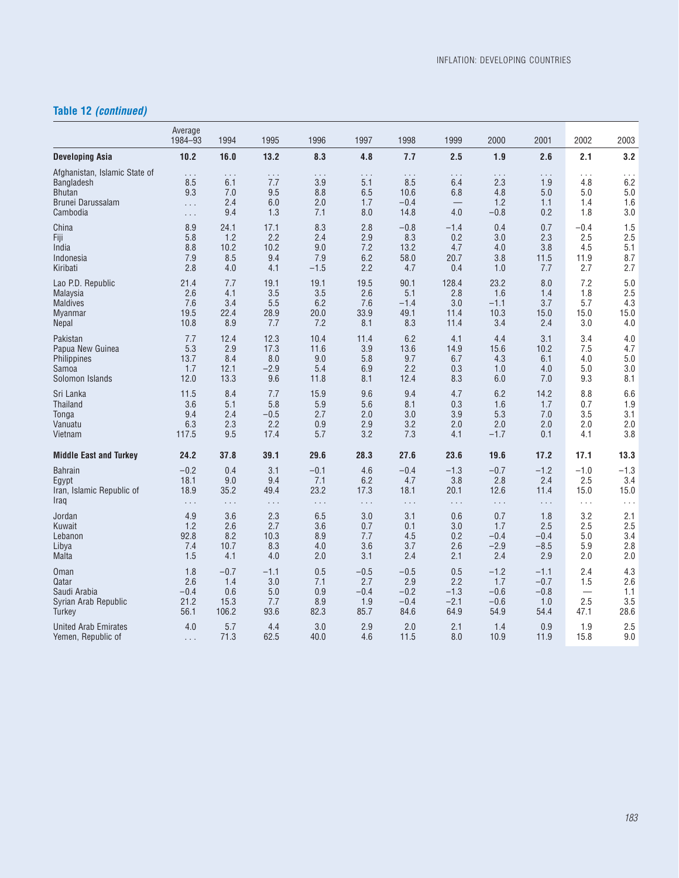### **Table 12** *(continued)*

|                                                                                        | Average<br>1984-93                             | 1994                                 | 1995                                 | 1996                                 | 1997                          | 1998                                      | 1999                   | 2000                                    | 2001                                 | 2002                                 | 2003                                 |
|----------------------------------------------------------------------------------------|------------------------------------------------|--------------------------------------|--------------------------------------|--------------------------------------|-------------------------------|-------------------------------------------|------------------------|-----------------------------------------|--------------------------------------|--------------------------------------|--------------------------------------|
| <b>Developing Asia</b>                                                                 | 10.2                                           | 16.0                                 | 13.2                                 | 8.3                                  | 4.8                           | 7.7                                       | 2.5                    | 1.9                                     | 2.6                                  | 2.1                                  | 3.2                                  |
| Afghanistan, Islamic State of<br>Bangladesh<br>Bhutan<br>Brunei Darussalam<br>Cambodia | $\ldots$<br>8.5<br>9.3<br>$\ldots$<br>$\ldots$ | $\cdots$<br>6.1<br>7.0<br>2.4<br>9.4 | $\cdots$<br>7.7<br>9.5<br>6.0<br>1.3 | $\cdots$<br>3.9<br>8.8<br>2.0<br>7.1 | .<br>5.1<br>6.5<br>1.7<br>8.0 | $\cdots$<br>8.5<br>10.6<br>$-0.4$<br>14.8 | .<br>6.4<br>6.8<br>4.0 | $\cdots$<br>2.3<br>4.8<br>1.2<br>$-0.8$ | $\cdots$<br>1.9<br>5.0<br>1.1<br>0.2 | $\cdots$<br>4.8<br>5.0<br>1.4<br>1.8 | $\cdots$<br>6.2<br>5.0<br>1.6<br>3.0 |
| China                                                                                  | 8.9                                            | 24.1                                 | 17.1                                 | 8.3                                  | 2.8                           | $-0.8$                                    | $-1.4$                 | 0.4                                     | 0.7                                  | $-0.4$                               | 1.5                                  |
| Fiji                                                                                   | 5.8                                            | 1.2                                  | 2.2                                  | 2.4                                  | 2.9                           | 8.3                                       | 0.2                    | 3.0                                     | 2.3                                  | 2.5                                  | 2.5                                  |
| India                                                                                  | 8.8                                            | 10.2                                 | 10.2                                 | 9.0                                  | 7.2                           | 13.2                                      | 4.7                    | 4.0                                     | 3.8                                  | 4.5                                  | 5.1                                  |
| Indonesia                                                                              | 7.9                                            | 8.5                                  | 9.4                                  | 7.9                                  | 6.2                           | 58.0                                      | 20.7                   | 3.8                                     | 11.5                                 | 11.9                                 | 8.7                                  |
| Kiribati                                                                               | 2.8                                            | 4.0                                  | 4.1                                  | $-1.5$                               | 2.2                           | 4.7                                       | 0.4                    | 1.0                                     | 7.7                                  | 2.7                                  | 2.7                                  |
| Lao P.D. Republic                                                                      | 21.4                                           | 7.7                                  | 19.1                                 | 19.1                                 | 19.5                          | 90.1                                      | 128.4                  | 23.2                                    | 8.0                                  | 7.2                                  | 5.0                                  |
| Malaysia                                                                               | 2.6                                            | 4.1                                  | 3.5                                  | 3.5                                  | 2.6                           | 5.1                                       | 2.8                    | 1.6                                     | 1.4                                  | 1.8                                  | 2.5                                  |
| <b>Maldives</b>                                                                        | 7.6                                            | 3.4                                  | 5.5                                  | 6.2                                  | 7.6                           | $-1.4$                                    | 3.0                    | $-1.1$                                  | 3.7                                  | 5.7                                  | 4.3                                  |
| Myanmar                                                                                | 19.5                                           | 22.4                                 | 28.9                                 | 20.0                                 | 33.9                          | 49.1                                      | 11.4                   | 10.3                                    | 15.0                                 | 15.0                                 | 15.0                                 |
| Nepal                                                                                  | 10.8                                           | 8.9                                  | 7.7                                  | 7.2                                  | 8.1                           | 8.3                                       | 11.4                   | 3.4                                     | 2.4                                  | 3.0                                  | 4.0                                  |
| Pakistan                                                                               | 7.7                                            | 12.4                                 | 12.3                                 | 10.4                                 | 11.4                          | 6.2                                       | 4.1                    | 4.4                                     | 3.1                                  | 3.4                                  | 4.0                                  |
| Papua New Guinea                                                                       | 5.3                                            | 2.9                                  | 17.3                                 | 11.6                                 | 3.9                           | 13.6                                      | 14.9                   | 15.6                                    | 10.2                                 | 7.5                                  | 4.7                                  |
| <b>Philippines</b>                                                                     | 13.7                                           | 8.4                                  | 8.0                                  | 9.0                                  | 5.8                           | 9.7                                       | 6.7                    | 4.3                                     | 6.1                                  | 4.0                                  | 5.0                                  |
| Samoa                                                                                  | 1.7                                            | 12.1                                 | $-2.9$                               | 5.4                                  | 6.9                           | 2.2                                       | 0.3                    | 1.0                                     | 4.0                                  | 5.0                                  | 3.0                                  |
| Solomon Islands                                                                        | 12.0                                           | 13.3                                 | 9.6                                  | 11.8                                 | 8.1                           | 12.4                                      | 8.3                    | 6.0                                     | 7.0                                  | 9.3                                  | 8.1                                  |
| Sri Lanka                                                                              | 11.5                                           | 8.4                                  | 7.7                                  | 15.9                                 | 9.6                           | 9.4                                       | 4.7                    | 6.2                                     | 14.2                                 | 8.8                                  | 6.6                                  |
| <b>Thailand</b>                                                                        | 3.6                                            | 5.1                                  | 5.8                                  | 5.9                                  | 5.6                           | 8.1                                       | 0.3                    | 1.6                                     | 1.7                                  | 0.7                                  | 1.9                                  |
| Tonga                                                                                  | 9.4                                            | 2.4                                  | $-0.5$                               | 2.7                                  | 2.0                           | 3.0                                       | 3.9                    | 5.3                                     | 7.0                                  | 3.5                                  | 3.1                                  |
| Vanuatu                                                                                | 6.3                                            | 2.3                                  | 2.2                                  | 0.9                                  | 2.9                           | 3.2                                       | 2.0                    | 2.0                                     | 2.0                                  | 2.0                                  | 2.0                                  |
| Vietnam                                                                                | 117.5                                          | 9.5                                  | 17.4                                 | 5.7                                  | 3.2                           | 7.3                                       | 4.1                    | $-1.7$                                  | 0.1                                  | 4.1                                  | 3.8                                  |
| <b>Middle East and Turkey</b>                                                          | 24.2                                           | 37.8                                 | 39.1                                 | 29.6                                 | 28.3                          | 27.6                                      | 23.6                   | 19.6                                    | 17.2                                 | 17.1                                 | 13.3                                 |
| <b>Bahrain</b>                                                                         | $-0.2$                                         | 0.4                                  | 3.1                                  | $-0.1$                               | 4.6                           | $-0.4$                                    | $-1.3$                 | $-0.7$                                  | $-1.2$                               | $-1.0$                               | $-1.3$                               |
| Egypt                                                                                  | 18.1                                           | 9.0                                  | 9.4                                  | 7.1                                  | 6.2                           | 4.7                                       | 3.8                    | 2.8                                     | 2.4                                  | 2.5                                  | 3.4                                  |
| Iran, Islamic Republic of                                                              | 18.9                                           | 35.2                                 | 49.4                                 | 23.2                                 | 17.3                          | 18.1                                      | 20.1                   | 12.6                                    | 11.4                                 | 15.0                                 | 15.0                                 |
| Iraq                                                                                   | $\ldots$                                       | $\ldots$                             | $\ldots$                             | $\ldots$                             | $\ldots$                      | $\ldots$                                  | $\sim$ $\sim$ $\sim$   | $\ldots$                                | $\sim$ $\sim$ $\sim$                 | $\sim$ $\sim$ $\sim$                 | $\ldots$                             |
| Jordan                                                                                 | 4.9                                            | 3.6                                  | 2.3                                  | 6.5                                  | 3.0                           | 3.1                                       | 0.6                    | 0.7                                     | 1.8                                  | 3.2                                  | 2.1                                  |
| Kuwait                                                                                 | 1.2                                            | 2.6                                  | 2.7                                  | 3.6                                  | 0.7                           | 0.1                                       | 3.0                    | 1.7                                     | 2.5                                  | 2.5                                  | 2.5                                  |
| Lebanon                                                                                | 92.8                                           | 8.2                                  | 10.3                                 | 8.9                                  | 7.7                           | 4.5                                       | 0.2                    | $-0.4$                                  | $-0.4$                               | 5.0                                  | 3.4                                  |
| Libya                                                                                  | 7.4                                            | 10.7                                 | 8.3                                  | 4.0                                  | 3.6                           | 3.7                                       | 2.6                    | $-2.9$                                  | $-8.5$                               | 5.9                                  | 2.8                                  |
| Malta                                                                                  | 1.5                                            | 4.1                                  | 4.0                                  | 2.0                                  | 3.1                           | 2.4                                       | 2.1                    | 2.4                                     | 2.9                                  | 2.0                                  | 2.0                                  |
| Oman                                                                                   | 1.8                                            | $-0.7$                               | $-1.1$                               | 0.5                                  | $-0.5$                        | $-0.5$                                    | 0.5                    | $-1.2$                                  | $-1.1$                               | 2.4                                  | 4.3                                  |
| Qatar                                                                                  | 2.6                                            | 1.4                                  | 3.0                                  | 7.1                                  | 2.7                           | 2.9                                       | 2.2                    | 1.7                                     | $-0.7$                               | 1.5                                  | 2.6                                  |
| Saudi Arabia                                                                           | $-0.4$                                         | 0.6                                  | 5.0                                  | 0.9                                  | $-0.4$                        | $-0.2$                                    | $-1.3$                 | $-0.6$                                  | $-0.8$                               |                                      | 1.1                                  |
| Syrian Arab Republic                                                                   | 21.2                                           | 15.3                                 | 7.7                                  | 8.9                                  | 1.9                           | $-0.4$                                    | $-2.1$                 | $-0.6$                                  | 1.0                                  | 2.5                                  | 3.5                                  |
| Turkey                                                                                 | 56.1                                           | 106.2                                | 93.6                                 | 82.3                                 | 85.7                          | 84.6                                      | 64.9                   | 54.9                                    | 54.4                                 | 47.1                                 | 28.6                                 |
| United Arab Emirates                                                                   | 4.0                                            | 5.7                                  | 4.4                                  | 3.0                                  | 2.9                           | 2.0                                       | 2.1                    | 1.4                                     | 0.9                                  | 1.9                                  | 2.5                                  |
| Yemen, Republic of                                                                     | $\ldots$                                       | 71.3                                 | 62.5                                 | 40.0                                 | 4.6                           | 11.5                                      | 8.0                    | 10.9                                    | 11.9                                 | 15.8                                 | 9.0                                  |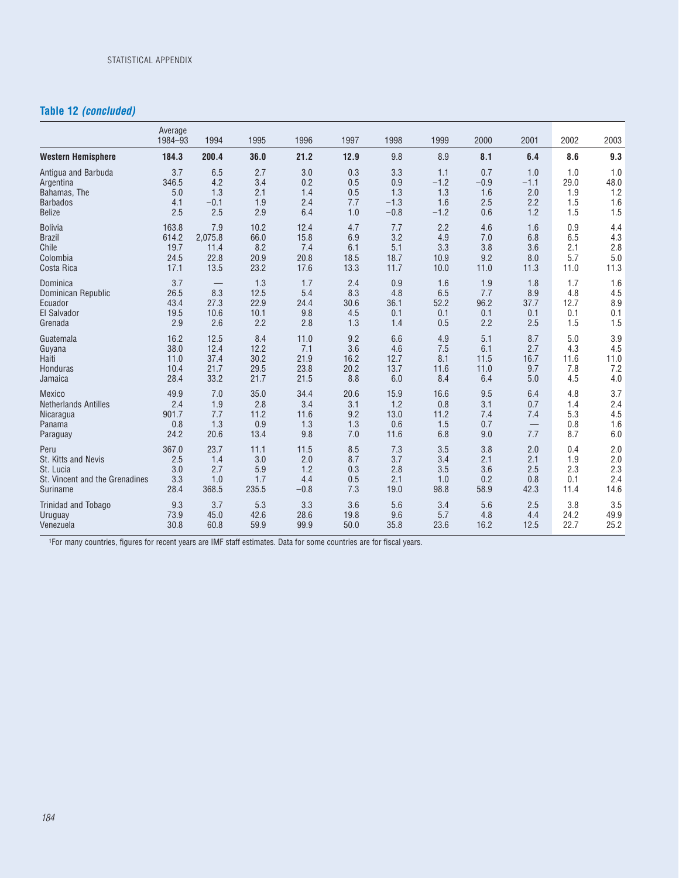### **Table 12** *(concluded)*

|                                | Average<br>1984-93 | 1994                     | 1995  | 1996   | 1997 | 1998   | 1999   | 2000   | 2001   | 2002 | 2003 |
|--------------------------------|--------------------|--------------------------|-------|--------|------|--------|--------|--------|--------|------|------|
| <b>Western Hemisphere</b>      | 184.3              | 200.4                    | 36.0  | 21.2   | 12.9 | 9.8    | 8.9    | 8.1    | 6.4    | 8.6  | 9.3  |
| Antigua and Barbuda            | 3.7                | 6.5                      | 2.7   | 3.0    | 0.3  | 3.3    | 1.1    | 0.7    | 1.0    | 1.0  | 1.0  |
| Argentina                      | 346.5              | 4.2                      | 3.4   | 0.2    | 0.5  | 0.9    | $-1.2$ | $-0.9$ | $-1.1$ | 29.0 | 48.0 |
| Bahamas, The                   | 5.0                | 1.3                      | 2.1   | 1.4    | 0.5  | 1.3    | 1.3    | 1.6    | 2.0    | 1.9  | 1.2  |
| <b>Barbados</b>                | 4.1                | $-0.1$                   | 1.9   | 2.4    | 7.7  | $-1.3$ | 1.6    | 2.5    | 2.2    | 1.5  | 1.6  |
| <b>Belize</b>                  | 2.5                | 2.5                      | 2.9   | 6.4    | 1.0  | $-0.8$ | $-1.2$ | 0.6    | 1.2    | 1.5  | 1.5  |
| <b>Bolivia</b>                 | 163.8              | 7.9                      | 10.2  | 12.4   | 4.7  | 7.7    | 2.2    | 4.6    | 1.6    | 0.9  | 4.4  |
| <b>Brazil</b>                  | 614.2              | 2,075.8                  | 66.0  | 15.8   | 6.9  | 3.2    | 4.9    | 7.0    | 6.8    | 6.5  | 4.3  |
| Chile                          | 19.7               | 11.4                     | 8.2   | 7.4    | 6.1  | 5.1    | 3.3    | 3.8    | 3.6    | 2.1  | 2.8  |
| Colombia                       | 24.5               | 22.8                     | 20.9  | 20.8   | 18.5 | 18.7   | 10.9   | 9.2    | 8.0    | 5.7  | 5.0  |
| Costa Rica                     | 17.1               | 13.5                     | 23.2  | 17.6   | 13.3 | 11.7   | 10.0   | 11.0   | 11.3   | 11.0 | 11.3 |
| Dominica                       | 3.7                | $\overline{\phantom{0}}$ | 1.3   | 1.7    | 2.4  | 0.9    | 1.6    | 1.9    | 1.8    | 1.7  | 1.6  |
| Dominican Republic             | 26.5               | 8.3                      | 12.5  | 5.4    | 8.3  | 4.8    | 6.5    | 7.7    | 8.9    | 4.8  | 4.5  |
| Ecuador                        | 43.4               | 27.3                     | 22.9  | 24.4   | 30.6 | 36.1   | 52.2   | 96.2   | 37.7   | 12.7 | 8.9  |
| El Salvador                    | 19.5               | 10.6                     | 10.1  | 9.8    | 4.5  | 0.1    | 0.1    | 0.1    | 0.1    | 0.1  | 0.1  |
| Grenada                        | 2.9                | 2.6                      | 2.2   | 2.8    | 1.3  | 1.4    | 0.5    | 2.2    | 2.5    | 1.5  | 1.5  |
| Guatemala                      | 16.2               | 12.5                     | 8.4   | 11.0   | 9.2  | 6.6    | 4.9    | 5.1    | 8.7    | 5.0  | 3.9  |
| Guyana                         | 38.0               | 12.4                     | 12.2  | 7.1    | 3.6  | 4.6    | 7.5    | 6.1    | 2.7    | 4.3  | 4.5  |
| Haiti                          | 11.0               | 37.4                     | 30.2  | 21.9   | 16.2 | 12.7   | 8.1    | 11.5   | 16.7   | 11.6 | 11.0 |
| Honduras                       | 10.4               | 21.7                     | 29.5  | 23.8   | 20.2 | 13.7   | 11.6   | 11.0   | 9.7    | 7.8  | 7.2  |
| Jamaica                        | 28.4               | 33.2                     | 21.7  | 21.5   | 8.8  | 6.0    | 8.4    | 6.4    | 5.0    | 4.5  | 4.0  |
| <b>Mexico</b>                  | 49.9               | 7.0                      | 35.0  | 34.4   | 20.6 | 15.9   | 16.6   | 9.5    | 6.4    | 4.8  | 3.7  |
| <b>Netherlands Antilles</b>    | 2.4                | 1.9                      | 2.8   | 3.4    | 3.1  | 1.2    | 0.8    | 3.1    | 0.7    | 1.4  | 2.4  |
| Nicaragua                      | 901.7              | 7.7                      | 11.2  | 11.6   | 9.2  | 13.0   | 11.2   | 7.4    | 7.4    | 5.3  | 4.5  |
| Panama                         | 0.8                | 1.3                      | 0.9   | 1.3    | 1.3  | 0.6    | 1.5    | 0.7    |        | 0.8  | 1.6  |
| Paraguay                       | 24.2               | 20.6                     | 13.4  | 9.8    | 7.0  | 11.6   | 6.8    | 9.0    | 7.7    | 8.7  | 6.0  |
| Peru                           | 367.0              | 23.7                     | 11.1  | 11.5   | 8.5  | 7.3    | 3.5    | 3.8    | 2.0    | 0.4  | 2.0  |
| St. Kitts and Nevis            | 2.5                | 1.4                      | 3.0   | 2.0    | 8.7  | 3.7    | 3.4    | 2.1    | 2.1    | 1.9  | 2.0  |
| St. Lucia                      | 3.0                | 2.7                      | 5.9   | 1.2    | 0.3  | 2.8    | 3.5    | 3.6    | 2.5    | 2.3  | 2.3  |
| St. Vincent and the Grenadines | 3.3                | 1.0                      | 1.7   | 4.4    | 0.5  | 2.1    | 1.0    | 0.2    | 0.8    | 0.1  | 2.4  |
| Suriname                       | 28.4               | 368.5                    | 235.5 | $-0.8$ | 7.3  | 19.0   | 98.8   | 58.9   | 42.3   | 11.4 | 14.6 |
| <b>Trinidad and Tobago</b>     | 9.3                | 3.7                      | 5.3   | 3.3    | 3.6  | 5.6    | 3.4    | 5.6    | 2.5    | 3.8  | 3.5  |
| Uruguay                        | 73.9               | 45.0                     | 42.6  | 28.6   | 19.8 | 9.6    | 5.7    | 4.8    | 4.4    | 24.2 | 49.9 |
| Venezuela                      | 30.8               | 60.8                     | 59.9  | 99.9   | 50.0 | 35.8   | 23.6   | 16.2   | 12.5   | 22.7 | 25.2 |

1For many countries, figures for recent years are IMF staff estimates. Data for some countries are for fiscal years.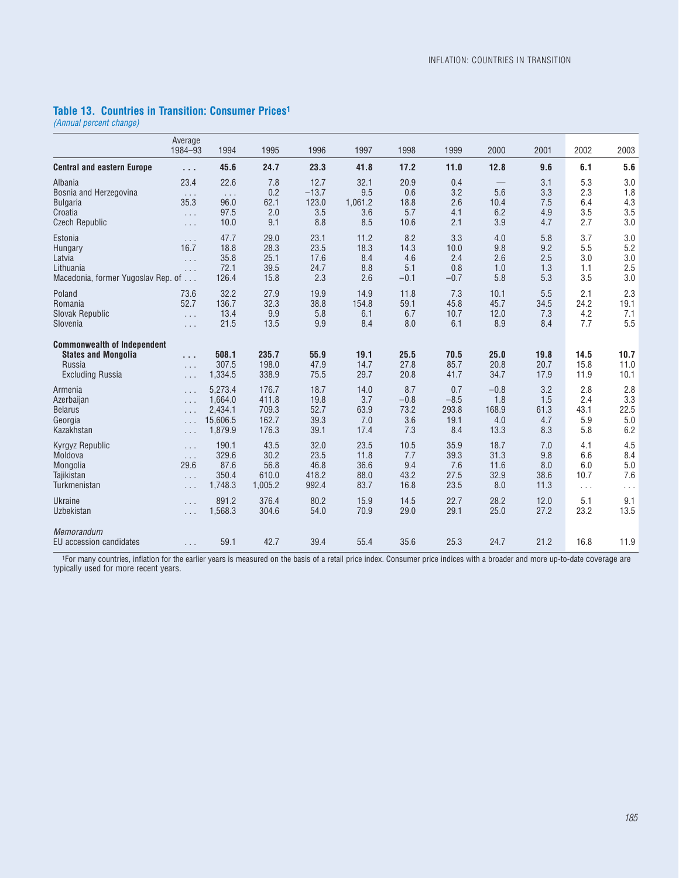### **Table 13. Countries in Transition: Consumer Prices1**

*(Annual percent change)*

|                                                                                                       | Average<br>1984-93                       | 1994                                  | 1995                                 | 1996                                | 1997                              | 1998                                | 1999                                | 2000                            | 2001                            | 2002                            | 2003                            |
|-------------------------------------------------------------------------------------------------------|------------------------------------------|---------------------------------------|--------------------------------------|-------------------------------------|-----------------------------------|-------------------------------------|-------------------------------------|---------------------------------|---------------------------------|---------------------------------|---------------------------------|
| <b>Central and eastern Europe</b>                                                                     | $\cdots$                                 | 45.6                                  | 24.7                                 | 23.3                                | 41.8                              | 17.2                                | 11.0                                | 12.8                            | 9.6                             | 6.1                             | 5.6                             |
| Albania                                                                                               | 23.4                                     | 22.6                                  | 7.8                                  | 12.7                                | 32.1                              | 20.9                                | 0.4                                 | —                               | 3.1                             | 5.3                             | 3.0                             |
| Bosnia and Herzegovina                                                                                | $\sim$ $\sim$ $\sim$                     | $\sim$ $\sim$ $\sim$                  | 0.2                                  | $-13.7$                             | 9.5                               | 0.6                                 | 3.2                                 | 5.6                             | 3.3                             | 2.3                             | 1.8                             |
| <b>Bulgaria</b>                                                                                       | 35.3                                     | 96.0                                  | 62.1                                 | 123.0                               | 1,061.2                           | 18.8                                | 2.6                                 | 10.4                            | 7.5                             | 6.4                             | 4.3                             |
| Croatia                                                                                               | $\ldots$                                 | 97.5                                  | 2.0                                  | 3.5                                 | 3.6                               | 5.7                                 | 4.1                                 | 6.2                             | 4.9                             | 3.5                             | 3.5                             |
| <b>Czech Republic</b>                                                                                 | $\cdots$                                 | 10.0                                  | 9.1                                  | 8.8                                 | 8.5                               | 10.6                                | 2.1                                 | 3.9                             | 4.7                             | 2.7                             | 3.0                             |
| Estonia<br>Hungary<br>Latvia<br>Lithuania<br>Macedonia, former Yugoslav Rep. of                       | $\cdots$<br>16.7<br>$\ldots$<br>$\ldots$ | 47.7<br>18.8<br>35.8<br>72.1<br>126.4 | 29.0<br>28.3<br>25.1<br>39.5<br>15.8 | 23.1<br>23.5<br>17.6<br>24.7<br>2.3 | 11.2<br>18.3<br>8.4<br>8.8<br>2.6 | 8.2<br>14.3<br>4.6<br>5.1<br>$-0.1$ | 3.3<br>10.0<br>2.4<br>0.8<br>$-0.7$ | 4.0<br>9.8<br>2.6<br>1.0<br>5.8 | 5.8<br>9.2<br>2.5<br>1.3<br>5.3 | 3.7<br>5.5<br>3.0<br>1.1<br>3.5 | 3.0<br>5.2<br>3.0<br>2.5<br>3.0 |
| Poland                                                                                                | 73.6                                     | 32.2                                  | 27.9                                 | 19.9                                | 14.9                              | 11.8                                | 7.3                                 | 10.1                            | 5.5                             | 2.1                             | 2.3                             |
| Romania                                                                                               | 52.7                                     | 136.7                                 | 32.3                                 | 38.8                                | 154.8                             | 59.1                                | 45.8                                | 45.7                            | 34.5                            | 24.2                            | 19.1                            |
| Slovak Republic                                                                                       | $\ldots$                                 | 13.4                                  | 9.9                                  | 5.8                                 | 6.1                               | 6.7                                 | 10.7                                | 12.0                            | 7.3                             | 4.2                             | 7.1                             |
| Slovenia                                                                                              | $\ldots$                                 | 21.5                                  | 13.5                                 | 9.9                                 | 8.4                               | 8.0                                 | 6.1                                 | 8.9                             | 8.4                             | 7.7                             | 5.5                             |
| <b>Commonwealth of Independent</b><br><b>States and Mongolia</b><br>Russia<br><b>Excluding Russia</b> | $\cdots$<br>$\cdots$<br>$\cdots$         | 508.1<br>307.5<br>1,334.5             | 235.7<br>198.0<br>338.9              | 55.9<br>47.9<br>75.5                | 19.1<br>14.7<br>29.7              | 25.5<br>27.8<br>20.8                | 70.5<br>85.7<br>41.7                | 25.0<br>20.8<br>34.7            | 19.8<br>20.7<br>17.9            | 14.5<br>15.8<br>11.9            | 10.7<br>11.0<br>10.1            |
| Armenia                                                                                               | $\ldots$                                 | 5.273.4                               | 176.7                                | 18.7                                | 14.0                              | 8.7                                 | 0.7                                 | $-0.8$                          | 3.2                             | 2.8                             | 2.8                             |
| Azerbaijan                                                                                            | $\ldots$                                 | 1.664.0                               | 411.8                                | 19.8                                | 3.7                               | $-0.8$                              | $-8.5$                              | 1.8                             | 1.5                             | 2.4                             | 3.3                             |
| <b>Belarus</b>                                                                                        | $\cdots$                                 | 2,434.1                               | 709.3                                | 52.7                                | 63.9                              | 73.2                                | 293.8                               | 168.9                           | 61.3                            | 43.1                            | 22.5                            |
| Georgia                                                                                               | $\cdots$                                 | 15,606.5                              | 162.7                                | 39.3                                | 7.0                               | 3.6                                 | 19.1                                | 4.0                             | 4.7                             | 5.9                             | 5.0                             |
| Kazakhstan                                                                                            | .                                        | 1,879.9                               | 176.3                                | 39.1                                | 17.4                              | 7.3                                 | 8.4                                 | 13.3                            | 8.3                             | 5.8                             | 6.2                             |
| <b>Kyrgyz Republic</b>                                                                                | $\cdots$                                 | 190.1                                 | 43.5                                 | 32.0                                | 23.5                              | 10.5                                | 35.9                                | 18.7                            | 7.0                             | 4.1                             | 4.5                             |
| Moldova                                                                                               | $\ldots$                                 | 329.6                                 | 30.2                                 | 23.5                                | 11.8                              | 7.7                                 | 39.3                                | 31.3                            | 9.8                             | 6.6                             | 8.4                             |
| Mongolia                                                                                              | 29.6                                     | 87.6                                  | 56.8                                 | 46.8                                | 36.6                              | 9.4                                 | 7.6                                 | 11.6                            | 8.0                             | 6.0                             | 5.0                             |
| Tajikistan                                                                                            | $\ldots$                                 | 350.4                                 | 610.0                                | 418.2                               | 88.0                              | 43.2                                | 27.5                                | 32.9                            | 38.6                            | 10.7                            | 7.6                             |
| Turkmenistan                                                                                          | $\cdots$                                 | 1,748.3                               | 1,005.2                              | 992.4                               | 83.7                              | 16.8                                | 23.5                                | 8.0                             | 11.3                            | $\cdots$                        | $\cdots$                        |
| <b>Ukraine</b>                                                                                        | $\cdots$                                 | 891.2                                 | 376.4                                | 80.2                                | 15.9                              | 14.5                                | 22.7                                | 28.2                            | 12.0                            | 5.1                             | 9.1                             |
| Uzbekistan                                                                                            | $\ldots$                                 | 1,568.3                               | 304.6                                | 54.0                                | 70.9                              | 29.0                                | 29.1                                | 25.0                            | 27.2                            | 23.2                            | 13.5                            |
| Memorandum<br>EU accession candidates                                                                 | $\cdots$                                 | 59.1                                  | 42.7                                 | 39.4                                | 55.4                              | 35.6                                | 25.3                                | 24.7                            | 21.2                            | 16.8                            | 11.9                            |

1For many countries, inflation for the earlier years is measured on the basis of a retail price index. Consumer price indices with a broader and more up-to-date coverage are typically used for more recent years.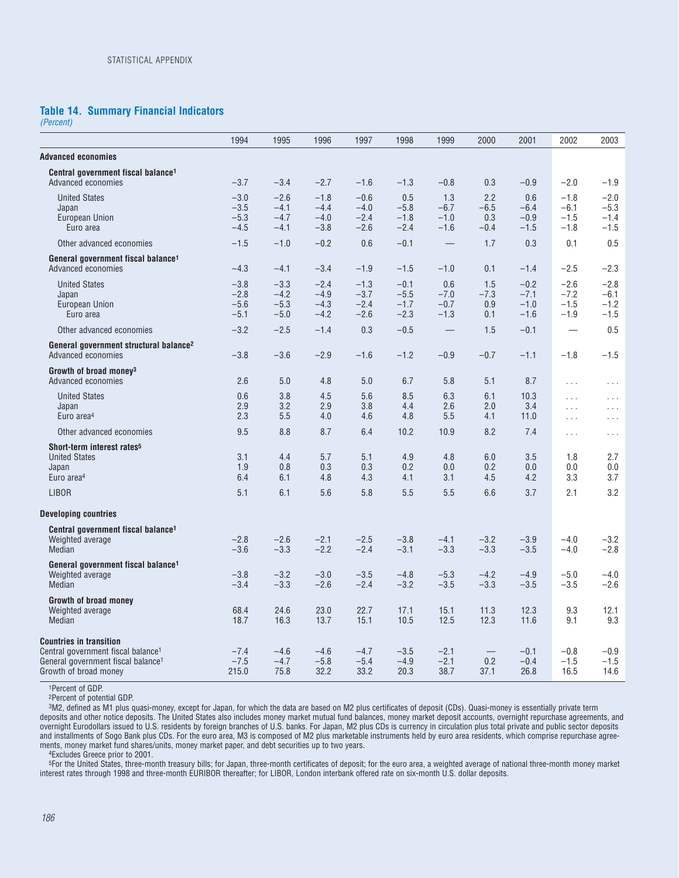#### **Table 14. Summary Financial Indicators**

*(Percent)*

|                                                                                                                                                             | 1994                                 | 1995                                 | 1996                                 | 1997                                 | 1998                                 | 1999                              | 2000                           | 2001                                 | 2002                                 | 2003                                 |
|-------------------------------------------------------------------------------------------------------------------------------------------------------------|--------------------------------------|--------------------------------------|--------------------------------------|--------------------------------------|--------------------------------------|-----------------------------------|--------------------------------|--------------------------------------|--------------------------------------|--------------------------------------|
| <b>Advanced economies</b>                                                                                                                                   |                                      |                                      |                                      |                                      |                                      |                                   |                                |                                      |                                      |                                      |
| Central government fiscal balance <sup>1</sup><br>Advanced economies                                                                                        | $-3.7$                               | $-3.4$                               | $-2.7$                               | $-1.6$                               | $-1.3$                               | $-0.8$                            | 0.3                            | $-0.9$                               | $-2.0$                               | $-1.9$                               |
| <b>United States</b><br>Japan<br>European Union<br>Euro area                                                                                                | $-3.0$<br>$-3.5$<br>$-5.3$<br>$-4.5$ | $-2.6$<br>$-4.1$<br>$-4.7$<br>$-4.1$ | $-1.8$<br>$-4.4$<br>$-4.0$<br>$-3.8$ | $-0.6$<br>$-4.0$<br>$-2.4$<br>$-2.6$ | 0.5<br>$-5.8$<br>$-1.8$<br>$-2.4$    | 1.3<br>$-6.7$<br>$-1.0$<br>$-1.6$ | 2.2<br>$-6.5$<br>0.3<br>$-0.4$ | 0.6<br>$-6.4$<br>$-0.9$<br>$-1.5$    | $-1.8$<br>$-6.1$<br>$-1.5$<br>$-1.8$ | $-2.0$<br>$-5.3$<br>$-1.4$<br>$-1.5$ |
| Other advanced economies                                                                                                                                    | $-1.5$                               | $-1.0$                               | $-0.2$                               | 0.6                                  | $-0.1$                               |                                   | 1.7                            | 0.3                                  | 0.1                                  | 0.5                                  |
| General government fiscal balance <sup>1</sup><br>Advanced economies                                                                                        | $-4.3$                               | $-4.1$                               | $-3.4$                               | $-1.9$                               | $-1.5$                               | $-1.0$                            | 0.1                            | $-1.4$                               | $-2.5$                               | $-2.3$                               |
| <b>United States</b><br>Japan<br>European Union<br>Euro area                                                                                                | $-3.8$<br>$-2.8$<br>$-5.6$<br>$-5.1$ | $-3.3$<br>$-4.2$<br>$-5.3$<br>$-5.0$ | $-2.4$<br>$-4.9$<br>$-4.3$<br>$-4.2$ | $-1.3$<br>$-3.7$<br>$-2.4$<br>$-2.6$ | $-0.1$<br>$-5.5$<br>$-1.7$<br>$-2.3$ | 0.6<br>$-7.0$<br>$-0.7$<br>$-1.3$ | 1.5<br>$-7.3$<br>0.9<br>0.1    | $-0.2$<br>$-7.1$<br>$-1.0$<br>$-1.6$ | $-2.6$<br>$-7.2$<br>$-1.5$<br>$-1.9$ | $-2.8$<br>$-6.1$<br>$-1.2$<br>$-1.5$ |
| Other advanced economies                                                                                                                                    | $-3.2$                               | $-2.5$                               | $-1.4$                               | 0.3                                  | $-0.5$                               |                                   | 1.5                            | $-0.1$                               |                                      | 0.5                                  |
| General government structural balance <sup>2</sup><br>Advanced economies                                                                                    | $-3.8$                               | $-3.6$                               | $-2.9$                               | $-1.6$                               | $-1.2$                               | $-0.9$                            | $-0.7$                         | $-1.1$                               | $-1.8$                               | $-1.5$                               |
| Growth of broad money <sup>3</sup><br>Advanced economies                                                                                                    | 2.6                                  | 5.0                                  | 4.8                                  | 5.0                                  | 6.7                                  | 5.8                               | 5.1                            | 8.7                                  | $\sim$ $\sim$ $\sim$                 | $\sim$ $\sim$ $\sim$                 |
| <b>United States</b><br>Japan<br>Euro area <sup>4</sup>                                                                                                     | 0.6<br>2.9<br>2.3                    | 3.8<br>3.2<br>5.5                    | 4.5<br>2.9<br>4.0                    | 5.6<br>3.8<br>4.6                    | 8.5<br>4.4<br>4.8                    | 6.3<br>2.6<br>5.5                 | 6.1<br>2.0<br>4.1              | 10.3<br>3.4<br>11.0                  | $\ldots$<br>$\cdots$<br>$\ldots$     | $\ldots$<br>$\sim 10$ .<br>$\cdots$  |
| Other advanced economies                                                                                                                                    | 9.5                                  | 8.8                                  | 8.7                                  | 6.4                                  | 10.2                                 | 10.9                              | 8.2                            | 7.4                                  | $\ldots$                             | $\cdots$                             |
| Short-term interest rates <sup>5</sup><br><b>United States</b><br>Japan<br>Euro area <sup>4</sup>                                                           | 3.1<br>1.9<br>6.4                    | 4.4<br>0.8<br>6.1                    | 5.7<br>0.3<br>4.8                    | 5.1<br>0.3<br>4.3                    | 4.9<br>0.2<br>4.1                    | 4.8<br>0.0<br>3.1                 | 6.0<br>0.2<br>4.5              | 3.5<br>0.0<br>4.2                    | 1.8<br>0.0<br>3.3                    | 2.7<br>0.0<br>3.7                    |
| <b>LIBOR</b>                                                                                                                                                | 5.1                                  | 6.1                                  | 5.6                                  | 5.8                                  | 5.5                                  | 5.5                               | 6.6                            | 3.7                                  | 2.1                                  | 3.2                                  |
| <b>Developing countries</b>                                                                                                                                 |                                      |                                      |                                      |                                      |                                      |                                   |                                |                                      |                                      |                                      |
| Central government fiscal balance <sup>1</sup><br>Weighted average<br>Median                                                                                | $-2.8$<br>$-3.6$                     | $-2.6$<br>$-3.3$                     | $-2.1$<br>$-2.2$                     | $-2.5$<br>$-2.4$                     | $-3.8$<br>$-3.1$                     | $-4.1$<br>$-3.3$                  | $-3.2$<br>$-3.3$               | $-3.9$<br>$-3.5$                     | $-4.0$<br>$-4.0$                     | $-3.2$<br>$-2.8$                     |
| General government fiscal balance <sup>1</sup><br>Weighted average<br>Median                                                                                | $-3.8$<br>$-3.4$                     | $-3.2$<br>$-3.3$                     | $-3.0$<br>$-2.6$                     | $-3.5$<br>$-2.4$                     | $-4.8$<br>$-3.2$                     | $-5.3$<br>$-3.5$                  | $-4.2$<br>$-3.3$               | $-4.9$<br>$-3.5$                     | $-5.0$<br>$-3.5$                     | $-4.0$<br>$-2.6$                     |
| Growth of broad money<br>Weighted average<br>Median                                                                                                         | 68.4<br>18.7                         | 24.6<br>16.3                         | 23.0<br>13.7                         | 22.7<br>15.1                         | 17.1<br>10.5                         | 15.1<br>12.5                      | 11.3<br>12.3                   | 12.3<br>11.6                         | 9.3<br>9.1                           | 12.1<br>9.3                          |
| <b>Countries in transition</b><br>Central government fiscal balance <sup>1</sup><br>General government fiscal balance <sup>1</sup><br>Growth of broad money | $-7.4$<br>$-7.5$<br>215.0            | $-4.6$<br>$-4.7$<br>75.8             | $-4.6$<br>$-5.8$<br>32.2             | $-4.7$<br>$-5.4$<br>33.2             | $-3.5$<br>$-4.9$<br>20.3             | $-2.1$<br>$-2.1$<br>38.7          | 0.2<br>37.1                    | $-0.1$<br>$-0.4$<br>26.8             | $-0.8$<br>$-1.5$<br>16.5             | $-0.9$<br>$-1.5$<br>14.6             |

1Percent of GDP.

2Percent of potential GDP.

3M2, defined as M1 plus quasi-money, except for Japan, for which the data are based on M2 plus certificates of deposit (CDs). Quasi-money is essentially private term deposits and other notice deposits. The United States also includes money market mutual fund balances, money market deposit accounts, overnight repurchase agreements, and overnight Eurodollars issued to U.S. residents by foreign branches of U.S. banks. For Japan, M2 plus CDs is currency in circulation plus total private and public sector deposits and installments of Sogo Bank plus CDs. For the euro area, M3 is composed of M2 plus marketable instruments held by euro area residents, which comprise repurchase agree-<br>and installments of Sogo Bank plus CDs. For the euro ments, money market fund shares/units, money market paper, and debt securities up to two years.

4Excludes Greece prior to 2001.

5For the United States, three-month treasury bills; for Japan, three-month certificates of deposit; for the euro area, a weighted average of national three-month money market interest rates through 1998 and three-month EURIBOR thereafter; for LIBOR, London interbank offered rate on six-month U.S. dollar deposits.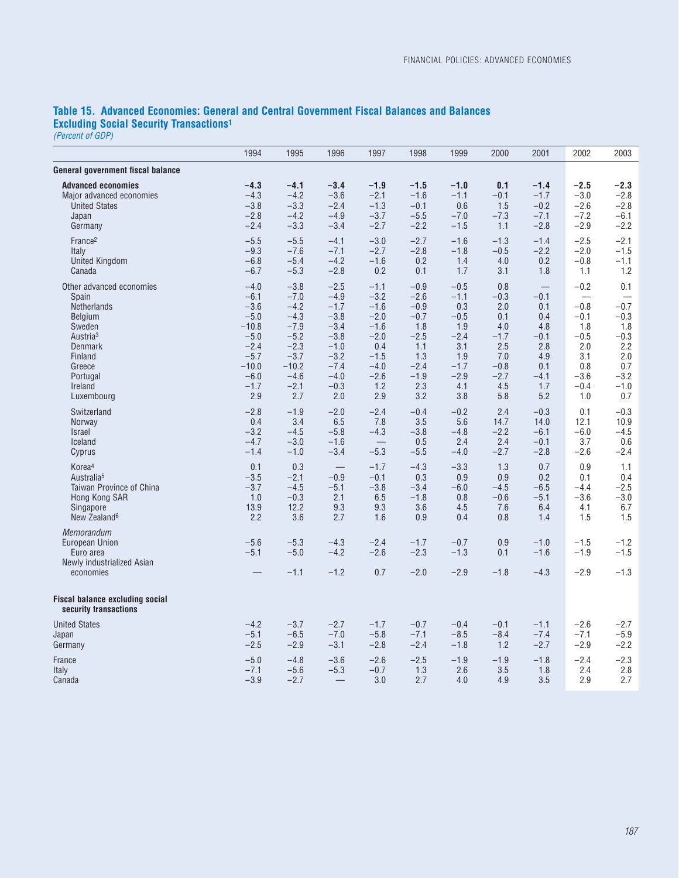### **Table 15. Advanced Economies: General and Central Government Fiscal Balances and Balances Excluding Social Security Transactions1**

*(Percent of GDP)*

|                                                                                      | 1994             | 1995                       | 1996                       | 1997                     | 1998                       | 1999                       | 2000                 | 2001                       | 2002                       | 2003                       |
|--------------------------------------------------------------------------------------|------------------|----------------------------|----------------------------|--------------------------|----------------------------|----------------------------|----------------------|----------------------------|----------------------------|----------------------------|
| General government fiscal balance                                                    |                  |                            |                            |                          |                            |                            |                      |                            |                            |                            |
| <b>Advanced economies</b>                                                            | $-4.3$           | $-4.1$                     | $-3.4$                     | $-1.9$                   | $-1.5$                     | $-1.0$                     | 0.1                  | $-1.4$                     | $-2.5$                     | $-2.3$                     |
| Major advanced economies                                                             | $-4.3$           | $-4.2$                     | $-3.6$                     | $-2.1$                   | $-1.6$                     | $-1.1$                     | $-0.1$               | $-1.7$                     | $-3.0$                     | $-2.8$                     |
| <b>United States</b>                                                                 | $-3.8$           | $-3.3$                     | $-2.4$                     | $-1.3$                   | $-0.1$                     | 0.6                        | 1.5                  | $-0.2$                     | $-2.6$                     | $-2.8$                     |
| Japan                                                                                | $-2.8$           | $-4.2$                     | $-4.9$                     | $-3.7$                   | $-5.5$                     | $-7.0$                     | $-7.3$               | $-7.1$                     | $-7.2$                     | $-6.1$                     |
| Germany                                                                              | $-2.4$           | $-3.3$                     | $-3.4$                     | $-2.7$                   | $-2.2$                     | $-1.5$                     | 1.1                  | $-2.8$                     | $-2.9$                     | $-2.2$                     |
| France <sup>2</sup>                                                                  | $-5.5$           | $-5.5$                     | $-4.1$                     | $-3.0$                   | $-2.7$                     | $-1.6$                     | $-1.3$               | $-1.4$                     | $-2.5$                     | $-2.1$                     |
| Italy                                                                                | $-9.3$           | $-7.6$                     | $-7.1$                     | $-2.7$                   | $-2.8$                     | $-1.8$                     | $-0.5$               | $-2.2$                     | $-2.0$                     | $-1.5$                     |
| <b>United Kingdom</b>                                                                | $-6.8$           | $-5.4$                     | $-4.2$                     | $-1.6$                   | 0.2                        | 1.4                        | 4.0                  | 0.2                        | $-0.8$                     | $-1.1$                     |
| Canada                                                                               | $-6.7$           | $-5.3$                     | $-2.8$                     | 0.2                      | 0.1                        | 1.7                        | 3.1                  | 1.8                        | 1.1                        | 1.2                        |
| Other advanced economies                                                             | $-4.0$           | $-3.8$                     | $-2.5$                     | $-1.1$                   | $-0.9$                     | $-0.5$                     | 0.8                  |                            | $-0.2$                     | 0.1                        |
| Spain                                                                                | $-6.1$           | $-7.0$                     | $-4.9$                     | $-3.2$                   | $-2.6$                     | $-1.1$                     | $-0.3$               | $-0.1$                     |                            |                            |
| <b>Netherlands</b>                                                                   | $-3.6$           | $-4.2$                     | $-1.7$                     | $-1.6$                   | $-0.9$                     | 0.3                        | 2.0                  | 0.1                        | $-0.8$                     | $-0.7$                     |
| Belgium                                                                              | $-5.0$           | $-4.3$                     | $-3.8$                     | $-2.0$                   | $-0.7$                     | $-0.5$                     | 0.1                  | 0.4                        | $-0.1$                     | $-0.3$                     |
| Sweden                                                                               | $-10.8$          | $-7.9$                     | $-3.4$                     | $-1.6$                   | 1.8                        | 1.9                        | 4.0                  | 4.8                        | 1.8                        | 1.8                        |
| Austria <sup>3</sup>                                                                 | $-5.0$           | $-5.2$                     | $-3.8$                     | $-2.0$                   | $-2.5$                     | $-2.4$                     | $-1.7$               | $-0.1$                     | $-0.5$                     | $-0.3$                     |
| <b>Denmark</b>                                                                       | $-2.4$           | $-2.3$                     | $-1.0$                     | 0.4                      | 1.1                        | 3.1                        | 2.5                  | 2.8                        | 2.0                        | 2.2                        |
| Finland                                                                              | $-5.7$           | $-3.7$                     | $-3.2$                     | $-1.5$                   | 1.3                        | 1.9                        | 7.0                  | 4.9                        | 3.1                        | 2.0                        |
| Greece                                                                               | $-10.0$          | $-10.2$                    | $-7.4$                     | $-4.0$                   | $-2.4$                     | $-1.7$                     | $-0.8$               | 0.1                        | 0.8                        | 0.7                        |
| Portugal                                                                             | $-6.0$           | $-4.6$                     | $-4.0$                     | $-2.6$                   | $-1.9$                     | $-2.9$                     | $-2.7$               | $-4.1$                     | $-3.6$                     | $-3.2$                     |
| Ireland                                                                              | $-1.7$           | $-2.1$                     | $-0.3$                     | 1.2                      | 2.3                        | 4.1                        | 4.5                  | 1.7                        | $-0.4$                     | $-1.0$                     |
| Luxembourg                                                                           | 2.9              | 2.7                        | 2.0                        | 2.9                      | 3.2                        | 3.8                        | 5.8                  | 5.2                        | 1.0                        | 0.7                        |
| Switzerland                                                                          | $-2.8$           | $-1.9$                     | $-2.0$                     | $-2.4$                   | $-0.4$                     | $-0.2$                     | 2.4                  | $-0.3$                     | 0.1                        | $-0.3$                     |
| Norway                                                                               | 0.4              | 3.4                        | 6.5                        | 7.8                      | 3.5                        | 5.6                        | 14.7                 | 14.0                       | 12.1                       | 10.9                       |
| <b>Israel</b>                                                                        | $-3.2$           | $-4.5$                     | $-5.8$                     | $-4.3$                   | $-3.8$                     | $-4.8$                     | $-2.2$               | $-6.1$                     | $-6.0$                     | $-4.5$                     |
| Iceland                                                                              | $-4.7$           | $-3.0$                     | $-1.6$                     | $\overline{\phantom{m}}$ | 0.5                        | 2.4                        | 2.4                  | $-0.1$                     | 3.7                        | 0.6                        |
| Cyprus                                                                               | $-1.4$           | $-1.0$                     | $-3.4$                     | $-5.3$                   | $-5.5$                     | $-4.0$                     | $-2.7$               | $-2.8$                     | $-2.6$                     | $-2.4$                     |
| Korea <sup>4</sup>                                                                   | 0.1              | 0.3                        |                            | $-1.7$                   | $-4.3$                     | $-3.3$                     | 1.3                  | 0.7                        | 0.9                        | 1.1                        |
| Australia <sup>5</sup>                                                               | $-3.5$           | $-2.1$                     | $-0.9$                     | $-0.1$                   | 0.3                        | 0.9                        | 0.9                  | 0.2                        | 0.1                        | 0.4                        |
| Taiwan Province of China                                                             | $-3.7$           | $-4.5$                     | $-5.1$                     | $-3.8$                   | $-3.4$                     | $-6.0$                     | $-4.5$               | $-6.5$                     | $-4.4$                     | $-2.5$                     |
| Hong Kong SAR                                                                        | 1.0              | $-0.3$                     | 2.1                        | 6.5                      | $-1.8$                     | 0.8                        | $-0.6$               | $-5.1$                     | $-3.6$                     | $-3.0$                     |
| Singapore                                                                            | 13.9             | 12.2                       | 9.3                        | 9.3                      | 3.6                        | 4.5                        | 7.6                  | 6.4                        | 4.1                        | 6.7                        |
| New Zealand <sup>6</sup>                                                             | 2.2              | 3.6                        | 2.7                        | 1.6                      | 0.9                        | 0.4                        | 0.8                  | 1.4                        | 1.5                        | 1.5                        |
| Memorandum<br>European Union<br>Euro area<br>Newly industrialized Asian<br>economies | $-5.6$<br>$-5.1$ | $-5.3$<br>$-5.0$<br>$-1.1$ | $-4.3$<br>$-4.2$<br>$-1.2$ | $-2.4$<br>$-2.6$<br>0.7  | $-1.7$<br>$-2.3$<br>$-2.0$ | $-0.7$<br>$-1.3$<br>$-2.9$ | 0.9<br>0.1<br>$-1.8$ | $-1.0$<br>$-1.6$<br>$-4.3$ | $-1.5$<br>$-1.9$<br>$-2.9$ | $-1.2$<br>$-1.5$<br>$-1.3$ |
| <b>Fiscal balance excluding social</b><br>security transactions                      |                  |                            |                            |                          |                            |                            |                      |                            |                            |                            |
| <b>United States</b>                                                                 | $-4.2$           | $-3.7$                     | $-2.7$                     | $-1.7$                   | $-0.7$                     | $-0.4$                     | $-0.1$               | $-1.1$                     | $-2.6$                     | $-2.7$                     |
| Japan                                                                                | $-5.1$           | $-6.5$                     | $-7.0$                     | $-5.8$                   | $-7.1$                     | $-8.5$                     | $-8.4$               | $-7.4$                     | $-7.1$                     | $-5.9$                     |
| Germany                                                                              | $-2.5$           | $-2.9$                     | $-3.1$                     | $-2.8$                   | $-2.4$                     | $-1.8$                     | 1.2                  | $-2.7$                     | $-2.9$                     | $-2.2$                     |
| France                                                                               | $-5.0$           | $-4.8$                     | $-3.6$                     | $-2.6$                   | $-2.5$                     | $-1.9$                     | $-1.9$               | $-1.8$                     | $-2.4$                     | $-2.3$                     |
| Italy                                                                                | $-7.1$           | $-5.6$                     | $-5.3$                     | $-0.7$                   | 1.3                        | 2.6                        | 3.5                  | 1.8                        | 2.4                        | 2.8                        |
| Canada                                                                               | $-3.9$           | $-2.7$                     |                            | 3.0                      | 2.7                        | 4.0                        | 4.9                  | 3.5                        | 2.9                        | 2.7                        |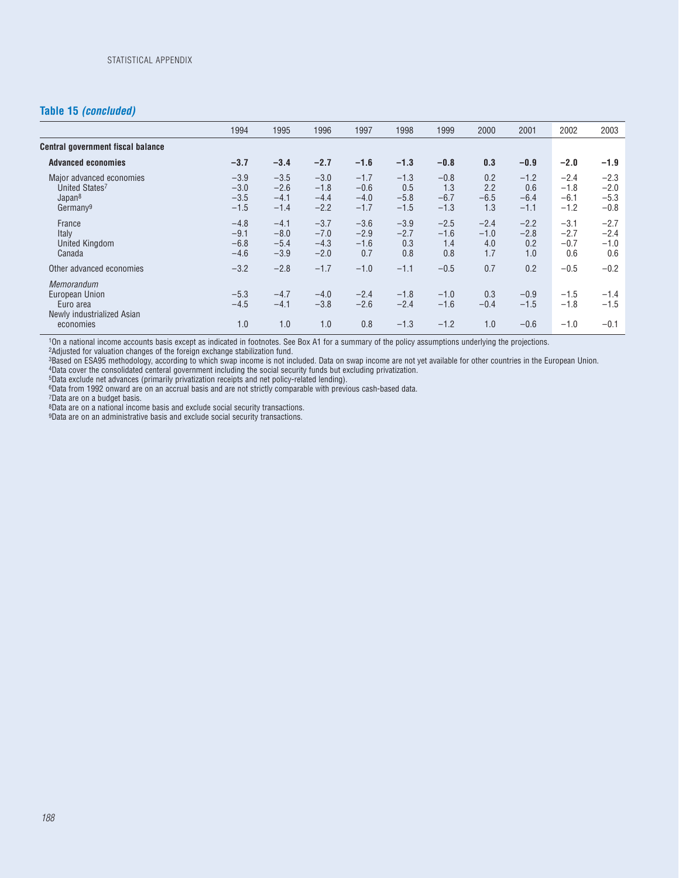### **Table 15** *(concluded)*

|                                                                                             | 1994                                 | 1995                                 | 1996                                 | 1997                                 | 1998                              | 1999                              | 2000                           | 2001                              | 2002                                 | 2003                                 |
|---------------------------------------------------------------------------------------------|--------------------------------------|--------------------------------------|--------------------------------------|--------------------------------------|-----------------------------------|-----------------------------------|--------------------------------|-----------------------------------|--------------------------------------|--------------------------------------|
| <b>Central government fiscal balance</b>                                                    |                                      |                                      |                                      |                                      |                                   |                                   |                                |                                   |                                      |                                      |
| <b>Advanced economies</b>                                                                   | $-3.7$                               | $-3.4$                               | $-2.7$                               | $-1.6$                               | $-1.3$                            | $-0.8$                            | 0.3                            | $-0.9$                            | $-2.0$                               | $-1.9$                               |
| Major advanced economies<br>United States7<br>Japan <sup>8</sup><br>Germany <sup>9</sup>    | $-3.9$<br>$-3.0$<br>$-3.5$<br>$-1.5$ | $-3.5$<br>$-2.6$<br>$-4.1$<br>$-1.4$ | $-3.0$<br>$-1.8$<br>$-4.4$<br>$-2.2$ | $-1.7$<br>$-0.6$<br>$-4.0$<br>$-1.7$ | $-1.3$<br>0.5<br>$-5.8$<br>$-1.5$ | $-0.8$<br>1.3<br>$-6.7$<br>$-1.3$ | 0.2<br>2.2<br>$-6.5$<br>1.3    | $-1.2$<br>0.6<br>$-6.4$<br>$-1.1$ | $-2.4$<br>$-1.8$<br>$-6.1$<br>$-1.2$ | $-2.3$<br>$-2.0$<br>$-5.3$<br>$-0.8$ |
| France<br>Italy<br><b>United Kingdom</b><br>Canada                                          | $-4.8$<br>$-9.1$<br>$-6.8$<br>$-4.6$ | $-4.1$<br>$-8.0$<br>$-5.4$<br>$-3.9$ | $-3.7$<br>$-7.0$<br>$-4.3$<br>$-2.0$ | $-3.6$<br>$-2.9$<br>$-1.6$<br>0.7    | $-3.9$<br>$-2.7$<br>0.3<br>0.8    | $-2.5$<br>$-1.6$<br>1.4<br>0.8    | $-2.4$<br>$-1.0$<br>4.0<br>1.7 | $-2.2$<br>$-2.8$<br>0.2<br>1.0    | $-3.1$<br>$-2.7$<br>$-0.7$<br>0.6    | $-2.7$<br>$-2.4$<br>$-1.0$<br>0.6    |
| Other advanced economies                                                                    | $-3.2$                               | $-2.8$                               | $-1.7$                               | $-1.0$                               | $-1.1$                            | $-0.5$                            | 0.7                            | 0.2                               | $-0.5$                               | $-0.2$                               |
| <b>Memorandum</b><br>European Union<br>Euro area<br>Newly industrialized Asian<br>economies | $-5.3$<br>$-4.5$<br>1.0              | $-4.7$<br>$-4.1$<br>1.0              | $-4.0$<br>$-3.8$<br>1.0              | $-2.4$<br>$-2.6$<br>0.8              | $-1.8$<br>$-2.4$<br>$-1.3$        | $-1.0$<br>$-1.6$<br>$-1.2$        | 0.3<br>$-0.4$<br>1.0           | $-0.9$<br>$-1.5$<br>$-0.6$        | $-1.5$<br>$-1.8$<br>$-1.0$           | $-1.4$<br>$-1.5$<br>$-0.1$           |

1On a national income accounts basis except as indicated in footnotes. See Box A1 for a summary of the policy assumptions underlying the projections. 2Adjusted for valuation changes of the foreign exchange stabilization fund.

3Based on ESA95 methodology, according to which swap income is not included. Data on swap income are not yet available for other countries in the European Union.

4Data cover the consolidated centeral government including the social security funds but excluding privatization. 5Data exclude net advances (primarily privatization receipts and net policy-related lending).

6Data from 1992 onward are on an accrual basis and are not strictly comparable with previous cash-based data.

7Data are on a budget basis.

8Data are on a national income basis and exclude social security transactions.

9Data are on an administrative basis and exclude social security transactions.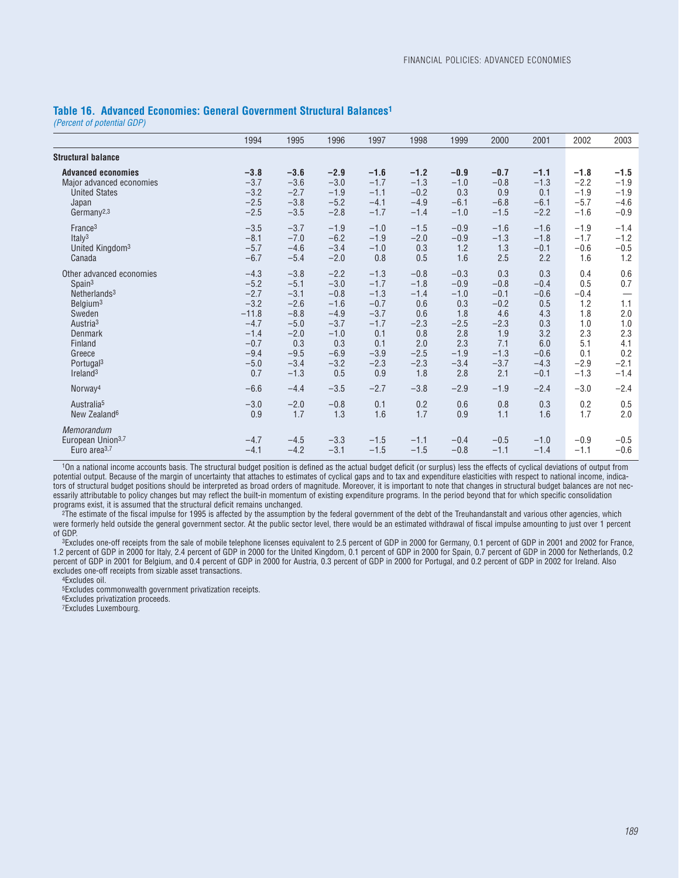#### **Table 16. Advanced Economies: General Government Structural Balances1**

*(Percent of potential GDP)*

|                                                                                                                                                                                                                             | 1994                                                                                                     | 1995                                                                                                    | 1996                                                                                                 | 1997                                                                                              | 1998                                                                                        | 1999                                                                                        | 2000                                                                                        | 2001                                                                                     | 2002                                                                               | 2003                                                                     |
|-----------------------------------------------------------------------------------------------------------------------------------------------------------------------------------------------------------------------------|----------------------------------------------------------------------------------------------------------|---------------------------------------------------------------------------------------------------------|------------------------------------------------------------------------------------------------------|---------------------------------------------------------------------------------------------------|---------------------------------------------------------------------------------------------|---------------------------------------------------------------------------------------------|---------------------------------------------------------------------------------------------|------------------------------------------------------------------------------------------|------------------------------------------------------------------------------------|--------------------------------------------------------------------------|
| <b>Structural balance</b>                                                                                                                                                                                                   |                                                                                                          |                                                                                                         |                                                                                                      |                                                                                                   |                                                                                             |                                                                                             |                                                                                             |                                                                                          |                                                                                    |                                                                          |
| <b>Advanced economies</b><br>Major advanced economies<br><b>United States</b><br>Japan<br>Germany <sup>2,3</sup>                                                                                                            | $-3.8$<br>$-3.7$<br>$-3.2$<br>$-2.5$<br>$-2.5$                                                           | $-3.6$<br>$-3.6$<br>$-2.7$<br>$-3.8$<br>$-3.5$                                                          | $-2.9$<br>$-3.0$<br>$-1.9$<br>$-5.2$<br>$-2.8$                                                       | $-1.6$<br>$-1.7$<br>$-1.1$<br>$-4.1$<br>$-1.7$                                                    | $-1.2$<br>$-1.3$<br>$-0.2$<br>$-4.9$<br>$-1.4$                                              | $-0.9$<br>$-1.0$<br>0.3<br>$-6.1$<br>$-1.0$                                                 | $-0.7$<br>$-0.8$<br>0.9<br>$-6.8$<br>$-1.5$                                                 | $-1.1$<br>$-1.3$<br>0.1<br>$-6.1$<br>$-2.2$                                              | $-1.8$<br>$-2.2$<br>$-1.9$<br>$-5.7$<br>$-1.6$                                     | $-1.5$<br>$-1.9$<br>$-1.9$<br>$-4.6$<br>$-0.9$                           |
| France <sup>3</sup><br>Italy <sup>3</sup><br>United Kingdom <sup>3</sup><br>Canada                                                                                                                                          | $-3.5$<br>$-8.1$<br>$-5.7$<br>$-6.7$                                                                     | $-3.7$<br>$-7.0$<br>$-4.6$<br>$-5.4$                                                                    | $-1.9$<br>$-6.2$<br>$-3.4$<br>$-2.0$                                                                 | $-1.0$<br>$-1.9$<br>$-1.0$<br>0.8                                                                 | $-1.5$<br>$-2.0$<br>0.3<br>0.5                                                              | $-0.9$<br>$-0.9$<br>1.2<br>1.6                                                              | $-1.6$<br>$-1.3$<br>1.3<br>2.5                                                              | $-1.6$<br>$-1.8$<br>$-0.1$<br>2.2                                                        | $-1.9$<br>$-1.7$<br>$-0.6$<br>1.6                                                  | $-1.4$<br>$-1.2$<br>$-0.5$<br>1.2                                        |
| Other advanced economies<br>Span <sup>3</sup><br>Netherlands <sup>3</sup><br>Belaium <sup>3</sup><br>Sweden<br>Austria <sup>3</sup><br><b>Denmark</b><br>Finland<br>Greece<br>Portugal <sup>3</sup><br>Ireland <sup>3</sup> | $-4.3$<br>$-5.2$<br>$-2.7$<br>$-3.2$<br>$-11.8$<br>$-4.7$<br>$-1.4$<br>$-0.7$<br>$-9.4$<br>$-5.0$<br>0.7 | $-3.8$<br>$-5.1$<br>$-3.1$<br>$-2.6$<br>$-8.8$<br>$-5.0$<br>$-2.0$<br>0.3<br>$-9.5$<br>$-3.4$<br>$-1.3$ | $-2.2$<br>$-3.0$<br>$-0.8$<br>$-1.6$<br>$-4.9$<br>$-3.7$<br>$-1.0$<br>0.3<br>$-6.9$<br>$-3.2$<br>0.5 | $-1.3$<br>$-1.7$<br>$-1.3$<br>$-0.7$<br>$-3.7$<br>$-1.7$<br>0.1<br>0.1<br>$-3.9$<br>$-2.3$<br>0.9 | $-0.8$<br>$-1.8$<br>$-1.4$<br>0.6<br>0.6<br>$-2.3$<br>0.8<br>2.0<br>$-2.5$<br>$-2.3$<br>1.8 | $-0.3$<br>$-0.9$<br>$-1.0$<br>0.3<br>1.8<br>$-2.5$<br>2.8<br>2.3<br>$-1.9$<br>$-3.4$<br>2.8 | 0.3<br>$-0.8$<br>$-0.1$<br>$-0.2$<br>4.6<br>$-2.3$<br>1.9<br>7.1<br>$-1.3$<br>$-3.7$<br>2.1 | 0.3<br>$-0.4$<br>$-0.6$<br>0.5<br>4.3<br>0.3<br>3.2<br>6.0<br>$-0.6$<br>$-4.3$<br>$-0.1$ | 0.4<br>0.5<br>$-0.4$<br>1.2<br>1.8<br>1.0<br>2.3<br>5.1<br>0.1<br>$-2.9$<br>$-1.3$ | 0.6<br>0.7<br>1.1<br>2.0<br>1.0<br>2.3<br>4.1<br>0.2<br>$-2.1$<br>$-1.4$ |
| Norway <sup>4</sup>                                                                                                                                                                                                         | $-6.6$                                                                                                   | $-4.4$                                                                                                  | $-3.5$                                                                                               | $-2.7$                                                                                            | $-3.8$                                                                                      | $-2.9$                                                                                      | $-1.9$                                                                                      | $-2.4$                                                                                   | $-3.0$                                                                             | $-2.4$                                                                   |
| Australia <sup>5</sup><br>New Zealand <sup>6</sup>                                                                                                                                                                          | $-3.0$<br>0.9                                                                                            | $-2.0$<br>1.7                                                                                           | $-0.8$<br>1.3                                                                                        | 0.1<br>1.6                                                                                        | 0.2<br>1.7                                                                                  | 0.6<br>0.9                                                                                  | 0.8<br>1.1                                                                                  | 0.3<br>1.6                                                                               | 0.2<br>1.7                                                                         | 0.5<br>2.0                                                               |
| Memorandum<br>European Union <sup>3,7</sup><br>Euro area <sup>3,7</sup>                                                                                                                                                     | $-4.7$<br>$-4.1$                                                                                         | $-4.5$<br>$-4.2$                                                                                        | $-3.3$<br>$-3.1$                                                                                     | $-1.5$<br>$-1.5$                                                                                  | $-1.1$<br>$-1.5$                                                                            | $-0.4$<br>$-0.8$                                                                            | $-0.5$<br>$-1.1$                                                                            | $-1.0$<br>$-1.4$                                                                         | $-0.9$<br>$-1.1$                                                                   | $-0.5$<br>$-0.6$                                                         |

10n a national income accounts basis. The structural budget position is defined as the actual budget deficit (or surplus) less the effects of cyclical deviations of output from potential output. Because of the margin of uncertainty that attaches to estimates of cyclical gaps and to tax and expenditure elasticities with respect to national income, indicators of structural budget positions should be interpreted as broad orders of magnitude. Moreover, it is important to note that changes in structural budget balances are not necessarily attributable to policy changes but may reflect the built-in momentum of existing expenditure programs. In the period beyond that for which specific consolidation programs exist, it is assumed that the structural deficit remains unchanged.

2The estimate of the fiscal impulse for 1995 is affected by the assumption by the federal government of the debt of the Treuhandanstalt and various other agencies, which were formerly held outside the general government sector. At the public sector level, there would be an estimated withdrawal of fiscal impulse amounting to just over 1 percent of GDP.

3Excludes one-off receipts from the sale of mobile telephone licenses equivalent to 2.5 percent of GDP in 2000 for Germany, 0.1 percent of GDP in 2001 and 2002 for France, 1.2 percent of GDP in 2000 for Italy, 2.4 percent of GDP in 2000 for the United Kingdom, 0.1 percent of GDP in 2000 for Spain, 0.7 percent of GDP in 2000 for Netherlands, 0.2 percent of GDP in 2001 for Belgium, and 0.4 percent of GDP in 2000 for Austria, 0.3 percent of GDP in 2000 for Portugal, and 0.2 percent of GDP in 2002 for Ireland. Also excludes one-off receipts from sizable asset transactions.

4Excludes oil.

5Excludes commonwealth government privatization receipts.

6Excludes privatization proceeds.

7Excludes Luxembourg.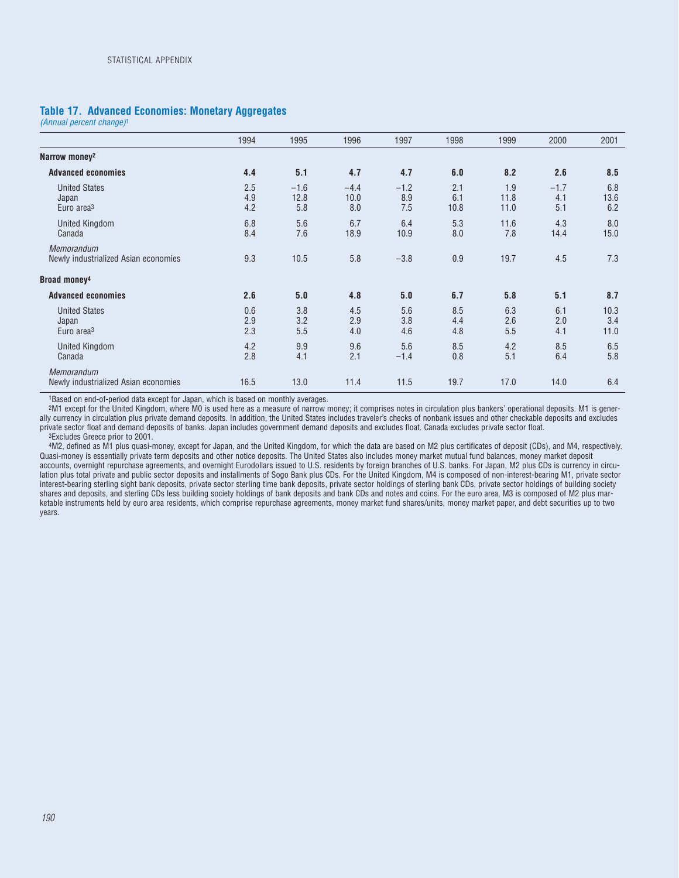### **Table 17. Advanced Economies: Monetary Aggregates**

*(Annual percent change)*<sup>1</sup>

|                                                           | 1994              | 1995                  | 1996                  | 1997                 | 1998               | 1999                | 2000                 | 2001                |
|-----------------------------------------------------------|-------------------|-----------------------|-----------------------|----------------------|--------------------|---------------------|----------------------|---------------------|
| Narrow money <sup>2</sup>                                 |                   |                       |                       |                      |                    |                     |                      |                     |
| <b>Advanced economies</b>                                 | 4.4               | 5.1                   | 4.7                   | 4.7                  | 6.0                | 8.2                 | 2.6                  | 8.5                 |
| <b>United States</b><br>Japan<br>Euro area <sup>3</sup>   | 2.5<br>4.9<br>4.2 | $-1.6$<br>12.8<br>5.8 | $-4.4$<br>10.0<br>8.0 | $-1.2$<br>8.9<br>7.5 | 2.1<br>6.1<br>10.8 | 1.9<br>11.8<br>11.0 | $-1.7$<br>4.1<br>5.1 | 6.8<br>13.6<br>6.2  |
| <b>United Kingdom</b><br>Canada                           | 6.8<br>8.4        | 5.6<br>7.6            | 6.7<br>18.9           | 6.4<br>10.9          | 5.3<br>8.0         | 11.6<br>7.8         | 4.3<br>14.4          | 8.0<br>15.0         |
| Memorandum<br>Newly industrialized Asian economies        | 9.3               | 10.5                  | 5.8                   | $-3.8$               | 0.9                | 19.7                | 4.5                  | 7.3                 |
| Broad money <sup>4</sup>                                  |                   |                       |                       |                      |                    |                     |                      |                     |
| <b>Advanced economies</b>                                 | 2.6               | 5.0                   | 4.8                   | 5.0                  | 6.7                | 5.8                 | 5.1                  | 8.7                 |
| <b>United States</b><br>Japan<br>Euro area <sup>3</sup>   | 0.6<br>2.9<br>2.3 | 3.8<br>3.2<br>5.5     | 4.5<br>2.9<br>4.0     | 5.6<br>3.8<br>4.6    | 8.5<br>4.4<br>4.8  | 6.3<br>2.6<br>5.5   | 6.1<br>2.0<br>4.1    | 10.3<br>3.4<br>11.0 |
| <b>United Kingdom</b><br>Canada                           | 4.2<br>2.8        | 9.9<br>4.1            | 9.6<br>2.1            | 5.6<br>$-1.4$        | 8.5<br>0.8         | 4.2<br>5.1          | 8.5<br>6.4           | 6.5<br>5.8          |
| <b>Memorandum</b><br>Newly industrialized Asian economies | 16.5              | 13.0                  | 11.4                  | 11.5                 | 19.7               | 17.0                | 14.0                 | 6.4                 |

1Based on end-of-period data except for Japan, which is based on monthly averages.

2M1 except for the United Kingdom, where M0 is used here as a measure of narrow money; it comprises notes in circulation plus bankers' operational deposits. M1 is generally currency in circulation plus private demand deposits. In addition, the United States includes traveler's checks of nonbank issues and other checkable deposits and excludes private sector float and demand deposits of banks. Japan includes government demand deposits and excludes float. Canada excludes private sector float.

3Excludes Greece prior to 2001.

4M2, defined as M1 plus quasi-money, except for Japan, and the United Kingdom, for which the data are based on M2 plus certificates of deposit (CDs), and M4, respectively. Quasi-money is essentially private term deposits and other notice deposits. The United States also includes money market mutual fund balances, money market deposit accounts, overnight repurchase agreements, and overnight Eurodollars issued to U.S. residents by foreign branches of U.S. banks. For Japan, M2 plus CDs is currency in circulation plus total private and public sector deposits and installments of Sogo Bank plus CDs. For the United Kingdom, M4 is composed of non-interest-bearing M1, private sector interest-bearing sterling sight bank deposits, private sector sterling time bank deposits, private sector holdings of sterling bank CDs, private sector holdings of building society shares and deposits, and sterling CDs less building society holdings of bank deposits and bank CDs and notes and coins. For the euro area, M3 is composed of M2 plus marketable instruments held by euro area residents, which comprise repurchase agreements, money market fund shares/units, money market paper, and debt securities up to two years.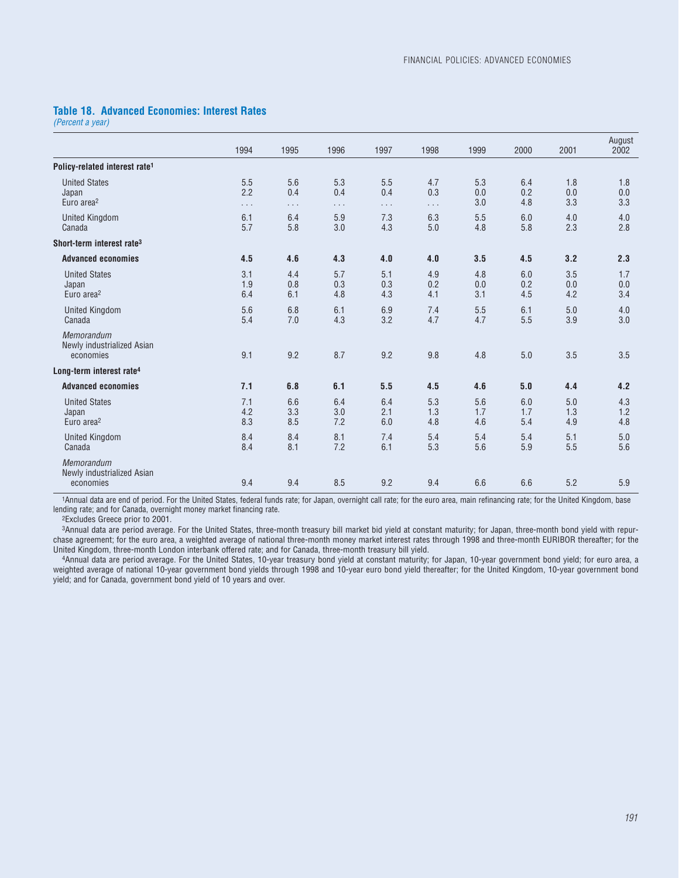## **Table 18. Advanced Economies: Interest Rates**

*(Percent a year)*

|                                                         | 1994                   | 1995                               | 1996                   | 1997                   | 1998                   | 1999              | 2000              | 2001              | August<br>2002    |
|---------------------------------------------------------|------------------------|------------------------------------|------------------------|------------------------|------------------------|-------------------|-------------------|-------------------|-------------------|
|                                                         |                        |                                    |                        |                        |                        |                   |                   |                   |                   |
| Policy-related interest rate <sup>1</sup>               |                        |                                    |                        |                        |                        |                   |                   |                   |                   |
| <b>United States</b><br>Japan<br>Euro area <sup>2</sup> | 5.5<br>2.2<br>$\cdots$ | 5.6<br>0.4<br>$\sim$ $\sim$ $\sim$ | 5.3<br>0.4<br>$\cdots$ | 5.5<br>0.4<br>$\cdots$ | 4.7<br>0.3<br>$\cdots$ | 5.3<br>0.0<br>3.0 | 6.4<br>0.2<br>4.8 | 1.8<br>0.0<br>3.3 | 1.8<br>0.0<br>3.3 |
| <b>United Kingdom</b><br>Canada                         | 6.1<br>5.7             | 6.4<br>5.8                         | 5.9<br>3.0             | 7.3<br>4.3             | 6.3<br>5.0             | 5.5<br>4.8        | 6.0<br>5.8        | 4.0<br>2.3        | 4.0<br>2.8        |
| Short-term interest rate <sup>3</sup>                   |                        |                                    |                        |                        |                        |                   |                   |                   |                   |
| <b>Advanced economies</b>                               | 4.5                    | 4.6                                | 4.3                    | 4.0                    | 4.0                    | 3.5               | 4.5               | 3.2               | 2.3               |
| <b>United States</b><br>Japan<br>Euro area <sup>2</sup> | 3.1<br>1.9<br>6.4      | 4.4<br>0.8<br>6.1                  | 5.7<br>0.3<br>4.8      | 5.1<br>0.3<br>4.3      | 4.9<br>0.2<br>4.1      | 4.8<br>0.0<br>3.1 | 6.0<br>0.2<br>4.5 | 3.5<br>0.0<br>4.2 | 1.7<br>0.0<br>3.4 |
| <b>United Kingdom</b><br>Canada                         | 5.6<br>5.4             | 6.8<br>7.0                         | 6.1<br>4.3             | 6.9<br>3.2             | 7.4<br>4.7             | 5.5<br>4.7        | 6.1<br>5.5        | 5.0<br>3.9        | 4.0<br>3.0        |
| Memorandum<br>Newly industrialized Asian<br>economies   | 9.1                    | 9.2                                | 8.7                    | 9.2                    | 9.8                    | 4.8               | 5.0               | 3.5               | 3.5               |
| Long-term interest rate <sup>4</sup>                    |                        |                                    |                        |                        |                        |                   |                   |                   |                   |
| <b>Advanced economies</b>                               | 7.1                    | 6.8                                | 6.1                    | 5.5                    | 4.5                    | 4.6               | 5.0               | 4.4               | 4.2               |
| <b>United States</b><br>Japan<br>Euro area <sup>2</sup> | 7.1<br>4.2<br>8.3      | 6.6<br>3.3<br>8.5                  | 6.4<br>3.0<br>7.2      | 6.4<br>2.1<br>6.0      | 5.3<br>1.3<br>4.8      | 5.6<br>1.7<br>4.6 | 6.0<br>1.7<br>5.4 | 5.0<br>1.3<br>4.9 | 4.3<br>1.2<br>4.8 |
| <b>United Kingdom</b><br>Canada                         | 8.4<br>8.4             | 8.4<br>8.1                         | 8.1<br>7.2             | 7.4<br>6.1             | 5.4<br>5.3             | 5.4<br>5.6        | 5.4<br>5.9        | 5.1<br>5.5        | 5.0<br>5.6        |
| Memorandum<br>Newly industrialized Asian<br>economies   | 9.4                    | 9.4                                | 8.5                    | 9.2                    | 9.4                    | 6.6               | 6.6               | 5.2               | 5.9               |

1Annual data are end of period. For the United States, federal funds rate; for Japan, overnight call rate; for the euro area, main refinancing rate; for the United Kingdom, base lending rate; and for Canada, overnight money market financing rate.

2Excludes Greece prior to 2001.

3Annual data are period average. For the United States, three-month treasury bill market bid yield at constant maturity; for Japan, three-month bond yield with repurchase agreement; for the euro area, a weighted average of national three-month money market interest rates through 1998 and three-month EURIBOR thereafter; for the United Kingdom, three-month London interbank offered rate; and for Canada, three-month treasury bill yield.

4Annual data are period average. For the United States, 10-year treasury bond yield at constant maturity; for Japan, 10-year government bond yield; for euro area, a weighted average of national 10-year government bond yields through 1998 and 10-year euro bond yield thereafter; for the United Kingdom, 10-year government bond yield; and for Canada, government bond yield of 10 years and over.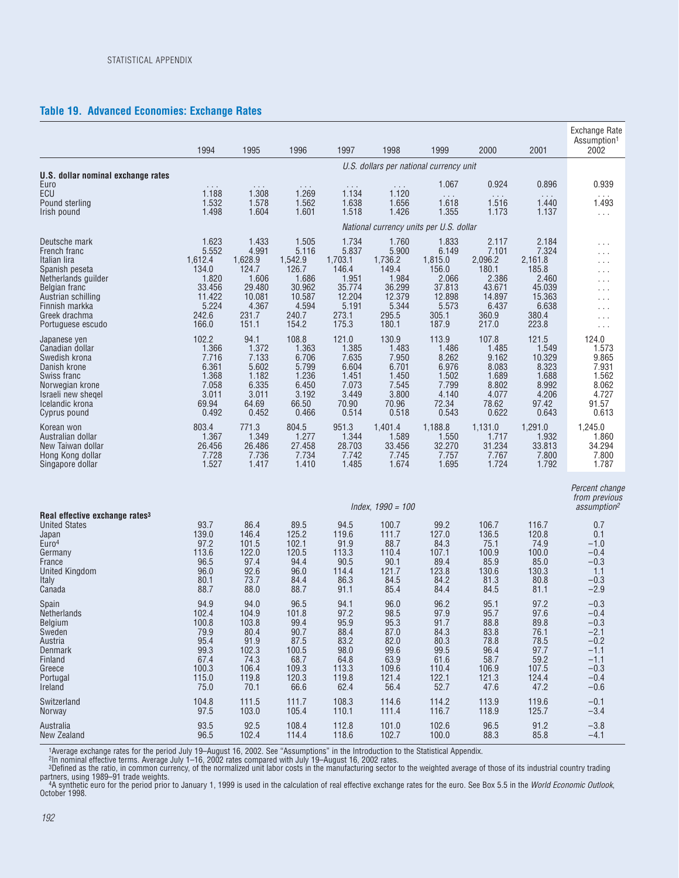## **Table 19. Advanced Economies: Exchange Rates**

|                                                                                                                                                            | 1994                                                           | 1995                                                            | 1996                                                            | 1997                                                            | 1998                                                             | 1999                                                            | 2000                                                             | 2001                                                             | <b>Exchange Rate</b><br>Assumption <sup>1</sup><br>2002             |
|------------------------------------------------------------------------------------------------------------------------------------------------------------|----------------------------------------------------------------|-----------------------------------------------------------------|-----------------------------------------------------------------|-----------------------------------------------------------------|------------------------------------------------------------------|-----------------------------------------------------------------|------------------------------------------------------------------|------------------------------------------------------------------|---------------------------------------------------------------------|
|                                                                                                                                                            |                                                                |                                                                 |                                                                 |                                                                 |                                                                  | U.S. dollars per national currency unit                         |                                                                  |                                                                  |                                                                     |
| U.S. dollar nominal exchange rates<br>Euro                                                                                                                 |                                                                | $\cdots$                                                        | $\cdots$                                                        |                                                                 | $\sim$ $\sim$ $\sim$                                             | 1.067                                                           | 0.924                                                            | 0.896                                                            | 0.939                                                               |
| ECU                                                                                                                                                        | 1.188                                                          | 1.308                                                           | 1.269                                                           | 1.134                                                           | 1.120                                                            | $\ldots$                                                        | $\cdots$                                                         | $\cdots$                                                         | $\cdots$                                                            |
| Pound sterling                                                                                                                                             | 1.532                                                          | 1.578                                                           | 1.562                                                           | 1.638                                                           | 1.656                                                            | 1.618                                                           | 1.516                                                            | 1.440                                                            | 1.493                                                               |
| Irish pound                                                                                                                                                | 1.498                                                          | 1.604                                                           | 1.601                                                           | 1.518                                                           | 1.426                                                            | 1.355                                                           | 1.173                                                            | 1.137                                                            | $\ldots$                                                            |
|                                                                                                                                                            |                                                                |                                                                 |                                                                 |                                                                 |                                                                  | National currency units per U.S. dollar                         |                                                                  |                                                                  |                                                                     |
| Deutsche mark                                                                                                                                              | 1.623                                                          | 1.433                                                           | 1.505                                                           | 1.734                                                           | 1.760                                                            | 1.833                                                           | 2.117                                                            | 2.184                                                            | $\cdots$                                                            |
| French franc                                                                                                                                               | 5.552                                                          | 4.991                                                           | 5.116                                                           | 5.837                                                           | 5.900                                                            | 6.149                                                           | 7.101                                                            | 7.324                                                            | $\cdots$                                                            |
| Italian lira                                                                                                                                               | 1,612.4                                                        | 1,628.9                                                         | 1,542.9                                                         | 1,703.1                                                         | 1,736.2                                                          | 1,815.0                                                         | 2,096.2                                                          | 2,161.8                                                          | .                                                                   |
| Spanish peseta                                                                                                                                             | 134.0                                                          | 124.7                                                           | 126.7                                                           | 146.4                                                           | 149.4                                                            | 156.0                                                           | 180.1                                                            | 185.8                                                            | .                                                                   |
| Netherlands guilder                                                                                                                                        | 1.820                                                          | 1.606                                                           | 1.686                                                           | 1.951                                                           | 1.984                                                            | 2.066                                                           | 2.386                                                            | 2.460                                                            | $\cdots$                                                            |
| Belgian franc                                                                                                                                              | 33.456                                                         | 29.480                                                          | 30.962                                                          | 35.774                                                          | 36.299                                                           | 37.813                                                          | 43.671                                                           | 45.039                                                           | .                                                                   |
| Austrian schilling                                                                                                                                         | 11.422                                                         | 10.081                                                          | 10.587                                                          | 12.204                                                          | 12.379                                                           | 12.898                                                          | 14.897                                                           | 15.363                                                           | $\cdots$                                                            |
| Finnish markka                                                                                                                                             | 5.224                                                          | 4.367                                                           | 4.594                                                           | 5.191                                                           | 5.344                                                            | 5.573                                                           | 6.437                                                            | 6.638                                                            | $\cdots$                                                            |
| Greek drachma                                                                                                                                              | 242.6                                                          | 231.7                                                           | 240.7                                                           | 273.1                                                           | 295.5                                                            | 305.1                                                           | 360.9                                                            | 380.4                                                            | $\cdots$                                                            |
| Portuguese escudo                                                                                                                                          | 166.0                                                          | 151.1                                                           | 154.2                                                           | 175.3                                                           | 180.1                                                            | 187.9                                                           | 217.0                                                            | 223.8                                                            | $\cdots$                                                            |
| Japanese yen                                                                                                                                               | 102.2                                                          | 94.1                                                            | 108.8                                                           | 121.0                                                           | 130.9                                                            | 113.9                                                           | 107.8                                                            | 121.5                                                            | 124.0                                                               |
| Canadian dollar                                                                                                                                            | 1.366                                                          | 1.372                                                           | 1.363                                                           | 1.385                                                           | 1.483                                                            | 1.486                                                           | 1.485                                                            | 1.549                                                            | 1.573                                                               |
| Swedish krona                                                                                                                                              | 7.716                                                          | 7.133                                                           | 6.706                                                           | 7.635                                                           | 7.950                                                            | 8.262                                                           | 9.162                                                            | 10.329                                                           | 9.865                                                               |
| Danish krone                                                                                                                                               | 6.361                                                          | 5.602                                                           | 5.799                                                           | 6.604                                                           | 6.701                                                            | 6.976                                                           | 8.083                                                            | 8.323                                                            | 7.931                                                               |
| Swiss franc                                                                                                                                                | 1.368                                                          | 1.182                                                           | 1.236                                                           | 1.451                                                           | 1.450                                                            | 1.502                                                           | 1.689                                                            | 1.688                                                            | 1.562                                                               |
| Norwegian krone                                                                                                                                            | 7.058                                                          | 6.335                                                           | 6.450                                                           | 7.073                                                           | 7.545                                                            | 7.799                                                           | 8.802                                                            | 8.992                                                            | 8.062                                                               |
| Israeli new shegel                                                                                                                                         | 3.011                                                          | 3.011                                                           | 3.192                                                           | 3.449                                                           | 3.800                                                            | 4.140                                                           | 4.077                                                            | 4.206                                                            | 4.727                                                               |
| Icelandic krona                                                                                                                                            | 69.94                                                          | 64.69                                                           | 66.50                                                           | 70.90                                                           | 70.96                                                            | 72.34                                                           | 78.62                                                            | 97.42                                                            | 91.57                                                               |
| Cyprus pound                                                                                                                                               | 0.492                                                          | 0.452                                                           | 0.466                                                           | 0.514                                                           | 0.518                                                            | 0.543                                                           | 0.622                                                            | 0.643                                                            | 0.613                                                               |
| Korean won                                                                                                                                                 | 803.4                                                          | 771.3                                                           | 804.5                                                           | 951.3                                                           | 1,401.4                                                          | 1,188.8                                                         | 1,131.0                                                          | 1,291.0                                                          | 1,245.0                                                             |
| Australian dollar                                                                                                                                          | 1.367                                                          | 1.349                                                           | 1.277                                                           | 1.344                                                           | 1.589                                                            | 1.550                                                           | 1.717                                                            | 1.932                                                            | 1.860                                                               |
| New Taiwan dollar                                                                                                                                          | 26.456                                                         | 26.486                                                          | 27.458                                                          | 28.703                                                          | 33.456                                                           | 32.270                                                          | 31.234                                                           | 33.813                                                           | 34.294                                                              |
| Hong Kong dollar                                                                                                                                           | 7.728                                                          | 7.736                                                           | 7.734                                                           | 7.742                                                           | 7.745                                                            | 7.757                                                           | 7.767                                                            | 7.800                                                            | 7.800                                                               |
| Singapore dollar                                                                                                                                           | 1.527                                                          | 1.417                                                           | 1.410                                                           | 1.485                                                           | 1.674                                                            | 1.695                                                           | 1.724                                                            | 1.792                                                            | 1.787                                                               |
|                                                                                                                                                            |                                                                |                                                                 |                                                                 |                                                                 | $Index, 1990 = 100$                                              |                                                                 |                                                                  |                                                                  | Percent change<br>from previous<br>assumption <sup>2</sup>          |
| Real effective exchange rates <sup>3</sup><br><b>United States</b><br>Japan<br>Euro <sup>4</sup><br>Germany<br>France<br>United Kingdom<br>Italy<br>Canada | 93.7<br>139.0<br>97.2<br>113.6<br>96.5<br>96.0<br>80.1<br>88.7 | 86.4<br>146.4<br>101.5<br>122.0<br>97.4<br>92.6<br>73.7<br>88.0 | 89.5<br>125.2<br>102.1<br>120.5<br>94.4<br>96.0<br>84.4<br>88.7 | 94.5<br>119.6<br>91.9<br>113.3<br>90.5<br>114.4<br>86.3<br>91.1 | 100.7<br>111.7<br>88.7<br>110.4<br>90.1<br>121.7<br>84.5<br>85.4 | 99.2<br>127.0<br>84.3<br>107.1<br>89.4<br>123.8<br>84.2<br>84.4 | 106.7<br>136.5<br>75.1<br>100.9<br>85.9<br>130.6<br>81.3<br>84.5 | 116.7<br>120.8<br>74.9<br>100.0<br>85.0<br>130.3<br>80.8<br>81.1 | 0.7<br>0.1<br>$-1.0$<br>$-0.4$<br>$-0.3$<br>1.1<br>$-0.3$<br>$-2.9$ |
| Spain                                                                                                                                                      | 94.9                                                           | 94.0                                                            | 96.5                                                            | 94.1                                                            | 96.0                                                             | 96.2                                                            | 95.1                                                             | 97.2                                                             | $-0.3$                                                              |
| <b>Netherlands</b>                                                                                                                                         | 102.4                                                          | 104.9                                                           | 101.8                                                           | 97.2                                                            | 98.5                                                             | 97.9                                                            | 95.7                                                             | 97.6                                                             | $-0.4$                                                              |
| Belgium                                                                                                                                                    | 100.8                                                          | 103.8                                                           | 99.4                                                            | 95.9                                                            | 95.3                                                             | 91.7                                                            | 88.8                                                             | 89.8                                                             | $-0.3$                                                              |
| Sweden                                                                                                                                                     | 79.9                                                           | 80.4                                                            | 90.7                                                            | 88.4                                                            | 87.0                                                             | 84.3                                                            | 83.8                                                             | 76.1                                                             | $-2.1$                                                              |
| Austria                                                                                                                                                    | 95.4                                                           | 91.9                                                            | 87.5                                                            | 83.2                                                            | 82.0                                                             | 80.3                                                            | 78.8                                                             | 78.5                                                             | $-0.2$                                                              |
| <b>Denmark</b>                                                                                                                                             | 99.3                                                           | 102.3                                                           | 100.5                                                           | 98.0                                                            | 99.6                                                             | 99.5                                                            | 96.4                                                             | 97.7                                                             | $-1.1$                                                              |
| Finland                                                                                                                                                    | 67.4                                                           | 74.3                                                            | 68.7                                                            | 64.8                                                            | 63.9                                                             | 61.6                                                            | 58.7                                                             | 59.2                                                             | $-1.1$                                                              |
| Greece                                                                                                                                                     | 100.3                                                          | 106.4                                                           | 109.3                                                           | 113.3                                                           | 109.6                                                            | 110.4                                                           | 106.9                                                            | 107.5                                                            | $-0.3$                                                              |
| Portugal                                                                                                                                                   | 115.0                                                          | 119.8                                                           | 120.3                                                           | 119.8                                                           | 121.4                                                            | 122.1                                                           | 121.3                                                            | 124.4                                                            | $-0.4$                                                              |
| Ireland                                                                                                                                                    | 75.0                                                           | 70.1                                                            | 66.6                                                            | 62.4                                                            | 56.4                                                             | 52.7                                                            | 47.6                                                             | 47.2                                                             | $-0.6$                                                              |
| Switzerland                                                                                                                                                | 104.8                                                          | 111.5                                                           | 111.7                                                           | 108.3                                                           | 114.6                                                            | 114.2                                                           | 113.9                                                            | 119.6                                                            | $-0.1$                                                              |
| Norway                                                                                                                                                     | 97.5                                                           | 103.0                                                           | 105.4                                                           | 110.1                                                           | 111.4                                                            | 116.7                                                           | 118.9                                                            | 125.7                                                            | $-3.4$                                                              |
| Australia                                                                                                                                                  | 93.5                                                           | 92.5                                                            | 108.4                                                           | 112.8                                                           | 101.0                                                            | 102.6                                                           | 96.5                                                             | 91.2                                                             | $-3.8$                                                              |
| New Zealand                                                                                                                                                | 96.5                                                           | 102.4                                                           | 114.4                                                           | 118.6                                                           | 102.7                                                            | 100.0                                                           | 88.3                                                             | 85.8                                                             | $-4.1$                                                              |

<sup>1</sup> Average exchange rates for the period July 19–August 16, 2002. See "Assumptions" in the Introduction to the Statistical Appendix.<br><sup>2</sup>In nominal effective terms. Average July 1–16, 2002 rates compared with July 19–Augus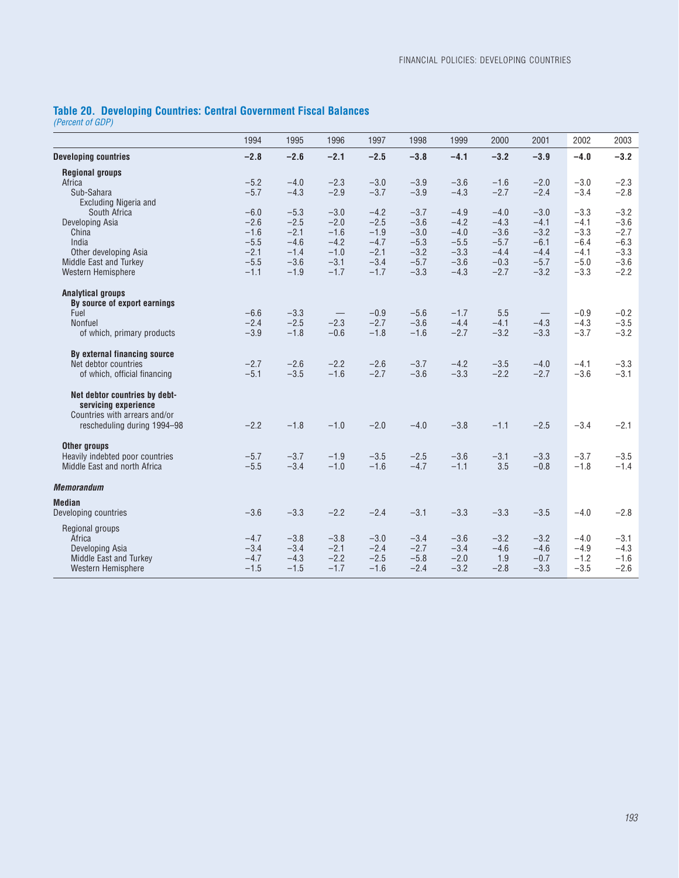## **Table 20. Developing Countries: Central Government Fiscal Balances**

*(Percent of GDP)*

|                                 | 1994   | 1995   | 1996                            | 1997   | 1998   | 1999   | 2000   | 2001                            | 2002   | 2003   |
|---------------------------------|--------|--------|---------------------------------|--------|--------|--------|--------|---------------------------------|--------|--------|
| <b>Developing countries</b>     | $-2.8$ | $-2.6$ | $-2.1$                          | $-2.5$ | $-3.8$ | $-4.1$ | $-3.2$ | $-3.9$                          | $-4.0$ | $-3.2$ |
| <b>Regional groups</b>          |        |        |                                 |        |        |        |        |                                 |        |        |
| Africa                          | $-5.2$ | $-4.0$ | $-2.3$                          | $-3.0$ | $-3.9$ | $-3.6$ | $-1.6$ | $-2.0$                          | $-3.0$ | $-2.3$ |
| Sub-Sahara                      | $-5.7$ | $-4.3$ | $-2.9$                          | $-3.7$ | $-3.9$ | $-4.3$ | $-2.7$ | $-2.4$                          | $-3.4$ | $-2.8$ |
| Excluding Nigeria and           |        |        |                                 |        |        |        |        |                                 |        |        |
| South Africa                    | $-6.0$ | $-5.3$ | $-3.0$                          | $-4.2$ | $-3.7$ | $-4.9$ | $-4.0$ | $-3.0$                          | $-3.3$ | $-3.2$ |
| Developing Asia                 | $-2.6$ | $-2.5$ | $-2.0$                          | $-2.5$ | $-3.6$ | $-4.2$ | $-4.3$ | $-4.1$                          | $-4.1$ | $-3.6$ |
| China                           | $-1.6$ | $-2.1$ | $-1.6$                          | $-1.9$ | $-3.0$ | $-4.0$ | $-3.6$ | $-3.2$                          | $-3.3$ | $-2.7$ |
| India                           | $-5.5$ | $-4.6$ | $-4.2$                          | $-4.7$ | $-5.3$ | $-5.5$ | $-5.7$ | $-6.1$                          | $-6.4$ | $-6.3$ |
| Other developing Asia           | $-2.1$ | $-1.4$ | $-1.0$                          | $-2.1$ | $-3.2$ | $-3.3$ | $-4.4$ | $-4.4$                          | $-4.1$ | $-3.3$ |
| Middle East and Turkey          | $-5.5$ | $-3.6$ | $-3.1$                          | $-3.4$ | $-5.7$ | $-3.6$ | $-0.3$ | $-5.7$                          | $-5.0$ | $-3.6$ |
| Western Hemisphere              | $-1.1$ | $-1.9$ | $-1.7$                          | $-1.7$ | $-3.3$ | $-4.3$ | $-2.7$ | $-3.2$                          | $-3.3$ | $-2.2$ |
| <b>Analytical groups</b>        |        |        |                                 |        |        |        |        |                                 |        |        |
| By source of export earnings    |        |        |                                 |        |        |        |        |                                 |        |        |
| Fuel                            | $-6.6$ | $-3.3$ | $\hspace{0.1mm}-\hspace{0.1mm}$ | $-0.9$ | $-5.6$ | $-1.7$ | 5.5    | $\hspace{0.1mm}-\hspace{0.1mm}$ | $-0.9$ | $-0.2$ |
| <b>Nonfuel</b>                  | $-2.4$ | $-2.5$ | $-2.3$                          | $-2.7$ | $-3.6$ | $-4.4$ | $-4.1$ | $-4.3$                          | $-4.3$ | $-3.5$ |
| of which, primary products      | $-3.9$ | $-1.8$ | $-0.6$                          | $-1.8$ | $-1.6$ | $-2.7$ | $-3.2$ | $-3.3$                          | $-3.7$ | $-3.2$ |
| By external financing source    |        |        |                                 |        |        |        |        |                                 |        |        |
| Net debtor countries            | $-2.7$ | $-2.6$ | $-2.2$                          | $-2.6$ | $-3.7$ | $-4.2$ | $-3.5$ | $-4.0$                          | $-4.1$ | $-3.3$ |
| of which, official financing    | $-5.1$ | $-3.5$ | $-1.6$                          | $-2.7$ | $-3.6$ | $-3.3$ | $-2.2$ | $-2.7$                          | $-3.6$ | $-3.1$ |
| Net debtor countries by debt-   |        |        |                                 |        |        |        |        |                                 |        |        |
| servicing experience            |        |        |                                 |        |        |        |        |                                 |        |        |
| Countries with arrears and/or   |        |        |                                 |        |        |        |        |                                 |        |        |
| rescheduling during 1994-98     | $-2.2$ | $-1.8$ | $-1.0$                          | $-2.0$ | $-4.0$ | $-3.8$ | $-1.1$ | $-2.5$                          | $-3.4$ | $-2.1$ |
| Other groups                    |        |        |                                 |        |        |        |        |                                 |        |        |
| Heavily indebted poor countries | $-5.7$ | $-3.7$ | $-1.9$                          | $-3.5$ | $-2.5$ | $-3.6$ | $-3.1$ | $-3.3$                          | $-3.7$ | $-3.5$ |
| Middle East and north Africa    | $-5.5$ | $-3.4$ | $-1.0$                          | $-1.6$ | $-4.7$ | $-1.1$ | 3.5    | $-0.8$                          | $-1.8$ | $-1.4$ |
| <b>Memorandum</b>               |        |        |                                 |        |        |        |        |                                 |        |        |
| <b>Median</b>                   |        |        |                                 |        |        |        |        |                                 |        |        |
| Developing countries            | $-3.6$ | $-3.3$ | $-2.2$                          | $-2.4$ | $-3.1$ | $-3.3$ | $-3.3$ | $-3.5$                          | $-4.0$ | $-2.8$ |
| Regional groups                 |        |        |                                 |        |        |        |        |                                 |        |        |
| Africa                          | $-4.7$ | $-3.8$ | $-3.8$                          | $-3.0$ | $-3.4$ | $-3.6$ | $-3.2$ | $-3.2$                          | $-4.0$ | $-3.1$ |
| Developing Asia                 | $-3.4$ | $-3.4$ | $-2.1$                          | $-2.4$ | $-2.7$ | $-3.4$ | $-4.6$ | $-4.6$                          | $-4.9$ | $-4.3$ |
| Middle East and Turkey          | $-4.7$ | $-4.3$ | $-2.2$                          | $-2.5$ | $-5.8$ | $-2.0$ | 1.9    | $-0.7$                          | $-1.2$ | $-1.6$ |
| Western Hemisphere              | $-1.5$ | $-1.5$ | $-1.7$                          | $-1.6$ | $-2.4$ | $-3.2$ | $-2.8$ | $-3.3$                          | $-3.5$ | $-2.6$ |
|                                 |        |        |                                 |        |        |        |        |                                 |        |        |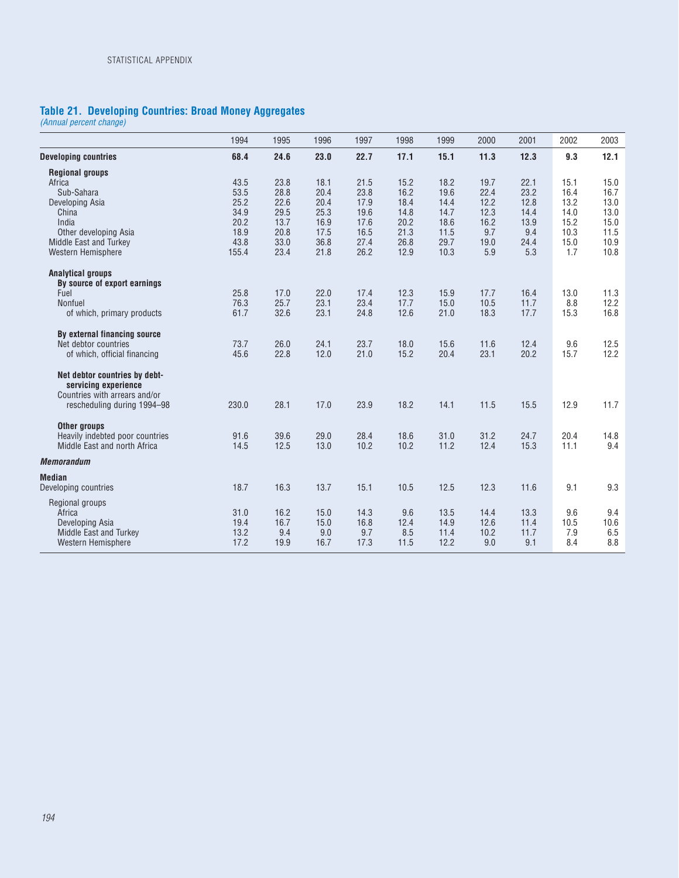## **Table 21. Developing Countries: Broad Money Aggregates**

*(Annual percent change)*

|                                 | 1994  | 1995 | 1996 | 1997 | 1998 | 1999 | 2000 | 2001 | 2002 | 2003 |
|---------------------------------|-------|------|------|------|------|------|------|------|------|------|
| <b>Developing countries</b>     | 68.4  | 24.6 | 23.0 | 22.7 | 17.1 | 15.1 | 11.3 | 12.3 | 9.3  | 12.1 |
| <b>Regional groups</b>          |       |      |      |      |      |      |      |      |      |      |
| Africa                          | 43.5  | 23.8 | 18.1 | 21.5 | 15.2 | 18.2 | 19.7 | 22.1 | 15.1 | 15.0 |
| Sub-Sahara                      | 53.5  | 28.8 | 20.4 | 23.8 | 16.2 | 19.6 | 22.4 | 23.2 | 16.4 | 16.7 |
| Developing Asia                 | 25.2  | 22.6 | 20.4 | 17.9 | 18.4 | 14.4 | 12.2 | 12.8 | 13.2 | 13.0 |
| China                           | 34.9  | 29.5 | 25.3 | 19.6 | 14.8 | 14.7 | 12.3 | 14.4 | 14.0 | 13.0 |
| India                           | 20.2  | 13.7 | 16.9 | 17.6 | 20.2 | 18.6 | 16.2 | 13.9 | 15.2 | 15.0 |
| Other developing Asia           | 18.9  | 20.8 | 17.5 | 16.5 | 21.3 | 11.5 | 9.7  | 9.4  | 10.3 | 11.5 |
| Middle East and Turkey          | 43.8  | 33.0 | 36.8 | 27.4 | 26.8 | 29.7 | 19.0 | 24.4 | 15.0 | 10.9 |
| Western Hemisphere              | 155.4 | 23.4 | 21.8 | 26.2 | 12.9 | 10.3 | 5.9  | 5.3  | 1.7  | 10.8 |
| <b>Analytical groups</b>        |       |      |      |      |      |      |      |      |      |      |
| By source of export earnings    |       |      |      |      |      |      |      |      |      |      |
| Fuel                            | 25.8  | 17.0 | 22.0 | 17.4 | 12.3 | 15.9 | 17.7 | 16.4 | 13.0 | 11.3 |
| Nonfuel                         | 76.3  | 25.7 | 23.1 | 23.4 | 17.7 | 15.0 | 10.5 | 11.7 | 8.8  | 12.2 |
| of which, primary products      | 61.7  | 32.6 | 23.1 | 24.8 | 12.6 | 21.0 | 18.3 | 17.7 | 15.3 | 16.8 |
| By external financing source    |       |      |      |      |      |      |      |      |      |      |
| Net debtor countries            | 73.7  | 26.0 | 24.1 | 23.7 | 18.0 | 15.6 | 11.6 | 12.4 | 9.6  | 12.5 |
| of which, official financing    | 45.6  | 22.8 | 12.0 | 21.0 | 15.2 | 20.4 | 23.1 | 20.2 | 15.7 | 12.2 |
| Net debtor countries by debt-   |       |      |      |      |      |      |      |      |      |      |
| servicing experience            |       |      |      |      |      |      |      |      |      |      |
| Countries with arrears and/or   |       |      |      |      |      |      |      |      |      |      |
| rescheduling during 1994-98     | 230.0 | 28.1 | 17.0 | 23.9 | 18.2 | 14.1 | 11.5 | 15.5 | 12.9 | 11.7 |
| Other groups                    |       |      |      |      |      |      |      |      |      |      |
| Heavily indebted poor countries | 91.6  | 39.6 | 29.0 | 28.4 | 18.6 | 31.0 | 31.2 | 24.7 | 20.4 | 14.8 |
| Middle East and north Africa    | 14.5  | 12.5 | 13.0 | 10.2 | 10.2 | 11.2 | 12.4 | 15.3 | 11.1 | 9.4  |
| <b>Memorandum</b>               |       |      |      |      |      |      |      |      |      |      |
| <b>Median</b>                   |       |      |      |      |      |      |      |      |      |      |
| Developing countries            | 18.7  | 16.3 | 13.7 | 15.1 | 10.5 | 12.5 | 12.3 | 11.6 | 9.1  | 9.3  |
| Regional groups                 |       |      |      |      |      |      |      |      |      |      |
| Africa                          | 31.0  | 16.2 | 15.0 | 14.3 | 9.6  | 13.5 | 14.4 | 13.3 | 9.6  | 9.4  |
| Developing Asia                 | 19.4  | 16.7 | 15.0 | 16.8 | 12.4 | 14.9 | 12.6 | 11.4 | 10.5 | 10.6 |
| Middle East and Turkey          | 13.2  | 9.4  | 9.0  | 9.7  | 8.5  | 11.4 | 10.2 | 11.7 | 7.9  | 6.5  |
| Western Hemisphere              | 17.2  | 19.9 | 16.7 | 17.3 | 11.5 | 12.2 | 9.0  | 9.1  | 8.4  | 8.8  |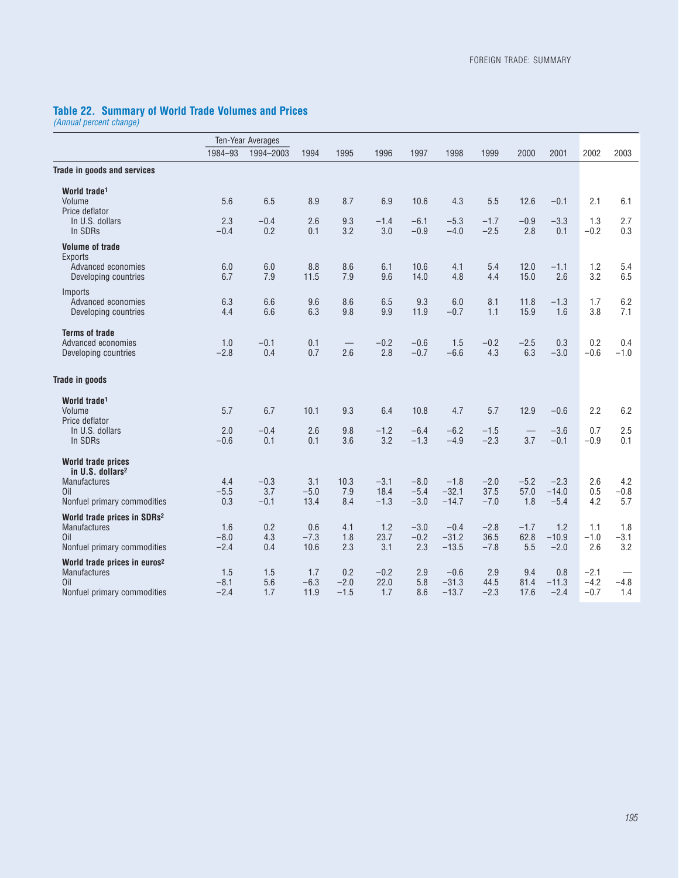#### **Table 22. Summary of World Trade Volumes and Prices**

*(Annual percent change)*

|                                                                 |                  | <b>Ten-Year Averages</b> |                |            |               |                  |                    |                  |              |                   |               |               |
|-----------------------------------------------------------------|------------------|--------------------------|----------------|------------|---------------|------------------|--------------------|------------------|--------------|-------------------|---------------|---------------|
|                                                                 | 1984-93          | 1994-2003                | 1994           | 1995       | 1996          | 1997             | 1998               | 1999             | 2000         | 2001              | 2002          | 2003          |
| <b>Trade in goods and services</b>                              |                  |                          |                |            |               |                  |                    |                  |              |                   |               |               |
| World trade <sup>1</sup>                                        |                  |                          |                |            |               |                  |                    |                  |              |                   |               |               |
| Volume<br>Price deflator                                        | 5.6              | 6.5                      | 8.9            | 8.7        | 6.9           | 10.6             | 4.3                | 5.5              | 12.6         | $-0.1$            | 2.1           | 6.1           |
| In U.S. dollars                                                 | 2.3              | $-0.4$                   | 2.6            | 9.3        | $-1.4$        | $-6.1$           | $-5.3$             | $-1.7$           | $-0.9$       | $-3.3$            | 1.3           | 2.7           |
| In SDRs                                                         | $-0.4$           | 0.2                      | 0.1            | 3.2        | 3.0           | $-0.9$           | $-4.0$             | $-2.5$           | 2.8          | 0.1               | $-0.2$        | 0.3           |
| <b>Volume of trade</b><br><b>Exports</b>                        |                  |                          |                |            |               |                  |                    |                  |              |                   |               |               |
| Advanced economies                                              | 6.0<br>6.7       | 6.0<br>7.9               | 8.8<br>11.5    | 8.6<br>7.9 | 6.1<br>9.6    | 10.6<br>14.0     | 4.1<br>4.8         | 5.4<br>4.4       | 12.0<br>15.0 | $-1.1$<br>2.6     | 1.2<br>3.2    | 5.4<br>6.5    |
| Developing countries                                            |                  |                          |                |            |               |                  |                    |                  |              |                   |               |               |
| <b>Imports</b><br>Advanced economies                            | 6.3              | 6.6                      | 9.6            | 8.6        | 6.5           | 9.3              | 6.0                | 8.1              | 11.8         | $-1.3$            | 1.7           | 6.2           |
| Developing countries                                            | 4.4              | 6.6                      | 6.3            | 9.8        | 9.9           | 11.9             | $-0.7$             | 1.1              | 15.9         | 1.6               | 3.8           | 7.1           |
|                                                                 |                  |                          |                |            |               |                  |                    |                  |              |                   |               |               |
| <b>Terms of trade</b>                                           |                  |                          |                |            | $-0.2$        |                  | 1.5                |                  | $-2.5$       |                   | 0.2           |               |
| Advanced economies<br>Developing countries                      | 1.0<br>$-2.8$    | $-0.1$<br>0.4            | 0.1<br>0.7     | 2.6        | 2.8           | $-0.6$<br>$-0.7$ | $-6.6$             | $-0.2$<br>4.3    | 6.3          | 0.3<br>$-3.0$     | $-0.6$        | 0.4<br>$-1.0$ |
|                                                                 |                  |                          |                |            |               |                  |                    |                  |              |                   |               |               |
| <b>Trade in goods</b>                                           |                  |                          |                |            |               |                  |                    |                  |              |                   |               |               |
| World trade <sup>1</sup>                                        |                  |                          |                |            |               |                  |                    |                  |              |                   |               |               |
| Volume                                                          | 5.7              | 6.7                      | 10.1           | 9.3        | 6.4           | 10.8             | 4.7                | 5.7              | 12.9         | $-0.6$            | 2.2           | 6.2           |
| Price deflator                                                  |                  |                          |                |            |               |                  |                    |                  |              |                   |               |               |
| In U.S. dollars<br>In SDRs                                      | 2.0<br>$-0.6$    | $-0.4$<br>0.1            | 2.6<br>0.1     | 9.8<br>3.6 | $-1.2$<br>3.2 | $-6.4$<br>$-1.3$ | $-6.2$<br>$-4.9$   | $-1.5$<br>$-2.3$ | 3.7          | $-3.6$<br>$-0.1$  | 0.7<br>$-0.9$ | 2.5<br>0.1    |
|                                                                 |                  |                          |                |            |               |                  |                    |                  |              |                   |               |               |
| <b>World trade prices</b>                                       |                  |                          |                |            |               |                  |                    |                  |              |                   |               |               |
| in U.S. dollars <sup>2</sup><br>Manufactures                    | 4.4              | $-0.3$                   | 3.1            | 10.3       | $-3.1$        | $-8.0$           | $-1.8$             | $-2.0$           | $-5.2$       | $-2.3$            | 2.6           | 4.2           |
| Oil                                                             | $-5.5$           | 3.7                      | $-5.0$         | 7.9        | 18.4          | $-5.4$           | $-32.1$            | 37.5             | 57.0         | $-14.0$           | 0.5           | $-0.8$        |
| Nonfuel primary commodities                                     | 0.3              | $-0.1$                   | 13.4           | 8.4        | $-1.3$        | $-3.0$           | $-14.7$            | $-7.0$           | 1.8          | $-5.4$            | 4.2           | 5.7           |
| World trade prices in SDRs <sup>2</sup>                         |                  |                          |                |            |               |                  |                    |                  |              |                   |               |               |
| <b>Manufactures</b>                                             | 1.6              | 0.2                      | 0.6            | 4.1        | 1.2           | $-3.0$           | $-0.4$             | $-2.8$           | $-1.7$       | 1.2               | 1.1           | 1.8           |
| Oil<br>Nonfuel primary commodities                              | $-8.0$<br>$-2.4$ | 4.3<br>0.4               | $-7.3$<br>10.6 | 1.8<br>2.3 | 23.7<br>3.1   | $-0.2$<br>2.3    | $-31.2$<br>$-13.5$ | 36.5<br>$-7.8$   | 62.8<br>5.5  | $-10.9$<br>$-2.0$ | $-1.0$<br>2.6 | $-3.1$<br>3.2 |
|                                                                 |                  |                          |                |            |               |                  |                    |                  |              |                   |               |               |
| World trade prices in euros <sup>2</sup><br><b>Manufactures</b> | 1.5              | 1.5                      | 1.7            | 0.2        | $-0.2$        | 2.9              | $-0.6$             | 2.9              | 9.4          | 0.8               | $-2.1$        |               |
| Oil                                                             | $-8.1$           | 5.6                      | $-6.3$         | $-2.0$     | 22.0          | 5.8              | $-31.3$            | 44.5             | 81.4         | $-11.3$           | $-4.2$        | $-4.8$        |
| Nonfuel primary commodities                                     | $-2.4$           | 1.7                      | 11.9           | $-1.5$     | 1.7           | 8.6              | $-13.7$            | $-2.3$           | 17.6         | $-2.4$            | $-0.7$        | 1.4           |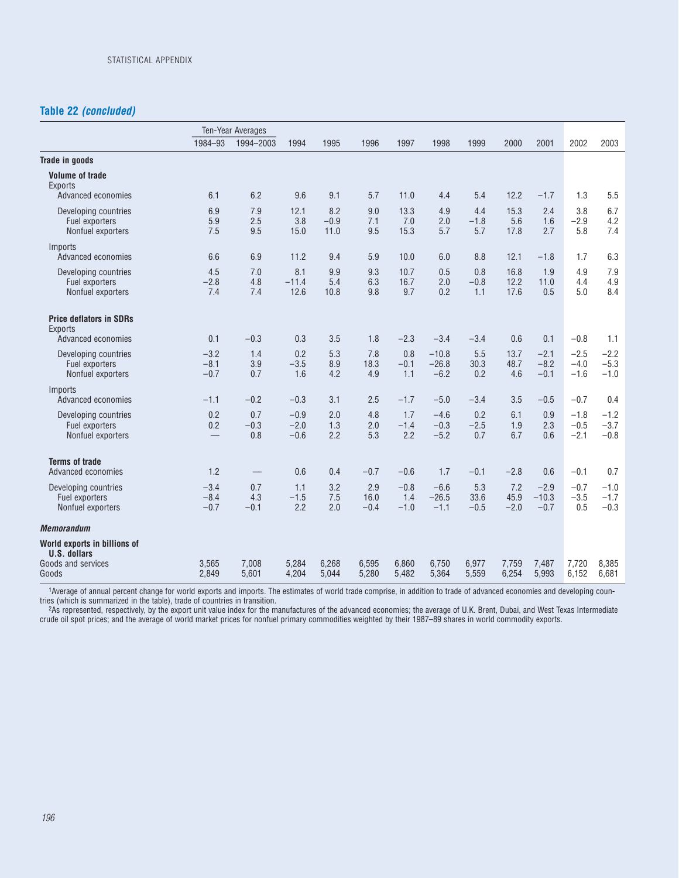## **Table 22** *(concluded)*

|                                                             |                            | Ten-Year Averages    |                            |                       |                       |                         |                              |                       |                       |                             |                            |                            |
|-------------------------------------------------------------|----------------------------|----------------------|----------------------------|-----------------------|-----------------------|-------------------------|------------------------------|-----------------------|-----------------------|-----------------------------|----------------------------|----------------------------|
|                                                             | 1984-93                    | 1994-2003            | 1994                       | 1995                  | 1996                  | 1997                    | 1998                         | 1999                  | 2000                  | 2001                        | 2002                       | 2003                       |
| <b>Trade in goods</b>                                       |                            |                      |                            |                       |                       |                         |                              |                       |                       |                             |                            |                            |
| <b>Volume of trade</b><br><b>Exports</b>                    |                            |                      |                            |                       |                       |                         |                              |                       |                       |                             |                            |                            |
| Advanced economies                                          | 6.1                        | 6.2                  | 9.6                        | 9.1                   | 5.7                   | 11.0                    | 4.4                          | 5.4                   | 12.2                  | $-1.7$                      | 1.3                        | 5.5                        |
| Developing countries<br>Fuel exporters<br>Nonfuel exporters | 6.9<br>5.9<br>7.5          | 7.9<br>2.5<br>9.5    | 12.1<br>3.8<br>15.0        | 8.2<br>$-0.9$<br>11.0 | 9.0<br>7.1<br>9.5     | 13.3<br>7.0<br>15.3     | 4.9<br>2.0<br>5.7            | 4.4<br>$-1.8$<br>5.7  | 15.3<br>5.6<br>17.8   | 2.4<br>1.6<br>2.7           | 3.8<br>$-2.9$<br>5.8       | 6.7<br>4.2<br>7.4          |
| Imports<br>Advanced economies                               | 6.6                        | 6.9                  | 11.2                       | 9.4                   | 5.9                   | 10.0                    | 6.0                          | 8.8                   | 12.1                  | $-1.8$                      | 1.7                        | 6.3                        |
| Developing countries<br>Fuel exporters<br>Nonfuel exporters | 4.5<br>$-2.8$<br>7.4       | 7.0<br>4.8<br>7.4    | 8.1<br>$-11.4$<br>12.6     | 9.9<br>5.4<br>10.8    | 9.3<br>6.3<br>9.8     | 10.7<br>16.7<br>9.7     | 0.5<br>2.0<br>0.2            | 0.8<br>$-0.8$<br>1.1  | 16.8<br>12.2<br>17.6  | 1.9<br>11.0<br>0.5          | 4.9<br>4.4<br>5.0          | 7.9<br>4.9<br>8.4          |
| <b>Price deflators in SDRs</b><br><b>Exports</b>            |                            |                      |                            |                       |                       |                         |                              |                       |                       |                             |                            |                            |
| Advanced economies                                          | 0.1                        | $-0.3$               | 0.3                        | 3.5                   | 1.8                   | $-2.3$                  | $-3.4$                       | $-3.4$                | 0.6                   | 0.1                         | $-0.8$                     | 1.1                        |
| Developing countries<br>Fuel exporters<br>Nonfuel exporters | $-3.2$<br>$-8.1$<br>$-0.7$ | 1.4<br>3.9<br>0.7    | 0.2<br>$-3.5$<br>1.6       | 5.3<br>8.9<br>4.2     | 7.8<br>18.3<br>4.9    | 0.8<br>$-0.1$<br>1.1    | $-10.8$<br>$-26.8$<br>$-6.2$ | 5.5<br>30.3<br>0.2    | 13.7<br>48.7<br>4.6   | $-2.1$<br>$-8.2$<br>$-0.1$  | $-2.5$<br>$-4.0$<br>$-1.6$ | $-2.2$<br>$-5.3$<br>$-1.0$ |
| Imports<br>Advanced economies                               | $-1.1$                     | $-0.2$               | $-0.3$                     | 3.1                   | 2.5                   | $-1.7$                  | $-5.0$                       | $-3.4$                | 3.5                   | $-0.5$                      | $-0.7$                     | 0.4                        |
| Developing countries<br>Fuel exporters<br>Nonfuel exporters | 0.2<br>0.2                 | 0.7<br>$-0.3$<br>0.8 | $-0.9$<br>$-2.0$<br>$-0.6$ | 2.0<br>1.3<br>2.2     | 4.8<br>2.0<br>5.3     | 1.7<br>$-1.4$<br>2.2    | $-4.6$<br>$-0.3$<br>$-5.2$   | 0.2<br>$-2.5$<br>0.7  | 6.1<br>1.9<br>6.7     | 0.9<br>2.3<br>0.6           | $-1.8$<br>$-0.5$<br>$-2.1$ | $-1.2$<br>$-3.7$<br>$-0.8$ |
| <b>Terms of trade</b><br>Advanced economies                 | 1.2                        | $\qquad \qquad -$    | 0.6                        | 0.4                   | $-0.7$                | $-0.6$                  | 1.7                          | $-0.1$                | $-2.8$                | 0.6                         | $-0.1$                     | 0.7                        |
| Developing countries<br>Fuel exporters<br>Nonfuel exporters | $-3.4$<br>$-8.4$<br>$-0.7$ | 0.7<br>4.3<br>$-0.1$ | 1.1<br>$-1.5$<br>2.2       | 3.2<br>7.5<br>2.0     | 2.9<br>16.0<br>$-0.4$ | $-0.8$<br>1.4<br>$-1.0$ | $-6.6$<br>$-26.5$<br>$-1.1$  | 5.3<br>33.6<br>$-0.5$ | 7.2<br>45.9<br>$-2.0$ | $-2.9$<br>$-10.3$<br>$-0.7$ | $-0.7$<br>$-3.5$<br>0.5    | $-1.0$<br>$-1.7$<br>$-0.3$ |
| <b>Memorandum</b>                                           |                            |                      |                            |                       |                       |                         |                              |                       |                       |                             |                            |                            |
| World exports in billions of<br><b>U.S. dollars</b>         |                            |                      |                            |                       |                       |                         |                              |                       |                       |                             |                            |                            |
| Goods and services<br>Goods                                 | 3,565<br>2,849             | 7,008<br>5.601       | 5,284<br>4,204             | 6,268<br>5,044        | 6,595<br>5,280        | 6.860<br>5.482          | 6,750<br>5,364               | 6,977<br>5,559        | 7.759<br>6,254        | 7,487<br>5.993              | 7,720<br>6,152             | 8,385<br>6,681             |

1Average of annual percent change for world exports and imports. The estimates of world trade comprise, in addition to trade of advanced economies and developing countries (which is summarized in the table), trade of countries in transition.

2As represented, respectively, by the export unit value index for the manufactures of the advanced economies; the average of U.K. Brent, Dubai, and West Texas Intermediate crude oil spot prices; and the average of world market prices for nonfuel primary commodities weighted by their 1987–89 shares in world commodity exports.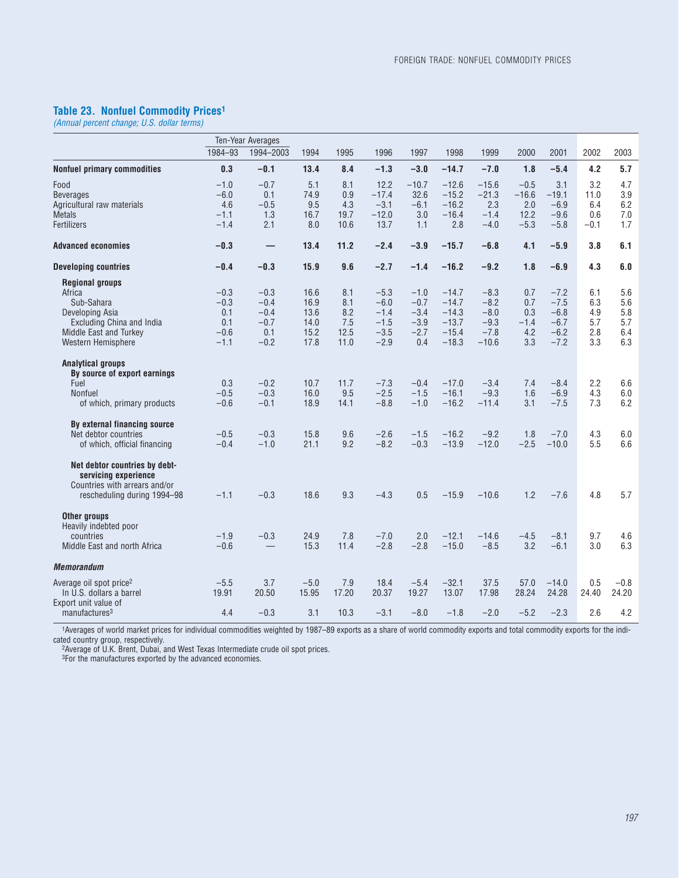#### **Table 23. Nonfuel Commodity Prices1**

*(Annual percent change; U.S. dollar terms)*

|                                     | Ten-Year Averages |           |        |       |         |         |         |         |         |         |        |        |
|-------------------------------------|-------------------|-----------|--------|-------|---------|---------|---------|---------|---------|---------|--------|--------|
|                                     | 1984-93           | 1994-2003 | 1994   | 1995  | 1996    | 1997    | 1998    | 1999    | 2000    | 2001    | 2002   | 2003   |
| <b>Nonfuel primary commodities</b>  | 0.3               | $-0.1$    | 13.4   | 8.4   | $-1.3$  | $-3.0$  | $-14.7$ | $-7.0$  | 1.8     | $-5.4$  | 4.2    | 5.7    |
| Food                                | $-1.0$            | $-0.7$    | 5.1    | 8.1   | 12.2    | $-10.7$ | $-12.6$ | $-15.6$ | $-0.5$  | 3.1     | 3.2    | 4.7    |
| <b>Beverages</b>                    | $-6.0$            | 0.1       | 74.9   | 0.9   | $-17.4$ | 32.6    | $-15.2$ | $-21.3$ | $-16.6$ | $-19.1$ | 11.0   | 3.9    |
| Agricultural raw materials          | 4.6               | $-0.5$    | 9.5    | 4.3   | $-3.1$  | $-6.1$  | $-16.2$ | 2.3     | 2.0     | $-6.9$  | 6.4    | 6.2    |
| <b>Metals</b>                       | $-1.1$            | 1.3       | 16.7   | 19.7  | $-12.0$ | 3.0     | $-16.4$ | $-1.4$  | 12.2    | $-9.6$  | 0.6    | 7.0    |
| Fertilizers                         | $-1.4$            | 2.1       | 8.0    | 10.6  | 13.7    | 1.1     | 2.8     | $-4.0$  | $-5.3$  | $-5.8$  | $-0.1$ | 1.7    |
| <b>Advanced economies</b>           | $-0.3$            |           | 13.4   | 11.2  | $-2.4$  | $-3.9$  | $-15.7$ | $-6.8$  | 4.1     | $-5.9$  | 3.8    | 6.1    |
| <b>Developing countries</b>         | $-0.4$            | $-0.3$    | 15.9   | 9.6   | $-2.7$  | $-1.4$  | $-16.2$ | $-9.2$  | 1.8     | $-6.9$  | 4.3    | 6.0    |
| <b>Regional groups</b>              |                   |           |        |       |         |         |         |         |         |         |        |        |
| Africa                              | $-0.3$            | $-0.3$    | 16.6   | 8.1   | $-5.3$  | $-1.0$  | $-14.7$ | $-8.3$  | 0.7     | $-7.2$  | 6.1    | 5.6    |
| Sub-Sahara                          | $-0.3$            | $-0.4$    | 16.9   | 8.1   | $-6.0$  | $-0.7$  | $-14.7$ | $-8.2$  | 0.7     | $-7.5$  | 6.3    | 5.6    |
| Developing Asia                     | 0.1               | $-0.4$    | 13.6   | 8.2   | $-1.4$  | $-3.4$  | $-14.3$ | $-8.0$  | 0.3     | $-6.8$  | 4.9    | 5.8    |
| Excluding China and India           | 0.1               | $-0.7$    | 14.0   | 7.5   | $-1.5$  | $-3.9$  | $-13.7$ | $-9.3$  | $-1.4$  | $-6.7$  | 5.7    | 5.7    |
| Middle East and Turkey              | $-0.6$            | 0.1       | 15.2   | 12.5  | $-3.5$  | $-2.7$  | $-15.4$ | $-7.8$  | 4.2     | $-6.2$  | 2.8    | 6.4    |
| Western Hemisphere                  | $-1.1$            | $-0.2$    | 17.8   | 11.0  | $-2.9$  | 0.4     | $-18.3$ | $-10.6$ | 3.3     | $-7.2$  | 3.3    | 6.3    |
| <b>Analytical groups</b>            |                   |           |        |       |         |         |         |         |         |         |        |        |
| By source of export earnings        |                   |           |        |       |         |         |         |         |         |         |        |        |
| Fuel                                | 0.3               | $-0.2$    | 10.7   | 11.7  | $-7.3$  | $-0.4$  | $-17.0$ | $-3.4$  | 7.4     | $-8.4$  | 2.2    | 6.6    |
| Nonfuel                             | $-0.5$            | $-0.3$    | 16.0   | 9.5   | $-2.5$  | $-1.5$  | $-16.1$ | $-9.3$  | 1.6     | $-6.9$  | 4.3    | 6.0    |
| of which, primary products          | $-0.6$            | $-0.1$    | 18.9   | 14.1  | $-8.8$  | $-1.0$  | $-16.2$ | $-11.4$ | 3.1     | $-7.5$  | 7.3    | 6.2    |
| By external financing source        |                   |           |        |       |         |         |         |         |         |         |        |        |
| Net debtor countries                | $-0.5$            | $-0.3$    | 15.8   | 9.6   | $-2.6$  | $-1.5$  | $-16.2$ | $-9.2$  | 1.8     | $-7.0$  | 4.3    | 6.0    |
| of which, official financing        | $-0.4$            | $-1.0$    | 21.1   | 9.2   | $-8.2$  | $-0.3$  | $-13.9$ | $-12.0$ | $-2.5$  | $-10.0$ | 5.5    | 6.6    |
| Net debtor countries by debt-       |                   |           |        |       |         |         |         |         |         |         |        |        |
| servicing experience                |                   |           |        |       |         |         |         |         |         |         |        |        |
| Countries with arrears and/or       |                   |           |        |       |         |         |         |         |         |         |        |        |
| rescheduling during 1994-98         | $-1.1$            | $-0.3$    | 18.6   | 9.3   | $-4.3$  | 0.5     | $-15.9$ | $-10.6$ | 1.2     | $-7.6$  | 4.8    | 5.7    |
| Other groups                        |                   |           |        |       |         |         |         |         |         |         |        |        |
| Heavily indebted poor               |                   |           |        |       |         |         |         |         |         |         |        |        |
| countries                           | $-1.9$            | $-0.3$    | 24.9   | 7.8   | $-7.0$  | 2.0     | $-12.1$ | $-14.6$ | $-4.5$  | $-8.1$  | 9.7    | 4.6    |
| Middle East and north Africa        | $-0.6$            |           | 15.3   | 11.4  | $-2.8$  | $-2.8$  | $-15.0$ | $-8.5$  | 3.2     | $-6.1$  | 3.0    | 6.3    |
| <b>Memorandum</b>                   |                   |           |        |       |         |         |         |         |         |         |        |        |
| Average oil spot price <sup>2</sup> | $-5.5$            | 3.7       | $-5.0$ | 7.9   | 18.4    | $-5.4$  | $-32.1$ | 37.5    | 57.0    | $-14.0$ | 0.5    | $-0.8$ |
| In U.S. dollars a barrel            | 19.91             | 20.50     | 15.95  | 17.20 | 20.37   | 19.27   | 13.07   | 17.98   | 28.24   | 24.28   | 24.40  | 24.20  |
| Export unit value of                |                   |           |        |       |         |         |         |         |         |         |        |        |
| manufactures <sup>3</sup>           | 4.4               | $-0.3$    | 3.1    | 10.3  | $-3.1$  | $-8.0$  | $-1.8$  | $-2.0$  | $-5.2$  | $-2.3$  | 2.6    | 4.2    |
|                                     |                   |           |        |       |         |         |         |         |         |         |        |        |

1Averages of world market prices for individual commodities weighted by 1987–89 exports as a share of world commodity exports and total commodity exports for the indicated country group, respectively.

2Average of U.K. Brent, Dubai, and West Texas Intermediate crude oil spot prices.

3For the manufactures exported by the advanced economies.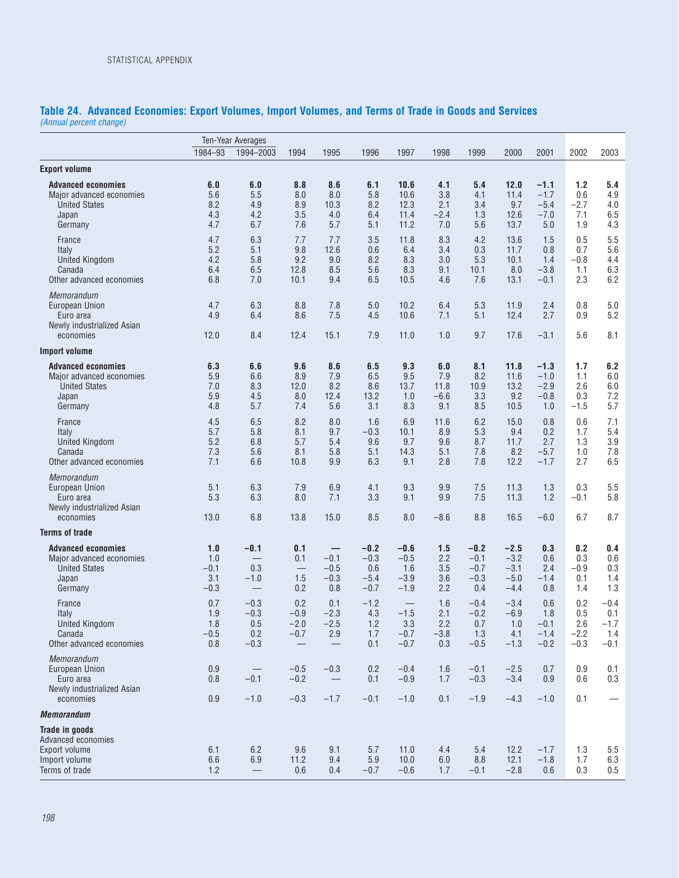#### **Table 24. Advanced Economies: Export Volumes, Import Volumes, and Terms of Trade in Goods and Services** *(Annual percent change)*

|                                                                                                   |                                       | <b>Ten-Year Averages</b>                 |                                                               |                                        |                                             |                                                        |                                     |                                             |                                                |                                             |                                       |                                            |
|---------------------------------------------------------------------------------------------------|---------------------------------------|------------------------------------------|---------------------------------------------------------------|----------------------------------------|---------------------------------------------|--------------------------------------------------------|-------------------------------------|---------------------------------------------|------------------------------------------------|---------------------------------------------|---------------------------------------|--------------------------------------------|
|                                                                                                   | 1984-93                               | 1994-2003                                | 1994                                                          | 1995                                   | 1996                                        | 1997                                                   | 1998                                | 1999                                        | 2000                                           | 2001                                        | 2002                                  | 2003                                       |
| <b>Export volume</b>                                                                              |                                       |                                          |                                                               |                                        |                                             |                                                        |                                     |                                             |                                                |                                             |                                       |                                            |
| <b>Advanced economies</b><br>Major advanced economies<br><b>United States</b><br>Japan<br>Germany | 6.0<br>5.6<br>8.2<br>4.3<br>4.7       | 6.0<br>5.5<br>4.9<br>4.2<br>6.7          | 8.8<br>8.0<br>8.9<br>3.5<br>7.6                               | 8.6<br>8.0<br>10.3<br>4.0<br>5.7       | 6.1<br>5.8<br>8.2<br>6.4<br>5.1             | 10.6<br>10.6<br>12.3<br>11.4<br>11.2                   | 4.1<br>3.8<br>2.1<br>$-2.4$<br>7.0  | 5.4<br>4.1<br>3.4<br>1.3<br>5.6             | 12.0<br>11.4<br>9.7<br>12.6<br>13.7            | $-1.1$<br>$-1.7$<br>$-5.4$<br>$-7.0$<br>5.0 | 1.2<br>0.6<br>$-2.7$<br>7.1<br>1.9    | 5.4<br>4.9<br>4.0<br>6.5<br>4.3            |
| France<br>Italy<br><b>United Kingdom</b><br>Canada<br>Other advanced economies                    | 4.7<br>5.2<br>4.2<br>6.4<br>6.8       | 6.3<br>5.1<br>5.8<br>6.5<br>7.0          | 7.7<br>9.8<br>9.2<br>12.8<br>10.1                             | 7.7<br>12.6<br>9.0<br>8.5<br>9.4       | 3.5<br>0.6<br>8.2<br>5.6<br>6.5             | 11.8<br>6.4<br>8.3<br>8.3<br>10.5                      | 8.3<br>3.4<br>3.0<br>9.1<br>4.6     | 4.2<br>0.3<br>5.3<br>10.1<br>7.6            | 13.6<br>11.7<br>10.1<br>8.0<br>13.1            | 1.5<br>0.8<br>1.4<br>$-3.8$<br>$-0.1$       | 0.5<br>0.7<br>$-0.8$<br>1.1<br>2.3    | 5.5<br>5.6<br>4.4<br>6.3<br>6.2            |
| Memorandum<br>European Union<br>Euro area<br>Newly industrialized Asian<br>economies              | 4.7<br>4.9<br>12.0                    | 6.3<br>6.4<br>8.4                        | 8.8<br>8.6<br>12.4                                            | 7.8<br>7.5<br>15.1                     | 5.0<br>4.5<br>7.9                           | 10.2<br>10.6<br>11.0                                   | 6.4<br>7.1<br>1.0                   | 5.3<br>5.1<br>9.7                           | 11.9<br>12.4<br>17.6                           | 2.4<br>2.7<br>$-3.1$                        | 0.8<br>0.9<br>5.6                     | 5.0<br>5.2<br>8.1                          |
| <b>Import volume</b>                                                                              |                                       |                                          |                                                               |                                        |                                             |                                                        |                                     |                                             |                                                |                                             |                                       |                                            |
| <b>Advanced economies</b><br>Major advanced economies<br><b>United States</b><br>Japan<br>Germany | 6.3<br>5.9<br>7.0<br>5.9<br>4.8       | 6.6<br>6.6<br>8.3<br>4.5<br>5.7          | 9.6<br>8.9<br>12.0<br>8.0<br>7.4                              | 8.6<br>7.9<br>8.2<br>12.4<br>5.6       | 6.5<br>6.5<br>8.6<br>13.2<br>3.1            | 9.3<br>9.5<br>13.7<br>1.0<br>8.3                       | 6.0<br>7.9<br>11.8<br>$-6.6$<br>9.1 | 8.1<br>8.2<br>10.9<br>3.3<br>8.5            | 11.8<br>11.6<br>13.2<br>9.2<br>10.5            | $-1.3$<br>$-1.0$<br>$-2.9$<br>$-0.8$<br>1.0 | 1.7<br>1.1<br>2.6<br>0.3<br>$-1.5$    | 6.2<br>6.0<br>6.0<br>7.2<br>5.7            |
| France<br>Italy<br><b>United Kingdom</b><br>Canada<br>Other advanced economies                    | 4.5<br>5.7<br>5.2<br>7.3<br>7.1       | 6.5<br>5.8<br>6.8<br>5.6<br>6.6          | 8.2<br>8.1<br>5.7<br>8.1<br>10.8                              | 8.0<br>9.7<br>5.4<br>5.8<br>9.9        | 1.6<br>$-0.3$<br>9.6<br>5.1<br>6.3          | 6.9<br>10.1<br>9.7<br>14.3<br>9.1                      | 11.6<br>8.9<br>9.6<br>5.1<br>2.8    | 6.2<br>5.3<br>8.7<br>7.8<br>7.8             | 15.0<br>9.4<br>11.7<br>8.2<br>12.2             | 0.8<br>0.2<br>2.7<br>$-5.7$<br>$-1.7$       | 0.6<br>1.7<br>1.3<br>1.0<br>2.7       | 7.1<br>5.4<br>3.9<br>7.8<br>6.5            |
| Memorandum<br>European Union<br>Euro area<br>Newly industrialized Asian<br>economies              | 5.1<br>5.3<br>13.0                    | 6.3<br>6.3<br>6.8                        | 7.9<br>8.0<br>13.8                                            | 6.9<br>7.1<br>15.0                     | 4.1<br>3.3<br>8.5                           | 9.3<br>9.1<br>8.0                                      | 9.9<br>9.9<br>$-8.6$                | 7.5<br>7.5<br>8.8                           | 11.3<br>11.3<br>16.5                           | 1.3<br>1.2<br>$-6.0$                        | 0.3<br>$-0.1$<br>6.7                  | 5.5<br>5.8<br>8.7                          |
| <b>Terms of trade</b>                                                                             |                                       |                                          |                                                               |                                        |                                             |                                                        |                                     |                                             |                                                |                                             |                                       |                                            |
| <b>Advanced economies</b><br>Major advanced economies<br><b>United States</b><br>Japan<br>Germany | 1.0<br>1.0<br>$-0.1$<br>3.1<br>$-0.3$ | $-0.1$<br>0.3<br>$-1.0$                  | 0.1<br>0.1<br>1.5<br>0.2                                      | -<br>$-0.1$<br>$-0.5$<br>$-0.3$<br>0.8 | $-0.2$<br>$-0.3$<br>0.6<br>$-5.4$<br>$-0.7$ | $-0.6$<br>$-0.5$<br>1.6<br>$-3.9$<br>$-1.9$            | 1.5<br>2.2<br>3.5<br>3.6<br>2.2     | $-0.2$<br>$-0.1$<br>$-0.7$<br>$-0.3$<br>0.4 | $-2.5$<br>$-3.2$<br>$-3.1$<br>$-5.0$<br>$-4.4$ | 0.3<br>0.6<br>2.4<br>$-1.4$<br>0.8          | 0.2<br>0.3<br>$-0.9$<br>0.1<br>1.4    | 0.4<br>0.6<br>0.3<br>1.4<br>1.3            |
| France<br>Italy<br><b>United Kingdom</b><br>Canada<br>Other advanced economies                    | 0.7<br>1.9<br>1.8<br>$-0.5$<br>0.8    | $-0.3$<br>$-0.3$<br>0.5<br>0.2<br>$-0.3$ | 0.2<br>$-0.9$<br>$-2.0$<br>$-0.7$<br>$\overline{\phantom{m}}$ | 0.1<br>$-2.3$<br>$-2.5$<br>$2.9\,$     | $-1.2$<br>4.3<br>1.2<br>$1.7$<br>0.1        | $\qquad \qquad -$<br>$-1.5$<br>3.3<br>$-0.7$<br>$-0.7$ | 1.6<br>2.1<br>2.2<br>$-3.8$<br>0.3  | $-0.4$<br>$-0.2$<br>0.7<br>1.3<br>$-0.5$    | $-3.4$<br>$-6.9$<br>1.0<br>4.1<br>$-1.3$       | 0.6<br>1.8<br>$-0.1$<br>$-1.4$<br>$-0.2$    | 0.2<br>0.5<br>2.6<br>$-2.2$<br>$-0.3$ | $-0.4$<br>0.1<br>$-1.7$<br>$1.4$<br>$-0.1$ |
| <b>Memorandum</b><br>European Union<br>Euro area<br>Newly industrialized Asian                    | 0.9<br>0.8                            | $\overline{\phantom{m}}$<br>$-0.1$       | $-0.5$<br>$-0.2$                                              | $-0.3$<br>$\overline{\phantom{m}}$     | 0.2<br>0.1                                  | $-0.4$<br>$-0.9$                                       | 1.6<br>1.7                          | $-0.1$<br>$-0.3$                            | $-2.5$<br>$-3.4$                               | 0.7<br>0.9                                  | 0.9<br>0.6                            | 0.1<br>0.3                                 |
| economies                                                                                         | 0.9                                   | $-1.0$                                   | $-0.3$                                                        | $-1.7$                                 | $-0.1$                                      | $-1.0$                                                 | 0.1                                 | $-1.9$                                      | $-4.3$                                         | $-1.0$                                      | 0.1                                   |                                            |
| <b>Memorandum</b>                                                                                 |                                       |                                          |                                                               |                                        |                                             |                                                        |                                     |                                             |                                                |                                             |                                       |                                            |
| <b>Trade in goods</b><br>Advanced economies<br>Export volume<br>Import volume<br>Terms of trade   | 6.1<br>6.6<br>1.2                     | 6.2<br>6.9<br>$\overline{\phantom{0}}$   | 9.6<br>11.2<br>0.6                                            | 9.1<br>9.4<br>0.4                      | 5.7<br>$5.9\,$<br>$-0.7$                    | 11.0<br>10.0<br>$-0.6$                                 | 4.4<br>6.0<br>1.7                   | 5.4<br>8.8<br>$-0.1$                        | 12.2<br>12.1<br>$-2.8$                         | $-1.7$<br>$-1.8$<br>0.6                     | 1.3<br>1.7<br>0.3                     | 5.5<br>6.3<br>0.5                          |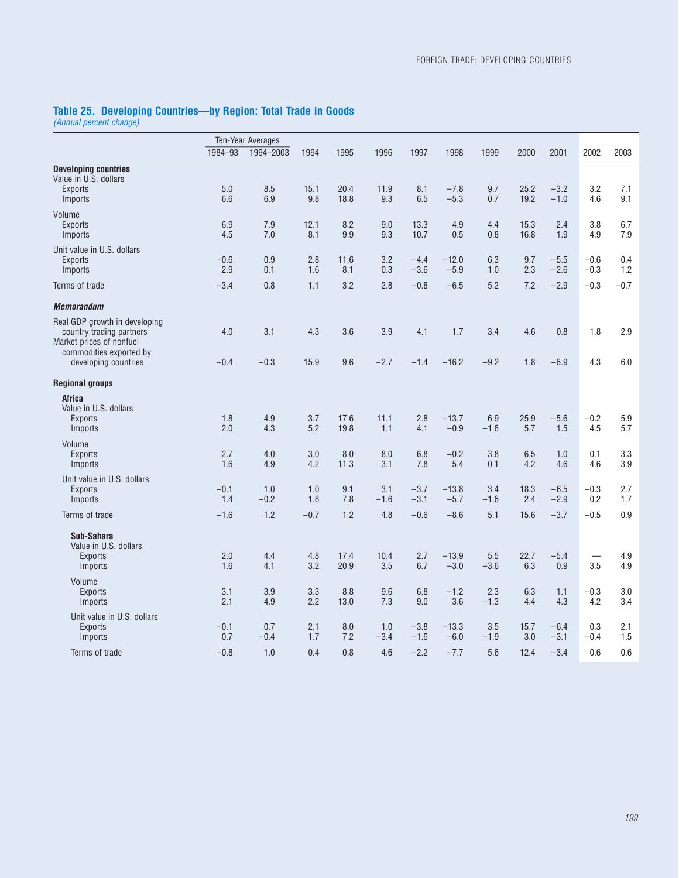### **Table 25. Developing Countries—by Region: Total Trade in Goods**

*(Annual percent change)*

|                                                                                       |               | Ten-Year Averages |             |              |               |                  |                   |               |              |                  |               |            |
|---------------------------------------------------------------------------------------|---------------|-------------------|-------------|--------------|---------------|------------------|-------------------|---------------|--------------|------------------|---------------|------------|
|                                                                                       | 1984-93       | 1994-2003         | 1994        | 1995         | 1996          | 1997             | 1998              | 1999          | 2000         | 2001             | 2002          | 2003       |
| <b>Developing countries</b><br>Value in U.S. dollars                                  |               |                   |             |              |               |                  |                   |               |              |                  |               |            |
| <b>Exports</b><br>Imports                                                             | 5.0<br>6.6    | 8.5<br>6.9        | 15.1<br>9.8 | 20.4<br>18.8 | 11.9<br>9.3   | 8.1<br>6.5       | $-7.8$<br>$-5.3$  | 9.7<br>0.7    | 25.2<br>19.2 | $-3.2$<br>$-1.0$ | 3.2<br>4.6    | 7.1<br>9.1 |
| Volume                                                                                |               |                   |             |              |               |                  |                   |               |              |                  |               |            |
| <b>Exports</b><br>Imports                                                             | 6.9<br>4.5    | 7.9<br>7.0        | 12.1<br>8.1 | 8.2<br>9.9   | 9.0<br>9.3    | 13.3<br>10.7     | 4.9<br>0.5        | 4.4<br>0.8    | 15.3<br>16.8 | 2.4<br>1.9       | 3.8<br>4.9    | 6.7<br>7.9 |
| Unit value in U.S. dollars                                                            |               |                   |             |              |               |                  |                   |               |              |                  |               |            |
| <b>Exports</b>                                                                        | $-0.6$        | 0.9               | 2.8         | 11.6         | 3.2           | $-4.4$           | $-12.0$           | 6.3           | 9.7          | $-5.5$           | $-0.6$        | 0.4        |
| Imports                                                                               | 2.9           | 0.1               | 1.6         | 8.1          | 0.3           | $-3.6$           | $-5.9$            | 1.0           | 2.3          | $-2.6$           | $-0.3$        | 1.2        |
| Terms of trade                                                                        | $-3.4$        | 0.8               | 1.1         | 3.2          | 2.8           | $-0.8$           | $-6.5$            | 5.2           | 7.2          | $-2.9$           | $-0.3$        | $-0.7$     |
| <b>Memorandum</b>                                                                     |               |                   |             |              |               |                  |                   |               |              |                  |               |            |
| Real GDP growth in developing<br>country trading partners<br>Market prices of nonfuel | 4.0           | 3.1               | 4.3         | 3.6          | 3.9           | 4.1              | 1.7               | 3.4           | 4.6          | 0.8              | 1.8           | 2.9        |
| commodities exported by<br>developing countries                                       | $-0.4$        | $-0.3$            | 15.9        | 9.6          | $-2.7$        | $-1.4$           | $-16.2$           | $-9.2$        | 1.8          | $-6.9$           | 4.3           | 6.0        |
| <b>Regional groups</b>                                                                |               |                   |             |              |               |                  |                   |               |              |                  |               |            |
| Africa                                                                                |               |                   |             |              |               |                  |                   |               |              |                  |               |            |
| Value in U.S. dollars<br><b>Exports</b>                                               | 1.8           | 4.9               | 3.7         | 17.6         | 11.1          | 2.8              | $-13.7$           | 6.9           | 25.9         | $-5.6$           | $-0.2$        | 5.9        |
| Imports                                                                               | 2.0           | 4.3               | 5.2         | 19.8         | 1.1           | 4.1              | $-0.9$            | $-1.8$        | 5.7          | 1.5              | 4.5           | 5.7        |
| Volume                                                                                |               |                   |             |              |               |                  |                   |               |              |                  |               |            |
| <b>Exports</b>                                                                        | 2.7           | 4.0               | 3.0         | 8.0          | 8.0           | 6.8              | $-0.2$<br>5.4     | 3.8           | 6.5          | 1.0              | 0.1           | 3.3<br>3.9 |
| Imports                                                                               | 1.6           | 4.9               | 4.2         | 11.3         | 3.1           | 7.8              |                   | 0.1           | 4.2          | 4.6              | 4.6           |            |
| Unit value in U.S. dollars<br><b>Exports</b>                                          | $-0.1$        | 1.0               | 1.0         | 9.1          | 3.1           | $-3.7$           | $-13.8$           | 3.4           | 18.3         | $-6.5$           | $-0.3$        | 2.7        |
| Imports                                                                               | 1.4           | $-0.2$            | 1.8         | 7.8          | $-1.6$        | $-3.1$           | $-5.7$            | $-1.6$        | 2.4          | $-2.9$           | 0.2           | 1.7        |
| Terms of trade                                                                        | $-1.6$        | 1.2               | $-0.7$      | 1.2          | 4.8           | $-0.6$           | $-8.6$            | 5.1           | 15.6         | $-3.7$           | $-0.5$        | 0.9        |
| Sub-Sahara<br>Value in U.S. dollars                                                   |               |                   |             |              |               |                  |                   |               |              |                  |               |            |
| <b>Exports</b><br>Imports                                                             | 2.0<br>1.6    | 4.4<br>4.1        | 4.8<br>3.2  | 17.4<br>20.9 | 10.4<br>3.5   | 2.7<br>6.7       | $-13.9$<br>$-3.0$ | 5.5<br>$-3.6$ | 22.7<br>6.3  | $-5.4$<br>0.9    | 3.5           | 4.9<br>4.9 |
| Volume                                                                                |               |                   |             |              |               |                  |                   |               |              |                  |               |            |
| <b>Exports</b><br>Imports                                                             | 3.1<br>2.1    | 3.9<br>4.9        | 3.3<br>2.2  | 8.8<br>13.0  | 9.6<br>7.3    | 6.8<br>9.0       | $-1.2$<br>3.6     | 2.3<br>$-1.3$ | 6.3<br>4.4   | 1.1<br>4.3       | $-0.3$<br>4.2 | 3.0<br>3.4 |
| Unit value in U.S. dollars                                                            |               |                   |             |              |               |                  |                   |               |              |                  |               |            |
| <b>Exports</b><br>Imports                                                             | $-0.1$<br>0.7 | 0.7<br>$-0.4$     | 2.1<br>1.7  | 8.0<br>7.2   | 1.0<br>$-3.4$ | $-3.8$<br>$-1.6$ | $-13.3$<br>$-6.0$ | 3.5<br>$-1.9$ | 15.7<br>3.0  | $-6.4$<br>$-3.1$ | 0.3<br>$-0.4$ | 2.1<br>1.5 |
| Terms of trade                                                                        | $-0.8$        | 1.0               | 0.4         | 0.8          | 4.6           | $-2.2$           | $-7.7$            | 5.6           | 12.4         | $-3.4$           | 0.6           | 0.6        |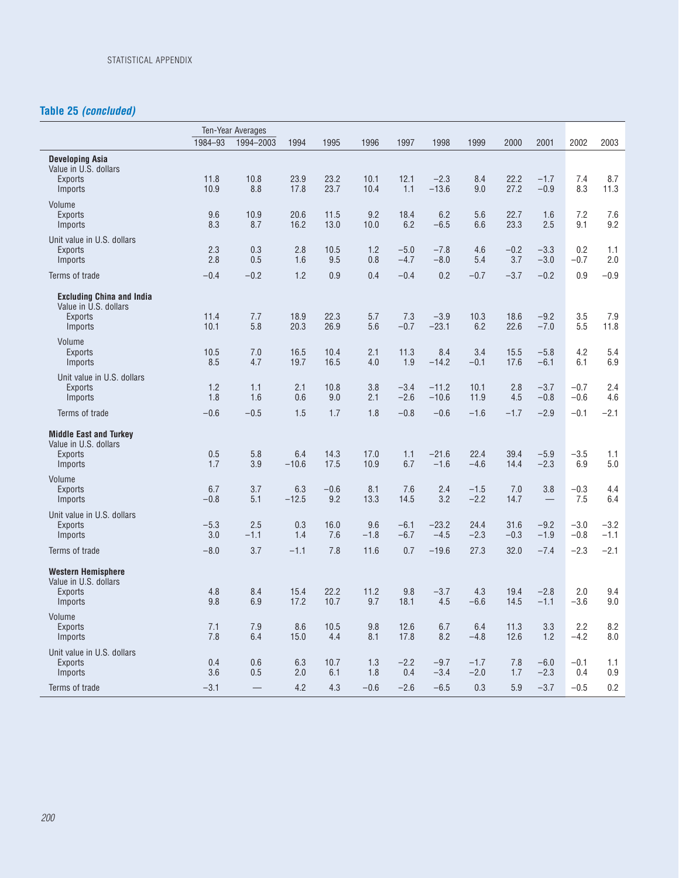## **Table 25** *(concluded)*

|                                                                                        | 1984-93       | Ten-Year Averages<br>1994-2003 | 1994           | 1995          | 1996          | 1997             | 1998               | 1999             | 2000           | 2001             | 2002             | 2003             |
|----------------------------------------------------------------------------------------|---------------|--------------------------------|----------------|---------------|---------------|------------------|--------------------|------------------|----------------|------------------|------------------|------------------|
| <b>Developing Asia</b>                                                                 |               |                                |                |               |               |                  |                    |                  |                |                  |                  |                  |
| Value in U.S. dollars<br><b>Exports</b><br>Imports                                     | 11.8<br>10.9  | 10.8<br>8.8                    | 23.9<br>17.8   | 23.2<br>23.7  | 10.1<br>10.4  | 12.1<br>1.1      | $-2.3$<br>$-13.6$  | 8.4<br>9.0       | 22.2<br>27.2   | $-1.7$<br>$-0.9$ | 7.4<br>8.3       | 8.7<br>11.3      |
| Volume<br><b>Exports</b><br>Imports                                                    | 9.6<br>8.3    | 10.9<br>8.7                    | 20.6<br>16.2   | 11.5<br>13.0  | 9.2<br>10.0   | 18.4<br>6.2      | 6.2<br>$-6.5$      | 5.6<br>6.6       | 22.7<br>23.3   | 1.6<br>2.5       | 7.2<br>9.1       | 7.6<br>9.2       |
| Unit value in U.S. dollars<br><b>Exports</b><br>Imports                                | 2.3<br>2.8    | 0.3<br>0.5                     | 2.8<br>1.6     | 10.5<br>9.5   | 1.2<br>0.8    | $-5.0$<br>$-4.7$ | $-7.8$<br>$-8.0$   | 4.6<br>5.4       | $-0.2$<br>3.7  | $-3.3$<br>$-3.0$ | 0.2<br>$-0.7$    | 1.1<br>2.0       |
| Terms of trade                                                                         | $-0.4$        | $-0.2$                         | 1.2            | 0.9           | 0.4           | $-0.4$           | 0.2                | $-0.7$           | $-3.7$         | $-0.2$           | 0.9              | $-0.9$           |
| <b>Excluding China and India</b><br>Value in U.S. dollars<br><b>Exports</b><br>Imports | 11.4<br>10.1  | 7.7<br>5.8                     | 18.9<br>20.3   | 22.3<br>26.9  | 5.7<br>5.6    | 7.3<br>$-0.7$    | $-3.9$<br>$-23.1$  | 10.3<br>6.2      | 18.6<br>22.6   | $-9.2$<br>$-7.0$ | 3.5<br>5.5       | 7.9<br>11.8      |
| Volume<br><b>Exports</b><br>Imports                                                    | 10.5<br>8.5   | 7.0<br>4.7                     | 16.5<br>19.7   | 10.4<br>16.5  | 2.1<br>4.0    | 11.3<br>1.9      | 8.4<br>$-14.2$     | 3.4<br>$-0.1$    | 15.5<br>17.6   | $-5.8$<br>$-6.1$ | 4.2<br>6.1       | 5.4<br>6.9       |
| Unit value in U.S. dollars<br><b>Exports</b><br>Imports                                | 1.2<br>1.8    | 1.1<br>1.6                     | 2.1<br>0.6     | 10.8<br>9.0   | 3.8<br>2.1    | $-3.4$<br>$-2.6$ | $-11.2$<br>$-10.6$ | 10.1<br>11.9     | 2.8<br>4.5     | $-3.7$<br>$-0.8$ | $-0.7$<br>$-0.6$ | 2.4<br>4.6       |
| Terms of trade                                                                         | $-0.6$        | $-0.5$                         | 1.5            | 1.7           | 1.8           | $-0.8$           | $-0.6$             | $-1.6$           | $-1.7$         | $-2.9$           | $-0.1$           | $-2.1$           |
| <b>Middle East and Turkey</b><br>Value in U.S. dollars<br><b>Exports</b><br>Imports    | 0.5<br>1.7    | 5.8<br>3.9                     | 6.4<br>$-10.6$ | 14.3<br>17.5  | 17.0<br>10.9  | 1.1<br>6.7       | $-21.6$<br>$-1.6$  | 22.4<br>$-4.6$   | 39.4<br>14.4   | $-5.9$<br>$-2.3$ | $-3.5$<br>6.9    | 1.1<br>5.0       |
| Volume<br><b>Exports</b><br>Imports                                                    | 6.7<br>$-0.8$ | 3.7<br>5.1                     | 6.3<br>$-12.5$ | $-0.6$<br>9.2 | 8.1<br>13.3   | 7.6<br>14.5      | 2.4<br>3.2         | $-1.5$<br>$-2.2$ | 7.0<br>14.7    | 3.8              | $-0.3$<br>7.5    | 4.4<br>6.4       |
| Unit value in U.S. dollars<br><b>Exports</b><br>Imports                                | $-5.3$<br>3.0 | 2.5<br>$-1.1$                  | 0.3<br>1.4     | 16.0<br>7.6   | 9.6<br>$-1.8$ | $-6.1$<br>$-6.7$ | $-23.2$<br>$-4.5$  | 24.4<br>$-2.3$   | 31.6<br>$-0.3$ | $-9.2$<br>$-1.9$ | $-3.0$<br>$-0.8$ | $-3.2$<br>$-1.1$ |
| Terms of trade                                                                         | $-8.0$        | 3.7                            | $-1.1$         | 7.8           | 11.6          | 0.7              | $-19.6$            | 27.3             | 32.0           | $-7.4$           | $-2.3$           | $-2.1$           |
| <b>Western Hemisphere</b><br>Value in U.S. dollars<br><b>Exports</b><br>Imports        | 4.8<br>9.8    | 8.4<br>6.9                     | 15.4<br>17.2   | 22.2<br>10.7  | 11.2<br>9.7   | 9.8<br>18.1      | $-3.7$<br>4.5      | 4.3<br>$-6.6$    | 19.4<br>14.5   | $-2.8$<br>$-1.1$ | 2.0<br>$-3.6$    | 9.4<br>9.0       |
| Volume<br><b>Exports</b><br>Imports                                                    | 7.1<br>7.8    | 7.9<br>6.4                     | 8.6<br>15.0    | 10.5<br>4.4   | 9.8<br>8.1    | 12.6<br>17.8     | 6.7<br>8.2         | 6.4<br>$-4.8$    | 11.3<br>12.6   | 3.3<br>1.2       | 2.2<br>$-4.2$    | 8.2<br>8.0       |
| Unit value in U.S. dollars<br>Exports<br>Imports                                       | 0.4<br>3.6    | 0.6<br>0.5                     | 6.3<br>2.0     | 10.7<br>6.1   | 1.3<br>1.8    | $-2.2$<br>0.4    | $-9.7$<br>$-3.4$   | $-1.7$<br>$-2.0$ | 7.8<br>1.7     | $-6.0$<br>$-2.3$ | $-0.1$<br>0.4    | 1.1<br>0.9       |
| Terms of trade                                                                         | $-3.1$        |                                | 4.2            | 4.3           | $-0.6$        | $-2.6$           | $-6.5$             | 0.3              | 5.9            | $-3.7$           | $-0.5$           | 0.2              |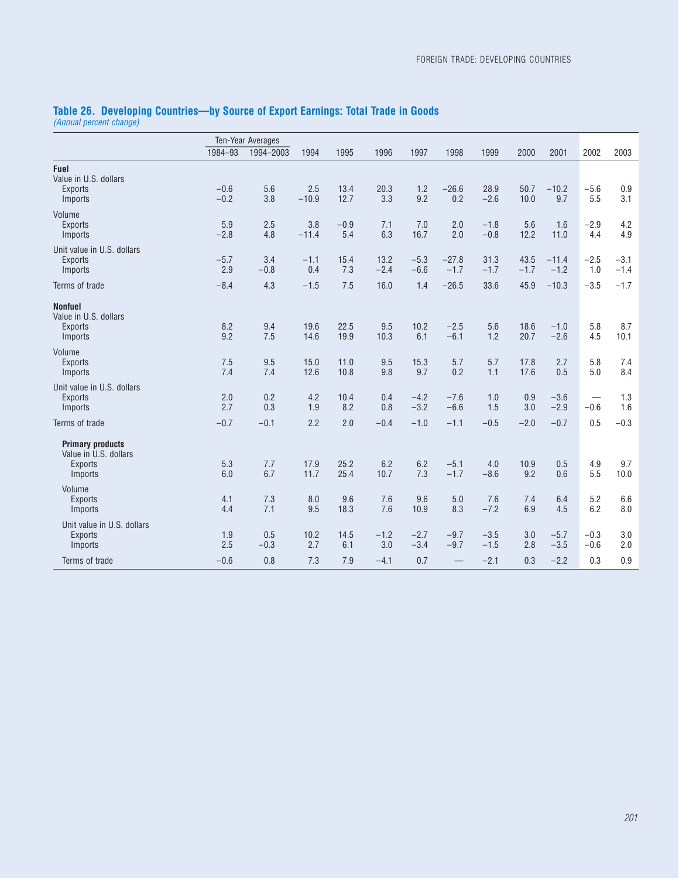|                                                         |                  | <b>Ten-Year Averages</b> |                |               |                |                  |                   |                  |                |                   |                  |                  |
|---------------------------------------------------------|------------------|--------------------------|----------------|---------------|----------------|------------------|-------------------|------------------|----------------|-------------------|------------------|------------------|
|                                                         | 1984-93          | 1994-2003                | 1994           | 1995          | 1996           | 1997             | 1998              | 1999             | 2000           | 2001              | 2002             | 2003             |
| Fuel<br>Value in U.S. dollars                           |                  |                          |                |               |                |                  |                   |                  |                |                   |                  |                  |
| <b>Exports</b><br>Imports                               | $-0.6$<br>$-0.2$ | 5.6<br>3.8               | 2.5<br>$-10.9$ | 13.4<br>12.7  | 20.3<br>3.3    | 1.2<br>9.2       | $-26.6$<br>0.2    | 28.9<br>$-2.6$   | 50.7<br>10.0   | $-10.2$<br>9.7    | $-5.6$<br>5.5    | 0.9<br>3.1       |
| Volume<br><b>Exports</b><br>Imports                     | 5.9<br>$-2.8$    | 2.5<br>4.8               | 3.8<br>$-11.4$ | $-0.9$<br>5.4 | 7.1<br>6.3     | 7.0<br>16.7      | 2.0<br>2.0        | $-1.8$<br>$-0.8$ | 5.6<br>12.2    | 1.6<br>11.0       | $-2.9$<br>4.4    | 4.2<br>4.9       |
| Unit value in U.S. dollars<br><b>Exports</b><br>Imports | $-5.7$<br>2.9    | 3.4<br>$-0.8$            | $-1.1$<br>0.4  | 15.4<br>7.3   | 13.2<br>$-2.4$ | $-5.3$<br>$-6.6$ | $-27.8$<br>$-1.7$ | 31.3<br>$-1.7$   | 43.5<br>$-1.7$ | $-11.4$<br>$-1.2$ | $-2.5$<br>1.0    | $-3.1$<br>$-1.4$ |
| Terms of trade                                          | $-8.4$           | 4.3                      | $-1.5$         | 7.5           | 16.0           | 1.4              | $-26.5$           | 33.6             | 45.9           | $-10.3$           | $-3.5$           | $-1.7$           |
| <b>Nonfuel</b><br>Value in U.S. dollars                 |                  |                          |                |               |                |                  |                   |                  |                |                   |                  |                  |
| <b>Exports</b><br>Imports                               | 8.2<br>9.2       | 9.4<br>7.5               | 19.6<br>14.6   | 22.5<br>19.9  | 9.5<br>10.3    | 10.2<br>6.1      | $-2.5$<br>$-6.1$  | 5.6<br>1.2       | 18.6<br>20.7   | $-1.0$<br>$-2.6$  | 5.8<br>4.5       | 8.7<br>10.1      |
| Volume<br><b>Exports</b><br>Imports                     | 7.5<br>7.4       | 9.5<br>7.4               | 15.0<br>12.6   | 11.0<br>10.8  | 9.5<br>9.8     | 15.3<br>9.7      | 5.7<br>0.2        | 5.7<br>1.1       | 17.8<br>17.6   | 2.7<br>0.5        | 5.8<br>5.0       | 7.4<br>8.4       |
| Unit value in U.S. dollars<br><b>Exports</b><br>Imports | 2.0<br>2.7       | 0.2<br>0.3               | 4.2<br>1.9     | 10.4<br>8.2   | 0.4<br>0.8     | $-4.2$<br>$-3.2$ | $-7.6$<br>$-6.6$  | 1.0<br>1.5       | 0.9<br>3.0     | $-3.6$<br>$-2.9$  | $-0.6$           | 1.3<br>1.6       |
| Terms of trade                                          | $-0.7$           | $-0.1$                   | 2.2            | 2.0           | $-0.4$         | $-1.0$           | $-1.1$            | $-0.5$           | $-2.0$         | $-0.7$            | 0.5              | $-0.3$           |
| <b>Primary products</b><br>Value in U.S. dollars        |                  |                          |                |               |                |                  |                   |                  |                |                   |                  |                  |
| <b>Exports</b><br>Imports                               | 5.3<br>6.0       | 7.7<br>6.7               | 17.9<br>11.7   | 25.2<br>25.4  | 6.2<br>10.7    | 6.2<br>7.3       | $-5.1$<br>$-1.7$  | 4.0<br>$-8.6$    | 10.9<br>9.2    | 0.5<br>0.6        | 4.9<br>5.5       | 9.7<br>10.0      |
| Volume<br><b>Exports</b><br>Imports                     | 4.1<br>4.4       | 7.3<br>7.1               | 8.0<br>9.5     | 9.6<br>18.3   | 7.6<br>7.6     | 9.6<br>10.9      | 5.0<br>8.3        | 7.6<br>$-7.2$    | 7.4<br>6.9     | 6.4<br>4.5        | 5.2<br>6.2       | 6.6<br>8.0       |
| Unit value in U.S. dollars<br>Exports<br>Imports        | 1.9<br>2.5       | 0.5<br>$-0.3$            | 10.2<br>2.7    | 14.5<br>6.1   | $-1.2$<br>3.0  | $-2.7$<br>$-3.4$ | $-9.7$<br>$-9.7$  | $-3.5$<br>$-1.5$ | 3.0<br>2.8     | $-5.7$<br>$-3.5$  | $-0.3$<br>$-0.6$ | 3.0<br>2.0       |
| Terms of trade                                          | $-0.6$           | 0.8                      | 7.3            | 7.9           | $-4.1$         | 0.7              |                   | $-2.1$           | 0.3            | $-2.2$            | 0.3              | 0.9              |

## **Table 26. Developing Countries—by Source of Export Earnings: Total Trade in Goods**

*(Annual percent change)*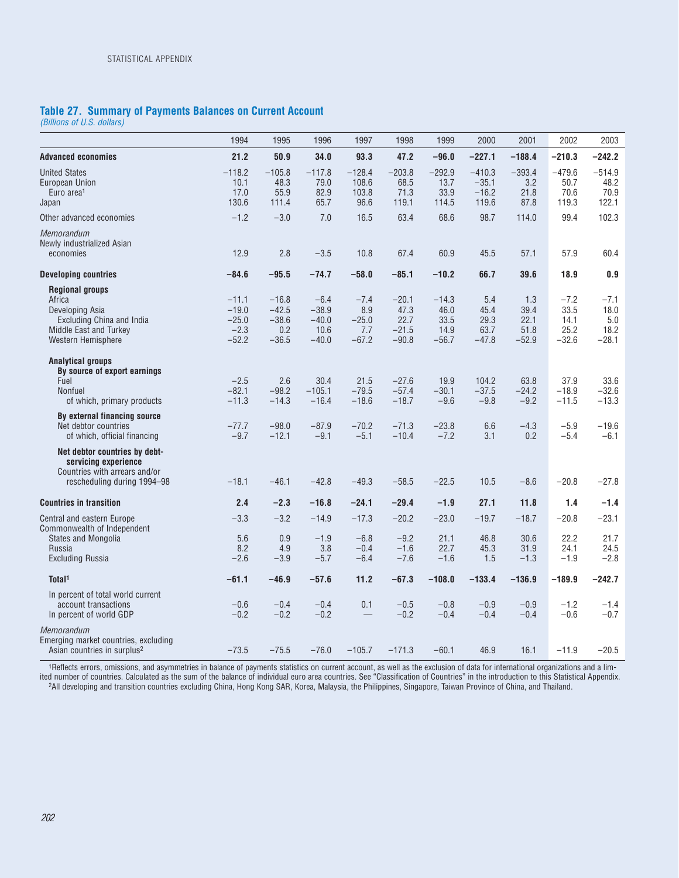### **Table 27. Summary of Payments Balances on Current Account**

*(Billions of U.S. dollars)*

|                                                                                                                                  | 1994                                               | 1995                                            | 1996                                            | 1997                                       | 1998                                          | 1999                                       | 2000                                    | 2001                                   | 2002                                      | 2003                                     |
|----------------------------------------------------------------------------------------------------------------------------------|----------------------------------------------------|-------------------------------------------------|-------------------------------------------------|--------------------------------------------|-----------------------------------------------|--------------------------------------------|-----------------------------------------|----------------------------------------|-------------------------------------------|------------------------------------------|
| <b>Advanced economies</b>                                                                                                        | 21.2                                               | 50.9                                            | 34.0                                            | 93.3                                       | 47.2                                          | $-96.0$                                    | $-227.1$                                | $-188.4$                               | $-210.3$                                  | $-242.2$                                 |
| <b>United States</b><br>European Union<br>Euro area <sup>1</sup><br>Japan                                                        | $-118.2$<br>10.1<br>17.0<br>130.6                  | $-105.8$<br>48.3<br>55.9<br>111.4               | $-117.8$<br>79.0<br>82.9<br>65.7                | $-128.4$<br>108.6<br>103.8<br>96.6         | $-203.8$<br>68.5<br>71.3<br>119.1             | $-292.9$<br>13.7<br>33.9<br>114.5          | $-410.3$<br>$-35.1$<br>$-16.2$<br>119.6 | $-393.4$<br>3.2<br>21.8<br>87.8        | $-479.6$<br>50.7<br>70.6<br>119.3         | $-514.9$<br>48.2<br>70.9<br>122.1        |
| Other advanced economies                                                                                                         | $-1.2$                                             | $-3.0$                                          | 7.0                                             | 16.5                                       | 63.4                                          | 68.6                                       | 98.7                                    | 114.0                                  | 99.4                                      | 102.3                                    |
| Memorandum<br>Newly industrialized Asian<br>economies                                                                            | 12.9                                               | 2.8                                             | $-3.5$                                          | 10.8                                       | 67.4                                          | 60.9                                       | 45.5                                    | 57.1                                   | 57.9                                      | 60.4                                     |
| <b>Developing countries</b>                                                                                                      | $-84.6$                                            | $-95.5$                                         | $-74.7$                                         | $-58.0$                                    | $-85.1$                                       | $-10.2$                                    | 66.7                                    | 39.6                                   | 18.9                                      | 0.9                                      |
| <b>Regional groups</b><br>Africa<br>Developing Asia<br>Excluding China and India<br>Middle East and Turkey<br>Western Hemisphere | $-11.1$<br>$-19.0$<br>$-25.0$<br>$-2.3$<br>$-52.2$ | $-16.8$<br>$-42.5$<br>$-38.6$<br>0.2<br>$-36.5$ | $-6.4$<br>$-38.9$<br>$-40.0$<br>10.6<br>$-40.0$ | $-7.4$<br>8.9<br>$-25.0$<br>7.7<br>$-67.2$ | $-20.1$<br>47.3<br>22.7<br>$-21.5$<br>$-90.8$ | $-14.3$<br>46.0<br>33.5<br>14.9<br>$-56.7$ | 5.4<br>45.4<br>29.3<br>63.7<br>$-47.8$  | 1.3<br>39.4<br>22.1<br>51.8<br>$-52.9$ | $-7.2$<br>33.5<br>14.1<br>25.2<br>$-32.6$ | $-7.1$<br>18.0<br>5.0<br>18.2<br>$-28.1$ |
| <b>Analytical groups</b><br>By source of export earnings<br>Fuel<br><b>Nonfuel</b><br>of which, primary products                 | $-2.5$<br>$-82.1$<br>$-11.3$                       | 2.6<br>$-98.2$<br>$-14.3$                       | 30.4<br>$-105.1$<br>$-16.4$                     | 21.5<br>$-79.5$<br>$-18.6$                 | $-27.6$<br>$-57.4$<br>$-18.7$                 | 19.9<br>$-30.1$<br>$-9.6$                  | 104.2<br>$-37.5$<br>$-9.8$              | 63.8<br>$-24.2$<br>$-9.2$              | 37.9<br>$-18.9$<br>$-11.5$                | 33.6<br>$-32.6$<br>$-13.3$               |
| By external financing source<br>Net debtor countries<br>of which, official financing                                             | $-77.7$<br>$-9.7$                                  | $-98.0$<br>$-12.1$                              | $-87.9$<br>$-9.1$                               | $-70.2$<br>$-5.1$                          | $-71.3$<br>$-10.4$                            | $-23.8$<br>$-7.2$                          | 6.6<br>3.1                              | $-4.3$<br>0.2                          | $-5.9$<br>$-5.4$                          | $-19.6$<br>$-6.1$                        |
| Net debtor countries by debt-<br>servicing experience<br>Countries with arrears and/or<br>rescheduling during 1994-98            | $-18.1$                                            | $-46.1$                                         | $-42.8$                                         | $-49.3$                                    | $-58.5$                                       | $-22.5$                                    | 10.5                                    | $-8.6$                                 | $-20.8$                                   | $-27.8$                                  |
| <b>Countries in transition</b>                                                                                                   | 2.4                                                | $-2.3$                                          | $-16.8$                                         | $-24.1$                                    | $-29.4$                                       | $-1.9$                                     | 27.1                                    | 11.8                                   | 1.4                                       | $-1.4$                                   |
| <b>Central and eastern Europe</b>                                                                                                | $-3.3$                                             | $-3.2$                                          | $-14.9$                                         | $-17.3$                                    | $-20.2$                                       | $-23.0$                                    | $-19.7$                                 | $-18.7$                                | $-20.8$                                   | $-23.1$                                  |
| Commonwealth of Independent<br>States and Mongolia<br>Russia<br><b>Excluding Russia</b>                                          | 5.6<br>8.2<br>$-2.6$                               | 0.9<br>4.9<br>$-3.9$                            | $-1.9$<br>3.8<br>$-5.7$                         | $-6.8$<br>$-0.4$<br>$-6.4$                 | $-9.2$<br>$-1.6$<br>$-7.6$                    | 21.1<br>22.7<br>$-1.6$                     | 46.8<br>45.3<br>1.5                     | 30.6<br>31.9<br>$-1.3$                 | 22.2<br>24.1<br>$-1.9$                    | 21.7<br>24.5<br>$-2.8$                   |
| Total <sup>1</sup>                                                                                                               | $-61.1$                                            | $-46.9$                                         | $-57.6$                                         | 11.2                                       | $-67.3$                                       | $-108.0$                                   | $-133.4$                                | $-136.9$                               | $-189.9$                                  | $-242.7$                                 |
| In percent of total world current<br>account transactions<br>In percent of world GDP                                             | $-0.6$<br>$-0.2$                                   | $-0.4$<br>$-0.2$                                | $-0.4$<br>$-0.2$                                | 0.1                                        | $-0.5$<br>$-0.2$                              | $-0.8$<br>$-0.4$                           | $-0.9$<br>$-0.4$                        | $-0.9$<br>$-0.4$                       | $-1.2$<br>$-0.6$                          | $-1.4$<br>$-0.7$                         |
| Memorandum<br>Emerging market countries, excluding<br>Asian countries in surplus <sup>2</sup>                                    | $-73.5$                                            | $-75.5$                                         | $-76.0$                                         | $-105.7$                                   | $-171.3$                                      | $-60.1$                                    | 46.9                                    | 16.1                                   | $-11.9$                                   | $-20.5$                                  |

1Reflects errors, omissions, and asymmetries in balance of payments statistics on current account, as well as the exclusion of data for international organizations and a limited number of countries. Calculated as the sum of the balance of individual euro area countries. See "Classification of Countries" in the introduction to this Statistical Appendix. 2All developing and transition countries excluding China, Hong Kong SAR, Korea, Malaysia, the Philippines, Singapore, Taiwan Province of China, and Thailand.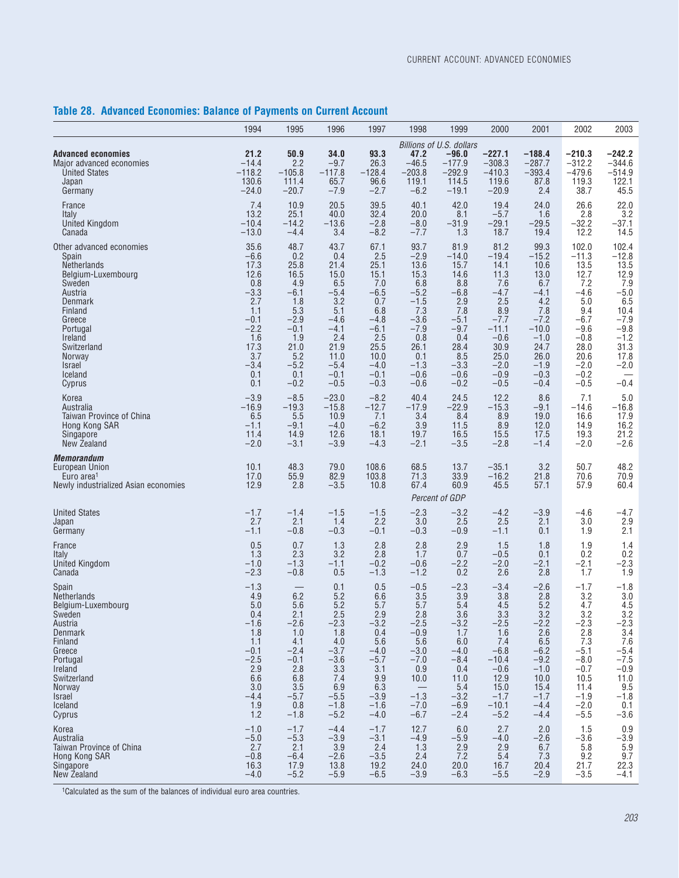## **Table 28. Advanced Economies: Balance of Payments on Current Account**

|                                                                                                              | 1994                                                | 1995                                                | 1996                                                | 1997                                                | 1998                                           | 1999                                          | 2000                                          | 2001                                          | 2002                                          | 2003                                        |
|--------------------------------------------------------------------------------------------------------------|-----------------------------------------------------|-----------------------------------------------------|-----------------------------------------------------|-----------------------------------------------------|------------------------------------------------|-----------------------------------------------|-----------------------------------------------|-----------------------------------------------|-----------------------------------------------|---------------------------------------------|
|                                                                                                              |                                                     |                                                     |                                                     |                                                     |                                                | Billions of U.S. dollars                      |                                               |                                               |                                               |                                             |
| <b>Advanced economies</b>                                                                                    | 21.2                                                | 50.9                                                | 34.0                                                | 93.3                                                | 47.2                                           | $-96.0$                                       | $-227.1$                                      | $-188.4$                                      | $-210.3$                                      | $-242.2$                                    |
| Major advanced economies                                                                                     | $-14.4$                                             | 2.2                                                 | $-9.7$                                              | 26.3                                                | $-46.5$                                        | $-177.9$                                      | $-308.3$                                      | $-287.7$                                      | $-312.2$                                      | $-344.6$                                    |
| <b>United States</b>                                                                                         | $-118.2$                                            | $-105.8$                                            | $-117.8$                                            | $-128.4$                                            | $-203.8$                                       | $-292.9$                                      | $-410.3$                                      | $-393.4$                                      | $-479.6$                                      | $-514.9$                                    |
| Japan                                                                                                        | 130.6                                               | 111.4                                               | 65.7                                                | 96.6                                                | 119.1                                          | 114.5                                         | 119.6                                         | 87.8                                          | 119.3                                         | 122.1                                       |
| Germany                                                                                                      | $-24.0$                                             | $-20.7$                                             | $-7.9$                                              | $-2.7$                                              | $-6.2$                                         | $-19.1$                                       | $-20.9$                                       | 2.4                                           | 38.7                                          | 45.5                                        |
| France                                                                                                       | 7.4                                                 | 10.9                                                | 20.5                                                | 39.5                                                | 40.1                                           | 42.0                                          | 19.4                                          | 24.0                                          | 26.6                                          | 22.0                                        |
| Italy                                                                                                        | 13.2                                                | 25.1                                                | 40.0                                                | 32.4                                                | 20.0                                           | 8.1                                           | $-5.7$                                        | 1.6                                           | 2.8                                           | 3.2                                         |
| United Kingdom                                                                                               | $-10.4$                                             | $-14.2$                                             | $-13.6$                                             | $-2.8$                                              | $-8.0$                                         | $-31.9$                                       | $-29.1$                                       | $-29.5$                                       | $-32.2$                                       | $-37.1$                                     |
| Canada                                                                                                       | $-13.0$                                             | $-4.4$                                              | 3.4                                                 | $-8.2$                                              | $-7.7$                                         | 1.3                                           | 18.7                                          | 19.4                                          | 12.2                                          | 14.5                                        |
| Other advanced economies                                                                                     | 35.6                                                | 48.7                                                | 43.7                                                | 67.1                                                | 93.7                                           | 81.9                                          | 81.2                                          | 99.3                                          | 102.0                                         | 102.4                                       |
| Spain                                                                                                        | $-6.6$                                              | 0.2                                                 | 0.4                                                 | 2.5                                                 | $-2.9$                                         | $-14.0$                                       | $-19.4$                                       | $-15.2$                                       | $-11.3$                                       | $-12.8$                                     |
| <b>Netherlands</b>                                                                                           | 17.3                                                | 25.8                                                | 21.4                                                | 25.1                                                | 13.6                                           | 15.7                                          | 14.1                                          | 10.6                                          | 13.5                                          | 13.5                                        |
| Belgium-Luxembourg                                                                                           | 12.6                                                | 16.5                                                | 15.0                                                | 15.1                                                | 15.3                                           | 14.6                                          | 11.3                                          | 13.0                                          | 12.7                                          | 12.9                                        |
| Sweden                                                                                                       | 0.8                                                 | 4.9                                                 | 6.5                                                 | 7.0                                                 | 6.8                                            | 8.8                                           | 7.6                                           | 6.7                                           | 7.2                                           | 7.9                                         |
| Austria                                                                                                      | $-3.3$                                              | $-6.1$                                              | $-5.4$                                              | $-6.5$                                              | $-5.2$                                         | $-6.8$                                        | $-4.7$                                        | $-4.1$                                        | $-4.6$                                        | $-5.0$                                      |
| Denmark                                                                                                      | 2.7                                                 | 1.8                                                 | 3.2                                                 | 0.7                                                 | $-1.5$                                         | 2.9                                           | 2.5                                           | 4.2                                           | 5.0                                           | 6.5                                         |
| Finland                                                                                                      | 1.1                                                 | 5.3                                                 | 5.1                                                 | 6.8                                                 | 7.3                                            | 7.8                                           | 8.9                                           | 7.8                                           | 9.4                                           | 10.4                                        |
| Greece                                                                                                       | $-0.1$                                              | $-2.9$                                              | $-4.6$                                              | $-4.8$                                              | $-3.6$                                         | $-5.1$                                        | $-7.7$                                        | $-7.2$                                        | $-6.7$                                        | $-7.9$                                      |
| Portugal                                                                                                     | $-2.2$                                              | $-0.1$                                              | $-4.1$                                              | $-6.1$                                              | $-7.9$                                         | $-9.7$                                        | $-11.1$                                       | $-10.0$                                       | $-9.6$                                        | $-9.8$                                      |
| Ireland                                                                                                      | 1.6                                                 | 1.9                                                 | 2.4                                                 | 2.5                                                 | 0.8                                            | 0.4                                           | $-0.6$                                        | $-1.0$                                        | $-0.8$                                        | $-1.2$                                      |
| Switzerland                                                                                                  | 17.3                                                | 21.0                                                | 21.9                                                | 25.5                                                | 26.1                                           | 28.4                                          | 30.9                                          | 24.7                                          | 28.0                                          | 31.3                                        |
| <b>Norway</b>                                                                                                | 3.7                                                 | 5.2                                                 | 11.0                                                | 10.0                                                | 0.1                                            | 8.5                                           | 25.0                                          | 26.0                                          | 20.6                                          | 17.8                                        |
| <b>Israel</b>                                                                                                | $-3.4$                                              | $-5.2$                                              | $-5.4$                                              | $-4.0$                                              | $-1.3$                                         | $-3.3$                                        | $-2.0$                                        | $-1.9$                                        | $-2.0$                                        | $-2.0$                                      |
| Iceland                                                                                                      | 0.1                                                 | 0.1                                                 | $-0.1$                                              | $-0.1$                                              | $-0.6$                                         | $-0.6$                                        | $-0.9$                                        | $-0.3$                                        | $-0.2$                                        |                                             |
| Cyprus                                                                                                       | 0.1                                                 | $-0.2$                                              | $-0.5$                                              | $-0.3$                                              | $-0.6$                                         | $-0.2$                                        | $-0.5$                                        | $-0.4$                                        | $-0.5$                                        | $-0.4$                                      |
| Korea                                                                                                        | $-3.9$                                              | $-8.5$                                              | $-23.0$                                             | $-8.2$                                              | 40.4                                           | 24.5                                          | 12.2                                          | 8.6                                           | 7.1                                           | $5.0$                                       |
| Australia                                                                                                    | $-16.9$                                             | $-19.3$                                             | $-15.8$                                             | $-12.7$                                             | $-17.9$                                        | $-22.9$                                       | $-15.3$                                       | $-9.1$                                        | $-14.6$                                       | $-16.8$                                     |
| Taiwan Province of China                                                                                     | 6.5                                                 | 5.5                                                 | 10.9                                                | 7.1                                                 | 3.4                                            | 8.4                                           | 8.9                                           | 19.0                                          | 16.6                                          | 17.9                                        |
| Hong Kong SAR                                                                                                | $-1.1$                                              | $-9.1$                                              | $-4.0$                                              | $-6.2$                                              | 3.9                                            | 11.5                                          | 8.9                                           | 12.0                                          | 14.9                                          | 16.2                                        |
| Singapore                                                                                                    | 11.4                                                | 14.9                                                | 12.6                                                | 18.1                                                | 19.7                                           | 16.5                                          | 15.5                                          | 17.5                                          | 19.3                                          | 21.2                                        |
| New Zealand                                                                                                  | $-2.0$                                              | $-3.1$                                              | $-3.9$                                              | $-4.3$                                              | $-2.1$                                         | $-3.5$                                        | $-2.8$                                        | $-1.4$                                        | $-2.0$                                        | $-2.6$                                      |
| <i><b>Memorandum</b></i><br>European Union<br>Euro area <sup>1</sup><br>Newly industrialized Asian economies | 10.1<br>17.0<br>12.9                                | 48.3<br>55.9<br>2.8                                 | 79.0<br>82.9<br>$-3.5$                              | 108.6<br>103.8<br>10.8                              | 68.5<br>71.3<br>67.4                           | 13.7<br>33.9<br>60.9<br>Percent of GDP        | $-35.1$<br>$-16.2$<br>45.5                    | 3.2<br>21.8<br>57.1                           | 50.7<br>70.6<br>57.9                          | 48.2<br>70.9<br>60.4                        |
| <b>United States</b>                                                                                         | $-1.7$                                              | $-1.4$                                              | $-1.5$                                              | $-1.5$                                              | $-2.3$                                         | $-3.2$                                        | $-4.2$                                        | $-3.9$                                        | $-4.6$                                        | $-4.7$                                      |
| Japan                                                                                                        | 2.7                                                 | 2.1                                                 | 1.4                                                 | 2.2                                                 | 3.0                                            | 2.5                                           | 2.5                                           | 2.1                                           | 3.0                                           | 2.9                                         |
| Germany                                                                                                      | $-1.1$                                              | $-0.8$                                              | $-0.3$                                              | $-0.1$                                              | $-0.3$                                         | $-0.9$                                        | $-1.1$                                        | 0.1                                           | 1.9                                           | 2.1                                         |
| France                                                                                                       | 0.5                                                 | 0.7                                                 | 1.3                                                 | 2.8                                                 | 2.8                                            | 2.9                                           | 1.5                                           | 1.8                                           | 1.9                                           | 1.4                                         |
| Italy                                                                                                        | 1.3                                                 | 2.3                                                 | 3.2                                                 | 2.8                                                 | 1.7                                            | 0.7                                           | $-0.5$                                        | 0.1                                           | 0.2                                           | 0.2                                         |
| <b>United Kingdom</b>                                                                                        | $-1.0$                                              | $-1.3$                                              | $-1.1$                                              | $-0.2$                                              | $-0.6$                                         | $-2.2$                                        | $-2.0$                                        | $-2.1$                                        | $-2.1$                                        | $-2.3$                                      |
| Canada                                                                                                       | $-2.3$                                              | $-0.8$                                              | 0.5                                                 | $-1.3$                                              | $-1.2$                                         | 0.2                                           | 2.6                                           | 2.8                                           | 1.7                                           | 1.9                                         |
| Spain                                                                                                        | $-1.3$                                              |                                                     | 0.1                                                 | 0.5                                                 | $-0.5$                                         | $-2.3$                                        | $-3.4$                                        | $-2.6$                                        | $-1.7$                                        | $-1.8$                                      |
| <b>Netherlands</b>                                                                                           | 4.9                                                 | 6.2                                                 | 5.2                                                 | 6.6                                                 | 3.5                                            | 3.9                                           | 3.8                                           | 2.8                                           | 3.2                                           | 3.0                                         |
| Belgium-Luxembourg                                                                                           | 5.0                                                 | 5.6                                                 | 5.2                                                 | 5.7                                                 | 5.7                                            | 5.4                                           | 4.5                                           | 5.2                                           | 4.7                                           | 4.5                                         |
| Sweden                                                                                                       | 0.4                                                 | 2.1                                                 | 2.5                                                 | 2.9                                                 | 2.8                                            | 3.6                                           | 3.3                                           | 3.2                                           | 3.2                                           | 3.2                                         |
| Austria                                                                                                      | $-1.6$                                              | $-2.6$                                              | $-2.3$                                              | $-3.2$                                              | $-2.5$                                         | $-3.2$                                        | $-2.5$                                        | $-2.2$                                        | $-2.3$                                        | $-2.3$                                      |
| Denmark                                                                                                      | 1.8                                                 | 1.0                                                 | 1.8                                                 | 0.4                                                 | $-0.9$                                         | 1.7                                           | 1.6                                           | 2.6                                           | 2.8                                           | 3.4                                         |
| Finland                                                                                                      | 1.1                                                 | 4.1                                                 | 4.0                                                 | 5.6                                                 | 5.6                                            | 6.0                                           | 7.4                                           | 6.5                                           | 7.3                                           | 7.6                                         |
| Greece                                                                                                       | $-0.1$                                              | $-2.4$                                              | $-3.7$                                              | $-4.0$                                              | $-3.0$                                         | $-4.0$                                        | $-6.8$                                        | $-6.2$                                        | $-5.1$                                        | $-5.4$                                      |
| Portugal                                                                                                     | $-2.5$                                              | $-0.1$                                              | $-3.6$                                              | $-5.7$                                              | $-7.0$                                         | $-8.4$                                        | $-10.4$                                       | $-9.2$                                        | $-8.0$                                        | $-7.5$                                      |
| Ireland                                                                                                      | 2.9                                                 | 2.8                                                 | 3.3                                                 | 3.1                                                 | 0.9                                            | 0.4                                           | $-0.6$                                        | $-1.0$                                        | $-0.7$                                        | $-0.9$                                      |
| Switzerland                                                                                                  | 6.6                                                 | 6.8                                                 | 7.4                                                 | 9.9                                                 | 10.0                                           | 11.0                                          | 12.9                                          | 10.0                                          | 10.5                                          | 11.0                                        |
| Norway                                                                                                       | 3.0                                                 | 3.5                                                 | 6.9                                                 | 6.3                                                 |                                                | 5.4                                           | 15.0                                          | 15.4                                          | 11.4                                          | 9.5                                         |
| <i>Israel</i>                                                                                                | $-4.4$                                              | $-5.7$                                              | $-5.5$                                              | $-3.9$                                              | $-1.3$                                         | $-3.2$                                        | $-1.7$                                        | $-1.7$                                        | $-1.9$                                        | $-1.8$                                      |
| <b>Iceland</b>                                                                                               | 1.9                                                 | 0.8                                                 | $-1.8$                                              | $-1.6$                                              | $-7.0$                                         | $-6.9$                                        | $-10.1$                                       | $-4.4$                                        | $-2.0$                                        | 0.1                                         |
| Cyprus                                                                                                       | 1.2                                                 | $-1.8$                                              | $-5.2$                                              | $-4.0$                                              | $-6.7$                                         | $-2.4$                                        | $-5.2$                                        | $-4.4$                                        | $-5.5$                                        | $-3.6$                                      |
| Korea<br>Australia<br>Taiwan Province of China<br>Hong Kong SAR<br>Singapore<br>New Zealand                  | $-1.0$<br>$-5.0$<br>2.7<br>$-0.8$<br>16.3<br>$-4.0$ | $-1.7$<br>$-5.3$<br>2.1<br>$-6.4$<br>17.9<br>$-5.2$ | $-4.4$<br>$-3.9$<br>3.9<br>$-2.6$<br>13.8<br>$-5.9$ | $-1.7$<br>$-3.1$<br>2.4<br>$-3.5$<br>19.2<br>$-6.5$ | 12.7<br>$-4.9$<br>1.3<br>2.4<br>24.0<br>$-3.9$ | 6.0<br>$-5.9$<br>2.9<br>7.2<br>20.0<br>$-6.3$ | 2.7<br>$-4.0$<br>2.9<br>5.4<br>16.7<br>$-5.5$ | 2.0<br>$-2.6$<br>6.7<br>7.3<br>20.4<br>$-2.9$ | 1.5<br>$-3.6$<br>5.8<br>9.2<br>21.7<br>$-3.5$ | $0.9 - 3.9$<br>5.9<br>9.7<br>22.3<br>$-4.1$ |

1Calculated as the sum of the balances of individual euro area countries.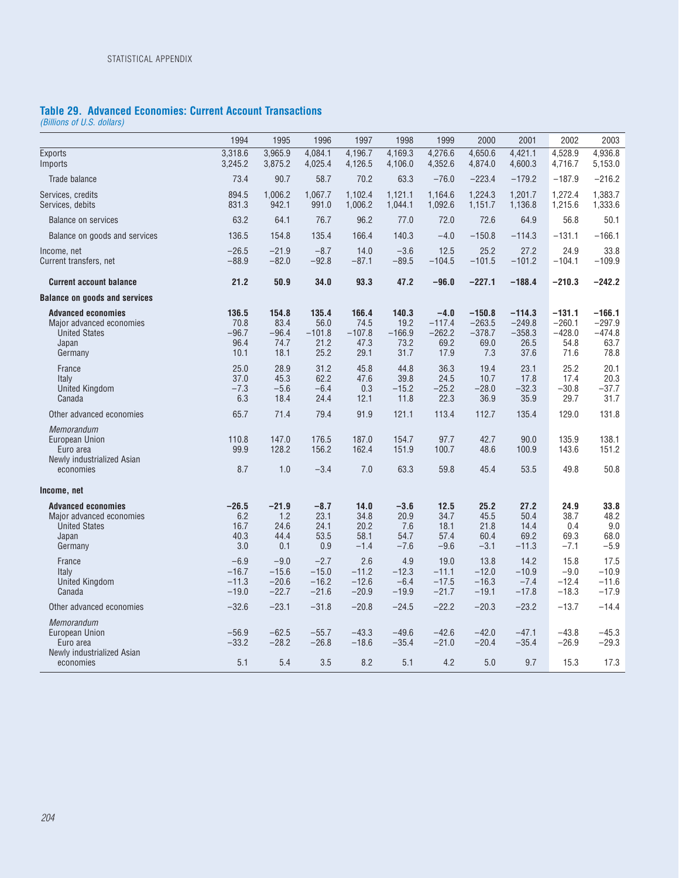### **Table 29. Advanced Economies: Current Account Transactions**

*(Billions of U.S. dollars)*

|                                                                                                   | 1994                                     | 1995                                     | 1996                                      | 1997                                      | 1998                                      | 1999                                           | 2000                                            | 2001                                             | 2002                                             | 2003                                             |
|---------------------------------------------------------------------------------------------------|------------------------------------------|------------------------------------------|-------------------------------------------|-------------------------------------------|-------------------------------------------|------------------------------------------------|-------------------------------------------------|--------------------------------------------------|--------------------------------------------------|--------------------------------------------------|
| <b>Exports</b><br>Imports                                                                         | 3,318.6<br>3,245.2                       | 3,965.9<br>3,875.2                       | 4.084.1<br>4,025.4                        | 4,196.7<br>4,126.5                        | 4,169.3<br>4,106.0                        | 4,276.6<br>4,352.6                             | 4,650.6<br>4,874.0                              | 4,421.1<br>4,600.3                               | 4.528.9<br>4,716.7                               | 4.936.8<br>5,153.0                               |
| Trade balance                                                                                     | 73.4                                     | 90.7                                     | 58.7                                      | 70.2                                      | 63.3                                      | $-76.0$                                        | $-223.4$                                        | $-179.2$                                         | $-187.9$                                         | $-216.2$                                         |
| Services, credits<br>Services, debits                                                             | 894.5<br>831.3                           | 1,006.2<br>942.1                         | 1,067.7<br>991.0                          | 1,102.4<br>1,006.2                        | 1,121.1<br>1,044.1                        | 1,164.6<br>1,092.6                             | 1,224.3<br>1,151.7                              | 1,201.7<br>1,136.8                               | 1,272.4<br>1,215.6                               | 1,383.7<br>1,333.6                               |
| Balance on services                                                                               | 63.2                                     | 64.1                                     | 76.7                                      | 96.2                                      | 77.0                                      | 72.0                                           | 72.6                                            | 64.9                                             | 56.8                                             | 50.1                                             |
| Balance on goods and services                                                                     | 136.5                                    | 154.8                                    | 135.4                                     | 166.4                                     | 140.3                                     | $-4.0$                                         | $-150.8$                                        | $-114.3$                                         | $-131.1$                                         | $-166.1$                                         |
| Income, net<br>Current transfers, net                                                             | $-26.5$<br>$-88.9$                       | $-21.9$<br>$-82.0$                       | $-8.7$<br>$-92.8$                         | 14.0<br>$-87.1$                           | $-3.6$<br>$-89.5$                         | 12.5<br>$-104.5$                               | 25.2<br>$-101.5$                                | 27.2<br>$-101.2$                                 | 24.9<br>$-104.1$                                 | 33.8<br>$-109.9$                                 |
| <b>Current account balance</b>                                                                    | 21.2                                     | 50.9                                     | 34.0                                      | 93.3                                      | 47.2                                      | $-96.0$                                        | $-227.1$                                        | $-188.4$                                         | $-210.3$                                         | $-242.2$                                         |
| <b>Balance on goods and services</b>                                                              |                                          |                                          |                                           |                                           |                                           |                                                |                                                 |                                                  |                                                  |                                                  |
| <b>Advanced economies</b><br>Major advanced economies<br><b>United States</b><br>Japan<br>Germany | 136.5<br>70.8<br>$-96.7$<br>96.4<br>10.1 | 154.8<br>83.4<br>$-96.4$<br>74.7<br>18.1 | 135.4<br>56.0<br>$-101.8$<br>21.2<br>25.2 | 166.4<br>74.5<br>$-107.8$<br>47.3<br>29.1 | 140.3<br>19.2<br>$-166.9$<br>73.2<br>31.7 | $-4.0$<br>$-117.4$<br>$-262.2$<br>69.2<br>17.9 | $-150.8$<br>$-263.5$<br>$-378.7$<br>69.0<br>7.3 | $-114.3$<br>$-249.8$<br>$-358.3$<br>26.5<br>37.6 | $-131.1$<br>$-260.1$<br>$-428.0$<br>54.8<br>71.6 | $-166.1$<br>$-297.9$<br>$-474.8$<br>63.7<br>78.8 |
| France<br>Italy<br><b>United Kingdom</b><br>Canada                                                | 25.0<br>37.0<br>$-7.3$<br>6.3            | 28.9<br>45.3<br>$-5.6$<br>18.4           | 31.2<br>62.2<br>$-6.4$<br>24.4            | 45.8<br>47.6<br>0.3<br>12.1               | 44.8<br>39.8<br>$-15.2$<br>11.8           | 36.3<br>24.5<br>$-25.2$<br>22.3                | 19.4<br>10.7<br>$-28.0$<br>36.9                 | 23.1<br>17.8<br>$-32.3$<br>35.9                  | 25.2<br>17.4<br>$-30.8$<br>29.7                  | 20.1<br>20.3<br>$-37.7$<br>31.7                  |
| Other advanced economies                                                                          | 65.7                                     | 71.4                                     | 79.4                                      | 91.9                                      | 121.1                                     | 113.4                                          | 112.7                                           | 135.4                                            | 129.0                                            | 131.8                                            |
| Memorandum<br><b>European Union</b><br>Euro area<br>Newly industrialized Asian<br>economies       | 110.8<br>99.9<br>8.7                     | 147.0<br>128.2<br>1.0                    | 176.5<br>156.2<br>$-3.4$                  | 187.0<br>162.4<br>7.0                     | 154.7<br>151.9<br>63.3                    | 97.7<br>100.7<br>59.8                          | 42.7<br>48.6<br>45.4                            | 90.0<br>100.9<br>53.5                            | 135.9<br>143.6<br>49.8                           | 138.1<br>151.2<br>50.8                           |
| Income, net                                                                                       |                                          |                                          |                                           |                                           |                                           |                                                |                                                 |                                                  |                                                  |                                                  |
| <b>Advanced economies</b><br>Major advanced economies<br><b>United States</b><br>Japan<br>Germany | $-26.5$<br>6.2<br>16.7<br>40.3<br>3.0    | $-21.9$<br>1.2<br>24.6<br>44.4<br>0.1    | $-8.7$<br>23.1<br>24.1<br>53.5<br>0.9     | 14.0<br>34.8<br>20.2<br>58.1<br>$-1.4$    | $-3.6$<br>20.9<br>7.6<br>54.7<br>$-7.6$   | 12.5<br>34.7<br>18.1<br>57.4<br>$-9.6$         | 25.2<br>45.5<br>21.8<br>60.4<br>$-3.1$          | 27.2<br>50.4<br>14.4<br>69.2<br>$-11.3$          | 24.9<br>38.7<br>0.4<br>69.3<br>$-7.1$            | 33.8<br>48.2<br>9.0<br>68.0<br>$-5.9$            |
| France<br>Italy<br><b>United Kingdom</b><br>Canada                                                | $-6.9$<br>$-16.7$<br>$-11.3$<br>$-19.0$  | $-9.0$<br>$-15.6$<br>$-20.6$<br>$-22.7$  | $-2.7$<br>$-15.0$<br>$-16.2$<br>$-21.6$   | 2.6<br>$-11.2$<br>$-12.6$<br>$-20.9$      | 4.9<br>$-12.3$<br>$-6.4$<br>$-19.9$       | 19.0<br>$-11.1$<br>$-17.5$<br>$-21.7$          | 13.8<br>$-12.0$<br>$-16.3$<br>$-19.1$           | 14.2<br>$-10.9$<br>$-7.4$<br>$-17.8$             | 15.8<br>$-9.0$<br>$-12.4$<br>$-18.3$             | 17.5<br>$-10.9$<br>$-11.6$<br>$-17.9$            |
| Other advanced economies                                                                          | $-32.6$                                  | $-23.1$                                  | $-31.8$                                   | $-20.8$                                   | $-24.5$                                   | $-22.2$                                        | $-20.3$                                         | $-23.2$                                          | $-13.7$                                          | $-14.4$                                          |
| Memorandum<br><b>European Union</b><br>Euro area<br>Newly industrialized Asian<br>economies       | $-56.9$<br>$-33.2$<br>5.1                | $-62.5$<br>$-28.2$<br>5.4                | $-55.7$<br>$-26.8$<br>3.5                 | $-43.3$<br>$-18.6$<br>8.2                 | $-49.6$<br>$-35.4$<br>5.1                 | $-42.6$<br>$-21.0$<br>4.2                      | $-42.0$<br>$-20.4$<br>5.0                       | $-47.1$<br>$-35.4$<br>9.7                        | $-43.8$<br>$-26.9$<br>15.3                       | $-45.3$<br>$-29.3$<br>17.3                       |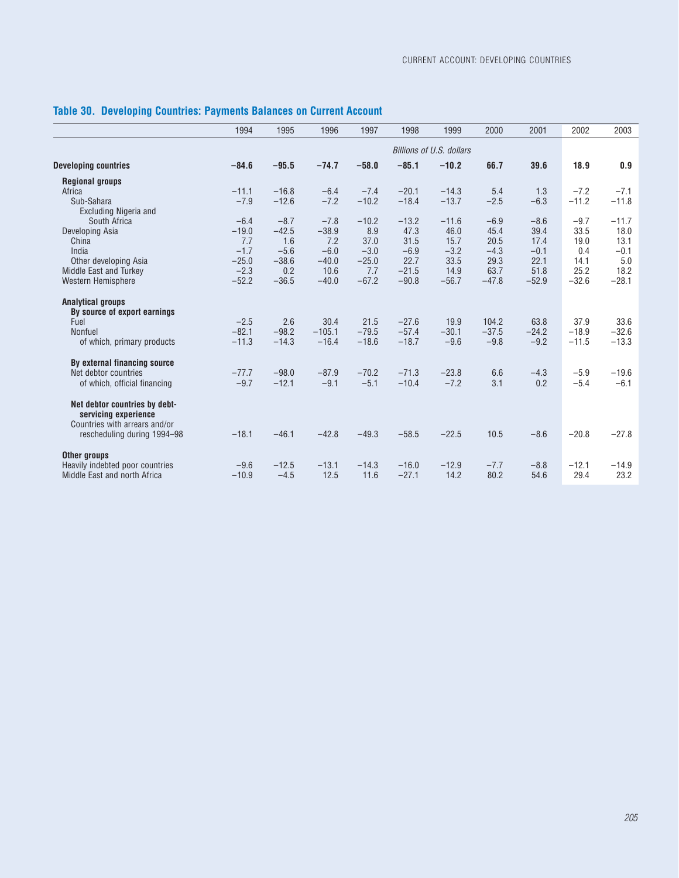|                                 | 1994    | 1995    | 1996     | 1997    | 1998    | 1999                     | 2000    | 2001    | 2002    | 2003    |
|---------------------------------|---------|---------|----------|---------|---------|--------------------------|---------|---------|---------|---------|
|                                 |         |         |          |         |         | Billions of U.S. dollars |         |         |         |         |
| <b>Developing countries</b>     | $-84.6$ | $-95.5$ | $-74.7$  | $-58.0$ | $-85.1$ | $-10.2$                  | 66.7    | 39.6    | 18.9    | 0.9     |
| <b>Regional groups</b>          |         |         |          |         |         |                          |         |         |         |         |
| Africa                          | $-11.1$ | $-16.8$ | $-6.4$   | $-7.4$  | $-20.1$ | $-14.3$                  | 5.4     | 1.3     | $-7.2$  | $-7.1$  |
| Sub-Sahara                      | $-7.9$  | $-12.6$ | $-7.2$   | $-10.2$ | $-18.4$ | $-13.7$                  | $-2.5$  | $-6.3$  | $-11.2$ | $-11.8$ |
| <b>Excluding Nigeria and</b>    |         |         |          |         |         |                          |         |         |         |         |
| South Africa                    | $-6.4$  | $-8.7$  | $-7.8$   | $-10.2$ | $-13.2$ | $-11.6$                  | $-6.9$  | $-8.6$  | $-9.7$  | $-11.7$ |
| Developing Asia                 | $-19.0$ | $-42.5$ | $-38.9$  | 8.9     | 47.3    | 46.0                     | 45.4    | 39.4    | 33.5    | 18.0    |
| China                           | 7.7     | 1.6     | 7.2      | 37.0    | 31.5    | 15.7                     | 20.5    | 17.4    | 19.0    | 13.1    |
| India                           | $-1.7$  | $-5.6$  | $-6.0$   | $-3.0$  | $-6.9$  | $-3.2$                   | $-4.3$  | $-0.1$  | 0.4     | $-0.1$  |
| Other developing Asia           | $-25.0$ | $-38.6$ | $-40.0$  | $-25.0$ | 22.7    | 33.5                     | 29.3    | 22.1    | 14.1    | 5.0     |
| Middle East and Turkey          | $-2.3$  | 0.2     | 10.6     | 7.7     | $-21.5$ | 14.9                     | 63.7    | 51.8    | 25.2    | 18.2    |
| Western Hemisphere              | $-52.2$ | $-36.5$ | $-40.0$  | $-67.2$ | $-90.8$ | $-56.7$                  | $-47.8$ | $-52.9$ | $-32.6$ | $-28.1$ |
| <b>Analytical groups</b>        |         |         |          |         |         |                          |         |         |         |         |
| By source of export earnings    |         |         |          |         |         |                          |         |         |         |         |
| Fuel                            | $-2.5$  | 2.6     | 30.4     | 21.5    | $-27.6$ | 19.9                     | 104.2   | 63.8    | 37.9    | 33.6    |
| Nonfuel                         | $-82.1$ | $-98.2$ | $-105.1$ | $-79.5$ | $-57.4$ | $-30.1$                  | $-37.5$ | $-24.2$ | $-18.9$ | $-32.6$ |
| of which, primary products      | $-11.3$ | $-14.3$ | $-16.4$  | $-18.6$ | $-18.7$ | $-9.6$                   | $-9.8$  | $-9.2$  | $-11.5$ | $-13.3$ |
| By external financing source    |         |         |          |         |         |                          |         |         |         |         |
| Net debtor countries            | $-77.7$ | $-98.0$ | $-87.9$  | $-70.2$ | $-71.3$ | $-23.8$                  | 6.6     | $-4.3$  | $-5.9$  | $-19.6$ |
| of which, official financing    | $-9.7$  | $-12.1$ | $-9.1$   | $-5.1$  | $-10.4$ | $-7.2$                   | 3.1     | 0.2     | $-5.4$  | $-6.1$  |
| Net debtor countries by debt-   |         |         |          |         |         |                          |         |         |         |         |
| servicing experience            |         |         |          |         |         |                          |         |         |         |         |
| Countries with arrears and/or   |         |         |          |         |         |                          |         |         |         |         |
| rescheduling during 1994-98     | $-18.1$ | $-46.1$ | $-42.8$  | $-49.3$ | $-58.5$ | $-22.5$                  | 10.5    | $-8.6$  | $-20.8$ | $-27.8$ |
| Other groups                    |         |         |          |         |         |                          |         |         |         |         |
| Heavily indebted poor countries | $-9.6$  | $-12.5$ | $-13.1$  | $-14.3$ | $-16.0$ | $-12.9$                  | $-7.7$  | $-8.8$  | $-12.1$ | $-14.9$ |
| Middle East and north Africa    | $-10.9$ | $-4.5$  | 12.5     | 11.6    | $-27.1$ | 14.2                     | 80.2    | 54.6    | 29.4    | 23.2    |

# **Table 30. Developing Countries: Payments Balances on Current Account**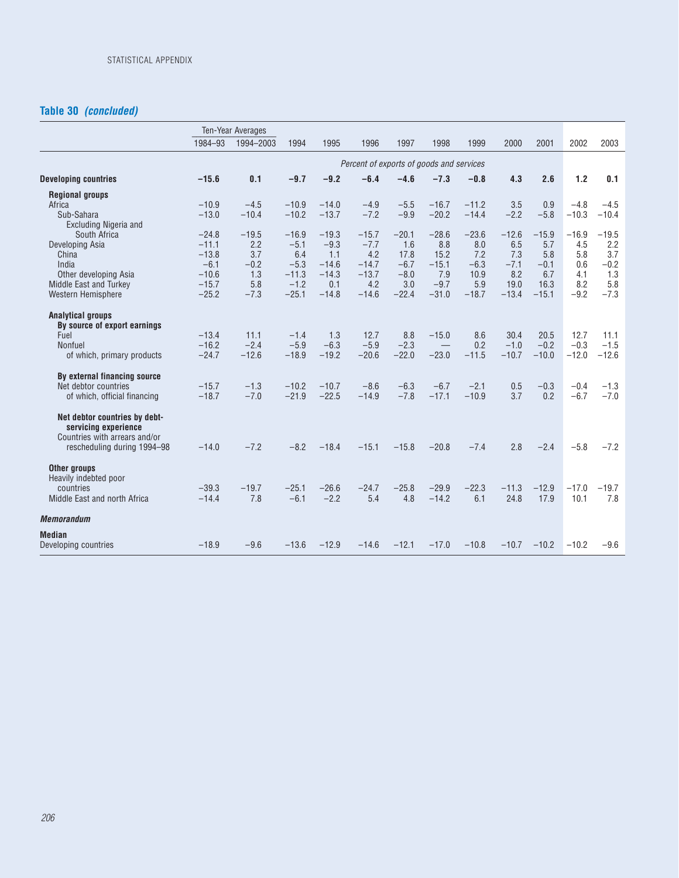# **Table 30** *(concluded)*

|                                                              |         | Ten-Year Averages |         |         |                                          |         |         |         |         |         |         |         |
|--------------------------------------------------------------|---------|-------------------|---------|---------|------------------------------------------|---------|---------|---------|---------|---------|---------|---------|
|                                                              | 1984-93 | 1994-2003         | 1994    | 1995    | 1996                                     | 1997    | 1998    | 1999    | 2000    | 2001    | 2002    | 2003    |
|                                                              |         |                   |         |         | Percent of exports of goods and services |         |         |         |         |         |         |         |
| <b>Developing countries</b>                                  | $-15.6$ | 0.1               | $-9.7$  | $-9.2$  | $-6.4$                                   | $-4.6$  | $-7.3$  | $-0.8$  | 4.3     | 2.6     | 1.2     | 0.1     |
| <b>Regional groups</b>                                       |         |                   |         |         |                                          |         |         |         |         |         |         |         |
| Africa                                                       | $-10.9$ | $-4.5$            | $-10.9$ | $-14.0$ | $-4.9$                                   | $-5.5$  | $-16.7$ | $-11.2$ | 3.5     | 0.9     | $-4.8$  | $-4.5$  |
| Sub-Sahara<br><b>Excluding Nigeria and</b>                   | $-13.0$ | $-10.4$           | $-10.2$ | $-13.7$ | $-7.2$                                   | $-9.9$  | $-20.2$ | $-14.4$ | $-2.2$  | $-5.8$  | $-10.3$ | $-10.4$ |
| South Africa                                                 | $-24.8$ | $-19.5$           | $-16.9$ | $-19.3$ | $-15.7$                                  | $-20.1$ | $-28.6$ | $-23.6$ | $-12.6$ | $-15.9$ | $-16.9$ | $-19.5$ |
| Developing Asia                                              | $-11.1$ | 2.2               | $-5.1$  | $-9.3$  | $-7.7$                                   | 1.6     | 8.8     | 8.0     | 6.5     | 5.7     | 4.5     | 2.2     |
| China                                                        | $-13.8$ | 3.7               | 6.4     | 1.1     | 4.2                                      | 17.8    | 15.2    | 7.2     | 7.3     | 5.8     | 5.8     | 3.7     |
| India                                                        | $-6.1$  | $-0.2$            | $-5.3$  | $-14.6$ | $-14.7$                                  | $-6.7$  | $-15.1$ | $-6.3$  | $-7.1$  | $-0.1$  | 0.6     | $-0.2$  |
| Other developing Asia                                        | $-10.6$ | 1.3               | $-11.3$ | $-14.3$ | $-13.7$                                  | $-8.0$  | 7.9     | 10.9    | 8.2     | 6.7     | 4.1     | 1.3     |
| Middle East and Turkey                                       | $-15.7$ | 5.8               | $-1.2$  | 0.1     | 4.2                                      | 3.0     | $-9.7$  | 5.9     | 19.0    | 16.3    | 8.2     | 5.8     |
| Western Hemisphere                                           | $-25.2$ | $-7.3$            | $-25.1$ | $-14.8$ | $-14.6$                                  | $-22.4$ | $-31.0$ | $-18.7$ | $-13.4$ | $-15.1$ | $-9.2$  | $-7.3$  |
| <b>Analytical groups</b><br>By source of export earnings     |         |                   |         |         |                                          |         |         |         |         |         |         |         |
| Fuel                                                         | $-13.4$ | 11.1              | $-1.4$  | 1.3     | 12.7                                     | 8.8     | $-15.0$ | 8.6     | 30.4    | 20.5    | 12.7    | 11.1    |
| Nonfuel                                                      | $-16.2$ | $-2.4$            | $-5.9$  | $-6.3$  | $-5.9$                                   | $-2.3$  |         | 0.2     | $-1.0$  | $-0.2$  | $-0.3$  | $-1.5$  |
| of which, primary products                                   | $-24.7$ | $-12.6$           | $-18.9$ | $-19.2$ | $-20.6$                                  | $-22.0$ | $-23.0$ | $-11.5$ | $-10.7$ | $-10.0$ | $-12.0$ | $-12.6$ |
| By external financing source                                 |         |                   |         |         |                                          |         |         |         |         |         |         |         |
| Net debtor countries                                         | $-15.7$ | $-1.3$            | $-10.2$ | $-10.7$ | $-8.6$                                   | $-6.3$  | $-6.7$  | $-2.1$  | 0.5     | $-0.3$  | $-0.4$  | $-1.3$  |
| of which, official financing                                 | $-18.7$ | $-7.0$            | $-21.9$ | $-22.5$ | $-14.9$                                  | $-7.8$  | $-17.1$ | $-10.9$ | 3.7     | 0.2     | $-6.7$  | $-7.0$  |
| Net debtor countries by debt-<br>servicing experience        |         |                   |         |         |                                          |         |         |         |         |         |         |         |
| Countries with arrears and/or<br>rescheduling during 1994-98 | $-14.0$ | $-7.2$            | $-8.2$  | $-18.4$ | $-15.1$                                  | $-15.8$ | $-20.8$ | $-7.4$  | 2.8     | $-2.4$  | $-5.8$  | $-7.2$  |
| Other groups<br>Heavily indebted poor                        |         |                   |         |         |                                          |         |         |         |         |         |         |         |
| countries                                                    | $-39.3$ | $-19.7$           | $-25.1$ | $-26.6$ | $-24.7$                                  | $-25.8$ | $-29.9$ | $-22.3$ | $-11.3$ | $-12.9$ | $-17.0$ | $-19.7$ |
| Middle East and north Africa                                 | $-14.4$ | 7.8               | $-6.1$  | $-2.2$  | 5.4                                      | 4.8     | $-14.2$ | 6.1     | 24.8    | 17.9    | 10.1    | 7.8     |
| <b>Memorandum</b>                                            |         |                   |         |         |                                          |         |         |         |         |         |         |         |
| <b>Median</b>                                                |         |                   |         |         |                                          |         |         |         |         |         |         |         |
| Developing countries                                         | $-18.9$ | $-9.6$            | $-13.6$ | $-12.9$ | $-14.6$                                  | $-12.1$ | $-17.0$ | $-10.8$ | $-10.7$ | $-10.2$ | $-10.2$ | $-9.6$  |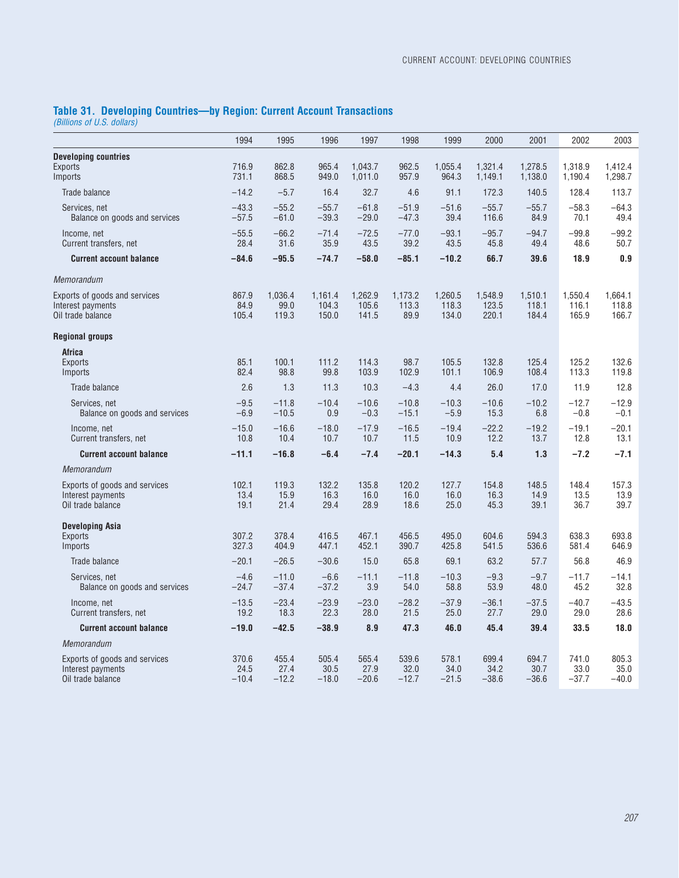### **Table 31. Developing Countries—by Region: Current Account Transactions**

*(Billions of U.S. dollars)*

|                                                                         | 1994                     | 1995                     | 1996                      | 1997                      | 1998                     | 1999                      | 2000                      | 2001                      | 2002                      | 2003                      |
|-------------------------------------------------------------------------|--------------------------|--------------------------|---------------------------|---------------------------|--------------------------|---------------------------|---------------------------|---------------------------|---------------------------|---------------------------|
| <b>Developing countries</b><br><b>Exports</b><br>Imports                | 716.9<br>731.1           | 862.8<br>868.5           | 965.4<br>949.0            | 1.043.7<br>1,011.0        | 962.5<br>957.9           | 1.055.4<br>964.3          | 1.321.4<br>1,149.1        | 1.278.5<br>1,138.0        | 1.318.9<br>1,190.4        | 1.412.4<br>1,298.7        |
| Trade balance                                                           | $-14.2$                  | $-5.7$                   | 16.4                      | 32.7                      | 4.6                      | 91.1                      | 172.3                     | 140.5                     | 128.4                     | 113.7                     |
| Services, net<br>Balance on goods and services                          | $-43.3$<br>$-57.5$       | $-55.2$<br>$-61.0$       | $-55.7$<br>$-39.3$        | $-61.8$<br>$-29.0$        | $-51.9$<br>$-47.3$       | $-51.6$<br>39.4           | $-55.7$<br>116.6          | $-55.7$<br>84.9           | $-58.3$<br>70.1           | $-64.3$<br>49.4           |
| Income, net<br>Current transfers, net                                   | $-55.5$<br>28.4          | $-66.2$<br>31.6          | $-71.4$<br>35.9           | $-72.5$<br>43.5           | $-77.0$<br>39.2          | $-93.1$<br>43.5           | $-95.7$<br>45.8           | $-94.7$<br>49.4           | $-99.8$<br>48.6           | $-99.2$<br>50.7           |
| <b>Current account balance</b>                                          | $-84.6$                  | $-95.5$                  | $-74.7$                   | $-58.0$                   | $-85.1$                  | $-10.2$                   | 66.7                      | 39.6                      | 18.9                      | 0.9                       |
| Memorandum                                                              |                          |                          |                           |                           |                          |                           |                           |                           |                           |                           |
| Exports of goods and services<br>Interest payments<br>Oil trade balance | 867.9<br>84.9<br>105.4   | 1,036.4<br>99.0<br>119.3 | 1,161.4<br>104.3<br>150.0 | 1,262.9<br>105.6<br>141.5 | 1,173.2<br>113.3<br>89.9 | 1,260.5<br>118.3<br>134.0 | 1,548.9<br>123.5<br>220.1 | 1,510.1<br>118.1<br>184.4 | 1,550.4<br>116.1<br>165.9 | 1,664.1<br>118.8<br>166.7 |
| <b>Regional groups</b>                                                  |                          |                          |                           |                           |                          |                           |                           |                           |                           |                           |
| <b>Africa</b><br><b>Exports</b><br>Imports                              | 85.1<br>82.4             | 100.1<br>98.8            | 111.2<br>99.8             | 114.3<br>103.9            | 98.7<br>102.9            | 105.5<br>101.1            | 132.8<br>106.9            | 125.4<br>108.4            | 125.2<br>113.3            | 132.6<br>119.8            |
| Trade balance                                                           | 2.6                      | 1.3                      | 11.3                      | 10.3                      | $-4.3$                   | 4.4                       | 26.0                      | 17.0                      | 11.9                      | 12.8                      |
| Services, net<br>Balance on goods and services                          | $-9.5$<br>$-6.9$         | $-11.8$<br>$-10.5$       | $-10.4$<br>0.9            | $-10.6$<br>$-0.3$         | $-10.8$<br>$-15.1$       | $-10.3$<br>$-5.9$         | $-10.6$<br>15.3           | $-10.2$<br>6.8            | $-12.7$<br>$-0.8$         | $-12.9$<br>$-0.1$         |
| Income, net<br>Current transfers, net                                   | $-15.0$<br>10.8          | $-16.6$<br>10.4          | $-18.0$<br>10.7           | $-17.9$<br>10.7           | $-16.5$<br>11.5          | $-19.4$<br>10.9           | $-22.2$<br>12.2           | $-19.2$<br>13.7           | $-19.1$<br>12.8           | $-20.1$<br>13.1           |
| <b>Current account balance</b>                                          | $-11.1$                  | $-16.8$                  | $-6.4$                    | $-7.4$                    | $-20.1$                  | $-14.3$                   | 5.4                       | 1.3                       | $-7.2$                    | $-7.1$                    |
| Memorandum                                                              |                          |                          |                           |                           |                          |                           |                           |                           |                           |                           |
| Exports of goods and services<br>Interest payments<br>Oil trade balance | 102.1<br>13.4<br>19.1    | 119.3<br>15.9<br>21.4    | 132.2<br>16.3<br>29.4     | 135.8<br>16.0<br>28.9     | 120.2<br>16.0<br>18.6    | 127.7<br>16.0<br>25.0     | 154.8<br>16.3<br>45.3     | 148.5<br>14.9<br>39.1     | 148.4<br>13.5<br>36.7     | 157.3<br>13.9<br>39.7     |
| <b>Developing Asia</b><br><b>Exports</b><br>Imports                     | 307.2<br>327.3           | 378.4<br>404.9           | 416.5<br>447.1            | 467.1<br>452.1            | 456.5<br>390.7           | 495.0<br>425.8            | 604.6<br>541.5            | 594.3<br>536.6            | 638.3<br>581.4            | 693.8<br>646.9            |
| Trade balance                                                           | $-20.1$                  | $-26.5$                  | $-30.6$                   | 15.0                      | 65.8                     | 69.1                      | 63.2                      | 57.7                      | 56.8                      | 46.9                      |
| Services, net<br>Balance on goods and services                          | $-4.6$<br>$-24.7$        | $-11.0$<br>$-37.4$       | $-6.6$<br>$-37.2$         | $-11.1$<br>3.9            | $-11.8$<br>54.0          | $-10.3$<br>58.8           | $-9.3$<br>53.9            | $-9.7$<br>48.0            | $-11.7$<br>45.2           | $-14.1$<br>32.8           |
| Income, net<br>Current transfers, net                                   | $-13.5$<br>19.2          | $-23.4$<br>18.3          | $-23.9$<br>22.3           | $-23.0$<br>28.0           | $-28.2$<br>21.5          | $-37.9$<br>25.0           | $-36.1$<br>27.7           | $-37.5$<br>29.0           | $-40.7$<br>29.0           | $-43.5$<br>28.6           |
| <b>Current account balance</b>                                          | $-19.0$                  | $-42.5$                  | $-38.9$                   | 8.9                       | 47.3                     | 46.0                      | 45.4                      | 39.4                      | 33.5                      | 18.0                      |
| Memorandum                                                              |                          |                          |                           |                           |                          |                           |                           |                           |                           |                           |
| Exports of goods and services<br>Interest payments<br>Oil trade balance | 370.6<br>24.5<br>$-10.4$ | 455.4<br>27.4<br>$-12.2$ | 505.4<br>30.5<br>$-18.0$  | 565.4<br>27.9<br>$-20.6$  | 539.6<br>32.0<br>$-12.7$ | 578.1<br>34.0<br>$-21.5$  | 699.4<br>34.2<br>$-38.6$  | 694.7<br>30.7<br>$-36.6$  | 741.0<br>33.0<br>$-37.7$  | 805.3<br>35.0<br>$-40.0$  |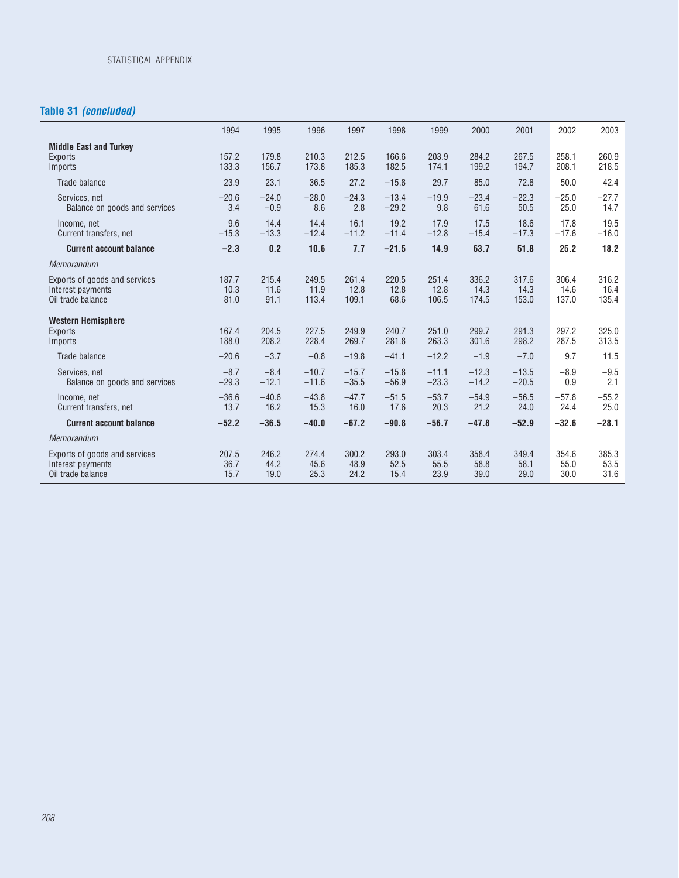# **Table 31** *(concluded)*

 $\overline{a}$ 

|                                                                         | 1994                  | 1995                  | 1996                   | 1997                   | 1998                  | 1999                   | 2000                   | 2001                   | 2002                   | 2003                   |
|-------------------------------------------------------------------------|-----------------------|-----------------------|------------------------|------------------------|-----------------------|------------------------|------------------------|------------------------|------------------------|------------------------|
| <b>Middle East and Turkey</b><br>Exports<br>Imports                     | 157.2<br>133.3        | 179.8<br>156.7        | 210.3<br>173.8         | 212.5<br>185.3         | 166.6<br>182.5        | 203.9<br>174.1         | 284.2<br>199.2         | 267.5<br>194.7         | 258.1<br>208.1         | 260.9<br>218.5         |
| Trade balance                                                           | 23.9                  | 23.1                  | 36.5                   | 27.2                   | $-15.8$               | 29.7                   | 85.0                   | 72.8                   | 50.0                   | 42.4                   |
| Services, net<br>Balance on goods and services                          | $-20.6$<br>3.4        | $-24.0$<br>$-0.9$     | $-28.0$<br>8.6         | $-24.3$<br>2.8         | $-13.4$<br>$-29.2$    | $-19.9$<br>9.8         | $-23.4$<br>61.6        | $-22.3$<br>50.5        | $-25.0$<br>25.0        | $-27.7$<br>14.7        |
| Income, net<br>Current transfers, net                                   | 9.6<br>$-15.3$        | 14.4<br>$-13.3$       | 14.4<br>$-12.4$        | 16.1<br>$-11.2$        | 19.2<br>$-11.4$       | 17.9<br>$-12.8$        | 17.5<br>$-15.4$        | 18.6<br>$-17.3$        | 17.8<br>$-17.6$        | 19.5<br>$-16.0$        |
| <b>Current account balance</b>                                          | $-2.3$                | 0.2                   | 10.6                   | 7.7                    | $-21.5$               | 14.9                   | 63.7                   | 51.8                   | 25.2                   | 18.2                   |
| Memorandum                                                              |                       |                       |                        |                        |                       |                        |                        |                        |                        |                        |
| Exports of goods and services<br>Interest payments<br>Oil trade balance | 187.7<br>10.3<br>81.0 | 215.4<br>11.6<br>91.1 | 249.5<br>11.9<br>113.4 | 261.4<br>12.8<br>109.1 | 220.5<br>12.8<br>68.6 | 251.4<br>12.8<br>106.5 | 336.2<br>14.3<br>174.5 | 317.6<br>14.3<br>153.0 | 306.4<br>14.6<br>137.0 | 316.2<br>16.4<br>135.4 |
| <b>Western Hemisphere</b><br><b>Exports</b><br>Imports                  | 167.4<br>188.0        | 204.5<br>208.2        | 227.5<br>228.4         | 249.9<br>269.7         | 240.7<br>281.8        | 251.0<br>263.3         | 299.7<br>301.6         | 291.3<br>298.2         | 297.2<br>287.5         | 325.0<br>313.5         |
| Trade balance                                                           | $-20.6$               | $-3.7$                | $-0.8$                 | $-19.8$                | $-41.1$               | $-12.2$                | $-1.9$                 | $-7.0$                 | 9.7                    | 11.5                   |
| Services, net<br>Balance on goods and services                          | $-8.7$<br>$-29.3$     | $-8.4$<br>$-12.1$     | $-10.7$<br>$-11.6$     | $-15.7$<br>$-35.5$     | $-15.8$<br>$-56.9$    | $-11.1$<br>$-23.3$     | $-12.3$<br>$-14.2$     | $-13.5$<br>$-20.5$     | $-8.9$<br>0.9          | $-9.5$<br>2.1          |
| Income, net<br>Current transfers, net                                   | $-36.6$<br>13.7       | $-40.6$<br>16.2       | $-43.8$<br>15.3        | $-47.7$<br>16.0        | $-51.5$<br>17.6       | $-53.7$<br>20.3        | $-54.9$<br>21.2        | $-56.5$<br>24.0        | $-57.8$<br>24.4        | $-55.2$<br>25.0        |
| <b>Current account balance</b>                                          | $-52.2$               | $-36.5$               | $-40.0$                | $-67.2$                | $-90.8$               | $-56.7$                | $-47.8$                | $-52.9$                | $-32.6$                | $-28.1$                |
| Memorandum                                                              |                       |                       |                        |                        |                       |                        |                        |                        |                        |                        |
| Exports of goods and services<br>Interest payments<br>Oil trade balance | 207.5<br>36.7<br>15.7 | 246.2<br>44.2<br>19.0 | 274.4<br>45.6<br>25.3  | 300.2<br>48.9<br>24.2  | 293.0<br>52.5<br>15.4 | 303.4<br>55.5<br>23.9  | 358.4<br>58.8<br>39.0  | 349.4<br>58.1<br>29.0  | 354.6<br>55.0<br>30.0  | 385.3<br>53.5<br>31.6  |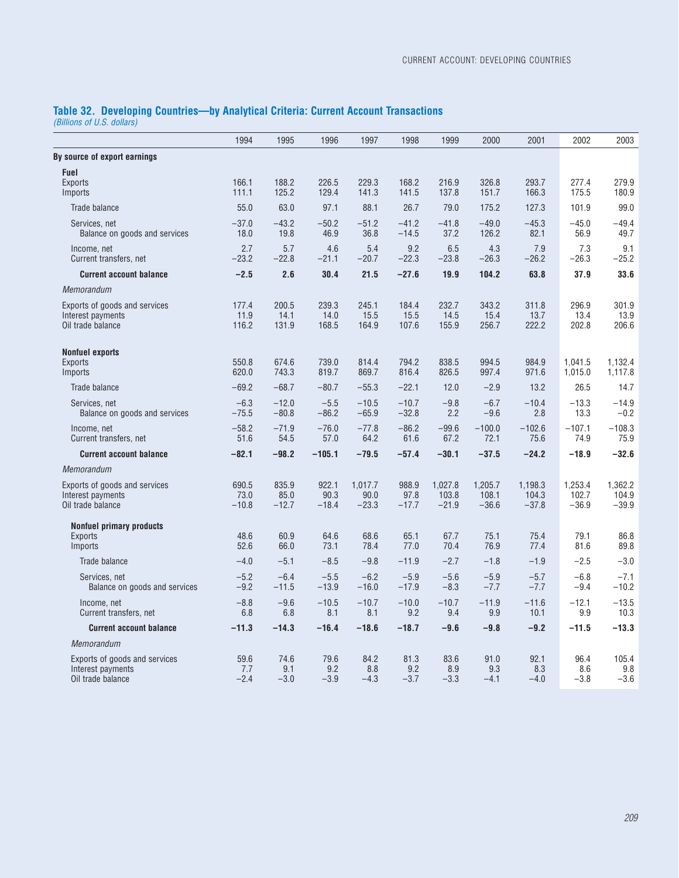# **Table 32. Developing Countries—by Analytical Criteria: Current Account Transactions**

*(Billions of U.S. dollars)*

|                                                                         | 1994                     | 1995                     | 1996                     | 1997                       | 1998                     | 1999                        | 2000                        | 2001                        | 2002                        | 2003                        |
|-------------------------------------------------------------------------|--------------------------|--------------------------|--------------------------|----------------------------|--------------------------|-----------------------------|-----------------------------|-----------------------------|-----------------------------|-----------------------------|
| By source of export earnings                                            |                          |                          |                          |                            |                          |                             |                             |                             |                             |                             |
| <b>Fuel</b><br><b>Exports</b><br>Imports                                | 166.1<br>111.1           | 188.2<br>125.2           | 226.5<br>129.4           | 229.3<br>141.3             | 168.2<br>141.5           | 216.9<br>137.8              | 326.8<br>151.7              | 293.7<br>166.3              | 277.4<br>175.5              | 279.9<br>180.9              |
| Trade balance                                                           | 55.0                     | 63.0                     | 97.1                     | 88.1                       | 26.7                     | 79.0                        | 175.2                       | 127.3                       | 101.9                       | 99.0                        |
| Services, net<br>Balance on goods and services                          | $-37.0$<br>18.0          | $-43.2$<br>19.8          | $-50.2$<br>46.9          | $-51.2$<br>36.8            | $-41.2$<br>$-14.5$       | $-41.8$<br>37.2             | $-49.0$<br>126.2            | $-45.3$<br>82.1             | $-45.0$<br>56.9             | $-49.4$<br>49.7             |
| Income, net<br>Current transfers, net                                   | 2.7<br>$-23.2$           | 5.7<br>$-22.8$           | 4.6<br>$-21.1$           | 5.4<br>$-20.7$             | 9.2<br>$-22.3$           | 6.5<br>$-23.8$              | 4.3<br>$-26.3$              | 7.9<br>$-26.2$              | 7.3<br>$-26.3$              | 9.1<br>$-25.2$              |
| <b>Current account balance</b>                                          | $-2.5$                   | 2.6                      | 30.4                     | 21.5                       | $-27.6$                  | 19.9                        | 104.2                       | 63.8                        | 37.9                        | 33.6                        |
| Memorandum                                                              |                          |                          |                          |                            |                          |                             |                             |                             |                             |                             |
| Exports of goods and services<br>Interest payments<br>Oil trade balance | 177.4<br>11.9<br>116.2   | 200.5<br>14.1<br>131.9   | 239.3<br>14.0<br>168.5   | 245.1<br>15.5<br>164.9     | 184.4<br>15.5<br>107.6   | 232.7<br>14.5<br>155.9      | 343.2<br>15.4<br>256.7      | 311.8<br>13.7<br>222.2      | 296.9<br>13.4<br>202.8      | 301.9<br>13.9<br>206.6      |
| <b>Nonfuel exports</b><br><b>Exports</b><br>Imports                     | 550.8<br>620.0           | 674.6<br>743.3           | 739.0<br>819.7           | 814.4<br>869.7             | 794.2<br>816.4           | 838.5<br>826.5              | 994.5<br>997.4              | 984.9<br>971.6              | 1,041.5<br>1,015.0          | 1,132.4<br>1,117.8          |
| Trade balance                                                           | $-69.2$                  | $-68.7$                  | $-80.7$                  | $-55.3$                    | $-22.1$                  | 12.0                        | $-2.9$                      | 13.2                        | 26.5                        | 14.7                        |
| Services, net<br>Balance on goods and services                          | $-6.3$<br>$-75.5$        | $-12.0$<br>$-80.8$       | $-5.5$<br>$-86.2$        | $-10.5$<br>$-65.9$         | $-10.7$<br>$-32.8$       | $-9.8$<br>2.2               | $-6.7$<br>$-9.6$            | $-10.4$<br>2.8              | $-13.3$<br>13.3             | $-14.9$<br>$-0.2$           |
| Income, net<br>Current transfers, net                                   | $-58.2$<br>51.6          | $-71.9$<br>54.5          | $-76.0$<br>57.0          | $-77.8$<br>64.2            | $-86.2$<br>61.6          | $-99.6$<br>67.2             | $-100.0$<br>72.1            | $-102.6$<br>75.6            | $-107.1$<br>74.9            | $-108.3$<br>75.9            |
| <b>Current account balance</b>                                          | $-82.1$                  | $-98.2$                  | $-105.1$                 | $-79.5$                    | $-57.4$                  | $-30.1$                     | $-37.5$                     | $-24.2$                     | $-18.9$                     | $-32.6$                     |
| Memorandum                                                              |                          |                          |                          |                            |                          |                             |                             |                             |                             |                             |
| Exports of goods and services<br>Interest payments<br>Oil trade balance | 690.5<br>73.0<br>$-10.8$ | 835.9<br>85.0<br>$-12.7$ | 922.1<br>90.3<br>$-18.4$ | 1.017.7<br>90.0<br>$-23.3$ | 988.9<br>97.8<br>$-17.7$ | 1,027.8<br>103.8<br>$-21.9$ | 1,205.7<br>108.1<br>$-36.6$ | 1.198.3<br>104.3<br>$-37.8$ | 1,253.4<br>102.7<br>$-36.9$ | 1.362.2<br>104.9<br>$-39.9$ |
| <b>Nonfuel primary products</b><br><b>Exports</b><br>Imports            | 48.6<br>52.6             | 60.9<br>66.0             | 64.6<br>73.1             | 68.6<br>78.4               | 65.1<br>77.0             | 67.7<br>70.4                | 75.1<br>76.9                | 75.4<br>77.4                | 79.1<br>81.6                | 86.8<br>89.8                |
| Trade balance                                                           | $-4.0$                   | $-5.1$                   | $-8.5$                   | $-9.8$                     | $-11.9$                  | $-2.7$                      | $-1.8$                      | $-1.9$                      | $-2.5$                      | $-3.0$                      |
| Services, net<br>Balance on goods and services                          | $-5.2$<br>$-9.2$         | $-6.4$<br>$-11.5$        | $-5.5$<br>$-13.9$        | $-6.2$<br>$-16.0$          | $-5.9$<br>$-17.9$        | $-5.6$<br>$-8.3$            | $-5.9$<br>$-7.7$            | $-5.7$<br>$-7.7$            | $-6.8$<br>$-9.4$            | $-7.1$<br>$-10.2$           |
| Income, net<br>Current transfers, net                                   | $-8.8$<br>6.8            | $-9.6$<br>6.8            | $-10.5$<br>8.1           | $-10.7$<br>8.1             | $-10.0$<br>9.2           | $-10.7$<br>9.4              | $-11.9$<br>9.9              | $-11.6$<br>10.1             | $-12.1$<br>9.9              | $-13.5$<br>10.3             |
| <b>Current account balance</b>                                          | $-11.3$                  | $-14.3$                  | $-16.4$                  | $-18.6$                    | $-18.7$                  | $-9.6$                      | $-9.8$                      | $-9.2$                      | $-11.5$                     | $-13.3$                     |
| Memorandum                                                              |                          |                          |                          |                            |                          |                             |                             |                             |                             |                             |
| Exports of goods and services<br>Interest payments<br>Oil trade balance | 59.6<br>7.7<br>$-2.4$    | 74.6<br>9.1<br>$-3.0$    | 79.6<br>9.2<br>$-3.9$    | 84.2<br>8.8<br>$-4.3$      | 81.3<br>9.2<br>$-3.7$    | 83.6<br>8.9<br>$-3.3$       | 91.0<br>9.3<br>$-4.1$       | 92.1<br>8.3<br>$-4.0$       | 96.4<br>8.6<br>$-3.8$       | 105.4<br>9.8<br>$-3.6$      |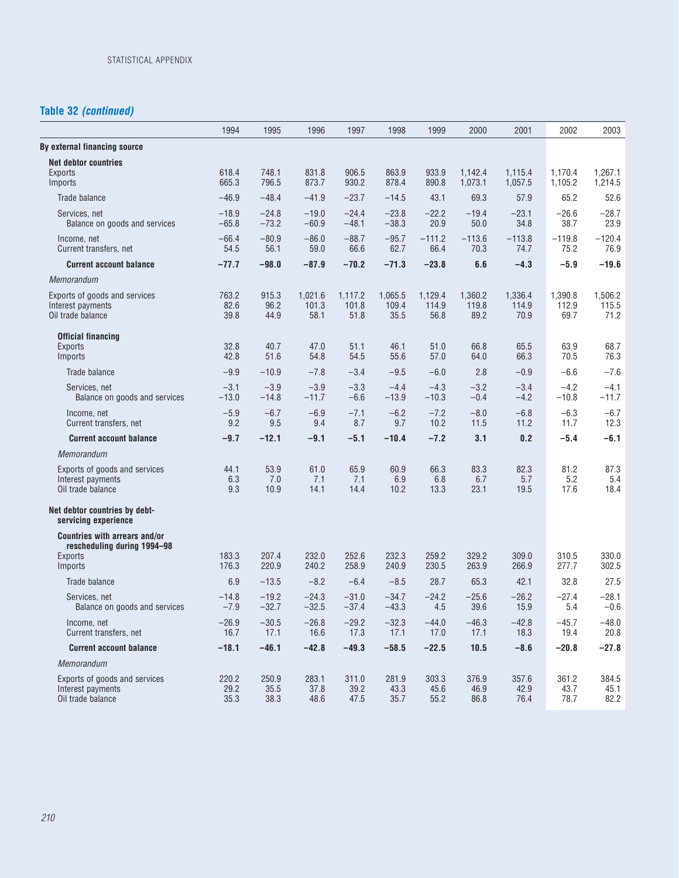## **Table 32** *(continued)*

|                                                                                                  | 1994                  | 1995                  | 1996                     | 1997                     | 1998                     | 1999                     | 2000                     | 2001                     | 2002                     | 2003                     |
|--------------------------------------------------------------------------------------------------|-----------------------|-----------------------|--------------------------|--------------------------|--------------------------|--------------------------|--------------------------|--------------------------|--------------------------|--------------------------|
| By external financing source                                                                     |                       |                       |                          |                          |                          |                          |                          |                          |                          |                          |
| <b>Net debtor countries</b><br>Exports<br>Imports                                                | 618.4<br>665.3        | 748.1<br>796.5        | 831.8<br>873.7           | 906.5<br>930.2           | 863.9<br>878.4           | 933.9<br>890.8           | 1,142.4<br>1,073.1       | 1,115.4<br>1,057.5       | 1,170.4<br>1,105.2       | 1,267.1<br>1,214.5       |
| Trade balance                                                                                    | $-46.9$               | $-48.4$               | $-41.9$                  | $-23.7$                  | $-14.5$                  | 43.1                     | 69.3                     | 57.9                     | 65.2                     | 52.6                     |
| Services, net<br>Balance on goods and services                                                   | $-18.9$<br>$-65.8$    | $-24.8$<br>$-73.2$    | $-19.0$<br>$-60.9$       | $-24.4$<br>$-48.1$       | $-23.8$<br>$-38.3$       | $-22.2$<br>20.9          | $-19.4$<br>50.0          | $-23.1$<br>34.8          | $-26.6$<br>38.7          | $-28.7$<br>23.9          |
| Income, net<br>Current transfers, net                                                            | $-66.4$<br>54.5       | $-80.9$<br>56.1       | $-86.0$<br>59.0          | $-88.7$<br>66.6          | $-95.7$<br>62.7          | $-111.2$<br>66.4         | $-113.6$<br>70.3         | $-113.8$<br>74.7         | $-119.8$<br>75.2         | $-120.4$<br>76.9         |
| <b>Current account balance</b>                                                                   | $-77.7$               | $-98.0$               | $-87.9$                  | $-70.2$                  | $-71.3$                  | $-23.8$                  | 6.6                      | $-4.3$                   | $-5.9$                   | $-19.6$                  |
| Memorandum                                                                                       |                       |                       |                          |                          |                          |                          |                          |                          |                          |                          |
| Exports of goods and services<br>Interest payments<br>Oil trade balance                          | 763.2<br>82.6<br>39.8 | 915.3<br>96.2<br>44.9 | 1,021.6<br>101.3<br>58.1 | 1,117.2<br>101.8<br>51.8 | 1,065.5<br>109.4<br>35.5 | 1,129.4<br>114.9<br>56.8 | 1,360.2<br>119.8<br>89.2 | 1,336.4<br>114.9<br>70.9 | 1,390.8<br>112.9<br>69.7 | 1,506.2<br>115.5<br>71.2 |
| <b>Official financing</b><br>Exports<br>Imports                                                  | 32.8<br>42.8          | 40.7<br>51.6          | 47.0<br>54.8             | 51.1<br>54.5             | 46.1<br>55.6             | 51.0<br>57.0             | 66.8<br>64.0             | 65.5<br>66.3             | 63.9<br>70.5             | 68.7<br>76.3             |
| Trade balance                                                                                    | $-9.9$                | $-10.9$               | $-7.8$                   | $-3.4$                   | $-9.5$                   | $-6.0$                   | 2.8                      | $-0.9$                   | $-6.6$                   | $-7.6$                   |
| Services, net<br>Balance on goods and services                                                   | $-3.1$<br>$-13.0$     | $-3.9$<br>$-14.8$     | $-3.9$<br>$-11.7$        | $-3.3$<br>$-6.6$         | $-4.4$<br>$-13.9$        | $-4.3$<br>$-10.3$        | $-3.2$<br>$-0.4$         | $-3.4$<br>$-4.2$         | $-4.2$<br>$-10.8$        | $-4.1$<br>$-11.7$        |
| Income, net<br>Current transfers, net                                                            | $-5.9$<br>9.2         | $-6.7$<br>9.5         | $-6.9$<br>9.4            | $-7.1$<br>8.7            | $-6.2$<br>9.7            | $-7.2$<br>10.2           | $-8.0$<br>11.5           | $-6.8$<br>11.2           | $-6.3$<br>11.7           | $-6.7$<br>12.3           |
| <b>Current account balance</b>                                                                   | $-9.7$                | $-12.1$               | $-9.1$                   | $-5.1$                   | $-10.4$                  | $-7.2$                   | 3.1                      | 0.2                      | $-5.4$                   | $-6.1$                   |
| Memorandum                                                                                       |                       |                       |                          |                          |                          |                          |                          |                          |                          |                          |
| Exports of goods and services<br>Interest payments<br>Oil trade balance                          | 44.1<br>6.3<br>9.3    | 53.9<br>7.0<br>10.9   | 61.0<br>7.1<br>14.1      | 65.9<br>7.1<br>14.4      | 60.9<br>6.9<br>10.2      | 66.3<br>6.8<br>13.3      | 83.3<br>6.7<br>23.1      | 82.3<br>5.7<br>19.5      | 81.2<br>5.2<br>17.6      | 87.3<br>5.4<br>18.4      |
| Net debtor countries by debt-<br>servicing experience                                            |                       |                       |                          |                          |                          |                          |                          |                          |                          |                          |
| <b>Countries with arrears and/or</b><br>rescheduling during 1994-98<br><b>Exports</b><br>Imports | 183.3<br>176.3        | 207.4<br>220.9        | 232.0<br>240.2           | 252.6<br>258.9           | 232.3<br>240.9           | 259.2<br>230.5           | 329.2<br>263.9           | 309.0<br>266.9           | 310.5<br>277.7           | 330.0<br>302.5           |
| Trade balance                                                                                    | 6.9                   | $-13.5$               | $-8.2$                   | $-6.4$                   | $-8.5$                   | 28.7                     | 65.3                     | 42.1                     | 32.8                     | 27.5                     |
| Services, net<br>Balance on goods and services                                                   | $-14.8$<br>$-7.9$     | $-19.2$<br>$-32.7$    | $-24.3$<br>$-32.5$       | $-31.0$<br>$-37.4$       | $-34.7$<br>$-43.3$       | $-24.2$<br>4.5           | $-25.6$<br>39.6          | $-26.2$<br>15.9          | $-27.4$<br>5.4           | $-28.1$<br>$-0.6$        |
| Income, net<br>Current transfers, net                                                            | $-26.9$<br>16.7       | $-30.5$<br>17.1       | $-26.8$<br>16.6          | $-29.2$<br>17.3          | $-32.3$<br>17.1          | $-44.0$<br>17.0          | $-46.3$<br>17.1          | $-42.8$<br>18.3          | $-45.7$<br>19.4          | $-48.0$<br>20.8          |
| <b>Current account balance</b>                                                                   | $-18.1$               | $-46.1$               | $-42.8$                  | $-49.3$                  | $-58.5$                  | $-22.5$                  | 10.5                     | $-8.6$                   | $-20.8$                  | $-27.8$                  |
| Memorandum                                                                                       |                       |                       |                          |                          |                          |                          |                          |                          |                          |                          |
| Exports of goods and services<br>Interest payments<br>Oil trade balance                          | 220.2<br>29.2<br>35.3 | 250.9<br>35.5<br>38.3 | 283.1<br>37.8<br>48.6    | 311.0<br>39.2<br>47.5    | 281.9<br>43.3<br>35.7    | 303.3<br>45.6<br>55.2    | 376.9<br>46.9<br>86.8    | 357.6<br>42.9<br>76.4    | 361.2<br>43.7<br>78.7    | 384.5<br>45.1<br>82.2    |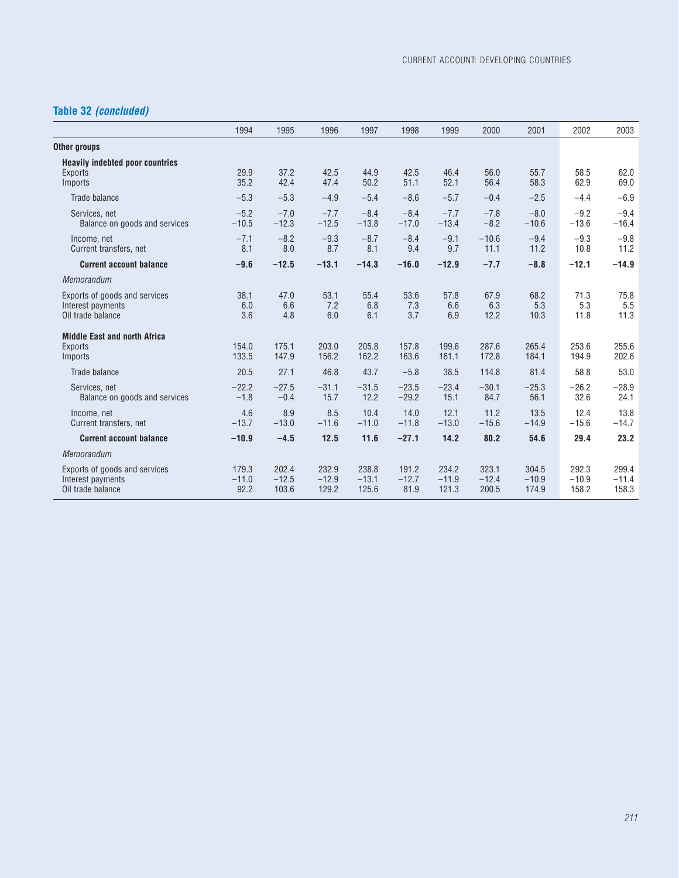# **Table 32** *(concluded)*

|                                                                         | 1994                     | 1995                      | 1996                      | 1997                      | 1998                     | 1999                      | 2000                      | 2001                      | 2002                      | 2003                      |
|-------------------------------------------------------------------------|--------------------------|---------------------------|---------------------------|---------------------------|--------------------------|---------------------------|---------------------------|---------------------------|---------------------------|---------------------------|
| Other groups                                                            |                          |                           |                           |                           |                          |                           |                           |                           |                           |                           |
| <b>Heavily indebted poor countries</b><br>Exports<br>Imports            | 29.9<br>35.2             | 37.2<br>42.4              | 42.5<br>47.4              | 44.9<br>50.2              | 42.5<br>51.1             | 46.4<br>52.1              | 56.0<br>56.4              | 55.7<br>58.3              | 58.5<br>62.9              | 62.0<br>69.0              |
| Trade balance                                                           | $-5.3$                   | $-5.3$                    | $-4.9$                    | $-5.4$                    | $-8.6$                   | $-5.7$                    | $-0.4$                    | $-2.5$                    | $-4.4$                    | $-6.9$                    |
| Services, net<br>Balance on goods and services                          | $-5.2$<br>$-10.5$        | $-7.0$<br>$-12.3$         | $-7.7$<br>$-12.5$         | $-8.4$<br>$-13.8$         | $-8.4$<br>$-17.0$        | $-7.7$<br>$-13.4$         | $-7.8$<br>$-8.2$          | $-8.0$<br>$-10.6$         | $-9.2$<br>$-13.6$         | $-9.4$<br>$-16.4$         |
| Income, net<br>Current transfers, net                                   | $-7.1$<br>8.1            | $-8.2$<br>8.0             | $-9.3$<br>8.7             | $-8.7$<br>8.1             | $-8.4$<br>9.4            | $-9.1$<br>9.7             | $-10.6$<br>11.1           | $-9.4$<br>11.2            | $-9.3$<br>10.8            | $-9.8$<br>11.2            |
| <b>Current account balance</b>                                          | $-9.6$                   | $-12.5$                   | $-13.1$                   | $-14.3$                   | $-16.0$                  | $-12.9$                   | $-7.7$                    | $-8.8$                    | $-12.1$                   | $-14.9$                   |
| Memorandum                                                              |                          |                           |                           |                           |                          |                           |                           |                           |                           |                           |
| Exports of goods and services<br>Interest payments<br>Oil trade balance | 38.1<br>6.0<br>3.6       | 47.0<br>6.6<br>4.8        | 53.1<br>7.2<br>6.0        | 55.4<br>6.8<br>6.1        | 53.6<br>7.3<br>3.7       | 57.8<br>6.6<br>6.9        | 67.9<br>6.3<br>12.2       | 68.2<br>5.3<br>10.3       | 71.3<br>5.3<br>11.8       | 75.8<br>5.5<br>11.3       |
| <b>Middle East and north Africa</b><br><b>Exports</b><br>Imports        | 154.0<br>133.5           | 175.1<br>147.9            | 203.0<br>156.2            | 205.8<br>162.2            | 157.8<br>163.6           | 199.6<br>161.1            | 287.6<br>172.8            | 265.4<br>184.1            | 253.6<br>194.9            | 255.6<br>202.6            |
| Trade balance                                                           | 20.5                     | 27.1                      | 46.8                      | 43.7                      | $-5.8$                   | 38.5                      | 114.8                     | 81.4                      | 58.8                      | 53.0                      |
| Services, net<br>Balance on goods and services                          | $-22.2$<br>$-1.8$        | $-27.5$<br>$-0.4$         | $-31.1$<br>15.7           | $-31.5$<br>12.2           | $-23.5$<br>$-29.2$       | $-23.4$<br>15.1           | $-30.1$<br>84.7           | $-25.3$<br>56.1           | $-26.2$<br>32.6           | $-28.9$<br>24.1           |
| Income, net<br>Current transfers, net                                   | 4.6<br>$-13.7$           | 8.9<br>$-13.0$            | 8.5<br>$-11.6$            | 10.4<br>$-11.0$           | 14.0<br>$-11.8$          | 12.1<br>$-13.0$           | 11.2<br>$-15.6$           | 13.5<br>$-14.9$           | 12.4<br>$-15.6$           | 13.8<br>$-14.7$           |
| <b>Current account balance</b>                                          | $-10.9$                  | $-4.5$                    | 12.5                      | 11.6                      | $-27.1$                  | 14.2                      | 80.2                      | 54.6                      | 29.4                      | 23.2                      |
| Memorandum                                                              |                          |                           |                           |                           |                          |                           |                           |                           |                           |                           |
| Exports of goods and services<br>Interest payments<br>Oil trade balance | 179.3<br>$-11.0$<br>92.2 | 202.4<br>$-12.5$<br>103.6 | 232.9<br>$-12.9$<br>129.2 | 238.8<br>$-13.1$<br>125.6 | 191.2<br>$-12.7$<br>81.9 | 234.2<br>$-11.9$<br>121.3 | 323.1<br>$-12.4$<br>200.5 | 304.5<br>$-10.9$<br>174.9 | 292.3<br>$-10.9$<br>158.2 | 299.4<br>$-11.4$<br>158.3 |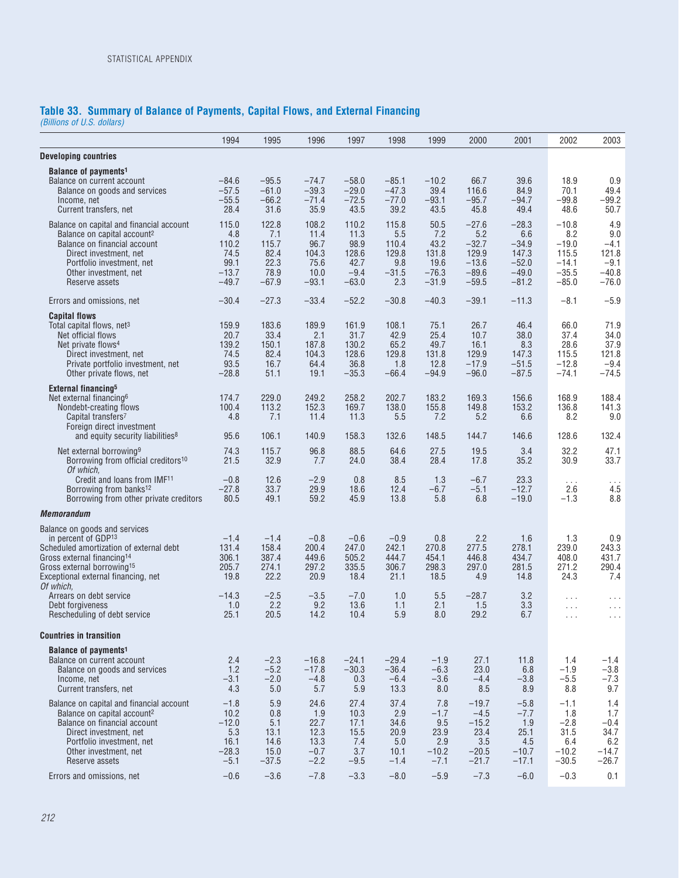## **Table 33. Summary of Balance of Payments, Capital Flows, and External Financing**

*(Billions of U.S. dollars)*

|                                                                                                                                                                                                                                         | 1994                                                          | 1995                                                     | 1996                                                      | 1997                                                        | 1998                                                    | 1999                                                       | 2000                                                                | 2001                                                                | 2002                                                                | 2003                                                          |
|-----------------------------------------------------------------------------------------------------------------------------------------------------------------------------------------------------------------------------------------|---------------------------------------------------------------|----------------------------------------------------------|-----------------------------------------------------------|-------------------------------------------------------------|---------------------------------------------------------|------------------------------------------------------------|---------------------------------------------------------------------|---------------------------------------------------------------------|---------------------------------------------------------------------|---------------------------------------------------------------|
| <b>Developing countries</b>                                                                                                                                                                                                             |                                                               |                                                          |                                                           |                                                             |                                                         |                                                            |                                                                     |                                                                     |                                                                     |                                                               |
| Balance of payments <sup>1</sup><br>Balance on current account<br>Balance on goods and services<br>Income, net<br>Current transfers, net                                                                                                | $-84.6$<br>$-57.5$<br>$-55.5$<br>28.4                         | $-95.5$<br>$-61.0$<br>$-66.2$<br>31.6                    | -74.7<br>$-39.3$<br>$-71.4$<br>35.9                       | $-58.0$<br>$-29.0$<br>$-72.5$<br>43.5                       | $-85.1$<br>$-47.3$<br>$-77.0$<br>39.2                   | $-10.2$<br>39.4<br>$-93.1$<br>43.5                         | 66.7<br>116.6<br>$-95.7$<br>45.8                                    | 39.6<br>84.9<br>$-94.7$<br>49.4                                     | 18.9<br>70.1<br>$-99.8$<br>48.6                                     | 0.9<br>49.4<br>$-99.2$<br>50.7                                |
| Balance on capital and financial account<br>Balance on capital account <sup>2</sup><br>Balance on financial account<br>Direct investment, net<br>Portfolio investment, net<br>Other investment, net<br>Reserve assets                   | 115.0<br>4.8<br>110.2<br>74.5<br>99.1<br>$-13.7$<br>$-49.7$   | 122.8<br>7.1<br>115.7<br>82.4<br>22.3<br>78.9<br>$-67.9$ | 108.2<br>11.4<br>96.7<br>104.3<br>75.6<br>10.0<br>$-93.1$ | 110.2<br>11.3<br>98.9<br>128.6<br>42.7<br>$-9.4$<br>$-63.0$ | 115.8<br>5.5<br>110.4<br>129.8<br>9.8<br>$-31.5$<br>2.3 | 50.5<br>7.2<br>43.2<br>131.8<br>19.6<br>$-76.3$<br>$-31.9$ | $-27.6$<br>5.2<br>$-32.7$<br>129.9<br>$-13.6$<br>$-89.6$<br>$-59.5$ | $-28.3$<br>6.6<br>$-34.9$<br>147.3<br>$-52.0$<br>$-49.0$<br>$-81.2$ | $-10.8$<br>8.2<br>$-19.0$<br>115.5<br>$-14.1$<br>$-35.5$<br>$-85.0$ | 4.9<br>9.0<br>$-4.1$<br>121.8<br>$-9.1$<br>$-40.8$<br>$-76.0$ |
| Errors and omissions, net                                                                                                                                                                                                               | $-30.4$                                                       | $-27.3$                                                  | $-33.4$                                                   | $-52.2$                                                     | $-30.8$                                                 | $-40.3$                                                    | $-39.1$                                                             | $-11.3$                                                             | $-8.1$                                                              | $-5.9$                                                        |
| <b>Capital flows</b><br>Total capital flows, net <sup>3</sup><br>Net official flows<br>Net private flows <sup>4</sup><br>Direct investment, net<br>Private portfolio investment, net<br>Other private flows, net                        | 159.9<br>20.7<br>139.2<br>74.5<br>93.5<br>$-28.8$             | 183.6<br>33.4<br>150.1<br>82.4<br>16.7<br>51.1           | 189.9<br>2.1<br>187.8<br>104.3<br>64.4<br>19.1            | 161.9<br>31.7<br>130.2<br>128.6<br>36.8<br>$-35.3$          | 108.1<br>42.9<br>65.2<br>129.8<br>1.8<br>$-66.4$        | 75.1<br>25.4<br>49.7<br>131.8<br>12.8<br>$-94.9$           | 26.7<br>10.7<br>16.1<br>129.9<br>$-17.9$<br>$-96.0$                 | 46.4<br>38.0<br>8.3<br>147.3<br>$-51.5$<br>$-87.5$                  | 66.0<br>37.4<br>28.6<br>115.5<br>$-12.8$<br>$-74.1$                 | 71.9<br>34.0<br>37.9<br>121.8<br>$-9.4$<br>$-74.5$            |
| <b>External financing<sup>5</sup></b><br>Net external financing <sup>6</sup><br>Nondebt-creating flows<br>Capital transfers7<br>Foreign direct investment<br>and equity security liabilities <sup>8</sup>                               | 174.7<br>100.4<br>4.8<br>95.6                                 | 229.0<br>113.2<br>7.1<br>106.1                           | 249.2<br>152.3<br>11.4<br>140.9                           | 258.2<br>169.7<br>11.3<br>158.3                             | 202.7<br>138.0<br>5.5<br>132.6                          | 183.2<br>155.8<br>7.2<br>148.5                             | 169.3<br>149.8<br>5.2<br>144.7                                      | 156.6<br>153.2<br>6.6<br>146.6                                      | 168.9<br>136.8<br>8.2<br>128.6                                      | 188.4<br>141.3<br>9.0<br>132.4                                |
| Net external borrowing <sup>9</sup><br>Borrowing from official creditors <sup>10</sup><br>Of which.<br>Credit and Ioans from IMF <sup>11</sup><br>Borrowing from banks <sup>12</sup>                                                    | 74.3<br>21.5<br>$-0.8$<br>$-27.8$                             | 115.7<br>32.9<br>12.6<br>33.7                            | 96.8<br>7.7<br>$-2.9$<br>29.9                             | 88.5<br>24.0<br>0.8<br>18.6                                 | 64.6<br>38.4<br>8.5<br>12.4                             | 27.5<br>28.4<br>1.3<br>$-6.7$                              | 19.5<br>17.8<br>$-6.7$<br>$-5.1$                                    | 3.4<br>35.2<br>23.3<br>$-12.7$                                      | 32.2<br>30.9<br>$\ldots$ .<br>2.6                                   | 47.1<br>33.7<br>$\cdots$<br>4.5                               |
| Borrowing from other private creditors                                                                                                                                                                                                  | 80.5                                                          | 49.1                                                     | 59.2                                                      | 45.9                                                        | 13.8                                                    | 5.8                                                        | 6.8                                                                 | $-19.0$                                                             | $-1.3$                                                              | 8.8                                                           |
| <b>Memorandum</b>                                                                                                                                                                                                                       |                                                               |                                                          |                                                           |                                                             |                                                         |                                                            |                                                                     |                                                                     |                                                                     |                                                               |
| Balance on goods and services<br>in percent of GDP13<br>Scheduled amortization of external debt<br>Gross external financing <sup>14</sup><br>Gross external borrowing <sup>15</sup><br>Exceptional external financing, net<br>Of which. | $-1.4$<br>131.4<br>306.1<br>205.7<br>19.8                     | $-1.4$<br>158.4<br>387.4<br>274.1<br>22.2                | $-0.8$<br>200.4<br>449.6<br>297.2<br>20.9                 | $-0.6$<br>247.0<br>505.2<br>335.5<br>18.4                   | $-0.9$<br>242.1<br>444.7<br>306.7<br>21.1               | 0.8<br>270.8<br>454.1<br>298.3<br>18.5                     | 2.2<br>277.5<br>446.8<br>297.0<br>4.9                               | 1.6<br>278.1<br>434.7<br>281.5<br>14.8                              | 1.3<br>239.0<br>408.0<br>271.2<br>24.3                              | 0.9<br>243.3<br>431.7<br>290.4<br>7.4                         |
| Arrears on debt service<br>Debt forgiveness<br>Rescheduling of debt service                                                                                                                                                             | $-14.3$<br>1.0<br>25.1                                        | $-2.5$<br>2.2<br>20.5                                    | $-3.5$<br>9.2<br>14.2                                     | $-7.0$<br>13.6<br>10.4                                      | 1.0<br>1.1<br>5.9                                       | 5.5<br>2.1<br>8.0                                          | $-28.7$<br>1.5<br>29.2                                              | 3.2<br>3.3<br>6.7                                                   | $\ldots$<br>$\ldots$<br>$\ldots$                                    | $\cdots$<br>.<br>.                                            |
| <b>Countries in transition</b>                                                                                                                                                                                                          |                                                               |                                                          |                                                           |                                                             |                                                         |                                                            |                                                                     |                                                                     |                                                                     |                                                               |
| Balance of payments <sup>1</sup><br>Balance on current account<br>Balance on goods and services<br>Income, net<br>Current transfers, net                                                                                                | 2.4<br>1.2<br>$-3.1$<br>4.3                                   | $-2.3$<br>$-5.2$<br>$-2.0$<br>5.0                        | $-16.8$<br>$-17.8$<br>$-4.8$<br>5.7                       | $-24.1$<br>$-30.3$<br>0.3<br>5.9                            | $-29.4$<br>$-36.4$<br>$-6.4$<br>13.3                    | $-1.9$<br>$-6.3$<br>$-3.6$<br>8.0                          | 27.1<br>23.0<br>$-4.4$<br>8.5                                       | 11.8<br>6.8<br>$-3.8$<br>8.9                                        | 1.4<br>$-1.9$<br>$-5.5$<br>8.8                                      | $-1.4$<br>$-3.8$<br>$-7.3$<br>9.7                             |
| Balance on capital and financial account<br>Balance on capital account <sup>2</sup><br>Balance on financial account<br>Direct investment, net<br>Portfolio investment, net<br>Other investment, net<br>Reserve assets                   | $-1.8$<br>10.2<br>$-12.0$<br>5.3<br>16.1<br>$-28.3$<br>$-5.1$ | 5.9<br>0.8<br>5.1<br>13.1<br>14.6<br>15.0<br>$-37.5$     | 24.6<br>1.9<br>22.7<br>12.3<br>13.3<br>$-0.7$<br>$-2.2$   | 27.4<br>10.3<br>17.1<br>15.5<br>7.4<br>3.7<br>$-9.5$        | 37.4<br>2.9<br>34.6<br>20.9<br>5.0<br>10.1<br>$-1.4$    | 7.8<br>$-1.7$<br>9.5<br>23.9<br>2.9<br>$-10.2$<br>$-7.1$   | $-19.7$<br>$-4.5$<br>$-15.2$<br>23.4<br>3.5<br>$-20.5$<br>$-21.7$   | $-5.8$<br>$-7.7$<br>1.9<br>25.1<br>4.5<br>$-10.7$<br>$-17.1$        | $-1.1$<br>1.8<br>$-2.8$<br>31.5<br>6.4<br>$-10.2$<br>$-30.5$        | 1.4<br>1.7<br>$-0.4$<br>34.7<br>6.2<br>$-14.7$<br>$-26.7$     |
| Errors and omissions, net                                                                                                                                                                                                               | $-0.6$                                                        | $-3.6$                                                   | $-7.8$                                                    | $-3.3$                                                      | $-8.0$                                                  | $-5.9$                                                     | $-7.3$                                                              | $-6.0$                                                              | $-0.3$                                                              | 0.1                                                           |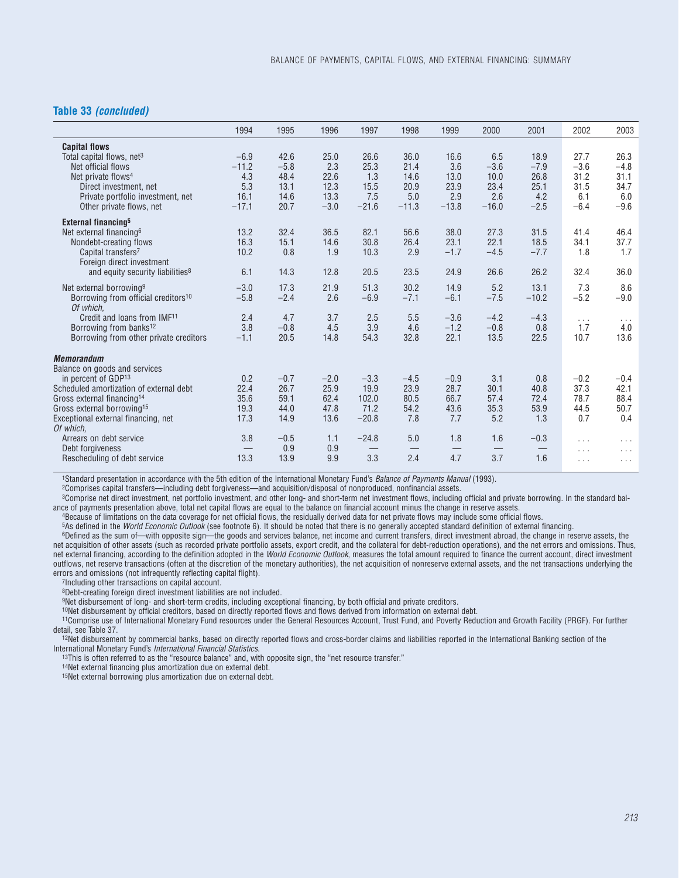### **Table 33** *(concluded)*

|                                                 | 1994    | 1995   | 1996   | 1997    | 1998    | 1999    | 2000    | 2001    | 2002     | 2003                 |
|-------------------------------------------------|---------|--------|--------|---------|---------|---------|---------|---------|----------|----------------------|
| <b>Capital flows</b>                            |         |        |        |         |         |         |         |         |          |                      |
| Total capital flows, net <sup>3</sup>           | $-6.9$  | 42.6   | 25.0   | 26.6    | 36.0    | 16.6    | 6.5     | 18.9    | 27.7     | 26.3                 |
| Net official flows                              | $-11.2$ | $-5.8$ | 2.3    | 25.3    | 21.4    | 3.6     | $-3.6$  | $-7.9$  | $-3.6$   | $-4.8$               |
| Net private flows <sup>4</sup>                  | 4.3     | 48.4   | 22.6   | 1.3     | 14.6    | 13.0    | 10.0    | 26.8    | 31.2     | 31.1                 |
| Direct investment, net                          | 5.3     | 13.1   | 12.3   | 15.5    | 20.9    | 23.9    | 23.4    | 25.1    | 31.5     | 34.7                 |
| Private portfolio investment, net               | 16.1    | 14.6   | 13.3   | 7.5     | 5.0     | 2.9     | 2.6     | 4.2     | 6.1      | 6.0                  |
| Other private flows, net                        | $-17.1$ | 20.7   | $-3.0$ | $-21.6$ | $-11.3$ | $-13.8$ | $-16.0$ | $-2.5$  | $-6.4$   | $-9.6$               |
| External financing <sup>5</sup>                 |         |        |        |         |         |         |         |         |          |                      |
| Net external financing <sup>6</sup>             | 13.2    | 32.4   | 36.5   | 82.1    | 56.6    | 38.0    | 27.3    | 31.5    | 41.4     | 46.4                 |
| Nondebt-creating flows                          | 16.3    | 15.1   | 14.6   | 30.8    | 26.4    | 23.1    | 22.1    | 18.5    | 34.1     | 37.7                 |
| Capital transfers <sup>7</sup>                  | 10.2    | 0.8    | 1.9    | 10.3    | 2.9     | $-1.7$  | $-4.5$  | $-7.7$  | 1.8      | 1.7                  |
| Foreign direct investment                       |         |        |        |         |         |         |         |         |          |                      |
| and equity security liabilities <sup>8</sup>    | 6.1     | 14.3   | 12.8   | 20.5    | 23.5    | 24.9    | 26.6    | 26.2    | 32.4     | 36.0                 |
| Net external borrowing <sup>9</sup>             | $-3.0$  | 17.3   | 21.9   | 51.3    | 30.2    | 14.9    | 5.2     | 13.1    | 7.3      | 8.6                  |
| Borrowing from official creditors <sup>10</sup> | $-5.8$  | $-2.4$ | 2.6    | $-6.9$  | $-7.1$  | $-6.1$  | $-7.5$  | $-10.2$ | $-5.2$   | $-9.0$               |
| Of which.                                       |         |        |        |         |         |         |         |         |          |                      |
| Credit and loans from IMF <sup>11</sup>         | 2.4     | 4.7    | 3.7    | 2.5     | 5.5     | $-3.6$  | $-4.2$  | $-4.3$  | $\cdots$ | $\sim$ $\sim$ $\sim$ |
| Borrowing from banks <sup>12</sup>              | 3.8     | $-0.8$ | 4.5    | 3.9     | 4.6     | $-1.2$  | $-0.8$  | 0.8     | 1.7      | 4.0                  |
| Borrowing from other private creditors          | $-1.1$  | 20.5   | 14.8   | 54.3    | 32.8    | 22.1    | 13.5    | 22.5    | 10.7     | 13.6                 |
| <b>Memorandum</b>                               |         |        |        |         |         |         |         |         |          |                      |
| Balance on goods and services                   |         |        |        |         |         |         |         |         |          |                      |
| in percent of GDP <sup>13</sup>                 | 0.2     | $-0.7$ | $-2.0$ | $-3.3$  | $-4.5$  | $-0.9$  | 3.1     | 0.8     | $-0.2$   | $-0.4$               |
| Scheduled amortization of external debt         | 22.4    | 26.7   | 25.9   | 19.9    | 23.9    | 28.7    | 30.1    | 40.8    | 37.3     | 42.1                 |
| Gross external financing <sup>14</sup>          | 35.6    | 59.1   | 62.4   | 102.0   | 80.5    | 66.7    | 57.4    | 72.4    | 78.7     | 88.4                 |
| Gross external borrowing <sup>15</sup>          | 19.3    | 44.0   | 47.8   | 71.2    | 54.2    | 43.6    | 35.3    | 53.9    | 44.5     | 50.7                 |
| Exceptional external financing, net             | 17.3    | 14.9   | 13.6   | $-20.8$ | 7.8     | 7.7     | 5.2     | 1.3     | 0.7      | 0.4                  |
| Of which.                                       |         |        |        |         |         |         |         |         |          |                      |
| Arrears on debt service                         | 3.8     | $-0.5$ | 1.1    | $-24.8$ | 5.0     | 1.8     | 1.6     | $-0.3$  | .        | $\cdots$             |
| Debt forgiveness                                |         | 0.9    | 0.9    |         |         |         |         |         | $\cdots$ | $\cdots$             |
| Rescheduling of debt service                    | 13.3    | 13.9   | 9.9    | 3.3     | 2.4     | 4.7     | 3.7     | 1.6     | $\cdots$ | $\cdots$             |
|                                                 |         |        |        |         |         |         |         |         |          |                      |

1Standard presentation in accordance with the 5th edition of the International Monetary Fund's *Balance of Payments Manual* (1993).

2Comprises capital transfers—including debt forgiveness—and acquisition/disposal of nonproduced, nonfinancial assets.

3Comprise net direct investment, net portfolio investment, and other long- and short-term net investment flows, including official and private borrowing. In the standard balance of payments presentation above, total net capital flows are equal to the balance on financial account minus the change in reserve assets.

4Because of limitations on the data coverage for net official flows, the residually derived data for net private flows may include some official flows.

5As defined in the *World Economic Outlook* (see footnote 6). It should be noted that there is no generally accepted standard definition of external financing.

6Defined as the sum of—with opposite sign—the goods and services balance, net income and current transfers, direct investment abroad, the change in reserve assets, the net acquisition of other assets (such as recorded private portfolio assets, export credit, and the collateral for debt-reduction operations), and the net errors and omissions. Thus, net external financing, according to the definition adopted in the *World Economic Outlook*, measures the total amount required to finance the current account, direct investment outflows, net reserve transactions (often at the discretion of the monetary authorities), the net acquisition of nonreserve external assets, and the net transactions underlying the errors and omissions (not infrequently reflecting capital flight). 7Including other transactions on capital account.

8Debt-creating foreign direct investment liabilities are not included.

9Net disbursement of long- and short-term credits, including exceptional financing, by both official and private creditors.

10Net disbursement by official creditors, based on directly reported flows and flows derived from information on external debt.

11Comprise use of International Monetary Fund resources under the General Resources Account, Trust Fund, and Poverty Reduction and Growth Facility (PRGF). For further detail, see Table 37.

12Net disbursement by commercial banks, based on directly reported flows and cross-border claims and liabilities reported in the International Banking section of the International Monetary Fund's *International Financial Statistics*.

13This is often referred to as the "resource balance" and, with opposite sign, the "net resource transfer."

14Net external financing plus amortization due on external debt.

15Net external borrowing plus amortization due on external debt.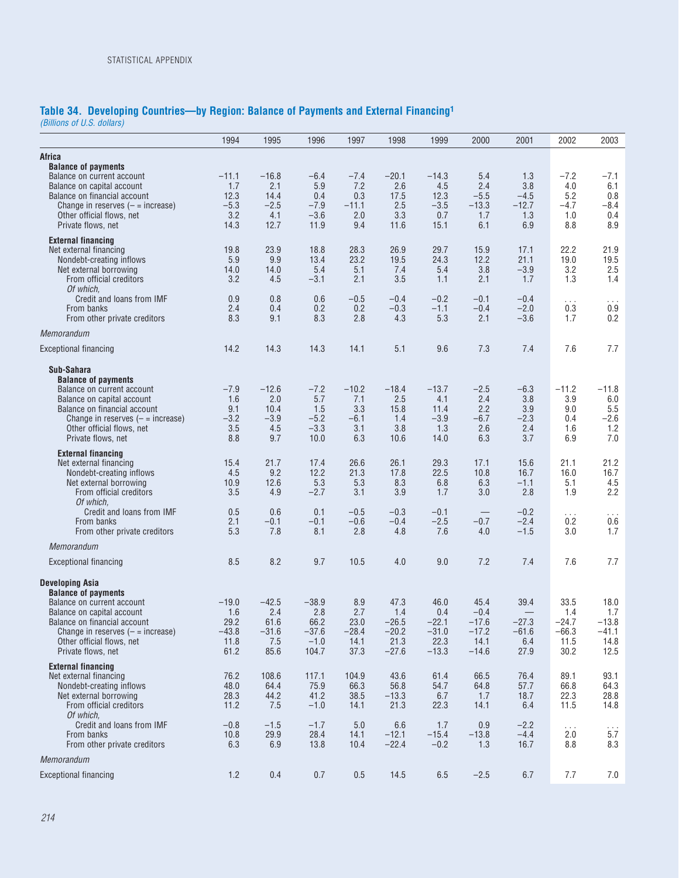### **Table 34. Developing Countries—by Region: Balance of Payments and External Financing1**

*(Billions of U.S. dollars)*

|                                                                                                                                                                                                                                        | 1994                                              | 1995                                             | 1996                                                 | 1997                                          | 1998                                                 | 1999                                                 | 2000                                                    | 2001                                          | 2002                                              | 2003                                              |
|----------------------------------------------------------------------------------------------------------------------------------------------------------------------------------------------------------------------------------------|---------------------------------------------------|--------------------------------------------------|------------------------------------------------------|-----------------------------------------------|------------------------------------------------------|------------------------------------------------------|---------------------------------------------------------|-----------------------------------------------|---------------------------------------------------|---------------------------------------------------|
| <b>Africa</b>                                                                                                                                                                                                                          |                                                   |                                                  |                                                      |                                               |                                                      |                                                      |                                                         |                                               |                                                   |                                                   |
| <b>Balance of payments</b><br>Balance on current account<br>Balance on capital account<br>Balance on financial account<br>Change in reserves $(-$ = increase)<br>Other official flows, net<br>Private flows, net                       | $-11.1$<br>1.7<br>12.3<br>$-5.3$<br>3.2<br>14.3   | $-16.8$<br>2.1<br>14.4<br>$-2.5$<br>4.1<br>12.7  | $-6.4$<br>5.9<br>0.4<br>$-7.9$<br>$-3.6$<br>11.9     | $-7.4$<br>7.2<br>0.3<br>$-11.1$<br>2.0<br>9.4 | $-20.1$<br>2.6<br>17.5<br>2.5<br>3.3<br>11.6         | $-14.3$<br>4.5<br>12.3<br>$-3.5$<br>0.7<br>15.1      | 5.4<br>2.4<br>$-5.5$<br>$-13.3$<br>1.7<br>6.1           | 1.3<br>3.8<br>$-4.5$<br>$-12.7$<br>1.3<br>6.9 | $-7.2$<br>4.0<br>5.2<br>$-4.7$<br>1.0<br>8.8      | $-7.1$<br>6.1<br>0.8<br>-8.4<br>0.4<br>8.9        |
| <b>External financing</b><br>Net external financing<br>Nondebt-creating inflows<br>Net external borrowing<br>From official creditors<br>Of which,                                                                                      | 19.8<br>5.9<br>14.0<br>3.2                        | 23.9<br>9.9<br>14.0<br>4.5                       | 18.8<br>13.4<br>5.4<br>$-3.1$                        | 28.3<br>23.2<br>5.1<br>2.1                    | 26.9<br>19.5<br>7.4<br>3.5                           | 29.7<br>24.3<br>5.4<br>1.1                           | 15.9<br>12.2<br>3.8<br>2.1                              | 17.1<br>21.1<br>$-3.9$<br>1.7                 | 22.2<br>19.0<br>3.2<br>1.3                        | 21.9<br>19.5<br>2.5<br>1.4                        |
| Credit and loans from IMF<br>From banks<br>From other private creditors                                                                                                                                                                | 0.9<br>2.4<br>8.3                                 | 0.8<br>0.4<br>9.1                                | 0.6<br>0.2<br>8.3                                    | $-0.5$<br>0.2<br>2.8                          | $-0.4$<br>$-0.3$<br>4.3                              | $-0.2$<br>$-1.1$<br>5.3                              | $-0.1$<br>$-0.4$<br>2.1                                 | $-0.4$<br>$-2.0$<br>$-3.6$                    | $\cdots$<br>0.3<br>1.7                            | $\sim$ $\sim$ $\sim$<br>0.9<br>0.2                |
| Memorandum                                                                                                                                                                                                                             |                                                   |                                                  |                                                      |                                               |                                                      |                                                      |                                                         |                                               |                                                   |                                                   |
| <b>Exceptional financing</b>                                                                                                                                                                                                           | 14.2                                              | 14.3                                             | 14.3                                                 | 14.1                                          | 5.1                                                  | 9.6                                                  | 7.3                                                     | 7.4                                           | 7.6                                               | 7.7                                               |
| Sub-Sahara<br><b>Balance of payments</b><br>Balance on current account<br>Balance on capital account<br>Balance on financial account<br>Change in reserves $(-$ = increase)<br>Other official flows, net<br>Private flows, net         | $-7.9$<br>1.6<br>9.1<br>$-3.2$<br>3.5<br>8.8      | $-12.6$<br>2.0<br>10.4<br>$-3.9$<br>4.5<br>9.7   | $-7.2$<br>5.7<br>1.5<br>$-5.2$<br>$-3.3$<br>10.0     | $-10.2$<br>7.1<br>3.3<br>$-6.1$<br>3.1<br>6.3 | $-18.4$<br>2.5<br>15.8<br>1.4<br>3.8<br>10.6         | $-13.7$<br>4.1<br>11.4<br>$-3.9$<br>1.3<br>14.0      | $-2.5$<br>2.4<br>2.2<br>$-6.7$<br>2.6<br>6.3            | $-6.3$<br>3.8<br>3.9<br>$-2.3$<br>2.4<br>3.7  | $-11.2$<br>3.9<br>9.0<br>0.4<br>1.6<br>6.9        | $-11.8$<br>6.0<br>5.5<br>$-2.6$<br>1.2<br>7.0     |
| <b>External financing</b><br>Net external financing<br>Nondebt-creating inflows<br>Net external borrowing<br>From official creditors                                                                                                   | 15.4<br>4.5<br>10.9<br>3.5                        | 21.7<br>9.2<br>12.6<br>4.9                       | 17.4<br>12.2<br>5.3<br>$-2.7$                        | 26.6<br>21.3<br>5.3<br>3.1                    | 26.1<br>17.8<br>8.3<br>3.9                           | 29.3<br>22.5<br>6.8<br>1.7                           | 17.1<br>10.8<br>6.3<br>3.0                              | 15.6<br>16.7<br>$-1.1$<br>2.8                 | 21.1<br>16.0<br>5.1<br>1.9                        | 21.2<br>16.7<br>4.5<br>2.2                        |
| Of which.<br>Credit and loans from IMF<br>From banks<br>From other private creditors                                                                                                                                                   | 0.5<br>2.1<br>5.3                                 | 0.6<br>$-0.1$<br>7.8                             | 0.1<br>$-0.1$<br>8.1                                 | $-0.5$<br>$-0.6$<br>2.8                       | $-0.3$<br>$-0.4$<br>4.8                              | $-0.1$<br>$-2.5$<br>7.6                              | $\qquad \qquad -$<br>$-0.7$<br>4.0                      | $-0.2$<br>$-2.4$<br>$-1.5$                    | $\cdots$<br>0.2<br>3.0                            | $\sim$ $\sim$ $\sim$<br>0.6<br>1.7                |
| Memorandum                                                                                                                                                                                                                             |                                                   |                                                  |                                                      |                                               |                                                      |                                                      |                                                         |                                               |                                                   |                                                   |
| <b>Exceptional financing</b>                                                                                                                                                                                                           | 8.5                                               | 8.2                                              | 9.7                                                  | 10.5                                          | 4.0                                                  | 9.0                                                  | 7.2                                                     | 7.4                                           | 7.6                                               | 7.7                                               |
| Developing Asia<br><b>Balance of payments</b><br>Balance on current account<br>Balance on capital account<br>Balance on financial account<br>Unange in reserves $($ = $=$ increase)<br>Other official flows, net<br>Private flows, net | $-19.0$<br>1.6<br>29.2<br>$-43.8$<br>11.8<br>61.2 | $-42.5$<br>2.4<br>61.6<br>$-31.6$<br>7.5<br>85.6 | $-38.9$<br>2.8<br>66.2<br>$-37.6$<br>$-1.0$<br>104.7 | 8.9<br>2.7<br>23.0<br>$-28.4$<br>14.1<br>37.3 | 47.3<br>1.4<br>$-26.5$<br>$-20.2$<br>21.3<br>$-27.6$ | 46.0<br>0.4<br>$-22.1$<br>$-31.0$<br>22.3<br>$-13.3$ | 45.4<br>$-0.4$<br>$-17.6$<br>$-17.2$<br>14.1<br>$-14.6$ | 39.4<br>$-27.3$<br>$-61.6$<br>6.4<br>27.9     | 33.5<br>1.4<br>$-24.7$<br>$-66.3$<br>11.5<br>30.2 | 18.0<br>1.7<br>$-13.8$<br>$-41.1$<br>14.8<br>12.5 |
| <b>External financing</b><br>Net external financing<br>Nondebt-creating inflows<br>Net external borrowing<br>From official creditors<br>Of which.                                                                                      | 76.2<br>48.0<br>28.3<br>11.2                      | 108.6<br>64.4<br>44.2<br>7.5                     | 117.1<br>75.9<br>41.2<br>$-1.0$                      | 104.9<br>66.3<br>38.5<br>14.1                 | 43.6<br>56.8<br>$-13.3$<br>21.3                      | 61.4<br>54.7<br>6.7<br>22.3                          | 66.5<br>64.8<br>1.7<br>14.1                             | 76.4<br>57.7<br>18.7<br>6.4                   | 89.1<br>66.8<br>22.3<br>11.5                      | 93.1<br>64.3<br>28.8<br>14.8                      |
| Credit and loans from IMF<br>From banks<br>From other private creditors                                                                                                                                                                | $-0.8$<br>10.8<br>6.3                             | $-1.5$<br>29.9<br>6.9                            | $-1.7$<br>28.4<br>13.8                               | 5.0<br>14.1<br>10.4                           | 6.6<br>$-12.1$<br>$-22.4$                            | 1.7<br>$-15.4$<br>$-0.2$                             | 0.9<br>$-13.8$<br>1.3                                   | $-2.2$<br>$-4.4$<br>16.7                      | $\ldots$<br>2.0<br>8.8                            | $\frac{1}{5.7}$<br>8.3                            |
| Memorandum                                                                                                                                                                                                                             |                                                   |                                                  |                                                      |                                               |                                                      |                                                      |                                                         |                                               |                                                   |                                                   |
| <b>Exceptional financing</b>                                                                                                                                                                                                           | 1.2                                               | 0.4                                              | 0.7                                                  | 0.5                                           | 14.5                                                 | $6.5\,$                                              | $-2.5$                                                  | 6.7                                           | 7.7                                               | 7.0                                               |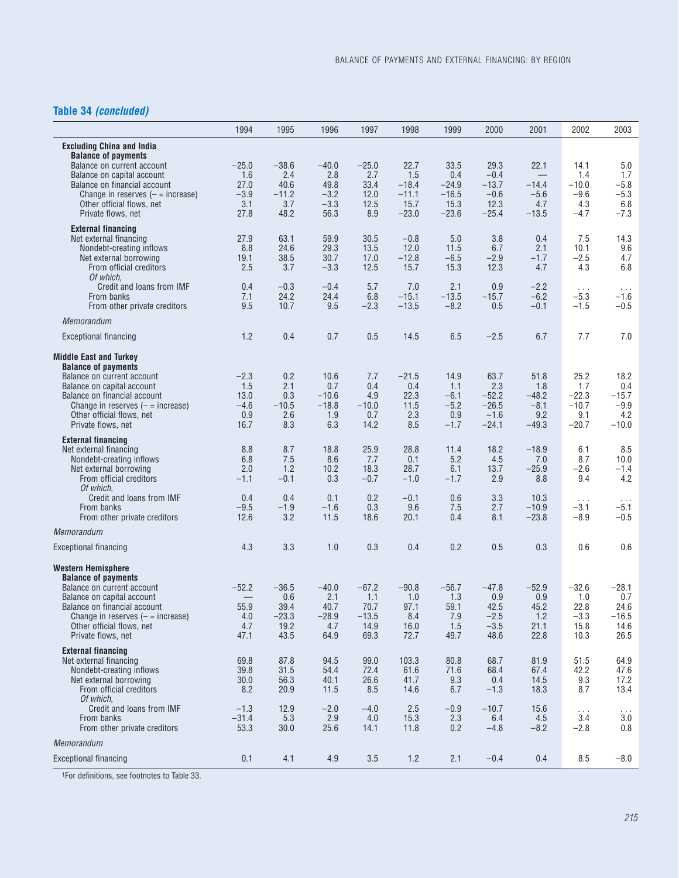## **Table 34** *(concluded)*

|                                                                                                                                                                                                                                                   | 1994                                           | 1995                                              | 1996                                             | 1997                                              | 1998                                          | 1999                                             | 2000                                                   | 2001                                               | 2002                                                | 2003                                               |
|---------------------------------------------------------------------------------------------------------------------------------------------------------------------------------------------------------------------------------------------------|------------------------------------------------|---------------------------------------------------|--------------------------------------------------|---------------------------------------------------|-----------------------------------------------|--------------------------------------------------|--------------------------------------------------------|----------------------------------------------------|-----------------------------------------------------|----------------------------------------------------|
| <b>Excluding China and India</b><br><b>Balance of payments</b><br>Balance on current account<br>Balance on capital account<br>Balance on financial account<br>Change in reserves $($ = $=$ increase)                                              | $-25.0$<br>1.6<br>27.0<br>$-3.9$               | $-38.6$<br>2.4<br>40.6<br>$-11.2$                 | $-40.0$<br>2.8<br>49.8<br>$-3.2$                 | $-25.0$<br>2.7<br>33.4<br>12.0                    | 22.7<br>1.5<br>$-18.4$<br>$-11.1$             | 33.5<br>0.4<br>$-24.9$<br>$-16.5$                | 29.3<br>$-0.4$<br>$-13.7$<br>$-0.6$                    | 22.1<br>$-14.4$<br>$-5.6$                          | 14.1<br>1.4<br>$-10.0$<br>$-9.6$                    | 5.0<br>1.7<br>$-5.8$<br>$-5.3$                     |
| Other official flows, net<br>Private flows, net                                                                                                                                                                                                   | 3.1<br>27.8                                    | 3.7<br>48.2                                       | $-3.3$<br>56.3                                   | 12.5<br>8.9                                       | 15.7<br>$-23.0$                               | 15.3<br>$-23.6$                                  | 12.3<br>$-25.4$                                        | 4.7<br>$-13.5$                                     | 4.3<br>$-4.7$                                       | 6.8<br>$-7.3$                                      |
| <b>External financing</b><br>Net external financing<br>Nondebt-creating inflows<br>Net external borrowing<br>From official creditors<br>Of which.                                                                                                 | 27.9<br>8.8<br>19.1<br>2.5                     | 63.1<br>24.6<br>38.5<br>3.7                       | 59.9<br>29.3<br>30.7<br>$-3.3$                   | 30.5<br>13.5<br>17.0<br>12.5                      | $-0.8$<br>12.0<br>$-12.8$<br>15.7             | 5.0<br>11.5<br>$-6.5$<br>15.3                    | 3.8<br>6.7<br>$-2.9$<br>12.3                           | 0.4<br>2.1<br>$-1.7$<br>4.7                        | 7.5<br>10.1<br>$-2.5$<br>4.3                        | 14.3<br>9.6<br>4.7<br>6.8                          |
| Credit and loans from IMF<br>From banks<br>From other private creditors                                                                                                                                                                           | 0.4<br>7.1<br>9.5                              | $-0.3$<br>24.2<br>10.7                            | $-0.4$<br>24.4<br>9.5                            | 5.7<br>6.8<br>$-2.3$                              | 7.0<br>$-15.1$<br>$-13.5$                     | 2.1<br>$-13.5$<br>$-8.2$                         | 0.9<br>$-15.7$<br>0.5                                  | $-2.2$<br>$-6.2$<br>$-0.1$                         | $\sim$ $\sim$ $\sim$<br>$-5.3$<br>$-1.5$            | $\sim$ $\sim$ $\sim$<br>$-1.6$<br>$-0.5$           |
| Memorandum                                                                                                                                                                                                                                        |                                                |                                                   |                                                  |                                                   |                                               |                                                  |                                                        |                                                    |                                                     |                                                    |
| <b>Exceptional financing</b>                                                                                                                                                                                                                      | 1.2                                            | 0.4                                               | 0.7                                              | 0.5                                               | 14.5                                          | 6.5                                              | $-2.5$                                                 | 6.7                                                | 7.7                                                 | 7.0                                                |
| <b>Middle East and Turkey</b><br><b>Balance of payments</b><br>Balance on current account<br>Balance on capital account<br>Balance on financial account<br>Change in reserves $(-$ = increase)<br>Other official flows, net<br>Private flows, net | $-2.3$<br>1.5<br>13.0<br>$-4.6$<br>0.9<br>16.7 | 0.2<br>2.1<br>0.3<br>$-10.5$<br>2.6<br>8.3        | 10.6<br>0.7<br>$-10.6$<br>$-18.8$<br>1.9<br>6.3  | 7.7<br>0.4<br>4.9<br>$-10.0$<br>0.7<br>14.2       | $-21.5$<br>0.4<br>22.3<br>11.5<br>2.3<br>8.5  | 14.9<br>1.1<br>$-6.1$<br>$-5.2$<br>0.9<br>$-1.7$ | 63.7<br>2.3<br>$-52.2$<br>$-26.5$<br>$-1.6$<br>$-24.1$ | 51.8<br>1.8<br>$-48.2$<br>$-8.1$<br>9.2<br>$-49.3$ | 25.2<br>1.7<br>$-22.3$<br>$-10.7$<br>9.1<br>$-20.7$ | 18.2<br>0.4<br>$-15.7$<br>$-9.9$<br>4.2<br>$-10.0$ |
| <b>External financing</b><br>Net external financing<br>Nondebt-creating inflows<br>Net external borrowing<br>From official creditors                                                                                                              | 8.8<br>6.8<br>2.0<br>$-1.1$                    | 8.7<br>7.5<br>1.2<br>$-0.1$                       | 18.8<br>8.6<br>10.2<br>0.3                       | 25.9<br>7.7<br>18.3<br>$-0.7$                     | 28.8<br>0.1<br>28.7<br>$-1.0$                 | 11.4<br>5.2<br>6.1<br>$-1.7$                     | 18.2<br>4.5<br>13.7<br>2.9                             | $-18.9$<br>7.0<br>$-25.9$<br>8.8                   | 6.1<br>8.7<br>$-2.6$<br>9.4                         | 8.5<br>10.0<br>$-1.4$<br>4.2                       |
| Of which,<br>Credit and Ioans from IMF<br>From banks<br>From other private creditors                                                                                                                                                              | 0.4<br>$-9.5$<br>12.6                          | 0.4<br>$-1.9$<br>3.2                              | 0.1<br>$-1.6$<br>11.5                            | 0.2<br>0.3<br>18.6                                | $-0.1$<br>9.6<br>20.1                         | 0.6<br>7.5<br>0.4                                | 3.3<br>2.7<br>8.1                                      | 10.3<br>$-10.9$<br>$-23.8$                         | $\ldots$<br>$-3.1$<br>$-8.9$                        | $\ldots$<br>$-5.1$<br>$-0.5$                       |
| Memorandum                                                                                                                                                                                                                                        |                                                |                                                   |                                                  |                                                   |                                               |                                                  |                                                        |                                                    |                                                     |                                                    |
| <b>Exceptional financing</b>                                                                                                                                                                                                                      | 4.3                                            | 3.3                                               | 1.0                                              | 0.3                                               | 0.4                                           | 0.2                                              | 0.5                                                    | 0.3                                                | 0.6                                                 | 0.6                                                |
| Western Hemisphere<br><b>Balance of payments</b><br>Balance on current account<br>Balance on capital account<br>Balance on financial account<br>Change in reserves $(-$ = increase)<br>Other official flows, net<br>Private flows, net            | $-52.2$<br>55.9<br>4.0<br>4.7<br>47.1          | $-36.5$<br>0.6<br>39.4<br>$-23.3$<br>19.2<br>43.5 | $-40.0$<br>2.1<br>40.7<br>$-28.9$<br>4.7<br>64.9 | $-67.2$<br>1.1<br>70.7<br>$-13.5$<br>14.9<br>69.3 | $-90.8$<br>1.0<br>97.1<br>8.4<br>16.0<br>72.7 | $-56.7$<br>1.3<br>59.1<br>7.9<br>1.5<br>49.7     | $-47.8$<br>0.9<br>42.5<br>$-2.5$<br>$-3.5$<br>48.6     | $-52.9$<br>0.9<br>45.2<br>1.2<br>21.1<br>22.8      | $-32.6$<br>1.0<br>22.8<br>$-3.3$<br>15.8<br>10.3    | $-28.1$<br>0.7<br>24.6<br>$-16.5$<br>14.6<br>26.5  |
| <b>External financing</b><br>Net external financing<br>Nondebt-creating inflows<br>Net external borrowing<br>From official creditors<br>Of which,                                                                                                 | 69.8<br>39.8<br>30.0<br>8.2                    | 87.8<br>31.5<br>56.3<br>20.9                      | 94.5<br>54.4<br>40.1<br>11.5                     | 99.0<br>72.4<br>26.6<br>8.5                       | 103.3<br>61.6<br>41.7<br>14.6                 | 80.8<br>71.6<br>9.3<br>6.7                       | 68.7<br>68.4<br>0.4<br>$-1.3$                          | 81.9<br>67.4<br>14.5<br>18.3                       | 51.5<br>42.2<br>9.3<br>8.7                          | 64.9<br>47.6<br>17.2<br>13.4                       |
| Credit and loans from IMF<br>From banks<br>From other private creditors                                                                                                                                                                           | $-1.3$<br>$-31.4$<br>53.3                      | 12.9<br>5.3<br>30.0                               | $-2.0$<br>2.9<br>25.6                            | $-4.0$<br>4.0<br>14.1                             | 2.5<br>15.3<br>11.8                           | $-0.9$<br>2.3<br>0.2                             | $-10.7$<br>6.4<br>$-4.8$                               | 15.6<br>4.5<br>$-8.2$                              | $\ldots$<br>3.4<br>$-2.8$                           | $\sim$ $\sim$ $\sim$<br>3.0<br>0.8                 |
| Memorandum                                                                                                                                                                                                                                        |                                                |                                                   |                                                  |                                                   |                                               |                                                  |                                                        |                                                    |                                                     |                                                    |
| <b>Exceptional financing</b>                                                                                                                                                                                                                      | 0.1                                            | 4.1                                               | 4.9                                              | 3.5                                               | $1.2$                                         | 2.1                                              | $-0.4$                                                 | 0.4                                                | 8.5                                                 | $-8.0$                                             |

1For definitions, see footnotes to Table 33.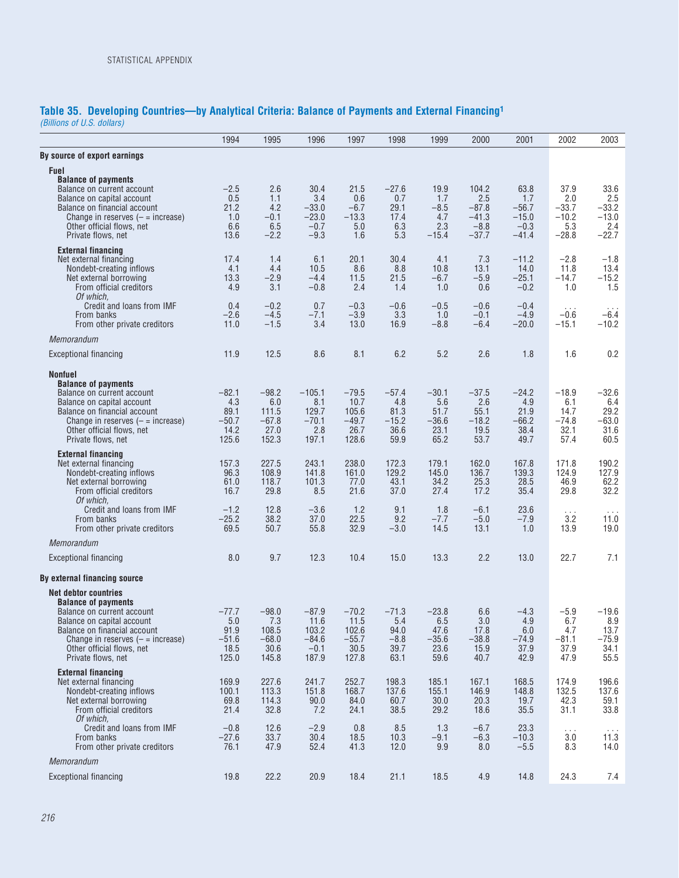## **Table 35. Developing Countries—by Analytical Criteria: Balance of Payments and External Financing1**

*(Billions of U.S. dollars)*

|                                                                                                                                                                                                                                                    | 1994                                               | 1995                                                | 1996                                                   | 1997                                                 | 1998                                              | 1999                                              | 2000                                                    | 2001                                                   | 2002                                                | 2003                                                |
|----------------------------------------------------------------------------------------------------------------------------------------------------------------------------------------------------------------------------------------------------|----------------------------------------------------|-----------------------------------------------------|--------------------------------------------------------|------------------------------------------------------|---------------------------------------------------|---------------------------------------------------|---------------------------------------------------------|--------------------------------------------------------|-----------------------------------------------------|-----------------------------------------------------|
| By source of export earnings                                                                                                                                                                                                                       |                                                    |                                                     |                                                        |                                                      |                                                   |                                                   |                                                         |                                                        |                                                     |                                                     |
| <b>Fuel</b><br><b>Balance of payments</b><br>Balance on current account<br>Balance on capital account<br>Balance on financial account<br>Change in reserves $(-$ = increase)<br>Other official flows, net<br>Private flows, net                    | $-2.5$<br>0.5<br>21.2<br>1.0<br>6.6<br>13.6        | 2.6<br>1.1<br>4.2<br>$-0.1$<br>6.5<br>$-2.2$        | 30.4<br>3.4<br>$-33.0$<br>$-23.0$<br>$-0.7$<br>$-9.3$  | 21.5<br>0.6<br>$-6.7$<br>$-13.3$<br>5.0<br>1.6       | $-27.6$<br>0.7<br>29.1<br>17.4<br>6.3<br>5.3      | 19.9<br>1.7<br>$-8.5$<br>4.7<br>2.3<br>$-15.4$    | 104.2<br>2.5<br>$-87.8$<br>$-41.3$<br>$-8.8$<br>$-37.7$ | 63.8<br>1.7<br>$-56.7$<br>$-15.0$<br>$-0.3$<br>$-41.4$ | 37.9<br>2.0<br>$-33.7$<br>$-10.2$<br>5.3<br>$-28.8$ | 33.6<br>2.5<br>$-33.2$<br>$-13.0$<br>2.4<br>$-22.7$ |
| <b>External financing</b><br>Net external financing<br>Nondebt-creating inflows<br>Net external borrowing<br>From official creditors<br>Of which,                                                                                                  | 17.4<br>4.1<br>13.3<br>4.9                         | 1.4<br>4.4<br>$-2.9$<br>3.1                         | 6.1<br>10.5<br>$-4.4$<br>$-0.8$                        | 20.1<br>8.6<br>11.5<br>2.4                           | 30.4<br>8.8<br>21.5<br>1.4                        | 4.1<br>10.8<br>$-6.7$<br>1.0                      | 7.3<br>13.1<br>$-5.9$<br>0.6                            | $-11.2$<br>14.0<br>$-25.1$<br>$-0.2$                   | $-2.8$<br>11.8<br>$-14.7$<br>1.0                    | $-1.8$<br>13.4<br>$-15.2$<br>1.5                    |
| Credit and loans from IMF<br>From banks<br>From other private creditors                                                                                                                                                                            | 0.4<br>$-2.6$<br>11.0                              | $-0.2$<br>$-4.5$<br>$-1.5$                          | 0.7<br>$-7.1$<br>3.4                                   | $-0.3$<br>$-3.9$<br>13.0                             | $-0.6$<br>3.3<br>16.9                             | $-0.5$<br>1.0<br>$-8.8$                           | $-0.6$<br>$-0.1$<br>$-6.4$                              | $-0.4$<br>$-4.9$<br>$-20.0$                            | $\cdots$<br>$-0.6$<br>$-15.1$                       | $\cdots$<br>$-6.4$<br>$-10.2$                       |
| Memorandum                                                                                                                                                                                                                                         |                                                    |                                                     |                                                        |                                                      |                                                   |                                                   |                                                         |                                                        |                                                     |                                                     |
| <b>Exceptional financing</b>                                                                                                                                                                                                                       | 11.9                                               | 12.5                                                | 8.6                                                    | 8.1                                                  | 6.2                                               | 5.2                                               | 2.6                                                     | 1.8                                                    | 1.6                                                 | 0.2                                                 |
| <b>Nonfuel</b><br><b>Balance of payments</b><br>Balance on current account<br>Balance on capital account<br>Balance on financial account<br>Change in reserves $($ = $=$ increase)<br>Other official flows, net<br>Private flows, net              | $-82.1$<br>4.3<br>89.1<br>$-50.7$<br>14.2<br>125.6 | $-98.2$<br>6.0<br>111.5<br>$-67.8$<br>27.0<br>152.3 | $-105.1$<br>8.1<br>129.7<br>$-70.1$<br>2.8<br>197.1    | $-79.5$<br>10.7<br>105.6<br>$-49.7$<br>26.7<br>128.6 | $-57.4$<br>4.8<br>81.3<br>$-15.2$<br>36.6<br>59.9 | $-30.1$<br>5.6<br>51.7<br>$-36.6$<br>23.1<br>65.2 | $-37.5$<br>2.6<br>55.1<br>$-18.2$<br>19.5<br>53.7       | $-24.2$<br>4.9<br>21.9<br>$-66.2$<br>38.4<br>49.7      | $-18.9$<br>6.1<br>14.7<br>$-74.8$<br>32.1<br>57.4   | $-32.6$<br>6.4<br>29.2<br>$-63.0$<br>31.6<br>60.5   |
| <b>External financing</b><br>Net external financing<br>Nondebt-creating inflows<br>Net external borrowing<br>From official creditors<br>Of which,                                                                                                  | 157.3<br>96.3<br>61.0<br>16.7                      | 227.5<br>108.9<br>118.7<br>29.8                     | 243.1<br>141.8<br>101.3<br>8.5                         | 238.0<br>161.0<br>77.0<br>21.6                       | 172.3<br>129.2<br>43.1<br>37.0                    | 179.1<br>145.0<br>34.2<br>27.4                    | 162.0<br>136.7<br>25.3<br>17.2                          | 167.8<br>139.3<br>28.5<br>35.4                         | 171.8<br>124.9<br>46.9<br>29.8                      | 190.2<br>127.9<br>62.2<br>32.2                      |
| Credit and loans from IMF<br>From banks<br>From other private creditors                                                                                                                                                                            | $-1.2$<br>$-25.2$<br>69.5                          | 12.8<br>38.2<br>50.7                                | $-3.6$<br>37.0<br>55.8                                 | 1.2<br>22.5<br>32.9                                  | 9.1<br>9.2<br>$-3.0$                              | 1.8<br>$-7.7$<br>14.5                             | $-6.1$<br>$-5.0$<br>13.1                                | 23.6<br>$-7.9$<br>1.0                                  | $\cdots$<br>3.2<br>13.9                             | 11.0<br>19.0                                        |
| Memorandum                                                                                                                                                                                                                                         |                                                    |                                                     |                                                        |                                                      |                                                   |                                                   |                                                         |                                                        |                                                     |                                                     |
| <b>Exceptional financing</b>                                                                                                                                                                                                                       | 8.0                                                | 9.7                                                 | 12.3                                                   | 10.4                                                 | 15.0                                              | 13.3                                              | 2.2                                                     | 13.0                                                   | 22.7                                                | 7.1                                                 |
| By external financing source                                                                                                                                                                                                                       |                                                    |                                                     |                                                        |                                                      |                                                   |                                                   |                                                         |                                                        |                                                     |                                                     |
| <b>Net debtor countries</b><br><b>Balance of payments</b><br>Balance on current account<br>Balance on capital account<br>Balance on financial account<br>Change in reserves $($ = $=$ increase)<br>Other official flows, net<br>Private flows, net | -77.7<br>5.0<br>91.9<br>$-51.6$<br>18.5<br>125.0   | $-98.0$<br>7.3<br>108.5<br>$-68.0$<br>30.6<br>145.8 | $-87.9$<br>11.6<br>103.2<br>$-84.6$<br>$-0.1$<br>187.9 | $-70.2$<br>11.5<br>102.6<br>$-55.7$<br>30.5<br>127.8 | $-71.3$<br>5.4<br>94.0<br>$-8.8$<br>39.7<br>63.1  | $-23.8$<br>6.5<br>47.6<br>$-35.6$<br>23.6<br>59.6 | 6.6<br>3.0<br>17.8<br>$-38.8$<br>15.9<br>40.7           | $-4.3$<br>4.9<br>6.0<br>$-74.9$<br>37.9<br>42.9        | $-5.9$<br>6.7<br>4.7<br>$-81.1$<br>37.9<br>47.9     | $-19.6$<br>8.9<br>13.7<br>$-75.9$<br>34.1<br>55.5   |
| <b>External financing</b><br>Net external financing<br>Nondebt-creating inflows<br>Net external borrowing<br>From official creditors<br>Of which,                                                                                                  | 169.9<br>100.1<br>69.8<br>21.4                     | 227.6<br>113.3<br>114.3<br>32.8                     | 241.7<br>151.8<br>90.0<br>7.2                          | 252.7<br>168.7<br>84.0<br>24.1                       | 198.3<br>137.6<br>60.7<br>38.5                    | 185.1<br>155.1<br>30.0<br>29.2                    | 167.1<br>146.9<br>20.3<br>18.6                          | 168.5<br>148.8<br>19.7<br>35.5                         | 174.9<br>132.5<br>42.3<br>31.1                      | 196.6<br>137.6<br>59.1<br>33.8                      |
| Credit and loans from IMF<br>From banks<br>From other private creditors                                                                                                                                                                            | $-0.8$<br>$-27.6$<br>76.1                          | 12.6<br>33.7<br>47.9                                | $-2.9$<br>30.4<br>52.4                                 | 0.8<br>18.5<br>41.3                                  | 8.5<br>10.3<br>12.0                               | 1.3<br>$-9.1$<br>9.9                              | $-6.7$<br>$-6.3$<br>8.0                                 | 23.3<br>$-10.3$<br>$-5.5$                              | $\sim$ $\sim$ $\sim$<br>3.0<br>8.3                  | $\sim$ $\sim$ $\sim$<br>11.3<br>14.0                |
| Memorandum                                                                                                                                                                                                                                         |                                                    |                                                     |                                                        |                                                      |                                                   |                                                   |                                                         |                                                        |                                                     |                                                     |
| <b>Exceptional financing</b>                                                                                                                                                                                                                       | 19.8                                               | 22.2                                                | 20.9                                                   | 18.4                                                 | 21.1                                              | 18.5                                              | 4.9                                                     | 14.8                                                   | 24.3                                                | 7.4                                                 |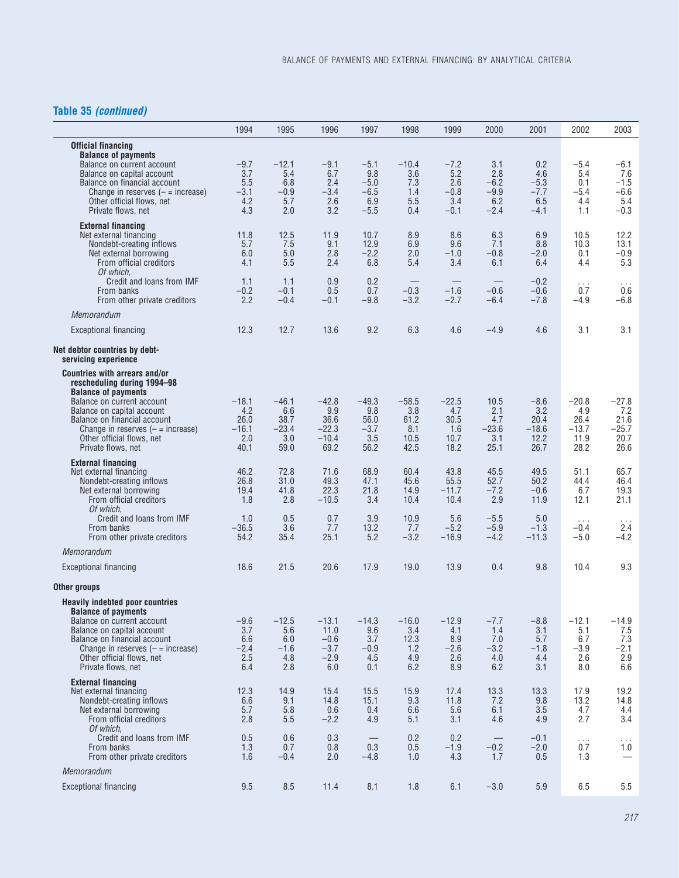## **Table 35** *(continued)*

|                                                                                       | 1994            | 1995             | 1996             | 1997             | 1998             | 1999              | 2000             | 2001              | 2002             | 2003             |
|---------------------------------------------------------------------------------------|-----------------|------------------|------------------|------------------|------------------|-------------------|------------------|-------------------|------------------|------------------|
| <b>Official financing</b><br><b>Balance of payments</b><br>Balance on current account | $-9.7$          | $-12.1$          | $-9.1$           | $-5.1$           | $-10.4$          | $-7.2$            | 3.1              | 0.2               | $-5.4$           | $-6.1$           |
| Balance on capital account                                                            | 3.7             | 5.4              | 6.7              | 9.8              | 3.6              | 5.2               | 2.8              | 4.6               | 5.4              | 7.6              |
| Balance on financial account<br>Change in reserves $(-$ = increase)                   | 5.5<br>$-3.1$   | 6.8<br>$-0.9$    | 2.4<br>$-3.4$    | $-5.0$<br>$-6.5$ | 7.3<br>1.4       | 2.6<br>$-0.8$     | $-6.2$<br>$-9.9$ | $-5.3$<br>$-7.7$  | 0.1<br>$-5.4$    | $-1.5$<br>$-6.6$ |
| Other official flows, net                                                             | 4.2             | 5.7              | 2.6              | 6.9              | 5.5              | 3.4               | 6.2              | 6.5               | 4.4              | 5.4              |
| Private flows, net                                                                    | 4.3             | 2.0              | 3.2              | $-5.5$           | 0.4              | $-0.1$            | $-2.4$           | $-4.1$            | 1.1              | $-0.3$           |
| <b>External financing</b><br>Net external financing                                   | 11.8            | 12.5             | 11.9             | 10.7             | 8.9              | 8.6               | 6.3              | 6.9               | 10.5             | 12.2             |
| Nondebt-creating inflows<br>Net external borrowing                                    | 5.7<br>6.0      | 7.5<br>5.0       | 9.1<br>2.8       | 12.9<br>$-2.2$   | 6.9<br>2.0       | 9.6<br>$-1.0$     | 7.1<br>$-0.8$    | 8.8<br>$-2.0$     | 10.3<br>0.1      | 13.1<br>$-0.9$   |
| From official creditors                                                               | 4.1             | 5.5              | 2.4              | 6.8              | 5.4              | 3.4               | 6.1              | 6.4               | 4.4              | 5.3              |
| Of which.<br>Credit and loans from IMF                                                | 1.1             | 1.1              | 0.9              | 0.2              |                  |                   |                  | $-0.2$            | $\cdots$         | $\cdots$         |
| From banks<br>From other private creditors                                            | $-0.2$<br>2.2   | $-0.1$<br>$-0.4$ | 0.5<br>$-0.1$    | 0.7<br>$-9.8$    | $-0.3$<br>$-3.2$ | $-1.6$<br>$-2.7$  | $-0.6$<br>$-6.4$ | $-0.6$<br>$-7.8$  | 0.7<br>$-4.9$    | 0.6<br>$-6.8$    |
| Memorandum                                                                            |                 |                  |                  |                  |                  |                   |                  |                   |                  |                  |
| <b>Exceptional financing</b>                                                          | 12.3            | 12.7             | 13.6             | 9.2              | 6.3              | 4.6               | $-4.9$           | 4.6               | 3.1              | 3.1              |
| Net debtor countries by debt-                                                         |                 |                  |                  |                  |                  |                   |                  |                   |                  |                  |
| servicing experience<br><b>Countries with arrears and/or</b>                          |                 |                  |                  |                  |                  |                   |                  |                   |                  |                  |
| rescheduling during 1994-98                                                           |                 |                  |                  |                  |                  |                   |                  |                   |                  |                  |
| <b>Balance of payments</b><br>Balance on current account                              | $-18.1$         | $-46.1$          | $-42.8$          | $-49.3$          | $-58.5$          | $-22.5$           | 10.5             | $-8.6$            | $-20.8$          | $-27.8$          |
| Balance on capital account<br>Balance on financial account                            | 4.2             | 6.6<br>38.7      | 9.9<br>36.6      | 9.8              | 3.8              | 4.7<br>30.5       | 2.1<br>4.7       | 3.2               | 4.9<br>26.4      | 7.2<br>21.6      |
| Change in reserves $(-$ = increase)                                                   | 26.0<br>$-16.1$ | $-23.4$          | $-22.3$          | 56.0<br>$-3.7$   | 61.2<br>8.1      | 1.6               | $-23.6$          | 20.4<br>$-18.6$   | $-13.7$          | $-25.7$          |
| Other official flows, net<br>Private flows, net                                       | 2.0<br>40.1     | 3.0<br>59.0      | $-10.4$<br>69.2  | 3.5<br>56.2      | 10.5<br>42.5     | 10.7<br>18.2      | 3.1<br>25.1      | 12.2<br>26.7      | 11.9<br>28.2     | 20.7<br>26.6     |
| <b>External financing</b>                                                             |                 |                  |                  |                  |                  |                   |                  |                   |                  |                  |
| Net external financing<br>Nondebt-creating inflows                                    | 46.2<br>26.8    | 72.8<br>31.0     | 71.6<br>49.3     | 68.9<br>47.1     | 60.4<br>45.6     | 43.8<br>55.5      | 45.5<br>52.7     | 49.5<br>50.2      | 51.1<br>44.4     | 65.7<br>46.4     |
| Net external borrowing                                                                | 19.4            | 41.8             | 22.3             | 21.8             | 14.9             | $-11.7$           | $-7.2$           | $-0.6$            | 6.7              | 19.3             |
| From official creditors<br>Of which.                                                  | 1.8             | 2.8              | $-10.5$          | 3.4              | 10.4             | 10.4              | 2.9              | 11.9              | 12.1             | 21.1             |
| Credit and loans from IMF                                                             | 1.0             | 0.5              | 0.7              | 3.9              | 10.9             | 5.6               | $-5.5$           | 5.0               | $\cdots$         | $\cdots$         |
| From banks<br>From other private creditors                                            | $-36.5$<br>54.2 | 3.6<br>35.4      | 7.7<br>25.1      | 13.2<br>5.2      | 7.7<br>$-3.2$    | $-5.2$<br>$-16.9$ | $-5.9$<br>$-4.2$ | $-1.3$<br>$-11.3$ | $-0.4$<br>$-5.0$ | 2.4<br>$-4.2$    |
| Memorandum                                                                            |                 |                  |                  |                  |                  |                   |                  |                   |                  |                  |
| <b>Exceptional financing</b>                                                          | 18.6            | 21.5             | 20.6             | 17.9             | 19.0             | 13.9              | 0.4              | 9.8               | 10.4             | 9.3              |
| Other groups                                                                          |                 |                  |                  |                  |                  |                   |                  |                   |                  |                  |
| <b>Heavily indebted poor countries</b>                                                |                 |                  |                  |                  |                  |                   |                  |                   |                  |                  |
| <b>Balance of payments</b><br>Balance on current account                              | $-9.6$          | $-12.5$          | -13.1            | $-14.3$          | $-16.0$          | $-12.9$           | $-1.1$           | $-8.8$            | $-12.1$          | -14.9            |
| Balance on capital account                                                            | 3.7             | 5.6              | 11.0             | 9.6              | 3.4              | 4.1               | 1.4              | 3.1               | 5.1              | 7.5              |
| Balance on financial account<br>Change in reserves $(-$ = increase)                   | 6.6<br>$-2.4$   | 6.0<br>$-1.6$    | $-0.6$<br>$-3.7$ | 3.7<br>$-0.9$    | 12.3<br>1.2      | 8.9<br>$-2.6$     | 7.0<br>$-3.2$    | 5.7<br>$-1.8$     | 6.7<br>$-3.9$    | 7.3<br>$-2.1$    |
| Other official flows, net<br>Private flows, net                                       | 2.5<br>6.4      | 4.8<br>2.8       | $-2.9$<br>6.0    | 4.5<br>0.1       | 4.9<br>6.2       | 2.6<br>8.9        | 4.0<br>6.2       | 4.4<br>3.1        | 2.6<br>8.0       | 2.9<br>6.6       |
| <b>External financing</b>                                                             |                 |                  |                  |                  |                  |                   |                  |                   |                  |                  |
| Net external financing                                                                | 12.3            | 14.9             | 15.4             | 15.5             | 15.9             | 17.4              | 13.3             | 13.3              | 17.9             | 19.2             |
| Nondebt-creating inflows<br>Net external borrowing                                    | 6.6<br>5.7      | 9.1<br>5.8       | 14.8<br>0.6      | 15.1<br>0.4      | 9.3<br>6.6       | 11.8<br>5.6       | 7.2<br>6.1       | 9.8<br>3.5        | 13.2<br>4.7      | 14.8<br>4.4      |
| From official creditors<br>Of which.                                                  | 2.8             | 5.5              | $-2.2$           | 4.9              | 5.1              | 3.1               | 4.6              | 4.9               | 2.7              | 3.4              |
| Credit and loans from IMF                                                             | 0.5             | 0.6              | 0.3              |                  | 0.2              | 0.2               |                  | $-0.1$            | $\cdots$         | $\cdots$         |
| From banks<br>From other private creditors                                            | 1.3<br>1.6      | 0.7<br>$-0.4$    | 0.8<br>2.0       | 0.3<br>$-4.8$    | 0.5<br>1.0       | $-1.9$<br>4.3     | $-0.2$<br>1.7    | $-2.0$<br>0.5     | 0.7<br>1.3       | 1.0              |
| Memorandum                                                                            |                 |                  |                  |                  |                  |                   |                  |                   |                  |                  |
| <b>Exceptional financing</b>                                                          | 9.5             | 8.5              | 11.4             | 8.1              | 1.8              | 6.1               | $-3.0$           | 5.9               | 6.5              | $5.5\,$          |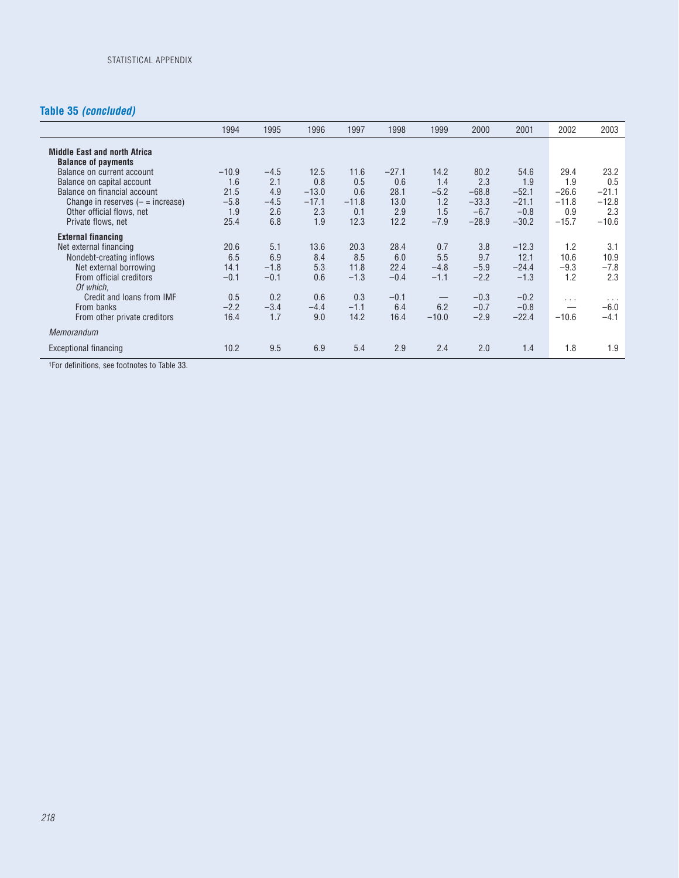## **Table 35** *(concluded)*

|                                                                                                                                                                                    | 1994                                            | 1995                                         | 1996                                            | 1997                                         | 1998                                          | 1999                                              | 2000                                                   | 2001                                                   | 2002                                                | 2003                                                |
|------------------------------------------------------------------------------------------------------------------------------------------------------------------------------------|-------------------------------------------------|----------------------------------------------|-------------------------------------------------|----------------------------------------------|-----------------------------------------------|---------------------------------------------------|--------------------------------------------------------|--------------------------------------------------------|-----------------------------------------------------|-----------------------------------------------------|
| <b>Middle East and north Africa</b><br><b>Balance of payments</b>                                                                                                                  |                                                 |                                              |                                                 |                                              |                                               |                                                   |                                                        |                                                        |                                                     |                                                     |
| Balance on current account<br>Balance on capital account<br>Balance on financial account<br>Change in reserves $(-$ = increase)<br>Other official flows, net<br>Private flows, net | $-10.9$<br>1.6<br>21.5<br>$-5.8$<br>1.9<br>25.4 | $-4.5$<br>2.1<br>4.9<br>$-4.5$<br>2.6<br>6.8 | 12.5<br>0.8<br>$-13.0$<br>$-17.1$<br>2.3<br>1.9 | 11.6<br>0.5<br>0.6<br>$-11.8$<br>0.1<br>12.3 | $-27.1$<br>0.6<br>28.1<br>13.0<br>2.9<br>12.2 | 14.2<br>1.4<br>$-5.2$<br>1.2<br>1.5<br>$-7.9$     | 80.2<br>2.3<br>$-68.8$<br>$-33.3$<br>$-6.7$<br>$-28.9$ | 54.6<br>1.9<br>$-52.1$<br>$-21.1$<br>$-0.8$<br>$-30.2$ | 29.4<br>1.9<br>$-26.6$<br>$-11.8$<br>0.9<br>$-15.7$ | 23.2<br>0.5<br>$-21.1$<br>$-12.8$<br>2.3<br>$-10.6$ |
| <b>External financing</b><br>Net external financing<br>Nondebt-creating inflows<br>Net external borrowing<br>From official creditors<br>Of which.                                  | 20.6<br>6.5<br>14.1<br>$-0.1$                   | 5.1<br>6.9<br>$-1.8$<br>$-0.1$               | 13.6<br>8.4<br>5.3<br>0.6                       | 20.3<br>8.5<br>11.8<br>$-1.3$                | 28.4<br>6.0<br>22.4<br>$-0.4$                 | 0.7<br>5.5<br>$-4.8$<br>$-1.1$                    | 3.8<br>9.7<br>$-5.9$<br>$-2.2$                         | $-12.3$<br>12.1<br>$-24.4$<br>$-1.3$                   | 1.2<br>10.6<br>$-9.3$<br>1.2                        | 3.1<br>10.9<br>$-7.8$<br>2.3                        |
| Credit and loans from IMF<br>From banks<br>From other private creditors                                                                                                            | 0.5<br>$-2.2$<br>16.4                           | 0.2<br>$-3.4$<br>1.7                         | 0.6<br>$-4.4$<br>9.0                            | 0.3<br>$-1.1$<br>14.2                        | $-0.1$<br>6.4<br>16.4                         | $\hspace{0.1mm}-\hspace{0.1mm}$<br>6.2<br>$-10.0$ | $-0.3$<br>$-0.7$<br>$-2.9$                             | $-0.2$<br>$-0.8$<br>$-22.4$                            | $\cdots$<br>$-10.6$                                 | $\cdots$<br>$-6.0$<br>$-4.1$                        |
| Memorandum                                                                                                                                                                         |                                                 |                                              |                                                 |                                              |                                               |                                                   |                                                        |                                                        |                                                     |                                                     |
| Exceptional financing                                                                                                                                                              | 10.2                                            | 9.5                                          | 6.9                                             | 5.4                                          | 2.9                                           | 2.4                                               | 2.0                                                    | 1.4                                                    | 1.8                                                 | 1.9                                                 |

1For definitions, see footnotes to Table 33.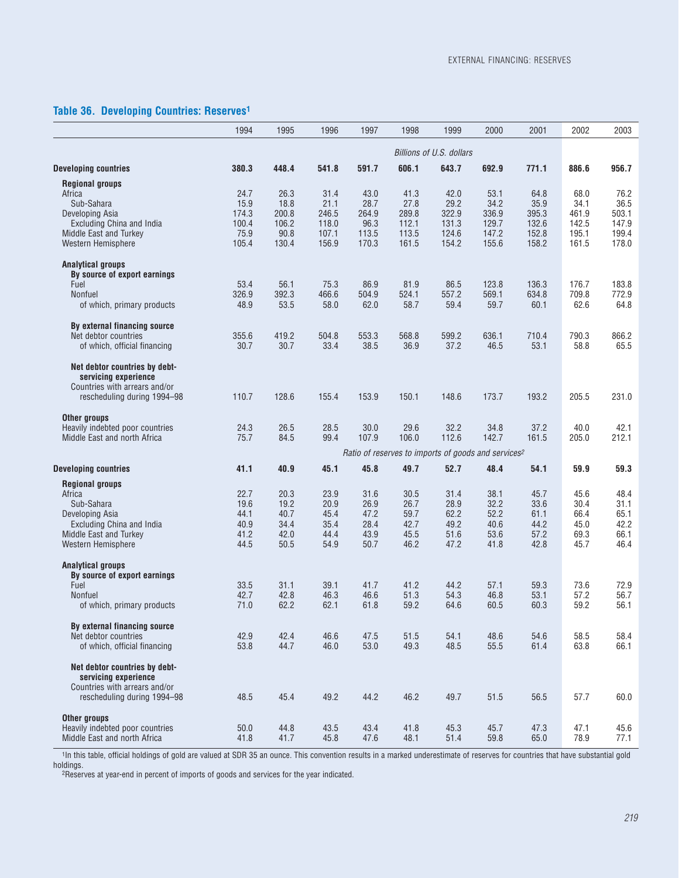## **Table 36. Developing Countries: Reserves1**

|                                                                                                                                                       | 1994                                            | 1995                                            | 1996                                             | 1997                                            | 1998                                             | 1999                                                            | 2000                                             | 2001                                             | 2002                                             | 2003                                             |
|-------------------------------------------------------------------------------------------------------------------------------------------------------|-------------------------------------------------|-------------------------------------------------|--------------------------------------------------|-------------------------------------------------|--------------------------------------------------|-----------------------------------------------------------------|--------------------------------------------------|--------------------------------------------------|--------------------------------------------------|--------------------------------------------------|
|                                                                                                                                                       |                                                 |                                                 |                                                  |                                                 |                                                  | Billions of U.S. dollars                                        |                                                  |                                                  |                                                  |                                                  |
| <b>Developing countries</b>                                                                                                                           | 380.3                                           | 448.4                                           | 541.8                                            | 591.7                                           | 606.1                                            | 643.7                                                           | 692.9                                            | 771.1                                            | 886.6                                            | 956.7                                            |
| <b>Regional groups</b><br>Africa<br>Sub-Sahara<br>Developing Asia<br><b>Excluding China and India</b><br>Middle East and Turkey<br>Western Hemisphere | 24.7<br>15.9<br>174.3<br>100.4<br>75.9<br>105.4 | 26.3<br>18.8<br>200.8<br>106.2<br>90.8<br>130.4 | 31.4<br>21.1<br>246.5<br>118.0<br>107.1<br>156.9 | 43.0<br>28.7<br>264.9<br>96.3<br>113.5<br>170.3 | 41.3<br>27.8<br>289.8<br>112.1<br>113.5<br>161.5 | 42.0<br>29.2<br>322.9<br>131.3<br>124.6<br>154.2                | 53.1<br>34.2<br>336.9<br>129.7<br>147.2<br>155.6 | 64.8<br>35.9<br>395.3<br>132.6<br>152.8<br>158.2 | 68.0<br>34.1<br>461.9<br>142.5<br>195.1<br>161.5 | 76.2<br>36.5<br>503.1<br>147.9<br>199.4<br>178.0 |
| <b>Analytical groups</b><br>By source of export earnings<br>Fuel<br><b>Nonfuel</b><br>of which, primary products                                      | 53.4<br>326.9<br>48.9                           | 56.1<br>392.3<br>53.5                           | 75.3<br>466.6<br>58.0                            | 86.9<br>504.9<br>62.0                           | 81.9<br>524.1<br>58.7                            | 86.5<br>557.2<br>59.4                                           | 123.8<br>569.1<br>59.7                           | 136.3<br>634.8<br>60.1                           | 176.7<br>709.8<br>62.6                           | 183.8<br>772.9<br>64.8                           |
| By external financing source<br>Net debtor countries<br>of which, official financing                                                                  | 355.6<br>30.7                                   | 419.2<br>30.7                                   | 504.8<br>33.4                                    | 553.3<br>38.5                                   | 568.8<br>36.9                                    | 599.2<br>37.2                                                   | 636.1<br>46.5                                    | 710.4<br>53.1                                    | 790.3<br>58.8                                    | 866.2<br>65.5                                    |
| Net debtor countries by debt-<br>servicing experience<br>Countries with arrears and/or<br>rescheduling during 1994–98                                 | 110.7                                           | 128.6                                           | 155.4                                            | 153.9                                           | 150.1                                            | 148.6                                                           | 173.7                                            | 193.2                                            | 205.5                                            | 231.0                                            |
| Other groups<br>Heavily indebted poor countries<br>Middle East and north Africa                                                                       | 24.3<br>75.7                                    | 26.5<br>84.5                                    | 28.5<br>99.4                                     | 30.0<br>107.9                                   | 29.6<br>106.0                                    | 32.2<br>112.6                                                   | 34.8<br>142.7                                    | 37.2<br>161.5                                    | 40.0<br>205.0                                    | 42.1<br>212.1                                    |
|                                                                                                                                                       |                                                 |                                                 |                                                  |                                                 |                                                  | Ratio of reserves to imports of goods and services <sup>2</sup> |                                                  |                                                  |                                                  |                                                  |
| <b>Developing countries</b>                                                                                                                           | 41.1                                            | 40.9                                            | 45.1                                             | 45.8                                            | 49.7                                             | 52.7                                                            | 48.4                                             | 54.1                                             | 59.9                                             | 59.3                                             |
| <b>Regional groups</b><br>Africa<br>Sub-Sahara<br>Developing Asia<br><b>Excluding China and India</b><br>Middle East and Turkey<br>Western Hemisphere | 22.7<br>19.6<br>44.1<br>40.9<br>41.2<br>44.5    | 20.3<br>19.2<br>40.7<br>34.4<br>42.0<br>50.5    | 23.9<br>20.9<br>45.4<br>35.4<br>44.4<br>54.9     | 31.6<br>26.9<br>47.2<br>28.4<br>43.9<br>50.7    | 30.5<br>26.7<br>59.7<br>42.7<br>45.5<br>46.2     | 31.4<br>28.9<br>62.2<br>49.2<br>51.6<br>47.2                    | 38.1<br>32.2<br>52.2<br>40.6<br>53.6<br>41.8     | 45.7<br>33.6<br>61.1<br>44.2<br>57.2<br>42.8     | 45.6<br>30.4<br>66.4<br>45.0<br>69.3<br>45.7     | 48.4<br>31.1<br>65.1<br>42.2<br>66.1<br>46.4     |
| Analytical groups<br>By source of export earnings<br>Fuel<br><b>Nonfuel</b><br>of which, primary products                                             | 33.5<br>42.7<br>71.0                            | 31.1<br>42.8<br>62.2                            | 39.1<br>46.3<br>62.1                             | 41.7<br>46.6<br>61.8                            | 41.2<br>51.3<br>59.2                             | 44.2<br>54.3<br>64.6                                            | 57.1<br>46.8<br>60.5                             | 59.3<br>53.1<br>60.3                             | 73.6<br>57.2<br>59.2                             | 72.9<br>56.7<br>56.1                             |
| By external financing source<br>Net debtor countries<br>of which, official financing                                                                  | 42.9<br>53.8                                    | 42.4<br>44.7                                    | 46.6<br>46.0                                     | 47.5<br>53.0                                    | 51.5<br>49.3                                     | 54.1<br>48.5                                                    | 48.6<br>55.5                                     | 54.6<br>61.4                                     | 58.5<br>63.8                                     | 58.4<br>66.1                                     |
| Net debtor countries by debt-<br>servicing experience<br>Countries with arrears and/or<br>rescheduling during 1994-98                                 | 48.5                                            | 45.4                                            | 49.2                                             | 44.2                                            | 46.2                                             | 49.7                                                            | 51.5                                             | 56.5                                             | 57.7                                             | 60.0                                             |
| Other groups<br>Heavily indebted poor countries<br>Middle East and north Africa                                                                       | 50.0<br>41.8                                    | 44.8<br>41.7                                    | 43.5<br>45.8                                     | 43.4<br>47.6                                    | 41.8<br>48.1                                     | 45.3<br>51.4                                                    | 45.7<br>59.8                                     | 47.3<br>65.0                                     | 47.1<br>78.9                                     | 45.6<br>77.1                                     |

1In this table, official holdings of gold are valued at SDR 35 an ounce. This convention results in a marked underestimate of reserves for countries that have substantial gold holdings.

2Reserves at year-end in percent of imports of goods and services for the year indicated.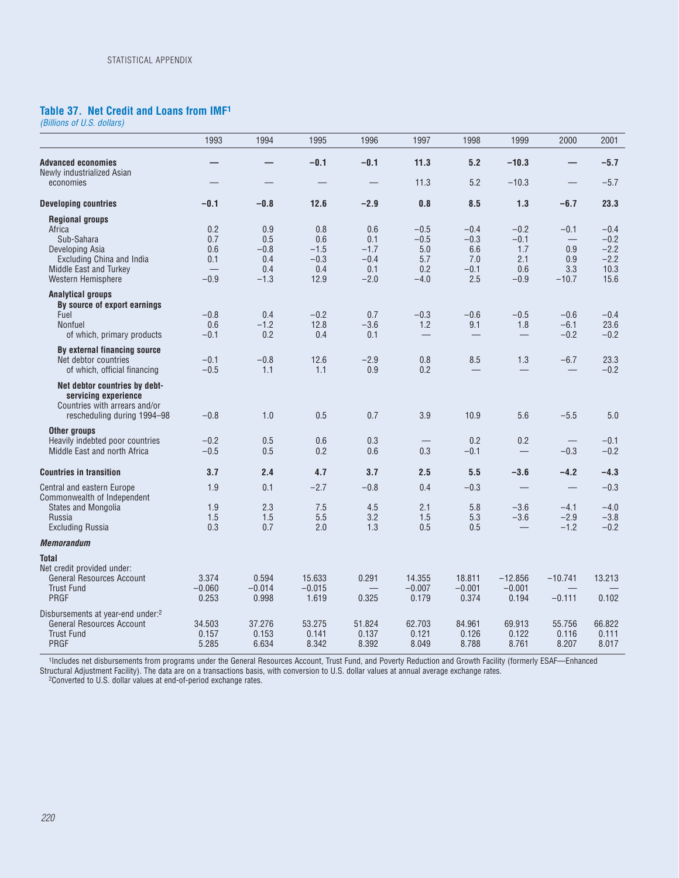## **Table 37. Net Credit and Loans from IMF1**

*(Billions of U.S. dollars)*

|                                                                                                                                                       | 1993                                                         | 1994                                         | 1995                                          | 1996                                            | 1997                                            | 1998                                            | 1999                                            | 2000                                   | 2001                                                 |
|-------------------------------------------------------------------------------------------------------------------------------------------------------|--------------------------------------------------------------|----------------------------------------------|-----------------------------------------------|-------------------------------------------------|-------------------------------------------------|-------------------------------------------------|-------------------------------------------------|----------------------------------------|------------------------------------------------------|
| <b>Advanced economies</b><br>Newly industrialized Asian                                                                                               |                                                              |                                              | $-0.1$                                        | $-0.1$                                          | 11.3                                            | 5.2                                             | $-10.3$                                         | —                                      | $-5.7$                                               |
| economies                                                                                                                                             |                                                              |                                              |                                               |                                                 | 11.3                                            | 5.2                                             | $-10.3$                                         |                                        | $-5.7$                                               |
| <b>Developing countries</b>                                                                                                                           | $-0.1$                                                       | $-0.8$                                       | 12.6                                          | $-2.9$                                          | 0.8                                             | 8.5                                             | 1.3                                             | $-6.7$                                 | 23.3                                                 |
| <b>Regional groups</b><br>Africa<br>Sub-Sahara<br>Developing Asia<br><b>Excluding China and India</b><br>Middle East and Turkey<br>Western Hemisphere | 0.2<br>0.7<br>0.6<br>0.1<br>$\qquad \qquad \qquad$<br>$-0.9$ | 0.9<br>0.5<br>$-0.8$<br>0.4<br>0.4<br>$-1.3$ | 0.8<br>0.6<br>$-1.5$<br>$-0.3$<br>0.4<br>12.9 | 0.6<br>0.1<br>$-1.7$<br>$-0.4$<br>0.1<br>$-2.0$ | $-0.5$<br>$-0.5$<br>5.0<br>5.7<br>0.2<br>$-4.0$ | $-0.4$<br>$-0.3$<br>6.6<br>7.0<br>$-0.1$<br>2.5 | $-0.2$<br>$-0.1$<br>1.7<br>2.1<br>0.6<br>$-0.9$ | $-0.1$<br>0.9<br>0.9<br>3.3<br>$-10.7$ | $-0.4$<br>$-0.2$<br>$-2.2$<br>$-2.2$<br>10.3<br>15.6 |
| <b>Analytical groups</b><br>By source of export earnings<br>Fuel<br>Nonfuel<br>of which, primary products                                             | $-0.8$<br>0.6<br>$-0.1$                                      | 0.4<br>$-1.2$<br>0.2                         | $-0.2$<br>12.8<br>0.4                         | 0.7<br>$-3.6$<br>0.1                            | $-0.3$<br>1.2<br>$\overline{\phantom{0}}$       | $-0.6$<br>9.1                                   | $-0.5$<br>1.8                                   | $-0.6$<br>$-6.1$<br>$-0.2$             | $-0.4$<br>23.6<br>$-0.2$                             |
| By external financing source<br>Net debtor countries<br>of which, official financing                                                                  | $-0.1$<br>$-0.5$                                             | $-0.8$<br>1.1                                | 12.6<br>1.1                                   | $-2.9$<br>0.9                                   | 0.8<br>0.2                                      | 8.5                                             | 1.3                                             | $-6.7$                                 | 23.3<br>$-0.2$                                       |
| Net debtor countries by debt-<br>servicing experience<br>Countries with arrears and/or<br>rescheduling during 1994–98                                 | $-0.8$                                                       | 1.0                                          | 0.5                                           | 0.7                                             | 3.9                                             | 10.9                                            | 5.6                                             | $-5.5$                                 | 5.0                                                  |
| Other groups<br>Heavily indebted poor countries<br>Middle East and north Africa                                                                       | $-0.2$<br>$-0.5$                                             | 0.5<br>0.5                                   | 0.6<br>0.2                                    | 0.3<br>0.6                                      | $\qquad \qquad -$<br>0.3                        | 0.2<br>$-0.1$                                   | 0.2<br>$\overline{\phantom{0}}$                 | $\qquad \qquad -$<br>$-0.3$            | $-0.1$<br>$-0.2$                                     |
| <b>Countries in transition</b>                                                                                                                        | 3.7                                                          | 2.4                                          | 4.7                                           | 3.7                                             | 2.5                                             | 5.5                                             | $-3.6$                                          | $-4.2$                                 | $-4.3$                                               |
| Central and eastern Europe                                                                                                                            | 1.9                                                          | 0.1                                          | $-2.7$                                        | $-0.8$                                          | 0.4                                             | $-0.3$                                          |                                                 | $\overline{\phantom{0}}$               | $-0.3$                                               |
| Commonwealth of Independent<br>States and Mongolia<br>Russia<br><b>Excluding Russia</b>                                                               | 1.9<br>1.5<br>0.3                                            | 2.3<br>1.5<br>0.7                            | 7.5<br>5.5<br>2.0                             | 4.5<br>3.2<br>1.3                               | 2.1<br>1.5<br>0.5                               | 5.8<br>5.3<br>0.5                               | $-3.6$<br>$-3.6$                                | $-4.1$<br>$-2.9$<br>$-1.2$             | $-4.0$<br>$-3.8$<br>$-0.2$                           |
| <b>Memorandum</b>                                                                                                                                     |                                                              |                                              |                                               |                                                 |                                                 |                                                 |                                                 |                                        |                                                      |
| <b>Total</b><br>Net credit provided under:<br><b>General Resources Account</b><br><b>Trust Fund</b><br>PRGF                                           | 3.374<br>$-0.060$<br>0.253                                   | 0.594<br>$-0.014$<br>0.998                   | 15.633<br>$-0.015$<br>1.619                   | 0.291<br>$\overline{\phantom{0}}$<br>0.325      | 14.355<br>$-0.007$<br>0.179                     | 18.811<br>$-0.001$<br>0.374                     | $-12.856$<br>$-0.001$<br>0.194                  | $-10.741$<br>$-0.111$                  | 13.213<br>0.102                                      |
| Disbursements at year-end under: <sup>2</sup><br><b>General Resources Account</b><br><b>Trust Fund</b><br>PRGF                                        | 34.503<br>0.157<br>5.285                                     | 37.276<br>0.153<br>6.634                     | 53.275<br>0.141<br>8.342                      | 51.824<br>0.137<br>8.392                        | 62.703<br>0.121<br>8.049                        | 84.961<br>0.126<br>8.788                        | 69.913<br>0.122<br>8.761                        | 55.756<br>0.116<br>8.207               | 66.822<br>0.111<br>8.017                             |

1Includes net disbursements from programs under the General Resources Account, Trust Fund, and Poverty Reduction and Growth Facility (formerly ESAF—Enhanced Structural Adjustment Facility). The data are on a transactions basis, with conversion to U.S. dollar values at annual average exchange rates.

2Converted to U.S. dollar values at end-of-period exchange rates.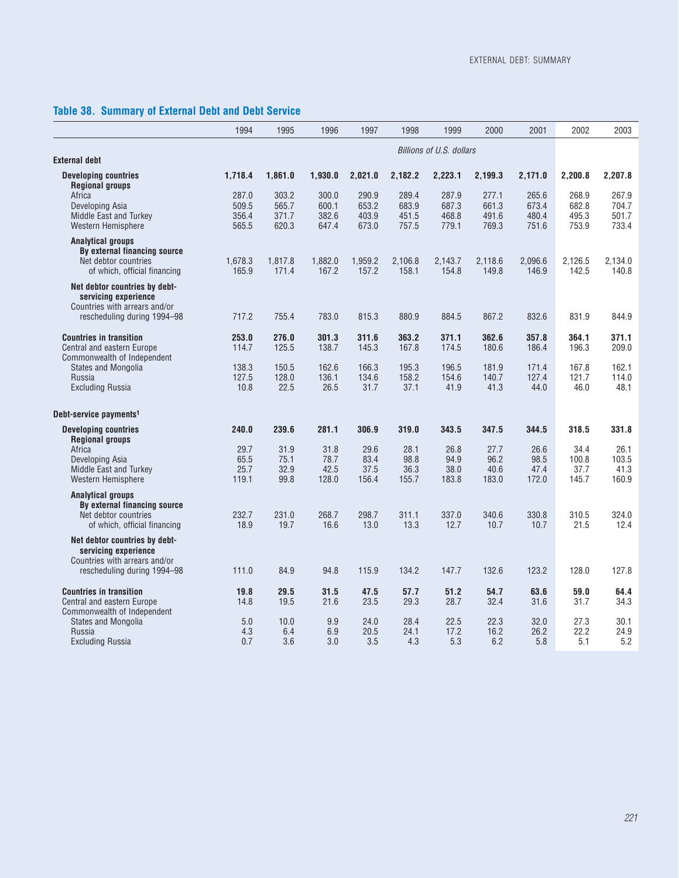# **Table 38. Summary of External Debt and Debt Service**

|                                                                                                                       | 1994                             | 1995                             | 1996                             | 1997                             | 1998                             | 1999                             | 2000                             | 2001                             | 2002                             | 2003                             |
|-----------------------------------------------------------------------------------------------------------------------|----------------------------------|----------------------------------|----------------------------------|----------------------------------|----------------------------------|----------------------------------|----------------------------------|----------------------------------|----------------------------------|----------------------------------|
|                                                                                                                       |                                  |                                  |                                  |                                  |                                  |                                  |                                  |                                  |                                  |                                  |
| <b>External debt</b>                                                                                                  |                                  |                                  |                                  |                                  |                                  | Billions of U.S. dollars         |                                  |                                  |                                  |                                  |
| <b>Developing countries</b><br><b>Regional groups</b>                                                                 | 1.718.4                          | 1,861.0                          | 1,930.0                          | 2,021.0                          | 2,182.2                          | 2,223.1                          | 2,199.3                          | 2,171.0                          | 2,200.8                          | 2.207.8                          |
| Africa<br>Developing Asia<br>Middle East and Turkey<br>Western Hemisphere                                             | 287.0<br>509.5<br>356.4<br>565.5 | 303.2<br>565.7<br>371.7<br>620.3 | 300.0<br>600.1<br>382.6<br>647.4 | 290.9<br>653.2<br>403.9<br>673.0 | 289.4<br>683.9<br>451.5<br>757.5 | 287.9<br>687.3<br>468.8<br>779.1 | 277.1<br>661.3<br>491.6<br>769.3 | 265.6<br>673.4<br>480.4<br>751.6 | 268.9<br>682.8<br>495.3<br>753.9 | 267.9<br>704.7<br>501.7<br>733.4 |
| <b>Analytical groups</b><br>By external financing source<br>Net debtor countries<br>of which, official financing      | 1,678.3<br>165.9                 | 1,817.8<br>171.4                 | 1,882.0<br>167.2                 | 1,959.2<br>157.2                 | 2,106.8<br>158.1                 | 2,143.7<br>154.8                 | 2,118.6<br>149.8                 | 2,096.6<br>146.9                 | 2,126.5<br>142.5                 | 2,134.0<br>140.8                 |
| Net debtor countries by debt-<br>servicing experience<br>Countries with arrears and/or                                |                                  |                                  |                                  |                                  |                                  |                                  |                                  |                                  |                                  |                                  |
| rescheduling during 1994-98                                                                                           | 717.2                            | 755.4                            | 783.0                            | 815.3                            | 880.9                            | 884.5                            | 867.2                            | 832.6                            | 831.9                            | 844.9                            |
| <b>Countries in transition</b><br>Central and eastern Europe<br>Commonwealth of Independent                           | 253.0<br>114.7                   | 276.0<br>125.5                   | 301.3<br>138.7                   | 311.6<br>145.3                   | 363.2<br>167.8                   | 371.1<br>174.5                   | 362.6<br>180.6                   | 357.8<br>186.4                   | 364.1<br>196.3                   | 371.1<br>209.0                   |
| <b>States and Mongolia</b><br>Russia<br><b>Excluding Russia</b>                                                       | 138.3<br>127.5<br>10.8           | 150.5<br>128.0<br>22.5           | 162.6<br>136.1<br>26.5           | 166.3<br>134.6<br>31.7           | 195.3<br>158.2<br>37.1           | 196.5<br>154.6<br>41.9           | 181.9<br>140.7<br>41.3           | 171.4<br>127.4<br>44.0           | 167.8<br>121.7<br>46.0           | 162.1<br>114.0<br>48.1           |
| Debt-service payments <sup>1</sup>                                                                                    |                                  |                                  |                                  |                                  |                                  |                                  |                                  |                                  |                                  |                                  |
| <b>Developing countries</b>                                                                                           | 240.0                            | 239.6                            | 281.1                            | 306.9                            | 319.0                            | 343.5                            | 347.5                            | 344.5                            | 318.5                            | 331.8                            |
| <b>Regional groups</b><br>Africa<br>Developing Asia<br>Middle East and Turkey<br>Western Hemisphere                   | 29.7<br>65.5<br>25.7<br>119.1    | 31.9<br>75.1<br>32.9<br>99.8     | 31.8<br>78.7<br>42.5<br>128.0    | 29.6<br>83.4<br>37.5<br>156.4    | 28.1<br>98.8<br>36.3<br>155.7    | 26.8<br>94.9<br>38.0<br>183.8    | 27.7<br>96.2<br>40.6<br>183.0    | 26.6<br>98.5<br>47.4<br>172.0    | 34.4<br>100.8<br>37.7<br>145.7   | 26.1<br>103.5<br>41.3<br>160.9   |
| <b>Analytical groups</b><br>By external financing source<br>Net debtor countries<br>of which, official financing      | 232.7<br>18.9                    | 231.0<br>19.7                    | 268.7<br>16.6                    | 298.7<br>13.0                    | 311.1<br>13.3                    | 337.0<br>12.7                    | 340.6<br>10.7                    | 330.8<br>10.7                    | 310.5<br>21.5                    | 324.0<br>12.4                    |
| Net debtor countries by debt-<br>servicing experience<br>Countries with arrears and/or<br>rescheduling during 1994-98 | 111.0                            | 84.9                             | 94.8                             | 115.9                            | 134.2                            | 147.7                            | 132.6                            | 123.2                            | 128.0                            | 127.8                            |
| <b>Countries in transition</b><br>Central and eastern Europe                                                          | 19.8<br>14.8                     | 29.5<br>19.5                     | 31.5<br>21.6                     | 47.5<br>23.5                     | 57.7<br>29.3                     | 51.2<br>28.7                     | 54.7<br>32.4                     | 63.6<br>31.6                     | 59.0<br>31.7                     | 64.4<br>34.3                     |
| Commonwealth of Independent<br><b>States and Mongolia</b><br>Russia<br><b>Excluding Russia</b>                        | 5.0<br>4.3<br>0.7                | 10.0<br>6.4<br>3.6               | 9.9<br>6.9<br>3.0                | 24.0<br>20.5<br>3.5              | 28.4<br>24.1<br>4.3              | 22.5<br>17.2<br>5.3              | 22.3<br>16.2<br>6.2              | 32.0<br>26.2<br>5.8              | 27.3<br>22.2<br>5.1              | 30.1<br>24.9<br>5.2              |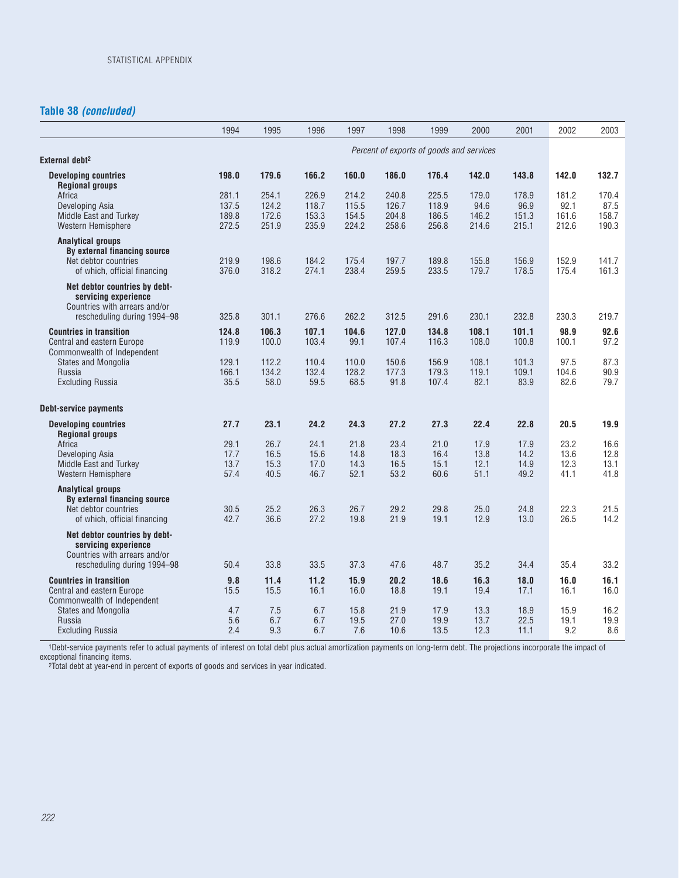## **Table 38** *(concluded)*

|                                                                                                                       | 1994                             | 1995                             | 1996                             | 1997                             | 1998                             | 1999                             | 2000                            | 2001                            | 2002                            | 2003                            |
|-----------------------------------------------------------------------------------------------------------------------|----------------------------------|----------------------------------|----------------------------------|----------------------------------|----------------------------------|----------------------------------|---------------------------------|---------------------------------|---------------------------------|---------------------------------|
|                                                                                                                       |                                  |                                  |                                  |                                  |                                  |                                  |                                 |                                 |                                 |                                 |
| External debt <sup>2</sup>                                                                                            |                                  |                                  |                                  |                                  |                                  |                                  |                                 |                                 |                                 |                                 |
| <b>Developing countries</b><br><b>Regional groups</b>                                                                 | 198.0                            | 179.6                            | 166.2                            | 160.0                            | 186.0                            | 176.4                            | 142.0                           | 143.8                           | 142.0                           | 132.7                           |
| Africa<br>Developing Asia<br>Middle East and Turkey<br>Western Hemisphere                                             | 281.1<br>137.5<br>189.8<br>272.5 | 254.1<br>124.2<br>172.6<br>251.9 | 226.9<br>118.7<br>153.3<br>235.9 | 214.2<br>115.5<br>154.5<br>224.2 | 240.8<br>126.7<br>204.8<br>258.6 | 225.5<br>118.9<br>186.5<br>256.8 | 179.0<br>94.6<br>146.2<br>214.6 | 178.9<br>96.9<br>151.3<br>215.1 | 181.2<br>92.1<br>161.6<br>212.6 | 170.4<br>87.5<br>158.7<br>190.3 |
| <b>Analytical groups</b><br>By external financing source<br>Net debtor countries<br>of which, official financing      | 219.9<br>376.0                   | 198.6<br>318.2                   | 184.2<br>274.1                   | 175.4<br>238.4                   | 197.7<br>259.5                   | 189.8<br>233.5                   | 155.8<br>179.7                  | 156.9<br>178.5                  | 152.9<br>175.4                  | 141.7<br>161.3                  |
| Net debtor countries by debt-<br>servicing experience<br>Countries with arrears and/or<br>rescheduling during 1994-98 | 325.8                            | 301.1                            | 276.6                            | 262.2                            | 312.5                            | 291.6                            | 230.1                           | 232.8                           | 230.3                           | 219.7                           |
| <b>Countries in transition</b>                                                                                        | 124.8                            | 106.3                            | 107.1                            | 104.6                            | 127.0                            | 134.8                            | 108.1                           | 101.1                           | 98.9                            | 92.6                            |
| Central and eastern Europe<br>Commonwealth of Independent                                                             | 119.9                            | 100.0                            | 103.4                            | 99.1                             | 107.4                            | 116.3                            | 108.0                           | 100.8                           | 100.1                           | 97.2                            |
| States and Mongolia<br>Russia<br><b>Excluding Russia</b>                                                              | 129.1<br>166.1<br>35.5           | 112.2<br>134.2<br>58.0           | 110.4<br>132.4<br>59.5           | 110.0<br>128.2<br>68.5           | 150.6<br>177.3<br>91.8           | 156.9<br>179.3<br>107.4          | 108.1<br>119.1<br>82.1          | 101.3<br>109.1<br>83.9          | 97.5<br>104.6<br>82.6           | 87.3<br>90.9<br>79.7            |
| <b>Debt-service payments</b>                                                                                          |                                  |                                  |                                  |                                  |                                  |                                  |                                 |                                 |                                 |                                 |
| <b>Developing countries</b><br><b>Regional groups</b>                                                                 | 27.7                             | 23.1                             | 24.2                             | 24.3                             | 27.2                             | 27.3                             | 22.4                            | 22.8                            | 20.5                            | 19.9                            |
| Africa<br>Developing Asia<br>Middle East and Turkey<br>Western Hemisphere                                             | 29.1<br>17.7<br>13.7<br>57.4     | 26.7<br>16.5<br>15.3<br>40.5     | 24.1<br>15.6<br>17.0<br>46.7     | 21.8<br>14.8<br>14.3<br>52.1     | 23.4<br>18.3<br>16.5<br>53.2     | 21.0<br>16.4<br>15.1<br>60.6     | 17.9<br>13.8<br>12.1<br>51.1    | 17.9<br>14.2<br>14.9<br>49.2    | 23.2<br>13.6<br>12.3<br>41.1    | 16.6<br>12.8<br>13.1<br>41.8    |
| <b>Analytical groups</b><br>By external financing source<br>Net debtor countries<br>of which, official financing      | 30.5<br>42.7                     | 25.2<br>36.6                     | 26.3<br>27.2                     | 26.7<br>19.8                     | 29.2<br>21.9                     | 29.8<br>19.1                     | 25.0<br>12.9                    | 24.8<br>13.0                    | 22.3<br>26.5                    | 21.5<br>14.2                    |
| Net debtor countries by debt-<br>servicing experience<br>Countries with arrears and/or<br>rescheduling during 1994-98 | 50.4                             | 33.8                             | 33.5                             | 37.3                             | 47.6                             | 48.7                             | 35.2                            | 34.4                            | 35.4                            | 33.2                            |
| <b>Countries in transition</b><br>Central and eastern Europe<br>Commonwealth of Independent                           | 9.8<br>15.5                      | 11.4<br>15.5                     | 11.2<br>16.1                     | 15.9<br>16.0                     | 20.2<br>18.8                     | 18.6<br>19.1                     | 16.3<br>19.4                    | 18.0<br>17.1                    | 16.0<br>16.1                    | 16.1<br>16.0                    |
| <b>States and Mongolia</b><br>Russia<br><b>Excluding Russia</b>                                                       | 4.7<br>5.6<br>2.4                | 7.5<br>6.7<br>9.3                | 6.7<br>6.7<br>6.7                | 15.8<br>19.5<br>7.6              | 21.9<br>27.0<br>10.6             | 17.9<br>19.9<br>13.5             | 13.3<br>13.7<br>12.3            | 18.9<br>22.5<br>11.1            | 15.9<br>19.1<br>9.2             | 16.2<br>19.9<br>8.6             |

1Debt-service payments refer to actual payments of interest on total debt plus actual amortization payments on long-term debt. The projections incorporate the impact of exceptional financing items.

2Total debt at year-end in percent of exports of goods and services in year indicated.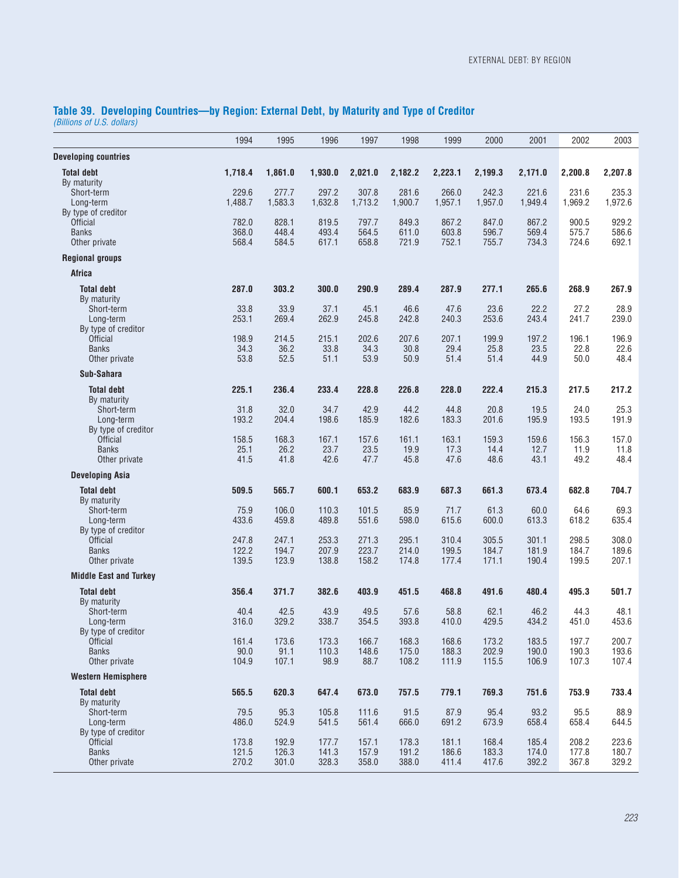#### **Table 39. Developing Countries—by Region: External Debt, by Maturity and Type of Creditor** *(Billions of U.S. dollars)*

|                                                                         | 1994                    | 1995                    | 1996                    | 1997                    | 1998                    | 1999                    | 2000                    | 2001                    | 2002                    | 2003                    |
|-------------------------------------------------------------------------|-------------------------|-------------------------|-------------------------|-------------------------|-------------------------|-------------------------|-------------------------|-------------------------|-------------------------|-------------------------|
| <b>Developing countries</b>                                             |                         |                         |                         |                         |                         |                         |                         |                         |                         |                         |
| <b>Total debt</b><br>By maturity                                        | 1,718.4                 | 1,861.0                 | 1,930.0                 | 2,021.0                 | 2,182.2                 | 2,223.1                 | 2,199.3                 | 2,171.0                 | 2,200.8                 | 2,207.8                 |
| Short-term<br>Long-term<br>By type of creditor                          | 229.6<br>1,488.7        | 277.7<br>1,583.3        | 297.2<br>1,632.8        | 307.8<br>1,713.2        | 281.6<br>1,900.7        | 266.0<br>1,957.1        | 242.3<br>1,957.0        | 221.6<br>1,949.4        | 231.6<br>1,969.2        | 235.3<br>1,972.6        |
| <b>Official</b><br><b>Banks</b><br>Other private                        | 782.0<br>368.0<br>568.4 | 828.1<br>448.4<br>584.5 | 819.5<br>493.4<br>617.1 | 797.7<br>564.5<br>658.8 | 849.3<br>611.0<br>721.9 | 867.2<br>603.8<br>752.1 | 847.0<br>596.7<br>755.7 | 867.2<br>569.4<br>734.3 | 900.5<br>575.7<br>724.6 | 929.2<br>586.6<br>692.1 |
| <b>Regional groups</b>                                                  |                         |                         |                         |                         |                         |                         |                         |                         |                         |                         |
| <b>Africa</b>                                                           |                         |                         |                         |                         |                         |                         |                         |                         |                         |                         |
| <b>Total debt</b><br>By maturity                                        | 287.0                   | 303.2                   | 300.0                   | 290.9                   | 289.4                   | 287.9                   | 277.1                   | 265.6                   | 268.9                   | 267.9                   |
| Short-term<br>Long-term<br>By type of creditor                          | 33.8<br>253.1           | 33.9<br>269.4           | 37.1<br>262.9           | 45.1<br>245.8           | 46.6<br>242.8           | 47.6<br>240.3           | 23.6<br>253.6           | 22.2<br>243.4           | 27.2<br>241.7           | 28.9<br>239.0           |
| <b>Official</b><br><b>Banks</b><br>Other private                        | 198.9<br>34.3<br>53.8   | 214.5<br>36.2<br>52.5   | 215.1<br>33.8<br>51.1   | 202.6<br>34.3<br>53.9   | 207.6<br>30.8<br>50.9   | 207.1<br>29.4<br>51.4   | 199.9<br>25.8<br>51.4   | 197.2<br>23.5<br>44.9   | 196.1<br>22.8<br>50.0   | 196.9<br>22.6<br>48.4   |
| Sub-Sahara                                                              |                         |                         |                         |                         |                         |                         |                         |                         |                         |                         |
| <b>Total debt</b><br>By maturity                                        | 225.1                   | 236.4                   | 233.4                   | 228.8                   | 226.8                   | 228.0                   | 222.4                   | 215.3                   | 217.5                   | 217.2                   |
| Short-term<br>Long-term<br>By type of creditor                          | 31.8<br>193.2           | 32.0<br>204.4           | 34.7<br>198.6           | 42.9<br>185.9           | 44.2<br>182.6           | 44.8<br>183.3           | 20.8<br>201.6           | 19.5<br>195.9           | 24.0<br>193.5           | 25.3<br>191.9           |
| <b>Official</b><br><b>Banks</b><br>Other private                        | 158.5<br>25.1<br>41.5   | 168.3<br>26.2<br>41.8   | 167.1<br>23.7<br>42.6   | 157.6<br>23.5<br>47.7   | 161.1<br>19.9<br>45.8   | 163.1<br>17.3<br>47.6   | 159.3<br>14.4<br>48.6   | 159.6<br>12.7<br>43.1   | 156.3<br>11.9<br>49.2   | 157.0<br>11.8<br>48.4   |
| <b>Developing Asia</b>                                                  |                         |                         |                         |                         |                         |                         |                         |                         |                         |                         |
| <b>Total debt</b><br>By maturity                                        | 509.5                   | 565.7                   | 600.1                   | 653.2                   | 683.9                   | 687.3                   | 661.3                   | 673.4                   | 682.8                   | 704.7                   |
| Short-term<br>Long-term<br>By type of creditor                          | 75.9<br>433.6           | 106.0<br>459.8          | 110.3<br>489.8          | 101.5<br>551.6          | 85.9<br>598.0           | 71.7<br>615.6           | 61.3<br>600.0           | 60.0<br>613.3           | 64.6<br>618.2           | 69.3<br>635.4           |
| <b>Official</b><br><b>Banks</b><br>Other private                        | 247.8<br>122.2<br>139.5 | 247.1<br>194.7<br>123.9 | 253.3<br>207.9<br>138.8 | 271.3<br>223.7<br>158.2 | 295.1<br>214.0<br>174.8 | 310.4<br>199.5<br>177.4 | 305.5<br>184.7<br>171.1 | 301.1<br>181.9<br>190.4 | 298.5<br>184.7<br>199.5 | 308.0<br>189.6<br>207.1 |
| <b>Middle East and Turkey</b>                                           |                         |                         |                         |                         |                         |                         |                         |                         |                         |                         |
| <b>Total debt</b>                                                       | 356.4                   | 371.7                   | 382.6                   | 403.9                   | 451.5                   | 468.8                   | 491.6                   | 480.4                   | 495.3                   | 501.7                   |
| By maturity<br>Short-term<br>Long-term                                  | 40.4<br>316.0           | 42.5<br>329.2           | 43.9<br>338.7           | 49.5<br>354.5           | 57.6<br>393.8           | 58.8<br>410.0           | 62.1<br>429.5           | 46.2<br>434.2           | 44.3<br>451.0           | 48.1<br>453.6           |
| By type of creditor<br><b>Official</b><br><b>Banks</b><br>Other private | 161.4<br>90.0<br>104.9  | 173.6<br>91.1<br>107.1  | 173.3<br>110.3<br>98.9  | 166.7<br>148.6<br>88.7  | 168.3<br>175.0<br>108.2 | 168.6<br>188.3<br>111.9 | 173.2<br>202.9<br>115.5 | 183.5<br>190.0<br>106.9 | 197.7<br>190.3<br>107.3 | 200.7<br>193.6<br>107.4 |
| <b>Western Hemisphere</b>                                               |                         |                         |                         |                         |                         |                         |                         |                         |                         |                         |
| <b>Total debt</b>                                                       | 565.5                   | 620.3                   | 647.4                   | 673.0                   | 757.5                   | 779.1                   | 769.3                   | 751.6                   | 753.9                   | 733.4                   |
| By maturity<br>Short-term                                               | 79.5                    | 95.3                    | 105.8                   | 111.6                   | 91.5                    | 87.9                    | 95.4                    | 93.2                    | 95.5                    | 88.9                    |
| Long-term<br>By type of creditor<br><b>Official</b>                     | 486.0<br>173.8          | 524.9<br>192.9          | 541.5<br>177.7          | 561.4<br>157.1          | 666.0<br>178.3          | 691.2<br>181.1          | 673.9<br>168.4          | 658.4<br>185.4          | 658.4<br>208.2          | 644.5<br>223.6          |
| <b>Banks</b><br>Other private                                           | 121.5<br>270.2          | 126.3<br>301.0          | 141.3<br>328.3          | 157.9<br>358.0          | 191.2<br>388.0          | 186.6<br>411.4          | 183.3<br>417.6          | 174.0<br>392.2          | 177.8<br>367.8          | 180.7<br>329.2          |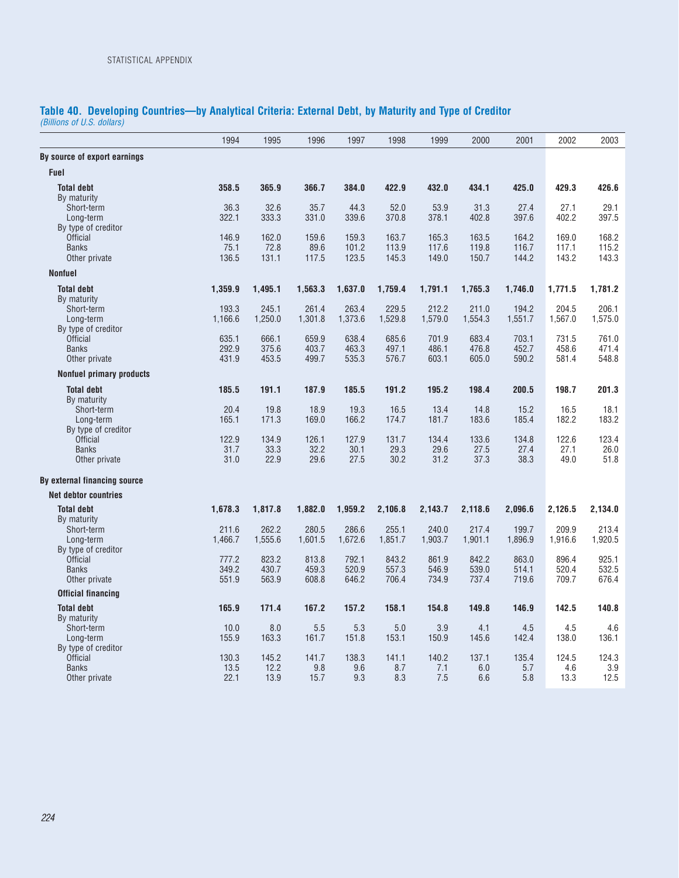# **Table 40. Developing Countries—by Analytical Criteria: External Debt, by Maturity and Type of Creditor**

*(Billions of U.S. dollars)*

|                                        | 1994           | 1995           | 1996           | 1997           | 1998           | 1999           | 2000           | 2001           | 2002           | 2003           |
|----------------------------------------|----------------|----------------|----------------|----------------|----------------|----------------|----------------|----------------|----------------|----------------|
| By source of export earnings           |                |                |                |                |                |                |                |                |                |                |
| <b>Fuel</b>                            |                |                |                |                |                |                |                |                |                |                |
| <b>Total debt</b>                      | 358.5          | 365.9          | 366.7          | 384.0          | 422.9          | 432.0          | 434.1          | 425.0          | 429.3          | 426.6          |
| By maturity<br>Short-term              | 36.3           | 32.6           | 35.7           | 44.3           | 52.0           | 53.9           | 31.3           | 27.4           | 27.1           | 29.1           |
| Long-term                              | 322.1          | 333.3          | 331.0          | 339.6          | 370.8          | 378.1          | 402.8          | 397.6          | 402.2          | 397.5          |
| By type of creditor                    | 146.9          | 162.0          |                |                |                |                |                |                |                |                |
| <b>Official</b><br><b>Banks</b>        | 75.1           | 72.8           | 159.6<br>89.6  | 159.3<br>101.2 | 163.7<br>113.9 | 165.3<br>117.6 | 163.5<br>119.8 | 164.2<br>116.7 | 169.0<br>117.1 | 168.2<br>115.2 |
| Other private                          | 136.5          | 131.1          | 117.5          | 123.5          | 145.3          | 149.0          | 150.7          | 144.2          | 143.2          | 143.3          |
| <b>Nonfuel</b>                         |                |                |                |                |                |                |                |                |                |                |
| <b>Total debt</b>                      | 1,359.9        | 1,495.1        | 1,563.3        | 1,637.0        | 1,759.4        | 1,791.1        | 1,765.3        | 1,746.0        | 1,771.5        | 1,781.2        |
| By maturity<br>Short-term              | 193.3          | 245.1          | 261.4          | 263.4          | 229.5          | 212.2          | 211.0          | 194.2          | 204.5          | 206.1          |
| Long-term                              | 1,166.6        | 1,250.0        | 1,301.8        | 1,373.6        | 1,529.8        | 1,579.0        | 1,554.3        | 1,551.7        | 1,567.0        | 1,575.0        |
| By type of creditor                    |                |                |                |                |                |                |                |                |                |                |
| <b>Official</b>                        | 635.1          | 666.1          | 659.9          | 638.4          | 685.6          | 701.9          | 683.4          | 703.1          | 731.5          | 761.0          |
| <b>Banks</b><br>Other private          | 292.9<br>431.9 | 375.6<br>453.5 | 403.7<br>499.7 | 463.3<br>535.3 | 497.1<br>576.7 | 486.1<br>603.1 | 476.8<br>605.0 | 452.7<br>590.2 | 458.6<br>581.4 | 471.4<br>548.8 |
| <b>Nonfuel primary products</b>        |                |                |                |                |                |                |                |                |                |                |
| <b>Total debt</b>                      | 185.5          | 191.1          | 187.9          | 185.5          | 191.2          | 195.2          | 198.4          | 200.5          | 198.7          | 201.3          |
| By maturity                            |                |                |                |                |                |                |                |                |                |                |
| Short-term                             | 20.4           | 19.8           | 18.9           | 19.3           | 16.5           | 13.4           | 14.8           | 15.2           | 16.5           | 18.1           |
| Long-term                              | 165.1          | 171.3          | 169.0          | 166.2          | 174.7          | 181.7          | 183.6          | 185.4          | 182.2          | 183.2          |
| By type of creditor<br><b>Official</b> | 122.9          | 134.9          |                | 127.9          | 131.7          | 134.4          |                |                |                | 123.4          |
| <b>Banks</b>                           | 31.7           | 33.3           | 126.1<br>32.2  | 30.1           | 29.3           | 29.6           | 133.6<br>27.5  | 134.8<br>27.4  | 122.6<br>27.1  | 26.0           |
| Other private                          | 31.0           | 22.9           | 29.6           | 27.5           | 30.2           | 31.2           | 37.3           | 38.3           | 49.0           | 51.8           |
| By external financing source           |                |                |                |                |                |                |                |                |                |                |
| <b>Net debtor countries</b>            |                |                |                |                |                |                |                |                |                |                |
| <b>Total debt</b>                      | 1,678.3        | 1,817.8        | 1,882.0        | 1,959.2        | 2,106.8        | 2,143.7        | 2,118.6        | 2,096.6        | 2,126.5        | 2,134.0        |
| By maturity<br>Short-term              | 211.6          | 262.2          | 280.5          | 286.6          | 255.1          | 240.0          | 217.4          | 199.7          | 209.9          | 213.4          |
| Long-term                              | 1.466.7        | 1,555.6        | 1,601.5        | 1,672.6        | 1,851.7        | 1,903.7        | 1,901.1        | 1,896.9        | 1,916.6        | 1,920.5        |
| By type of creditor                    |                |                |                |                |                |                |                |                |                |                |
| <b>Official</b>                        | 777.2          | 823.2          | 813.8          | 792.1          | 843.2          | 861.9          | 842.2          | 863.0          | 896.4          | 925.1          |
| <b>Banks</b><br>Other private          | 349.2<br>551.9 | 430.7<br>563.9 | 459.3<br>608.8 | 520.9<br>646.2 | 557.3<br>706.4 | 546.9<br>734.9 | 539.0<br>737.4 | 514.1<br>719.6 | 520.4<br>709.7 | 532.5<br>676.4 |
| <b>Official financing</b>              |                |                |                |                |                |                |                |                |                |                |
| <b>Total debt</b>                      | 165.9          | 171.4          | 167.2          | 157.2          | 158.1          | 154.8          | 149.8          | 146.9          | 142.5          | 140.8          |
| By maturity                            |                |                |                |                |                |                |                |                |                |                |
| Short-term                             | 10.0           | 8.0            | 5.5            | 5.3            | 5.0            | 3.9            | 4.1            | 4.5            | 4.5            | 4.6            |
| Long-term                              | 155.9          | 163.3          | 161.7          | 151.8          | 153.1          | 150.9          | 145.6          | 142.4          | 138.0          | 136.1          |
| By type of creditor<br><b>Official</b> | 130.3          | 145.2          | 141.7          | 138.3          | 141.1          | 140.2          | 137.1          | 135.4          | 124.5          | 124.3          |
| <b>Banks</b>                           | 13.5           | 12.2           | 9.8            | 9.6            | 8.7            | 7.1            | 6.0            | 5.7            | 4.6            | 3.9            |
| Other private                          | 22.1           | 13.9           | 15.7           | 9.3            | 8.3            | 7.5            | 6.6            | 5.8            | 13.3           | 12.5           |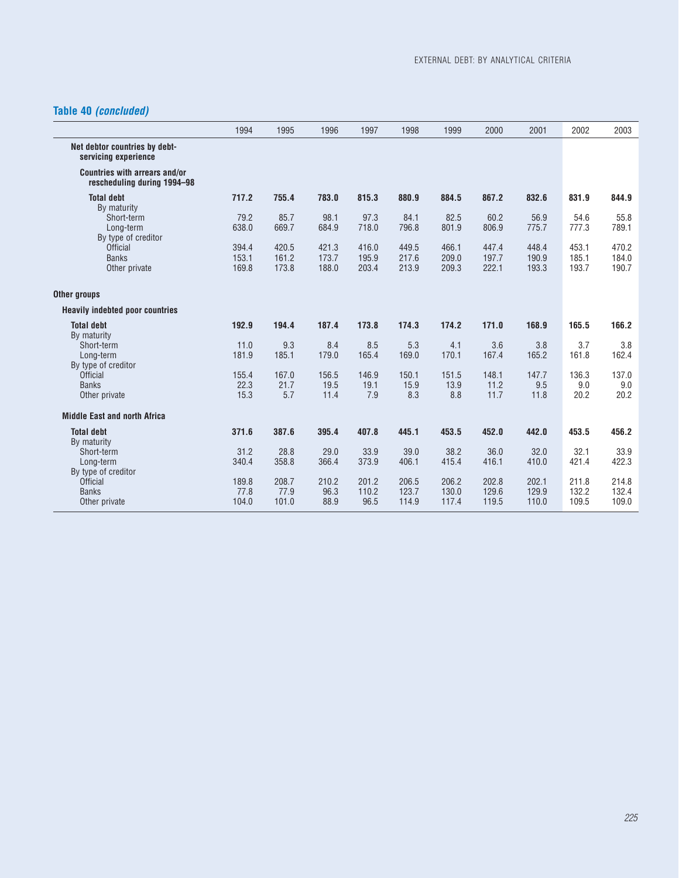## **Table 40** *(concluded)*

|                                                              | 1994  | 1995  | 1996  | 1997  | 1998  | 1999  | 2000  | 2001          | 2002          | 2003  |
|--------------------------------------------------------------|-------|-------|-------|-------|-------|-------|-------|---------------|---------------|-------|
| Net debtor countries by debt-<br>servicing experience        |       |       |       |       |       |       |       |               |               |       |
| Countries with arrears and/or<br>rescheduling during 1994-98 |       |       |       |       |       |       |       |               |               |       |
| <b>Total debt</b><br>By maturity                             | 717.2 | 755.4 | 783.0 | 815.3 | 880.9 | 884.5 | 867.2 | 832.6         | 831.9         | 844.9 |
| Short-term                                                   | 79.2  | 85.7  | 98.1  | 97.3  | 84.1  | 82.5  | 60.2  | 56.9          | 54.6          | 55.8  |
| Long-term                                                    | 638.0 | 669.7 | 684.9 | 718.0 | 796.8 | 801.9 | 806.9 | 775.7         | 777.3         | 789.1 |
| By type of creditor                                          |       |       |       |       |       |       |       |               |               |       |
| <b>Official</b>                                              | 394.4 | 420.5 | 421.3 | 416.0 | 449.5 | 466.1 | 447.4 | 448.4         | 453.1         | 470.2 |
| <b>Banks</b>                                                 | 153.1 | 161.2 | 173.7 | 195.9 | 217.6 | 209.0 | 197.7 | 190.9         | 185.1         | 184.0 |
| Other private                                                | 169.8 | 173.8 | 188.0 | 203.4 | 213.9 | 209.3 | 222.1 | 193.3         | 193.7         | 190.7 |
| Other groups                                                 |       |       |       |       |       |       |       |               |               |       |
| <b>Heavily indebted poor countries</b>                       |       |       |       |       |       |       |       |               |               |       |
| <b>Total debt</b><br>By maturity                             | 192.9 | 194.4 | 187.4 | 173.8 | 174.3 | 174.2 | 171.0 | 168.9         | 165.5         | 166.2 |
| Short-term                                                   | 11.0  | 9.3   | 8.4   | 8.5   | 5.3   | 4.1   | 3.6   | 3.8           | 3.7           | 3.8   |
| Long-term                                                    | 181.9 | 185.1 | 179.0 | 165.4 | 169.0 | 170.1 | 167.4 | 165.2         | 161.8         | 162.4 |
| By type of creditor                                          |       |       |       |       |       |       |       |               |               |       |
| <b>Official</b>                                              | 155.4 | 167.0 | 156.5 | 146.9 | 150.1 | 151.5 | 148.1 | 147.7         | 136.3         | 137.0 |
| <b>Banks</b>                                                 | 22.3  | 21.7  | 19.5  | 19.1  | 15.9  | 13.9  | 11.2  | 9.5           | 9.0           | 9.0   |
| Other private                                                | 15.3  | 5.7   | 11.4  | 7.9   | 8.3   | 8.8   | 11.7  | 11.8          | 20.2          | 20.2  |
| <b>Middle East and north Africa</b>                          |       |       |       |       |       |       |       |               |               |       |
| <b>Total debt</b>                                            | 371.6 | 387.6 | 395.4 | 407.8 | 445.1 | 453.5 | 452.0 | 442.0         | 453.5         | 456.2 |
| By maturity<br>Short-term                                    | 31.2  | 28.8  | 29.0  | 33.9  | 39.0  | 38.2  | 36.0  |               |               | 33.9  |
|                                                              | 340.4 | 358.8 | 366.4 | 373.9 | 406.1 | 415.4 | 416.1 | 32.0<br>410.0 | 32.1<br>421.4 | 422.3 |
| Long-term<br>By type of creditor                             |       |       |       |       |       |       |       |               |               |       |
| <b>Official</b>                                              | 189.8 | 208.7 | 210.2 | 201.2 | 206.5 | 206.2 | 202.8 | 202.1         | 211.8         | 214.8 |
| <b>Banks</b>                                                 | 77.8  | 77.9  | 96.3  | 110.2 | 123.7 | 130.0 | 129.6 | 129.9         | 132.2         | 132.4 |
| Other private                                                | 104.0 | 101.0 | 88.9  | 96.5  | 114.9 | 117.4 | 119.5 | 110.0         | 109.5         | 109.0 |
|                                                              |       |       |       |       |       |       |       |               |               |       |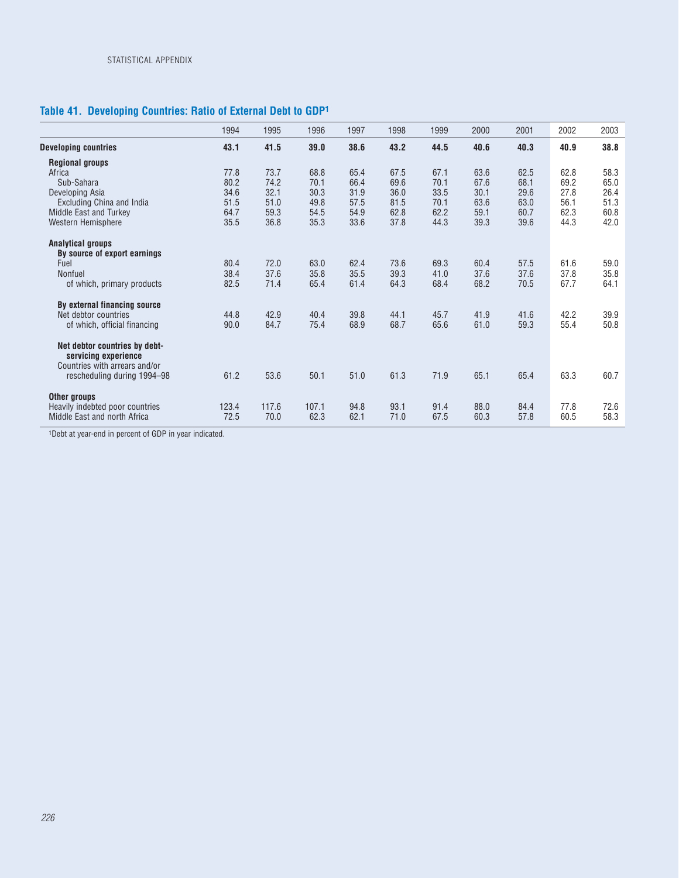# **Table 41. Developing Countries: Ratio of External Debt to GDP1**

|                                 | 1994  | 1995  | 1996  | 1997 | 1998 | 1999 | 2000 | 2001 | 2002 | 2003 |
|---------------------------------|-------|-------|-------|------|------|------|------|------|------|------|
| <b>Developing countries</b>     | 43.1  | 41.5  | 39.0  | 38.6 | 43.2 | 44.5 | 40.6 | 40.3 | 40.9 | 38.8 |
| <b>Regional groups</b>          |       |       |       |      |      |      |      |      |      |      |
| Africa                          | 77.8  | 73.7  | 68.8  | 65.4 | 67.5 | 67.1 | 63.6 | 62.5 | 62.8 | 58.3 |
| Sub-Sahara                      | 80.2  | 74.2  | 70.1  | 66.4 | 69.6 | 70.1 | 67.6 | 68.1 | 69.2 | 65.0 |
| Developing Asia                 | 34.6  | 32.1  | 30.3  | 31.9 | 36.0 | 33.5 | 30.1 | 29.6 | 27.8 | 26.4 |
| Excluding China and India       | 51.5  | 51.0  | 49.8  | 57.5 | 81.5 | 70.1 | 63.6 | 63.0 | 56.1 | 51.3 |
| Middle East and Turkey          | 64.7  | 59.3  | 54.5  | 54.9 | 62.8 | 62.2 | 59.1 | 60.7 | 62.3 | 60.8 |
| Western Hemisphere              | 35.5  | 36.8  | 35.3  | 33.6 | 37.8 | 44.3 | 39.3 | 39.6 | 44.3 | 42.0 |
| <b>Analytical groups</b>        |       |       |       |      |      |      |      |      |      |      |
| By source of export earnings    |       |       |       |      |      |      |      |      |      |      |
| Fuel                            | 80.4  | 72.0  | 63.0  | 62.4 | 73.6 | 69.3 | 60.4 | 57.5 | 61.6 | 59.0 |
| Nonfuel                         | 38.4  | 37.6  | 35.8  | 35.5 | 39.3 | 41.0 | 37.6 | 37.6 | 37.8 | 35.8 |
| of which, primary products      | 82.5  | 71.4  | 65.4  | 61.4 | 64.3 | 68.4 | 68.2 | 70.5 | 67.7 | 64.1 |
| By external financing source    |       |       |       |      |      |      |      |      |      |      |
| Net debtor countries            | 44.8  | 42.9  | 40.4  | 39.8 | 44.1 | 45.7 | 41.9 | 41.6 | 42.2 | 39.9 |
| of which, official financing    | 90.0  | 84.7  | 75.4  | 68.9 | 68.7 | 65.6 | 61.0 | 59.3 | 55.4 | 50.8 |
| Net debtor countries by debt-   |       |       |       |      |      |      |      |      |      |      |
| servicing experience            |       |       |       |      |      |      |      |      |      |      |
| Countries with arrears and/or   |       |       |       |      |      |      |      |      |      |      |
| rescheduling during 1994-98     | 61.2  | 53.6  | 50.1  | 51.0 | 61.3 | 71.9 | 65.1 | 65.4 | 63.3 | 60.7 |
|                                 |       |       |       |      |      |      |      |      |      |      |
| Other groups                    |       |       |       |      |      |      |      |      |      |      |
| Heavily indebted poor countries | 123.4 | 117.6 | 107.1 | 94.8 | 93.1 | 91.4 | 88.0 | 84.4 | 77.8 | 72.6 |
| Middle East and north Africa    | 72.5  | 70.0  | 62.3  | 62.1 | 71.0 | 67.5 | 60.3 | 57.8 | 60.5 | 58.3 |

1Debt at year-end in percent of GDP in year indicated.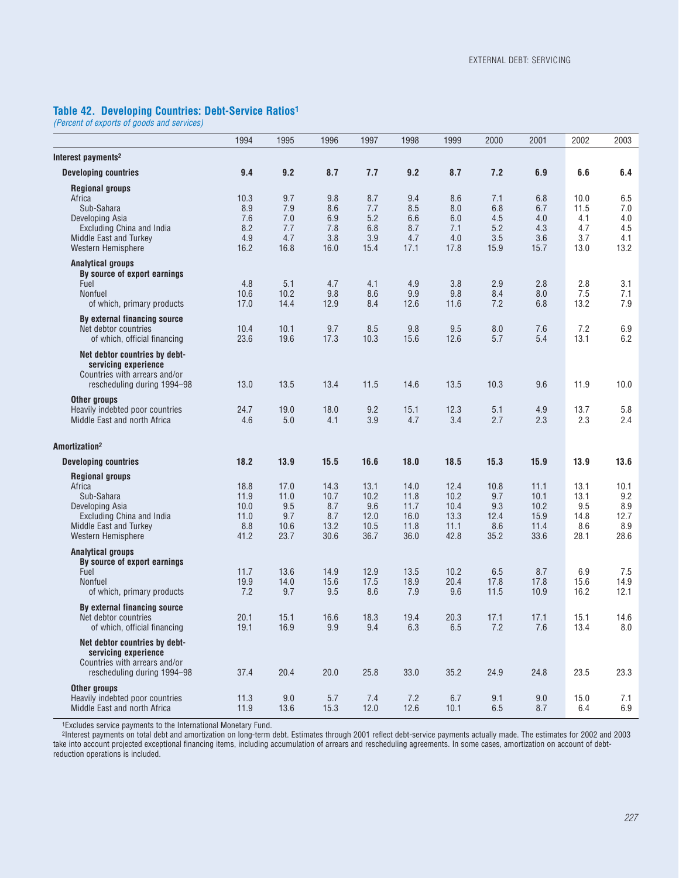#### **Table 42. Developing Countries: Debt-Service Ratios1**

*(Percent of exports of goods and services)*

|                                                                                                                                                       | 1994                                        | 1995                                       | 1996                                       | 1997                                        | 1998                                         | 1999                                         | 2000                                      | 2001                                         | 2002                                       | 2003                                      |
|-------------------------------------------------------------------------------------------------------------------------------------------------------|---------------------------------------------|--------------------------------------------|--------------------------------------------|---------------------------------------------|----------------------------------------------|----------------------------------------------|-------------------------------------------|----------------------------------------------|--------------------------------------------|-------------------------------------------|
| Interest payments <sup>2</sup>                                                                                                                        |                                             |                                            |                                            |                                             |                                              |                                              |                                           |                                              |                                            |                                           |
| <b>Developing countries</b>                                                                                                                           | 9.4                                         | 9.2                                        | 8.7                                        | 7.7                                         | 9.2                                          | 8.7                                          | 7.2                                       | 6.9                                          | 6.6                                        | 6.4                                       |
| <b>Regional groups</b><br>Africa<br>Sub-Sahara<br>Developing Asia<br><b>Excluding China and India</b><br>Middle East and Turkey<br>Western Hemisphere | 10.3<br>8.9<br>7.6<br>8.2<br>4.9<br>16.2    | 9.7<br>7.9<br>7.0<br>7.7<br>4.7<br>16.8    | 9.8<br>8.6<br>6.9<br>7.8<br>3.8<br>16.0    | 8.7<br>7.7<br>5.2<br>6.8<br>3.9<br>15.4     | 9.4<br>8.5<br>6.6<br>8.7<br>4.7<br>17.1      | 8.6<br>8.0<br>6.0<br>7.1<br>4.0<br>17.8      | 7.1<br>6.8<br>4.5<br>5.2<br>3.5<br>15.9   | 6.8<br>6.7<br>4.0<br>4.3<br>3.6<br>15.7      | 10.0<br>11.5<br>4.1<br>4.7<br>3.7<br>13.0  | 6.5<br>7.0<br>4.0<br>4.5<br>4.1<br>13.2   |
| <b>Analytical groups</b><br>By source of export earnings<br>Fuel<br><b>Nonfuel</b><br>of which, primary products                                      | 4.8<br>10.6<br>17.0                         | 5.1<br>10.2<br>14.4                        | 4.7<br>9.8<br>12.9                         | 4.1<br>8.6<br>8.4                           | 4.9<br>9.9<br>12.6                           | 3.8<br>9.8<br>11.6                           | 2.9<br>8.4<br>7.2                         | 2.8<br>8.0<br>6.8                            | 2.8<br>7.5<br>13.2                         | 3.1<br>7.1<br>7.9                         |
| By external financing source<br>Net debtor countries<br>of which, official financing                                                                  | 10.4<br>23.6                                | 10.1<br>19.6                               | 9.7<br>17.3                                | 8.5<br>10.3                                 | 9.8<br>15.6                                  | 9.5<br>12.6                                  | 8.0<br>5.7                                | 7.6<br>5.4                                   | 7.2<br>13.1                                | 6.9<br>6.2                                |
| Net debtor countries by debt-<br>servicing experience<br>Countries with arrears and/or<br>rescheduling during 1994-98                                 | 13.0                                        | 13.5                                       | 13.4                                       | 11.5                                        | 14.6                                         | 13.5                                         | 10.3                                      | 9.6                                          | 11.9                                       | 10.0                                      |
| Other groups<br>Heavily indebted poor countries<br>Middle East and north Africa                                                                       | 24.7<br>4.6                                 | 19.0<br>5.0                                | 18.0<br>4.1                                | 9.2<br>3.9                                  | 15.1<br>4.7                                  | 12.3<br>3.4                                  | 5.1<br>2.7                                | 4.9<br>2.3                                   | 13.7<br>2.3                                | 5.8<br>2.4                                |
| Amortization <sup>2</sup>                                                                                                                             |                                             |                                            |                                            |                                             |                                              |                                              |                                           |                                              |                                            |                                           |
| <b>Developing countries</b>                                                                                                                           | 18.2                                        | 13.9                                       | 15.5                                       | 16.6                                        | 18.0                                         | 18.5                                         | 15.3                                      | 15.9                                         | 13.9                                       | 13.6                                      |
| <b>Regional groups</b><br>Africa<br>Sub-Sahara<br>Developing Asia<br>Excluding China and India<br>Middle East and Turkey<br>Western Hemisphere        | 18.8<br>11.9<br>10.0<br>11.0<br>8.8<br>41.2 | 17.0<br>11.0<br>9.5<br>9.7<br>10.6<br>23.7 | 14.3<br>10.7<br>8.7<br>8.7<br>13.2<br>30.6 | 13.1<br>10.2<br>9.6<br>12.0<br>10.5<br>36.7 | 14.0<br>11.8<br>11.7<br>16.0<br>11.8<br>36.0 | 12.4<br>10.2<br>10.4<br>13.3<br>11.1<br>42.8 | 10.8<br>9.7<br>9.3<br>12.4<br>8.6<br>35.2 | 11.1<br>10.1<br>10.2<br>15.9<br>11.4<br>33.6 | 13.1<br>13.1<br>9.5<br>14.8<br>8.6<br>28.1 | 10.1<br>9.2<br>8.9<br>12.7<br>8.9<br>28.6 |
| <b>Analytical groups</b><br>By source of export earnings<br>Fuel<br>Nonfuel<br>of which, primary products                                             | 11.7<br>19.9<br>7.2                         | 13.6<br>14.0<br>9.7                        | 14.9<br>15.6<br>9.5                        | 12.9<br>17.5<br>8.6                         | 13.5<br>18.9<br>7.9                          | 10.2<br>20.4<br>9.6                          | 6.5<br>17.8<br>11.5                       | 8.7<br>17.8<br>10.9                          | 6.9<br>15.6<br>16.2                        | 7.5<br>14.9<br>12.1                       |
| By external financing source<br>Net debtor countries<br>of which, official financing                                                                  | 20.1<br>19.1                                | 15.1<br>16.9                               | 16.6<br>9.9                                | 18.3<br>9.4                                 | 19.4<br>6.3                                  | 20.3<br>6.5                                  | 17.1<br>7.2                               | 17.1<br>7.6                                  | 15.1<br>13.4                               | 14.6<br>8.0                               |
| Net debtor countries by debt-<br>servicing experience<br>Countries with arrears and/or<br>rescheduling during 1994-98                                 | 37.4                                        | 20.4                                       | 20.0                                       | 25.8                                        | 33.0                                         | 35.2                                         | 24.9                                      | 24.8                                         | 23.5                                       | 23.3                                      |
| Other groups<br>Heavily indebted poor countries<br>Middle East and north Africa                                                                       | 11.3<br>11.9                                | 9.0<br>13.6                                | 5.7<br>15.3                                | 7.4<br>12.0                                 | 7.2<br>12.6                                  | 6.7<br>10.1                                  | 9.1<br>$6.5\,$                            | 9.0<br>8.7                                   | 15.0<br>6.4                                | 7.1<br>6.9                                |

1Excludes service payments to the International Monetary Fund.

2Interest payments on total debt and amortization on long-term debt. Estimates through 2001 reflect debt-service payments actually made. The estimates for 2002 and 2003 take into account projected exceptional financing items, including accumulation of arrears and rescheduling agreements. In some cases, amortization on account of debtreduction operations is included.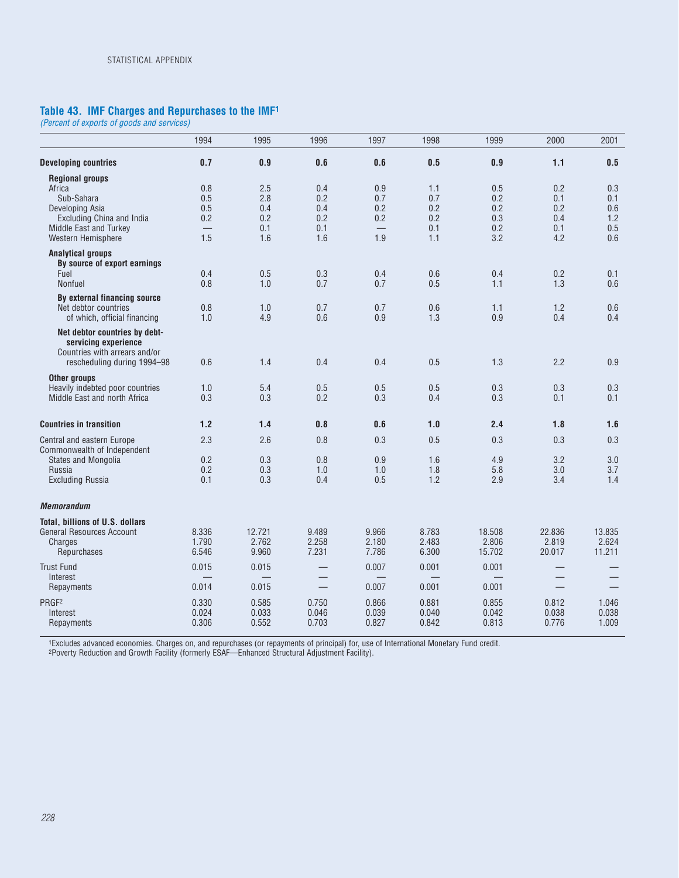#### **Table 43. IMF Charges and Repurchases to the IMF1**

*(Percent of exports of goods and services)*

|                                                                                                                                                | 1994                                       | 1995                                   | 1996                                   | 1997                            | 1998                                   | 1999                                   | 2000                                   | 2001                                   |
|------------------------------------------------------------------------------------------------------------------------------------------------|--------------------------------------------|----------------------------------------|----------------------------------------|---------------------------------|----------------------------------------|----------------------------------------|----------------------------------------|----------------------------------------|
| <b>Developing countries</b>                                                                                                                    | 0.7                                        | 0.9                                    | 0.6                                    | 0.6                             | 0.5                                    | 0.9                                    | 1.1                                    | 0.5                                    |
| <b>Regional groups</b><br>Africa<br>Sub-Sahara<br>Developing Asia<br>Excluding China and India<br>Middle East and Turkey<br>Western Hemisphere | 0.8<br>0.5<br>0.5<br>0.2<br>1.5            | 2.5<br>2.8<br>0.4<br>0.2<br>0.1<br>1.6 | 0.4<br>0.2<br>0.4<br>0.2<br>0.1<br>1.6 | 0.9<br>0.7<br>0.2<br>0.2<br>1.9 | 1.1<br>0.7<br>0.2<br>0.2<br>0.1<br>1.1 | 0.5<br>0.2<br>0.2<br>0.3<br>0.2<br>3.2 | 0.2<br>0.1<br>0.2<br>0.4<br>0.1<br>4.2 | 0.3<br>0.1<br>0.6<br>1.2<br>0.5<br>0.6 |
| <b>Analytical groups</b><br>By source of export earnings                                                                                       |                                            |                                        |                                        |                                 |                                        |                                        |                                        |                                        |
| Fuel<br>Nonfuel                                                                                                                                | 0.4<br>0.8                                 | 0.5<br>1.0                             | 0.3<br>0.7                             | 0.4<br>0.7                      | 0.6<br>0.5                             | 0.4<br>1.1                             | 0.2<br>1.3                             | 0.1<br>0.6                             |
| By external financing source<br>Net debtor countries<br>of which, official financing                                                           | 0.8<br>1.0                                 | 1.0<br>4.9                             | 0.7<br>0.6                             | 0.7<br>0.9                      | 0.6<br>1.3                             | 1.1<br>0.9                             | 1.2<br>0.4                             | 0.6<br>0.4                             |
| Net debtor countries by debt-<br>servicing experience<br>Countries with arrears and/or<br>rescheduling during 1994-98                          | 0.6                                        | 1.4                                    | 0.4                                    | 0.4                             | 0.5                                    | 1.3                                    | 2.2                                    | 0.9                                    |
| <b>Other aroups</b><br>Heavily indebted poor countries<br>Middle East and north Africa                                                         | 1.0<br>0.3                                 | 5.4<br>0.3                             | 0.5<br>0.2                             | 0.5<br>0.3                      | 0.5<br>0.4                             | 0.3<br>0.3                             | 0.3<br>0.1                             | 0.3<br>0.1                             |
| <b>Countries in transition</b>                                                                                                                 | 1.2                                        | 1.4                                    | 0.8                                    | 0.6                             | 1.0                                    | 2.4                                    | 1.8                                    | 1.6                                    |
| Central and eastern Europe<br>Commonwealth of Independent<br><b>States and Mongolia</b><br>Russia<br><b>Excluding Russia</b>                   | 2.3<br>0.2<br>0.2<br>0.1                   | 2.6<br>0.3<br>0.3<br>0.3               | 0.8<br>0.8<br>1.0<br>0.4               | 0.3<br>0.9<br>1.0<br>0.5        | 0.5<br>1.6<br>1.8<br>1.2               | 0.3<br>4.9<br>5.8<br>2.9               | 0.3<br>3.2<br>3.0<br>3.4               | 0.3<br>3.0<br>3.7<br>1.4               |
| <b>Memorandum</b>                                                                                                                              |                                            |                                        |                                        |                                 |                                        |                                        |                                        |                                        |
| Total, billions of U.S. dollars<br><b>General Resources Account</b><br>Charges<br>Repurchases                                                  | 8.336<br>1.790<br>6.546                    | 12.721<br>2.762<br>9.960               | 9.489<br>2.258<br>7.231                | 9.966<br>2.180<br>7.786         | 8.783<br>2.483<br>6.300                | 18.508<br>2.806<br>15.702              | 22.836<br>2.819<br>20.017              | 13.835<br>2.624<br>11.211              |
| <b>Trust Fund</b><br>Interest<br>Repayments                                                                                                    | 0.015<br>$\overline{\phantom{0}}$<br>0.014 | 0.015<br>0.015                         | $\overline{\phantom{m}}$               | 0.007<br>0.007                  | 0.001<br>═<br>0.001                    | 0.001<br>═<br>0.001                    | $\overline{\phantom{0}}$               |                                        |
| PRGF <sub>2</sub><br>Interest<br>Repayments                                                                                                    | 0.330<br>0.024<br>0.306                    | 0.585<br>0.033<br>0.552                | 0.750<br>0.046<br>0.703                | 0.866<br>0.039<br>0.827         | 0.881<br>0.040<br>0.842                | 0.855<br>0.042<br>0.813                | 0.812<br>0.038<br>0.776                | 1.046<br>0.038<br>1.009                |

1Excludes advanced economies. Charges on, and repurchases (or repayments of principal) for, use of International Monetary Fund credit. 2Poverty Reduction and Growth Facility (formerly ESAF—Enhanced Structural Adjustment Facility).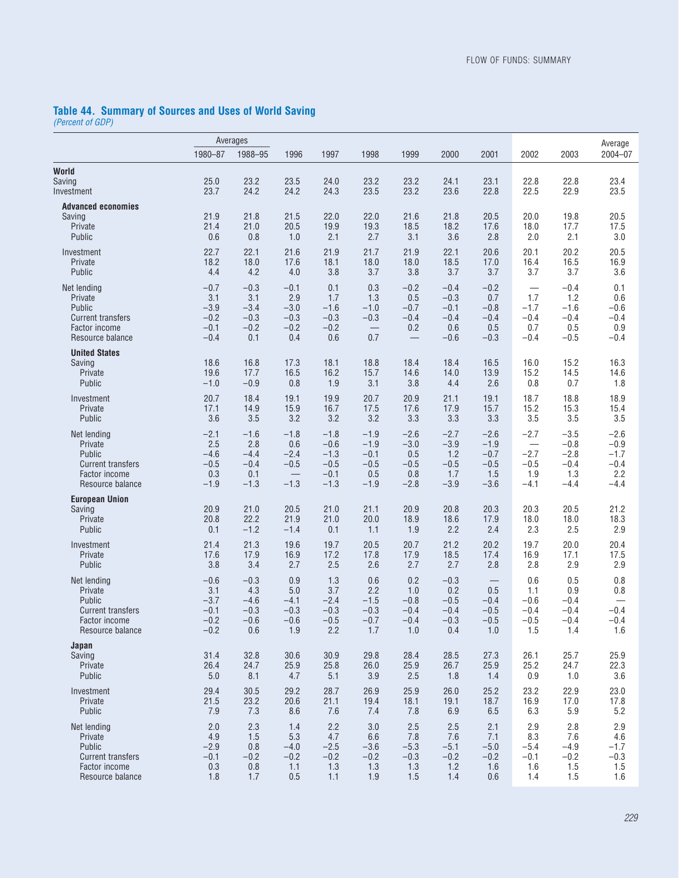#### **Table 44. Summary of Sources and Uses of World Saving**

*(Percent of GDP)*

|                                                                                                   |                                                       | Averages                                           |                                                    |                                                          |                                                            |                                                    |                                                       |                                                       |                                                 |                                                       | Average                                               |
|---------------------------------------------------------------------------------------------------|-------------------------------------------------------|----------------------------------------------------|----------------------------------------------------|----------------------------------------------------------|------------------------------------------------------------|----------------------------------------------------|-------------------------------------------------------|-------------------------------------------------------|-------------------------------------------------|-------------------------------------------------------|-------------------------------------------------------|
|                                                                                                   | 1980-87                                               | 1988-95                                            | 1996                                               | 1997                                                     | 1998                                                       | 1999                                               | 2000                                                  | 2001                                                  | 2002                                            | 2003                                                  | $2004 - 07$                                           |
| World<br>Saving<br>Investment                                                                     | 25.0<br>23.7                                          | 23.2<br>24.2                                       | 23.5<br>24.2                                       | 24.0<br>24.3                                             | 23.2<br>23.5                                               | 23.2<br>23.2                                       | 24.1<br>23.6                                          | 23.1<br>22.8                                          | 22.8<br>22.5                                    | 22.8<br>22.9                                          | 23.4<br>23.5                                          |
| <b>Advanced economies</b><br>Saving<br>Private<br>Public                                          | 21.9<br>21.4<br>0.6                                   | 21.8<br>21.0<br>0.8                                | 21.5<br>20.5<br>1.0                                | 22.0<br>19.9<br>2.1                                      | 22.0<br>19.3<br>2.7                                        | 21.6<br>18.5<br>3.1                                | 21.8<br>18.2<br>3.6                                   | 20.5<br>17.6<br>2.8                                   | 20.0<br>18.0<br>2.0                             | 19.8<br>17.7<br>2.1                                   | 20.5<br>17.5<br>3.0                                   |
| Investment<br>Private<br>Public                                                                   | 22.7<br>18.2<br>4.4                                   | 22.1<br>18.0<br>4.2                                | 21.6<br>17.6<br>4.0                                | 21.9<br>18.1<br>3.8                                      | 21.7<br>18.0<br>3.7                                        | 21.9<br>18.0<br>3.8                                | 22.1<br>18.5<br>3.7                                   | 20.6<br>17.0<br>3.7                                   | 20.1<br>16.4<br>3.7                             | 20.2<br>16.5<br>3.7                                   | 20.5<br>16.9<br>3.6                                   |
| Net lending<br>Private<br>Public<br><b>Current transfers</b><br>Factor income<br>Resource balance | $-0.7$<br>3.1<br>$-3.9$<br>$-0.2$<br>$-0.1$<br>$-0.4$ | $-0.3$<br>3.1<br>$-3.4$<br>$-0.3$<br>$-0.2$<br>0.1 | $-0.1$<br>2.9<br>$-3.0$<br>$-0.3$<br>$-0.2$<br>0.4 | 0.1<br>1.7<br>$-1.6$<br>$-0.3$<br>$-0.2$<br>0.6          | 0.3<br>1.3<br>$-1.0$<br>$-0.3$<br>$\qquad \qquad -$<br>0.7 | $-0.2$<br>0.5<br>$-0.7$<br>$-0.4$<br>0.2           | $-0.4$<br>$-0.3$<br>$-0.1$<br>$-0.4$<br>0.6<br>$-0.6$ | $-0.2$<br>0.7<br>$-0.8$<br>$-0.4$<br>0.5<br>$-0.3$    | 1.7<br>$-1.7$<br>$-0.4$<br>0.7<br>$-0.4$        | $-0.4$<br>1.2<br>$-1.6$<br>$-0.4$<br>0.5<br>$-0.5$    | 0.1<br>0.6<br>$-0.6$<br>$-0.4$<br>0.9<br>$-0.4$       |
| <b>United States</b><br>Saving<br>Private<br>Public                                               | 18.6<br>19.6<br>$-1.0$                                | 16.8<br>17.7<br>$-0.9$                             | 17.3<br>16.5<br>0.8                                | 18.1<br>16.2<br>1.9                                      | 18.8<br>15.7<br>3.1                                        | 18.4<br>14.6<br>3.8                                | 18.4<br>14.0<br>4.4                                   | 16.5<br>13.9<br>2.6                                   | 16.0<br>15.2<br>0.8                             | 15.2<br>14.5<br>0.7                                   | 16.3<br>14.6<br>1.8                                   |
| Investment<br>Private<br>Public                                                                   | 20.7<br>17.1<br>3.6                                   | 18.4<br>14.9<br>3.5                                | 19.1<br>15.9<br>3.2                                | 19.9<br>16.7<br>3.2                                      | 20.7<br>17.5<br>3.2                                        | 20.9<br>17.6<br>3.3                                | 21.1<br>17.9<br>3.3                                   | 19.1<br>15.7<br>3.3                                   | 18.7<br>15.2<br>3.5                             | 18.8<br>15.3<br>3.5                                   | 18.9<br>15.4<br>3.5                                   |
| Net lending<br>Private<br>Public<br><b>Current transfers</b><br>Factor income<br>Resource balance | $-2.1$<br>2.5<br>$-4.6$<br>$-0.5$<br>0.3<br>$-1.9$    | $-1.6$<br>2.8<br>$-4.4$<br>$-0.4$<br>0.1<br>$-1.3$ | $-1.8$<br>0.6<br>$-2.4$<br>$-0.5$<br>$-1.3$        | $-1.8$<br>$-0.6$<br>$-1.3$<br>$-0.5$<br>$-0.1$<br>$-1.3$ | $-1.9$<br>$-1.9$<br>$-0.1$<br>$-0.5$<br>0.5<br>$-1.9$      | $-2.6$<br>$-3.0$<br>0.5<br>$-0.5$<br>0.8<br>$-2.8$ | $-2.7$<br>$-3.9$<br>1.2<br>$-0.5$<br>1.7<br>$-3.9$    | $-2.6$<br>$-1.9$<br>$-0.7$<br>$-0.5$<br>1.5<br>$-3.6$ | $-2.7$<br>$-2.7$<br>$-0.5$<br>1.9<br>$-4.1$     | $-3.5$<br>$-0.8$<br>$-2.8$<br>$-0.4$<br>1.3<br>$-4.4$ | $-2.6$<br>$-0.9$<br>$-1.7$<br>$-0.4$<br>2.2<br>$-4.4$ |
| <b>European Union</b><br>Saving<br>Private<br>Public                                              | 20.9<br>20.8<br>0.1                                   | 21.0<br>22.2<br>$-1.2$                             | 20.5<br>21.9<br>$-1.4$                             | 21.0<br>21.0<br>0.1                                      | 21.1<br>20.0<br>1.1                                        | 20.9<br>18.9<br>1.9                                | 20.8<br>18.6<br>2.2                                   | 20.3<br>17.9<br>2.4                                   | 20.3<br>18.0<br>2.3                             | 20.5<br>18.0<br>2.5                                   | 21.2<br>18.3<br>2.9                                   |
| Investment<br>Private<br>Public                                                                   | 21.4<br>17.6<br>3.8                                   | 21.3<br>17.9<br>3.4                                | 19.6<br>16.9<br>2.7                                | 19.7<br>17.2<br>2.5                                      | 20.5<br>17.8<br>2.6                                        | 20.7<br>17.9<br>2.7                                | 21.2<br>18.5<br>2.7                                   | 20.2<br>17.4<br>2.8                                   | 19.7<br>16.9<br>2.8                             | 20.0<br>17.1<br>2.9                                   | 20.4<br>17.5<br>2.9                                   |
| Net lending<br>Private<br>Public<br><b>Current transfers</b><br>Factor income<br>Resource balance | $-0.6$<br>3.1<br>$-3.7$<br>$-0.1$<br>$-0.2$<br>$-0.2$ | $-0.3$<br>4.3<br>$-4.6$<br>$-0.3$<br>$-0.6$<br>0.6 | 0.9<br>5.0<br>$-4.1$<br>$-0.3$<br>$-0.6$<br>1.9    | 1.3<br>3.7<br>$-2.4$<br>$-0.3$<br>$-0.5$<br>2.2          | 0.6<br>2.2<br>$-1.5$<br>$-0.3$<br>$-0.7$<br>1.7            | 0.2<br>1.0<br>$-0.8$<br>$-0.4$<br>$-0.4$<br>1.0    | $-0.3$<br>0.2<br>$-0.5$<br>$-0.4$<br>$-0.3$<br>0.4    | 0.5<br>$-0.4$<br>$-0.5$<br>$-0.5$<br>1.0              | 0.6<br>1.1<br>$-0.6$<br>$-0.4$<br>$-0.5$<br>1.5 | 0.5<br>0.9<br>$-0.4$<br>$-0.4$<br>$-0.4$<br>1.4       | 0.8<br>0.8<br>$-0.4$<br>$-0.4$<br>1.6                 |
| Japan<br>Saving<br>Private<br>Public                                                              | 31.4<br>26.4<br>5.0                                   | 32.8<br>24.7<br>8.1                                | 30.6<br>25.9<br>4.7                                | 30.9<br>25.8<br>5.1                                      | 29.8<br>26.0<br>3.9                                        | 28.4<br>25.9<br>2.5                                | 28.5<br>26.7<br>1.8                                   | 27.3<br>25.9<br>1.4                                   | 26.1<br>25.2<br>0.9                             | 25.7<br>24.7<br>1.0                                   | 25.9<br>22.3<br>3.6                                   |
| Investment<br>Private<br>Public                                                                   | 29.4<br>21.5<br>7.9                                   | 30.5<br>23.2<br>7.3                                | 29.2<br>20.6<br>8.6                                | 28.7<br>21.1<br>7.6                                      | 26.9<br>19.4<br>7.4                                        | 25.9<br>18.1<br>7.8                                | 26.0<br>19.1<br>6.9                                   | 25.2<br>18.7<br>6.5                                   | 23.2<br>16.9<br>6.3                             | 22.9<br>17.0<br>$5.9\,$                               | 23.0<br>17.8<br>5.2                                   |
| Net lending<br>Private<br>Public<br><b>Current transfers</b><br>Factor income<br>Resource balance | 2.0<br>4.9<br>$-2.9$<br>$-0.1$<br>0.3<br>1.8          | 2.3<br>1.5<br>0.8<br>$-0.2$<br>0.8<br>1.7          | 1.4<br>5.3<br>$-4.0$<br>$-0.2$<br>1.1<br>0.5       | 2.2<br>4.7<br>$-2.5$<br>$-0.2$<br>1.3<br>1.1             | 3.0<br>6.6<br>$-3.6$<br>$-0.2$<br>1.3<br>1.9               | 2.5<br>7.8<br>$-5.3$<br>$-0.3$<br>1.3<br>1.5       | 2.5<br>7.6<br>$-5.1$<br>$-0.2$<br>1.2<br>1.4          | 2.1<br>7.1<br>$-5.0$<br>$-0.2$<br>1.6<br>0.6          | 2.9<br>8.3<br>$-5.4$<br>$-0.1$<br>1.6<br>1.4    | 2.8<br>7.6<br>$-4.9$<br>$-0.2$<br>1.5<br>1.5          | 2.9<br>4.6<br>$-1.7$<br>$-0.3$<br>1.5<br>1.6          |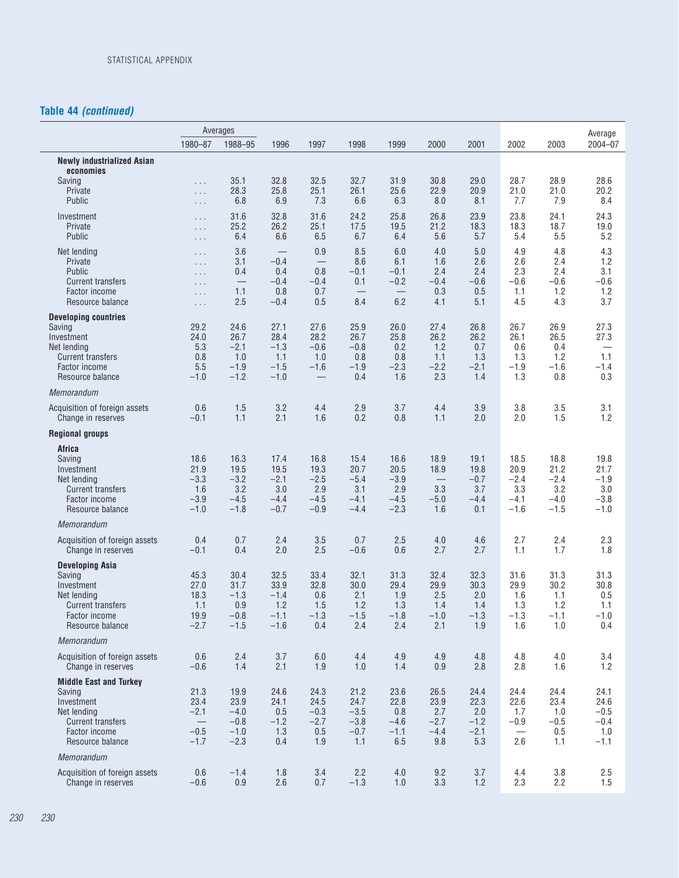# **Table 44** *(continued)*

 $\overline{a}$ 

|                                                                                                                                       |                                                                                  | Averages                                             |                                                             |                                                                     |                                                   |                                                   |                                                |                                                |                                                   |                                                   | Average                                           |
|---------------------------------------------------------------------------------------------------------------------------------------|----------------------------------------------------------------------------------|------------------------------------------------------|-------------------------------------------------------------|---------------------------------------------------------------------|---------------------------------------------------|---------------------------------------------------|------------------------------------------------|------------------------------------------------|---------------------------------------------------|---------------------------------------------------|---------------------------------------------------|
|                                                                                                                                       | 1980-87                                                                          | 1988-95                                              | 1996                                                        | 1997                                                                | 1998                                              | 1999                                              | 2000                                           | 2001                                           | 2002                                              | 2003                                              | 2004-07                                           |
| <b>Newly industrialized Asian</b><br>economies<br>Saving<br>Private                                                                   | .<br>.                                                                           | 35.1<br>28.3                                         | 32.8<br>25.8                                                | 32.5<br>25.1                                                        | 32.7<br>26.1                                      | 31.9<br>25.6                                      | 30.8<br>22.9                                   | 29.0<br>20.9                                   | 28.7<br>21.0                                      | 28.9<br>21.0                                      | 28.6<br>20.2                                      |
| Public<br>Investment<br>Private<br>Public                                                                                             | .<br>$\ldots$<br>$\ldots$<br>$\ldots$                                            | 6.8<br>31.6<br>25.2<br>6.4                           | 6.9<br>32.8<br>26.2<br>6.6                                  | 7.3<br>31.6<br>25.1<br>6.5                                          | 6.6<br>24.2<br>17.5<br>6.7                        | 6.3<br>25.8<br>19.5<br>6.4                        | 8.0<br>26.8<br>21.2<br>5.6                     | 8.1<br>23.9<br>18.3<br>5.7                     | 7.7<br>23.8<br>18.3<br>5.4                        | 7.9<br>24.1<br>18.7<br>5.5                        | 8.4<br>24.3<br>19.0<br>5.2                        |
| Net lending<br>Private<br><b>Public</b><br><b>Current transfers</b><br>Factor income<br>Resource balance                              | $\cdots$<br>$\cdots$<br>$\ldots$<br>$\sim$ $\sim$ $\sim$<br>$\ldots$<br>$\ldots$ | 3.6<br>3.1<br>0.4<br>1.1<br>2.5                      | $\qquad \qquad$<br>$-0.4$<br>0.4<br>$-0.4$<br>0.8<br>$-0.4$ | 0.9<br>$\overline{\phantom{0}}$<br>0.8<br>$-0.4$<br>0.7<br>0.5      | 8.5<br>8.6<br>$-0.1$<br>0.1<br>8.4                | 6.0<br>6.1<br>$-0.1$<br>$-0.2$<br>6.2             | 4.0<br>1.6<br>2.4<br>$-0.4$<br>0.3<br>4.1      | 5.0<br>2.6<br>2.4<br>$-0.6$<br>0.5<br>5.1      | 4.9<br>2.6<br>2.3<br>$-0.6$<br>1.1<br>4.5         | 4.8<br>2.4<br>2.4<br>$-0.6$<br>1.2<br>4.3         | 4.3<br>1.2<br>3.1<br>$-0.6$<br>1.2<br>3.7         |
| <b>Developing countries</b><br>Saving<br>Investment<br>Net lending<br><b>Current transfers</b><br>Factor income<br>Resource balance   | 29.2<br>24.0<br>5.3<br>0.8<br>5.5<br>$-1.0$                                      | 24.6<br>26.7<br>$-2.1$<br>1.0<br>$-1.9$<br>$-1.2$    | 27.1<br>28.4<br>$-1.3$<br>1.1<br>$-1.5$<br>$-1.0$           | 27.6<br>28.2<br>$-0.6$<br>1.0<br>$-1.6$<br>$\overline{\phantom{0}}$ | 25.9<br>26.7<br>$-0.8$<br>0.8<br>$-1.9$<br>0.4    | 26.0<br>25.8<br>0.2<br>0.8<br>$-2.3$<br>1.6       | 27.4<br>26.2<br>1.2<br>1.1<br>$-2.2$<br>2.3    | 26.8<br>26.2<br>0.7<br>1.3<br>$-2.1$<br>1.4    | 26.7<br>26.1<br>0.6<br>1.3<br>$-1.9$<br>1.3       | 26.9<br>26.5<br>0.4<br>1.2<br>$-1.6$<br>0.8       | 27.3<br>27.3<br>1.1<br>$-1.4$<br>0.3              |
| Memorandum                                                                                                                            |                                                                                  |                                                      |                                                             |                                                                     |                                                   |                                                   |                                                |                                                |                                                   |                                                   |                                                   |
| Acquisition of foreign assets<br>Change in reserves                                                                                   | 0.6<br>$-0.1$                                                                    | 1.5<br>1.1                                           | 3.2<br>2.1                                                  | 4.4<br>1.6                                                          | 2.9<br>0.2                                        | 3.7<br>0.8                                        | 4.4<br>1.1                                     | 3.9<br>2.0                                     | 3.8<br>2.0                                        | 3.5<br>1.5                                        | 3.1<br>1.2                                        |
| <b>Regional groups</b>                                                                                                                |                                                                                  |                                                      |                                                             |                                                                     |                                                   |                                                   |                                                |                                                |                                                   |                                                   |                                                   |
| Africa<br>Saving<br>Investment<br>Net lending<br><b>Current transfers</b><br><b>Factor income</b><br>Resource balance                 | 18.6<br>21.9<br>$-3.3$<br>1.6<br>$-3.9$<br>$-1.0$                                | 16.3<br>19.5<br>$-3.2$<br>3.2<br>$-4.5$<br>$-1.8$    | 17.4<br>19.5<br>$-2.1$<br>3.0<br>$-4.4$<br>$-0.7$           | 16.8<br>19.3<br>$-2.5$<br>2.9<br>$-4.5$<br>$-0.9$                   | 15.4<br>20.7<br>$-5.4$<br>3.1<br>$-4.1$<br>$-4.4$ | 16.6<br>20.5<br>$-3.9$<br>2.9<br>$-4.5$<br>$-2.3$ | 18.9<br>18.9<br>3.3<br>$-5.0$<br>1.6           | 19.1<br>19.8<br>$-0.7$<br>3.7<br>$-4.4$<br>0.1 | 18.5<br>20.9<br>$-2.4$<br>3.3<br>$-4.1$<br>$-1.6$ | 18.8<br>21.2<br>$-2.4$<br>3.2<br>$-4.0$<br>$-1.5$ | 19.8<br>21.7<br>$-1.9$<br>3.0<br>$-3.8$<br>$-1.0$ |
| Memorandum                                                                                                                            |                                                                                  |                                                      |                                                             |                                                                     |                                                   |                                                   |                                                |                                                |                                                   |                                                   |                                                   |
| Acquisition of foreign assets<br>Change in reserves                                                                                   | 0.4<br>$-0.1$                                                                    | 0.7<br>0.4                                           | 2.4<br>2.0                                                  | 3.5<br>2.5                                                          | 0.7<br>$-0.6$                                     | 2.5<br>0.6                                        | 4.0<br>2.7                                     | 4.6<br>2.7                                     | 2.7<br>1.1                                        | 2.4<br>1.7                                        | 2.3<br>1.8                                        |
| <b>Developing Asia</b><br>Saving<br>Investment<br>Net lending<br><b>Current transfers</b><br>Factor income<br>Resource balance        | 45.3<br>27.0<br>18.3<br>1.1<br>19.9<br>$-2.7$                                    | 30.4<br>31.7<br>$-1.3$<br>0.9<br>$-0.8$<br>$-1.5$    | 32.5<br>33.9<br>$-1.4$<br>1.2<br>$-1.1$<br>$-1.6$           | 33.4<br>32.8<br>0.6<br>1.5<br>$-1.3$<br>0.4                         | 32.1<br>30.0<br>2.1<br>1.2<br>$-1.5$<br>2.4       | 31.3<br>29.4<br>1.9<br>1.3<br>$-1.8$<br>2.4       | 32.4<br>29.9<br>2.5<br>1.4<br>$-1.0$<br>2.1    | 32.3<br>30.3<br>2.0<br>1.4<br>$-1.3$<br>1.9    | 31.6<br>29.9<br>1.6<br>1.3<br>$-1.3$<br>1.6       | 31.3<br>30.2<br>1.1<br>1.2<br>$-1.1$<br>1.0       | 31.3<br>30.8<br>0.5<br>1.1<br>$-1.0$<br>0.4       |
| Memorandum                                                                                                                            |                                                                                  |                                                      |                                                             |                                                                     |                                                   |                                                   |                                                |                                                |                                                   |                                                   |                                                   |
| Acquisition of foreign assets<br>Change in reserves                                                                                   | 0.6<br>$-0.6$                                                                    | 2.4<br>1.4                                           | 3.7<br>2.1                                                  | 6.0<br>1.9                                                          | 4.4<br>1.0                                        | 4.9<br>1.4                                        | 4.9<br>0.9                                     | 4.8<br>2.8                                     | 4.8<br>2.8                                        | 4.0<br>1.6                                        | 3.4<br>1.2                                        |
| <b>Middle East and Turkey</b><br>Saving<br>Investment<br>Net lending<br><b>Current transfers</b><br>Factor income<br>Resource balance | 21.3<br>23.4<br>$-2.1$<br>$-0.5$<br>$-1.7$                                       | 19.9<br>23.9<br>$-4.0$<br>$-0.8$<br>$-1.0$<br>$-2.3$ | 24.6<br>24.1<br>0.5<br>$-1.2$<br>1.3<br>0.4                 | 24.3<br>24.5<br>$-0.3$<br>$-2.7$<br>0.5<br>1.9                      | 21.2<br>24.7<br>$-3.5$<br>$-3.8$<br>$-0.7$<br>1.1 | 23.6<br>22.8<br>0.8<br>$-4.6$<br>$-1.1$<br>6.5    | 26.5<br>23.9<br>2.7<br>$-2.7$<br>$-4.4$<br>9.8 | 24.4<br>22.3<br>2.0<br>$-1.2$<br>$-2.1$<br>5.3 | 24.4<br>22.6<br>1.7<br>$-0.9$<br>2.6              | 24.4<br>23.4<br>1.0<br>$-0.5$<br>0.5<br>1.1       | 24.1<br>24.6<br>$-0.5$<br>$-0.4$<br>1.0<br>$-1.1$ |
| Memorandum                                                                                                                            |                                                                                  |                                                      |                                                             |                                                                     |                                                   |                                                   |                                                |                                                |                                                   |                                                   |                                                   |
| Acquisition of foreign assets<br>Change in reserves                                                                                   | 0.6<br>$-0.6$                                                                    | $-1.4$<br>0.9                                        | 1.8<br>2.6                                                  | 3.4<br>0.7                                                          | 2.2<br>$-1.3$                                     | $4.0\,$<br>1.0                                    | 9.2<br>3.3                                     | 3.7<br>1.2                                     | 4.4<br>2.3                                        | 3.8<br>2.2                                        | 2.5<br>1.5                                        |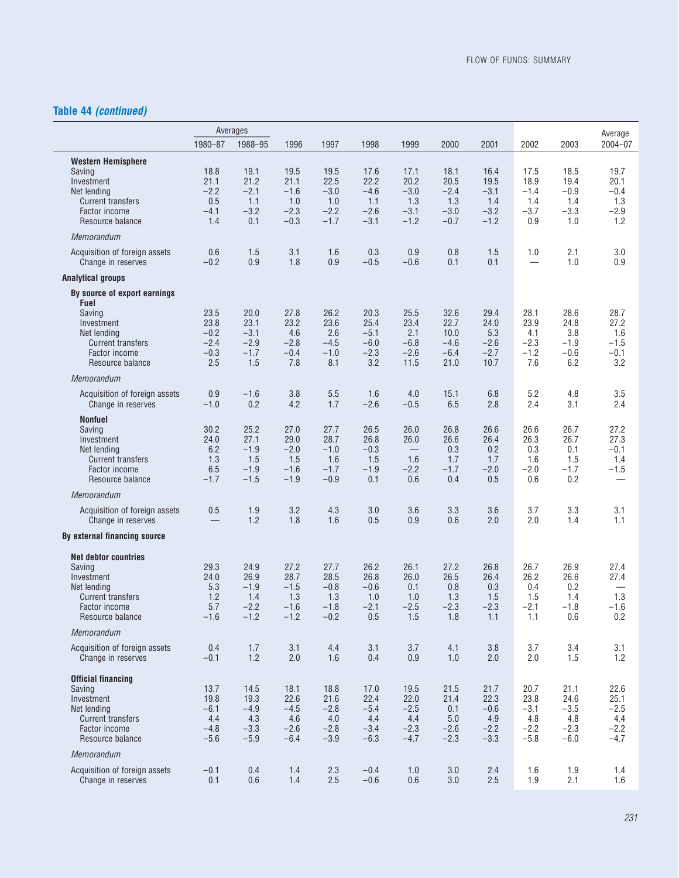# **Table 44** *(continued)*

|                                                                                                                                                                          | Averages                                          |                                                   |                                                   |                                                   |                                                    |                                                   |                                                   |                                                   |                                                   |                                                   | Average                                           |
|--------------------------------------------------------------------------------------------------------------------------------------------------------------------------|---------------------------------------------------|---------------------------------------------------|---------------------------------------------------|---------------------------------------------------|----------------------------------------------------|---------------------------------------------------|---------------------------------------------------|---------------------------------------------------|---------------------------------------------------|---------------------------------------------------|---------------------------------------------------|
|                                                                                                                                                                          | 1980-87                                           | 1988-95                                           | 1996                                              | 1997                                              | 1998                                               | 1999                                              | 2000                                              | 2001                                              | 2002                                              | 2003                                              | 2004-07                                           |
| <b>Western Hemisphere</b><br>Saving<br>Investment<br>Net lending<br><b>Current transfers</b><br>Factor income<br>Resource balance<br>Memorandum                          | 18.8<br>21.1<br>$-2.2$<br>0.5<br>$-4.1$<br>1.4    | 19.1<br>21.2<br>$-2.1$<br>1.1<br>$-3.2$<br>0.1    | 19.5<br>21.1<br>$-1.6$<br>1.0<br>$-2.3$<br>$-0.3$ | 19.5<br>22.5<br>$-3.0$<br>1.0<br>$-2.2$<br>$-1.7$ | 17.6<br>22.2<br>$-4.6$<br>1.1<br>$-2.6$<br>$-3.1$  | 17.1<br>20.2<br>$-3.0$<br>1.3<br>$-3.1$<br>$-1.2$ | 18.1<br>20.5<br>$-2.4$<br>1.3<br>$-3.0$<br>$-0.7$ | 16.4<br>19.5<br>$-3.1$<br>1.4<br>$-3.2$<br>$-1.2$ | 17.5<br>18.9<br>$-1.4$<br>1.4<br>$-3.7$<br>0.9    | 18.5<br>19.4<br>$-0.9$<br>1.4<br>$-3.3$<br>1.0    | 19.7<br>20.1<br>$-0.4$<br>1.3<br>$-2.9$<br>1.2    |
| Acquisition of foreign assets                                                                                                                                            | 0.6                                               | 1.5                                               | 3.1                                               | 1.6                                               | 0.3                                                | 0.9                                               | 0.8                                               | 1.5                                               | 1.0                                               | 2.1                                               | 3.0                                               |
| Change in reserves                                                                                                                                                       | $-0.2$                                            | 0.9                                               | 1.8                                               | 0.9                                               | $-0.5$                                             | $-0.6$                                            | 0.1                                               | 0.1                                               |                                                   | 1.0                                               | 0.9                                               |
| <b>Analytical groups</b><br>By source of export earnings<br>Fuel<br>Saving<br>Investment<br>Net lending<br><b>Current transfers</b><br>Factor income<br>Resource balance | 23.5<br>23.8<br>$-0.2$<br>$-2.4$<br>$-0.3$<br>2.5 | 20.0<br>23.1<br>$-3.1$<br>$-2.9$<br>$-1.7$<br>1.5 | 27.8<br>23.2<br>4.6<br>$-2.8$<br>$-0.4$<br>7.8    | 26.2<br>23.6<br>2.6<br>$-4.5$<br>$-1.0$<br>8.1    | 20.3<br>25.4<br>$-5.1$<br>$-6.0$<br>$-2.3$<br>3.2  | 25.5<br>23.4<br>2.1<br>$-6.8$<br>$-2.6$<br>11.5   | 32.6<br>22.7<br>10.0<br>$-4.6$<br>$-6.4$<br>21.0  | 29.4<br>24.0<br>5.3<br>$-2.6$<br>$-2.7$<br>10.7   | 28.1<br>23.9<br>4.1<br>$-2.3$<br>$-1.2$<br>7.6    | 28.6<br>24.8<br>3.8<br>$-1.9$<br>$-0.6$<br>6.2    | 28.7<br>27.2<br>1.6<br>$-1.5$<br>$-0.1$<br>3.2    |
| Memorandum                                                                                                                                                               |                                                   |                                                   |                                                   |                                                   |                                                    |                                                   |                                                   |                                                   |                                                   |                                                   |                                                   |
| Acquisition of foreign assets<br>Change in reserves                                                                                                                      | 0.9<br>$-1.0$                                     | $-1.6$<br>0.2                                     | 3.8<br>4.2                                        | 5.5<br>1.7                                        | 1.6<br>$-2.6$                                      | 4.0<br>$-0.5$                                     | 15.1<br>6.5                                       | 6.8<br>2.8                                        | 5.2<br>2.4                                        | 4.8<br>3.1                                        | 3.5<br>2.4                                        |
| <b>Nonfuel</b><br>Saving<br>Investment<br>Net lending<br><b>Current transfers</b><br>Factor income<br>Resource balance                                                   | 30.2<br>24.0<br>6.2<br>1.3<br>6.5<br>$-1.7$       | 25.2<br>27.1<br>$-1.9$<br>1.5<br>$-1.9$<br>$-1.5$ | 27.0<br>29.0<br>$-2.0$<br>1.5<br>$-1.6$<br>$-1.9$ | 27.7<br>28.7<br>$-1.0$<br>1.6<br>$-1.7$<br>$-0.9$ | 26.5<br>26.8<br>$-0.3$<br>1.5<br>$-1.9$<br>0.1     | 26.0<br>26.0<br>1.6<br>$-2.2$<br>0.6              | 26.8<br>26.6<br>0.3<br>1.7<br>$-1.7$<br>0.4       | 26.6<br>26.4<br>0.2<br>1.7<br>$-2.0$<br>0.5       | 26.6<br>26.3<br>0.3<br>1.6<br>$-2.0$<br>0.6       | 26.7<br>26.7<br>0.1<br>1.5<br>$-1.7$<br>0.2       | 27.2<br>27.3<br>$-0.1$<br>1.4<br>$-1.5$           |
| Memorandum                                                                                                                                                               |                                                   |                                                   |                                                   |                                                   |                                                    |                                                   |                                                   |                                                   |                                                   |                                                   |                                                   |
| Acquisition of foreign assets<br>Change in reserves                                                                                                                      | 0.5                                               | 1.9<br>1.2                                        | 3.2<br>1.8                                        | 4.3<br>1.6                                        | 3.0<br>0.5                                         | 3.6<br>0.9                                        | 3.3<br>0.6                                        | 3.6<br>2.0                                        | 3.7<br>2.0                                        | 3.3<br>1.4                                        | 3.1<br>1.1                                        |
| By external financing source                                                                                                                                             |                                                   |                                                   |                                                   |                                                   |                                                    |                                                   |                                                   |                                                   |                                                   |                                                   |                                                   |
| <b>Net debtor countries</b><br>Saving<br>Investment<br>Net lending<br><b>Current transfers</b><br>Factor income<br>Resource balance                                      | 29.3<br>24.0<br>5.3<br>1.2<br>5.7<br>$-1.6$       | 24.9<br>26.9<br>$-1.9$<br>1.4<br>$-2.2$<br>$-1.2$ | 27.2<br>28.7<br>$-1.5$<br>1.3<br>$-1.6$<br>$-1.2$ | 27.7<br>28.5<br>$-0.8$<br>1.3<br>$-1.8$<br>$-0.2$ | 26.2<br>26.8<br>$-0.6$<br>1.0<br>$-2.1$<br>$0.5\,$ | 26.1<br>26.0<br>0.1<br>1.0<br>$-2.5$<br>1.5       | 27.2<br>26.5<br>0.8<br>1.3<br>$-2.3$<br>1.8       | 26.8<br>26.4<br>0.3<br>1.5<br>$-2.3$<br>1.1       | 26.7<br>26.2<br>0.4<br>1.5<br>$-2.1$<br>1.1       | 26.9<br>26.6<br>0.2<br>1.4<br>$-1.8$<br>0.6       | 27.4<br>27.4<br>1.3<br>$-1.6$<br>0.2              |
| Memorandum                                                                                                                                                               |                                                   |                                                   |                                                   |                                                   |                                                    |                                                   |                                                   |                                                   |                                                   |                                                   |                                                   |
| Acquisition of foreign assets<br>Change in reserves                                                                                                                      | 0.4<br>$-0.1$                                     | 1.7<br>1.2                                        | 3.1<br>2.0                                        | 4.4<br>1.6                                        | 3.1<br>0.4                                         | 3.7<br>0.9                                        | 4.1<br>1.0                                        | 3.8<br>2.0                                        | 3.7<br>2.0                                        | 3.4<br>1.5                                        | 3.1<br>1.2                                        |
| <b>Official financing</b><br>Saving<br>Investment<br>Net lending<br><b>Current transfers</b><br>Factor income<br>Resource balance                                        | 13.7<br>19.8<br>$-6.1$<br>4.4<br>$-4.8$<br>$-5.6$ | 14.5<br>19.3<br>$-4.9$<br>4.3<br>$-3.3$<br>$-5.9$ | 18.1<br>22.6<br>$-4.5$<br>4.6<br>$-2.6$<br>$-6.4$ | 18.8<br>21.6<br>$-2.8$<br>4.0<br>$-2.8$<br>$-3.9$ | 17.0<br>22.4<br>$-5.4$<br>4.4<br>$-3.4$<br>$-6.3$  | 19.5<br>22.0<br>$-2.5$<br>4.4<br>$-2.3$<br>$-4.7$ | 21.5<br>21.4<br>0.1<br>5.0<br>$-2.6$<br>$-2.3$    | 21.7<br>22.3<br>$-0.6$<br>4.9<br>$-2.2$<br>$-3.3$ | 20.7<br>23.8<br>$-3.1$<br>4.8<br>$-2.2$<br>$-5.8$ | 21.1<br>24.6<br>$-3.5$<br>4.8<br>$-2.3$<br>$-6.0$ | 22.6<br>25.1<br>$-2.5$<br>4.4<br>$-2.2$<br>$-4.7$ |
| Memorandum                                                                                                                                                               |                                                   |                                                   |                                                   |                                                   |                                                    |                                                   |                                                   |                                                   |                                                   |                                                   |                                                   |
| Acquisition of foreign assets<br>Change in reserves                                                                                                                      | $-0.1$<br>0.1                                     | 0.4<br>0.6                                        | 1.4<br>1.4                                        | 2.3<br>2.5                                        | $-0.4$<br>$-0.6$                                   | 1.0<br>0.6                                        | $3.0\,$<br>3.0                                    | 2.4<br>2.5                                        | 1.6<br>1.9                                        | 1.9<br>2.1                                        | 1.4<br>1.6                                        |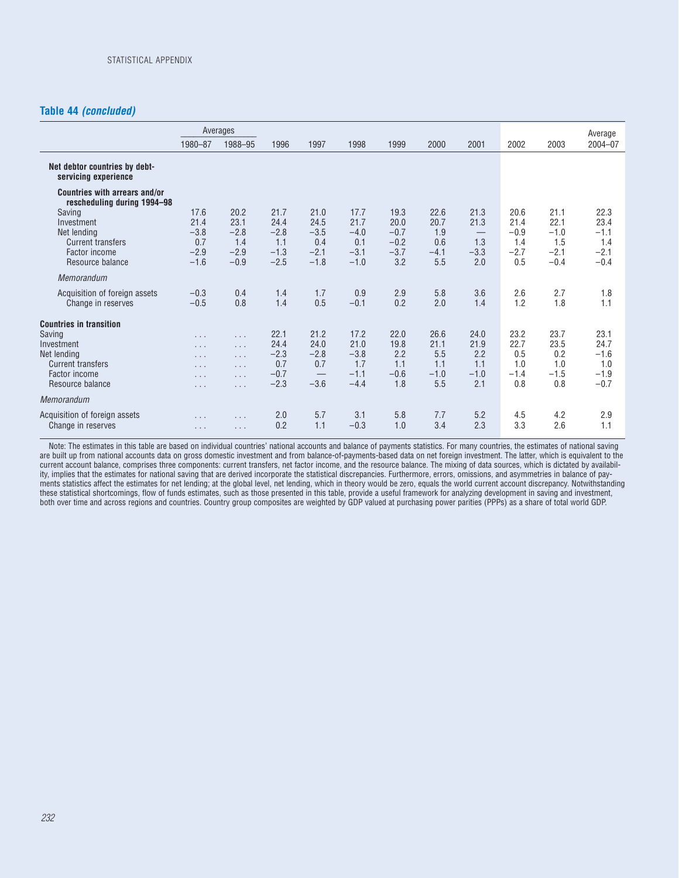#### **Table 44** *(concluded)*

|                                                                                                                                        |                                                               | Averages                                               |                                                   |                                                   |                                                   |                                                   |                                             |                                             |                                                |                                                   | Average                                           |
|----------------------------------------------------------------------------------------------------------------------------------------|---------------------------------------------------------------|--------------------------------------------------------|---------------------------------------------------|---------------------------------------------------|---------------------------------------------------|---------------------------------------------------|---------------------------------------------|---------------------------------------------|------------------------------------------------|---------------------------------------------------|---------------------------------------------------|
|                                                                                                                                        | 1980-87                                                       | 1988-95                                                | 1996                                              | 1997                                              | 1998                                              | 1999                                              | 2000                                        | 2001                                        | 2002                                           | 2003                                              | $2004 - 07$                                       |
| Net debtor countries by debt-<br>servicing experience                                                                                  |                                                               |                                                        |                                                   |                                                   |                                                   |                                                   |                                             |                                             |                                                |                                                   |                                                   |
| Countries with arrears and/or<br>rescheduling during 1994-98                                                                           |                                                               |                                                        |                                                   |                                                   |                                                   |                                                   |                                             |                                             |                                                |                                                   |                                                   |
| Saving<br>Investment<br>Net lending<br><b>Current transfers</b><br>Factor income<br>Resource balance                                   | 17.6<br>21.4<br>$-3.8$<br>0.7<br>$-2.9$<br>$-1.6$             | 20.2<br>23.1<br>$-2.8$<br>1.4<br>$-2.9$<br>$-0.9$      | 21.7<br>24.4<br>$-2.8$<br>1.1<br>$-1.3$<br>$-2.5$ | 21.0<br>24.5<br>$-3.5$<br>0.4<br>$-2.1$<br>$-1.8$ | 17.7<br>21.7<br>$-4.0$<br>0.1<br>$-3.1$<br>$-1.0$ | 19.3<br>20.0<br>$-0.7$<br>$-0.2$<br>$-3.7$<br>3.2 | 22.6<br>20.7<br>1.9<br>0.6<br>$-4.1$<br>5.5 | 21.3<br>21.3<br>1.3<br>$-3.3$<br>2.0        | 20.6<br>21.4<br>$-0.9$<br>1.4<br>$-2.7$<br>0.5 | 21.1<br>22.1<br>$-1.0$<br>1.5<br>$-2.1$<br>$-0.4$ | 22.3<br>23.4<br>$-1.1$<br>1.4<br>$-2.1$<br>$-0.4$ |
| Memorandum                                                                                                                             |                                                               |                                                        |                                                   |                                                   |                                                   |                                                   |                                             |                                             |                                                |                                                   |                                                   |
| Acquisition of foreign assets<br>Change in reserves                                                                                    | $-0.3$<br>$-0.5$                                              | 0.4<br>0.8                                             | 1.4<br>1.4                                        | 1.7<br>0.5                                        | 0.9<br>$-0.1$                                     | 2.9<br>0.2                                        | 5.8<br>2.0                                  | 3.6<br>1.4                                  | 2.6<br>1.2                                     | 2.7<br>1.8                                        | 1.8<br>1.1                                        |
| <b>Countries in transition</b><br>Saving<br>Investment<br>Net lending<br><b>Current transfers</b><br>Factor income<br>Resource balance | $\cdots$<br>$\cdots$<br>$\cdots$<br>$\cdots$<br>.<br>$\cdots$ | .<br>$\cdots$<br>$\cdots$<br>$\cdots$<br>.<br>$\cdots$ | 22.1<br>24.4<br>$-2.3$<br>0.7<br>$-0.7$<br>$-2.3$ | 21.2<br>24.0<br>$-2.8$<br>0.7<br>$-3.6$           | 17.2<br>21.0<br>$-3.8$<br>1.7<br>$-1.1$<br>$-4.4$ | 22.0<br>19.8<br>2.2<br>1.1<br>$-0.6$<br>1.8       | 26.6<br>21.1<br>5.5<br>1.1<br>$-1.0$<br>5.5 | 24.0<br>21.9<br>2.2<br>1.1<br>$-1.0$<br>2.1 | 23.2<br>22.7<br>0.5<br>1.0<br>$-1.4$<br>0.8    | 23.7<br>23.5<br>0.2<br>1.0<br>$-1.5$<br>0.8       | 23.1<br>24.7<br>$-1.6$<br>1.0<br>$-1.9$<br>$-0.7$ |
| Memorandum                                                                                                                             |                                                               |                                                        |                                                   |                                                   |                                                   |                                                   |                                             |                                             |                                                |                                                   |                                                   |
| Acquisition of foreign assets<br>Change in reserves                                                                                    | .<br>$\cdots$                                                 | $\cdots$<br>$\cdots$                                   | 2.0<br>0.2                                        | 5.7<br>1.1                                        | 3.1<br>$-0.3$                                     | 5.8<br>1.0                                        | 7.7<br>3.4                                  | 5.2<br>2.3                                  | 4.5<br>3.3                                     | 4.2<br>2.6                                        | 2.9<br>1.1                                        |

Note: The estimates in this table are based on individual countries' national accounts and balance of payments statistics. For many countries, the estimates of national saving are built up from national accounts data on gross domestic investment and from balance-of-payments-based data on net foreign investment. The latter, which is equivalent to the current account balance, comprises three components: current transfers, net factor income, and the resource balance. The mixing of data sources, which is dictated by availability, implies that the estimates for national saving that are derived incorporate the statistical discrepancies. Furthermore, errors, omissions, and asymmetries in balance of payments statistics affect the estimates for net lending; at the global level, net lending, which in theory would be zero, equals the world current account discrepancy. Notwithstanding these statistical shortcomings, flow of funds estimates, such as those presented in this table, provide a useful framework for analyzing development in saving and investment, both over time and across regions and countries. Country group composites are weighted by GDP valued at purchasing power parities (PPPs) as a share of total world GDP.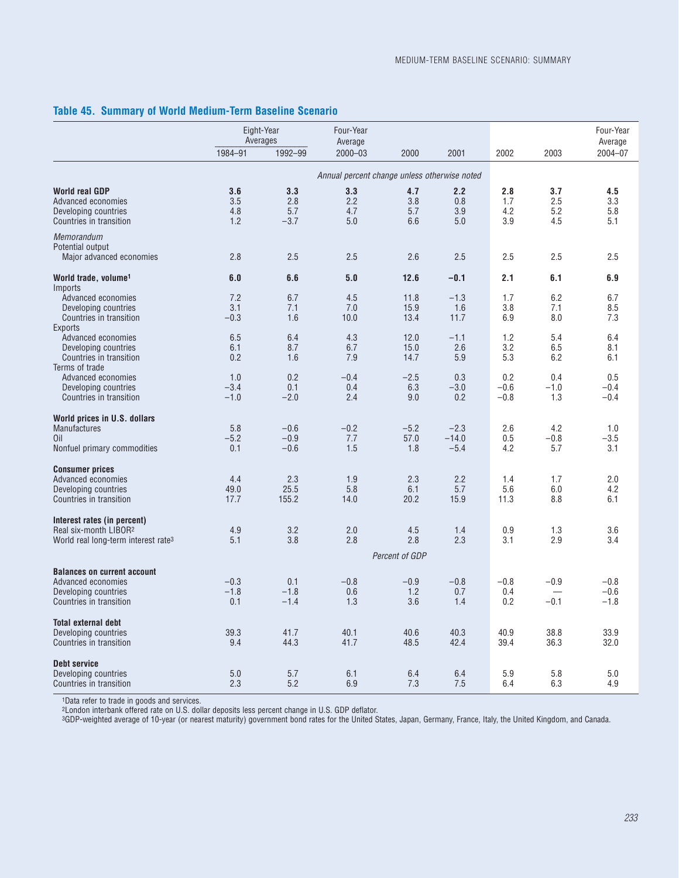#### **Table 45. Summary of World Medium-Term Baseline Scenario**

|                                                                                                                     |                          | Eight-Year<br>Averages      | Four-Year<br>Average                         |                          |                             |                          |                          | Four-Year<br>Average       |
|---------------------------------------------------------------------------------------------------------------------|--------------------------|-----------------------------|----------------------------------------------|--------------------------|-----------------------------|--------------------------|--------------------------|----------------------------|
|                                                                                                                     | 1984-91                  | 1992-99                     | $2000 - 03$                                  | 2000                     | 2001                        | 2002                     | 2003                     | 2004-07                    |
|                                                                                                                     |                          |                             | Annual percent change unless otherwise noted |                          |                             |                          |                          |                            |
| <b>World real GDP</b><br>Advanced economies<br>Developing countries<br>Countries in transition                      | 3.6<br>3.5<br>4.8<br>1.2 | 3.3<br>2.8<br>5.7<br>$-3.7$ | 3.3<br>2.2<br>4.7<br>5.0                     | 4.7<br>3.8<br>5.7<br>6.6 | 2.2<br>0.8<br>3.9<br>5.0    | 2.8<br>1.7<br>4.2<br>3.9 | 3.7<br>2.5<br>5.2<br>4.5 | 4.5<br>3.3<br>5.8<br>5.1   |
| Memorandum<br>Potential output<br>Major advanced economies                                                          | 2.8                      | 2.5                         | 2.5                                          | 2.6                      | 2.5                         | 2.5                      | 2.5                      | 2.5                        |
|                                                                                                                     |                          |                             |                                              |                          |                             |                          |                          |                            |
| World trade, volume <sup>1</sup><br>Imports                                                                         | 6.0                      | 6.6                         | 5.0                                          | 12.6                     | $-0.1$                      | 2.1                      | 6.1                      | 6.9                        |
| Advanced economies<br>Developing countries<br>Countries in transition<br><b>Exports</b>                             | 7.2<br>3.1<br>$-0.3$     | 6.7<br>7.1<br>1.6           | 4.5<br>7.0<br>10.0                           | 11.8<br>15.9<br>13.4     | $-1.3$<br>1.6<br>11.7       | 1.7<br>3.8<br>6.9        | 6.2<br>7.1<br>8.0        | 6.7<br>8.5<br>7.3          |
| Advanced economies<br>Developing countries<br>Countries in transition                                               | 6.5<br>6.1<br>0.2        | 6.4<br>8.7<br>1.6           | 4.3<br>6.7<br>7.9                            | 12.0<br>15.0<br>14.7     | $-1.1$<br>2.6<br>5.9        | 1.2<br>3.2<br>5.3        | 5.4<br>6.5<br>6.2        | 6.4<br>8.1<br>6.1          |
| Terms of trade<br>Advanced economies<br>Developing countries<br>Countries in transition                             | 1.0<br>$-3.4$<br>$-1.0$  | 0.2<br>0.1<br>$-2.0$        | $-0.4$<br>0.4<br>2.4                         | $-2.5$<br>6.3<br>9.0     | 0.3<br>$-3.0$<br>0.2        | 0.2<br>$-0.6$<br>$-0.8$  | 0.4<br>$-1.0$<br>1.3     | 0.5<br>$-0.4$<br>$-0.4$    |
| World prices in U.S. dollars<br><b>Manufactures</b><br>Oil<br>Nonfuel primary commodities                           | 5.8<br>$-5.2$<br>0.1     | $-0.6$<br>$-0.9$<br>$-0.6$  | $-0.2$<br>7.7<br>1.5                         | $-5.2$<br>57.0<br>1.8    | $-2.3$<br>$-14.0$<br>$-5.4$ | 2.6<br>0.5<br>4.2        | 4.2<br>$-0.8$<br>5.7     | 1.0<br>$-3.5$<br>3.1       |
| <b>Consumer prices</b><br>Advanced economies<br>Developing countries<br>Countries in transition                     | 4.4<br>49.0<br>17.7      | 2.3<br>25.5<br>155.2        | 1.9<br>5.8<br>14.0                           | 2.3<br>6.1<br>20.2       | 2.2<br>5.7<br>15.9          | 1.4<br>5.6<br>11.3       | 1.7<br>6.0<br>8.8        | 2.0<br>4.2<br>6.1          |
| Interest rates (in percent)<br>Real six-month LIBOR <sup>2</sup><br>World real long-term interest rate <sup>3</sup> | 4.9<br>5.1               | 3.2<br>3.8                  | 2.0<br>2.8                                   | 4.5<br>2.8               | 1.4<br>2.3                  | 0.9<br>3.1               | 1.3<br>2.9               | 3.6<br>3.4                 |
|                                                                                                                     |                          |                             |                                              | Percent of GDP           |                             |                          |                          |                            |
| <b>Balances on current account</b><br>Advanced economies<br>Developing countries<br>Countries in transition         | $-0.3$<br>$-1.8$<br>0.1  | 0.1<br>$-1.8$<br>$-1.4$     | $-0.8$<br>0.6<br>1.3                         | $-0.9$<br>1.2<br>3.6     | $-0.8$<br>0.7<br>1.4        | $-0.8$<br>0.4<br>0.2     | $-0.9$<br>$-0.1$         | $-0.8$<br>$-0.6$<br>$-1.8$ |
| <b>Total external debt</b><br>Developing countries<br>Countries in transition                                       | 39.3<br>9.4              | 41.7<br>44.3                | 40.1<br>41.7                                 | 40.6<br>48.5             | 40.3<br>42.4                | 40.9<br>39.4             | 38.8<br>36.3             | 33.9<br>32.0               |
| <b>Debt service</b><br>Developing countries<br>Countries in transition                                              | 5.0<br>2.3               | 5.7<br>5.2                  | 6.1<br>6.9                                   | 6.4<br>7.3               | 6.4<br>7.5                  | 5.9<br>6.4               | 5.8<br>6.3               | 5.0<br>4.9                 |

1Data refer to trade in goods and services.

2London interbank offered rate on U.S. dollar deposits less percent change in U.S. GDP deflator.

3GDP-weighted average of 10-year (or nearest maturity) government bond rates for the United States, Japan, Germany, France, Italy, the United Kingdom, and Canada.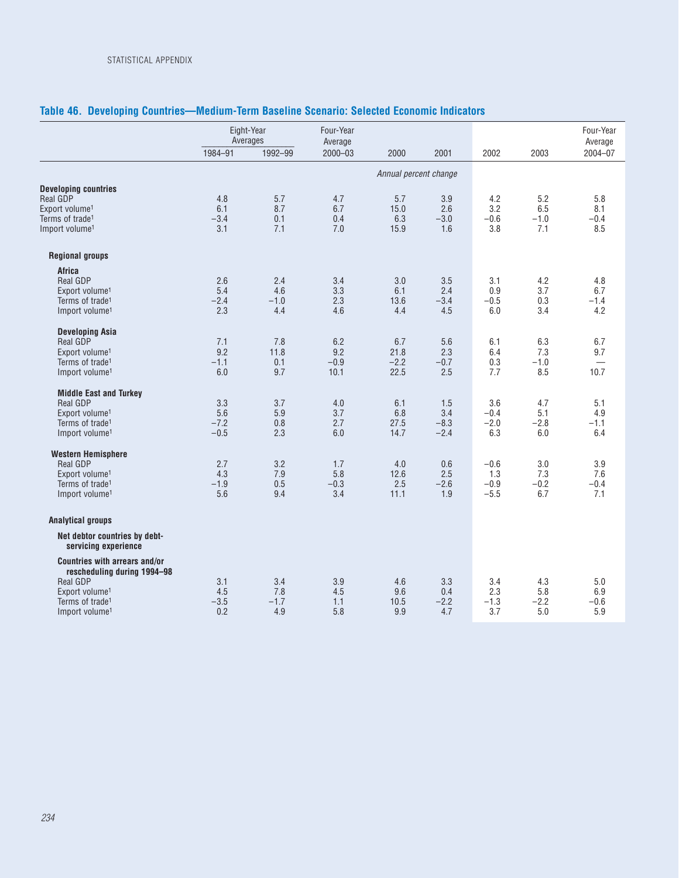|                                                              |            | Eight-Year<br>Averages | Four-Year<br>Average |                       |            |            |            | Four-Year<br>Average |
|--------------------------------------------------------------|------------|------------------------|----------------------|-----------------------|------------|------------|------------|----------------------|
|                                                              | 1984-91    | 1992-99                | $2000 - 03$          | 2000                  | 2001       | 2002       | 2003       | 2004-07              |
|                                                              |            |                        |                      | Annual percent change |            |            |            |                      |
| <b>Developing countries</b>                                  |            |                        |                      |                       |            |            |            |                      |
| <b>Real GDP</b>                                              | 4.8        | 5.7                    | 4.7                  | 5.7                   | 3.9        | 4.2        | 5.2        | 5.8                  |
| Export volume <sup>1</sup>                                   | 6.1        | 8.7                    | 6.7                  | 15.0                  | 2.6        | 3.2        | 6.5        | 8.1                  |
| Terms of trade <sup>1</sup>                                  | $-3.4$     | 0.1                    | 0.4                  | 6.3                   | $-3.0$     | $-0.6$     | $-1.0$     | $-0.4$               |
| Import volume <sup>1</sup>                                   | 3.1        | 7.1                    | 7.0                  | 15.9                  | 1.6        | 3.8        | 7.1        | 8.5                  |
| <b>Regional groups</b>                                       |            |                        |                      |                       |            |            |            |                      |
| <b>Africa</b>                                                |            |                        |                      |                       |            |            |            |                      |
| Real GDP                                                     | 2.6        | 2.4                    | 3.4                  | 3.0                   | 3.5        | 3.1        | 4.2        | 4.8                  |
| Export volume <sup>1</sup>                                   | 5.4        | 4.6                    | 3.3                  | 6.1                   | 2.4        | 0.9        | 3.7        | 6.7                  |
| Terms of trade <sup>1</sup>                                  | $-2.4$     | $-1.0$                 | 2.3                  | 13.6                  | $-3.4$     | $-0.5$     | 0.3        | $-1.4$               |
| Import volume <sup>1</sup>                                   | 2.3        | 4.4                    | 4.6                  | 4.4                   | 4.5        | 6.0        | 3.4        | 4.2                  |
| <b>Developing Asia</b>                                       |            |                        |                      |                       |            |            |            |                      |
| Real GDP                                                     | 7.1        | 7.8                    | 6.2                  | 6.7                   | 5.6        | 6.1        | 6.3        | 6.7                  |
| Export volume <sup>1</sup>                                   | 9.2        | 11.8                   | 9.2                  | 21.8                  | 2.3        | 6.4        | 7.3        | 9.7                  |
| Terms of trade <sup>1</sup>                                  | $-1.1$     | 0.1                    | $-0.9$               | $-2.2$                | $-0.7$     | 0.3        | $-1.0$     |                      |
| Import volume <sup>1</sup>                                   | 6.0        | 9.7                    | 10.1                 | 22.5                  | 2.5        | 7.7        | 8.5        | 10.7                 |
| <b>Middle East and Turkey</b>                                |            |                        |                      |                       |            |            |            |                      |
| Real GDP                                                     | 3.3        | 3.7                    | 4.0                  | 6.1                   | 1.5        | 3.6        | 4.7        | 5.1                  |
| Export volume <sup>1</sup>                                   | 5.6        | 5.9                    | 3.7                  | 6.8                   | 3.4        | $-0.4$     | 5.1        | 4.9                  |
| Terms of trade <sup>1</sup>                                  | $-7.2$     | 0.8                    | 2.7                  | 27.5                  | $-8.3$     | $-2.0$     | $-2.8$     | $-1.1$               |
| Import volume <sup>1</sup>                                   | $-0.5$     | 2.3                    | 6.0                  | 14.7                  | $-2.4$     | 6.3        | 6.0        | 6.4                  |
| <b>Western Hemisphere</b>                                    |            |                        |                      |                       |            |            |            |                      |
| Real GDP                                                     | 2.7        | 3.2                    | 1.7                  | 4.0                   | 0.6        | $-0.6$     | 3.0        | 3.9                  |
| Export volume <sup>1</sup>                                   | 4.3        | 7.9                    | 5.8                  | 12.6                  | 2.5        | 1.3        | 7.3        | 7.6                  |
| Terms of trade <sup>1</sup>                                  | $-1.9$     | 0.5                    | $-0.3$               | 2.5                   | $-2.6$     | $-0.9$     | $-0.2$     | $-0.4$               |
| Import volume <sup>1</sup>                                   | 5.6        | 9.4                    | 3.4                  | 11.1                  | 1.9        | $-5.5$     | 6.7        | 7.1                  |
| <b>Analytical groups</b>                                     |            |                        |                      |                       |            |            |            |                      |
| Net debtor countries by debt-<br>servicing experience        |            |                        |                      |                       |            |            |            |                      |
| Countries with arrears and/or<br>rescheduling during 1994-98 |            |                        |                      |                       |            |            |            |                      |
| <b>Real GDP</b><br>Export volume <sup>1</sup>                | 3.1<br>4.5 | 3.4<br>7.8             | 3.9<br>4.5           | 4.6<br>9.6            | 3.3<br>0.4 | 3.4<br>2.3 | 4.3<br>5.8 | 5.0<br>6.9           |
| Terms of trade <sup>1</sup>                                  | $-3.5$     | $-1.7$                 | 1.1                  | 10.5                  | $-2.2$     | $-1.3$     | $-2.2$     | $-0.6$               |
| Import volume <sup>1</sup>                                   | 0.2        | 4.9                    | 5.8                  | 9.9                   | 4.7        | 3.7        | 5.0        | 5.9                  |
|                                                              |            |                        |                      |                       |            |            |            |                      |

# **Table 46. Developing Countries—Medium-Term Baseline Scenario: Selected Economic Indicators**